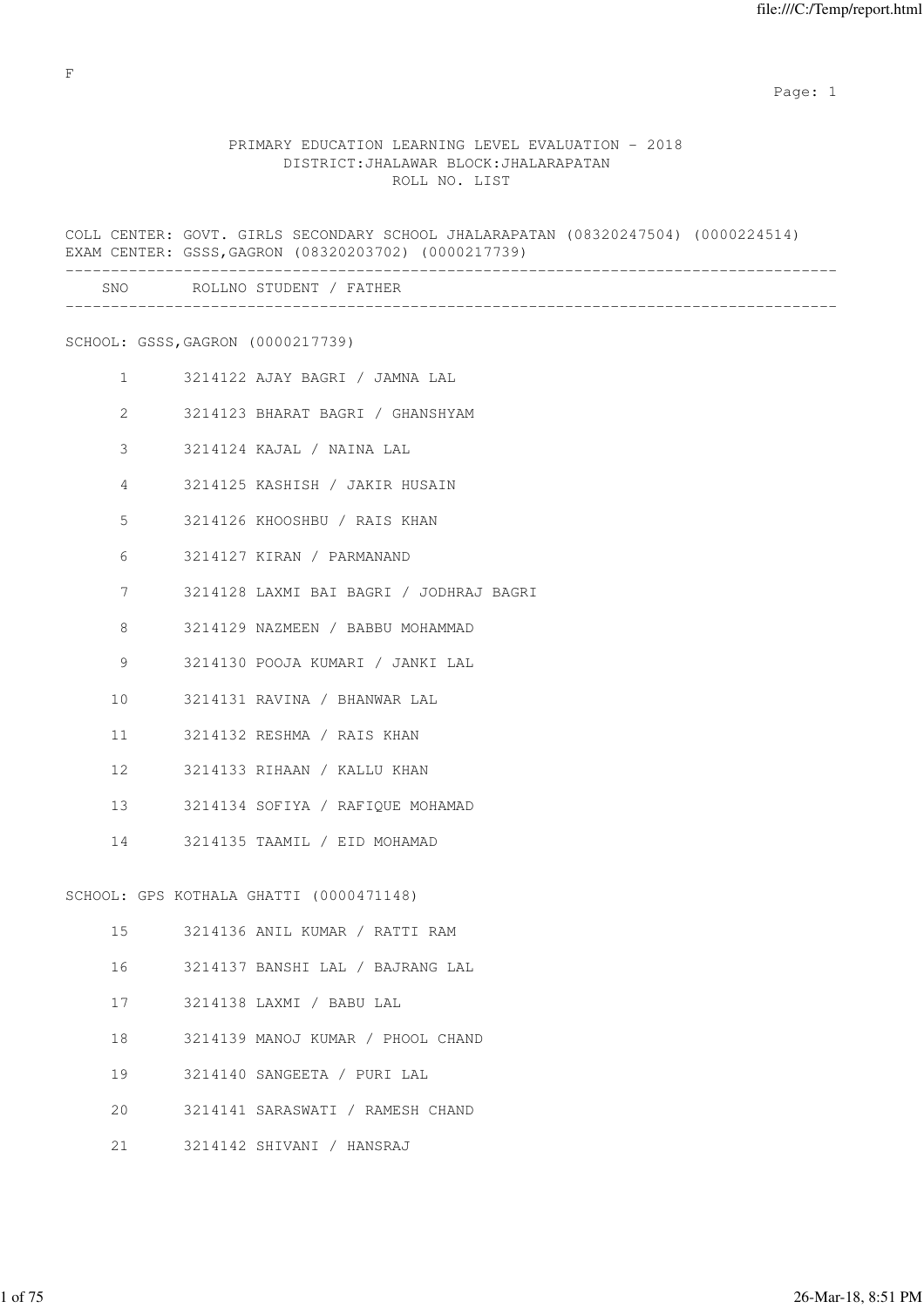### PRIMARY EDUCATION LEARNING LEVEL EVALUATION - 2018 DISTRICT:JHALAWAR BLOCK:JHALARAPATAN ROLL NO. LIST

COLL CENTER: GOVT. GIRLS SECONDARY SCHOOL JHALARAPATAN (08320247504) (0000224514) EXAM CENTER: GSSS,GAGRON (08320203702) (0000217739) ------------------------------------------------------------------------------------- SNO ROLLNO STUDENT / FATHER ------------------------------------------------------------------------------------- SCHOOL: GSSS,GAGRON (0000217739) 1 3214122 AJAY BAGRI / JAMNA LAL 2 3214123 BHARAT BAGRI / GHANSHYAM 3 3214124 KAJAL / NAINA LAL 4 3214125 KASHISH / JAKIR HUSAIN 5 3214126 KHOOSHBU / RAIS KHAN 6 3214127 KIRAN / PARMANAND 7 3214128 LAXMI BAI BAGRI / JODHRAJ BAGRI 8 3214129 NAZMEEN / BABBU MOHAMMAD 9 3214130 POOJA KUMARI / JANKI LAL 10 3214131 RAVINA / BHANWAR LAL 11 3214132 RESHMA / RAIS KHAN 12 3214133 RIHAAN / KALLU KHAN 13 3214134 SOFIYA / RAFIQUE MOHAMAD 14 3214135 TAAMIL / EID MOHAMAD SCHOOL: GPS KOTHALA GHATTI (0000471148) 15 3214136 ANIL KUMAR / RATTI RAM 16 3214137 BANSHI LAL / BAJRANG LAL 17 3214138 LAXMI / BABU LAL 18 3214139 MANOJ KUMAR / PHOOL CHAND

- 19 3214140 SANGEETA / PURI LAL
- 20 3214141 SARASWATI / RAMESH CHAND
- 21 3214142 SHIVANI / HANSRAJ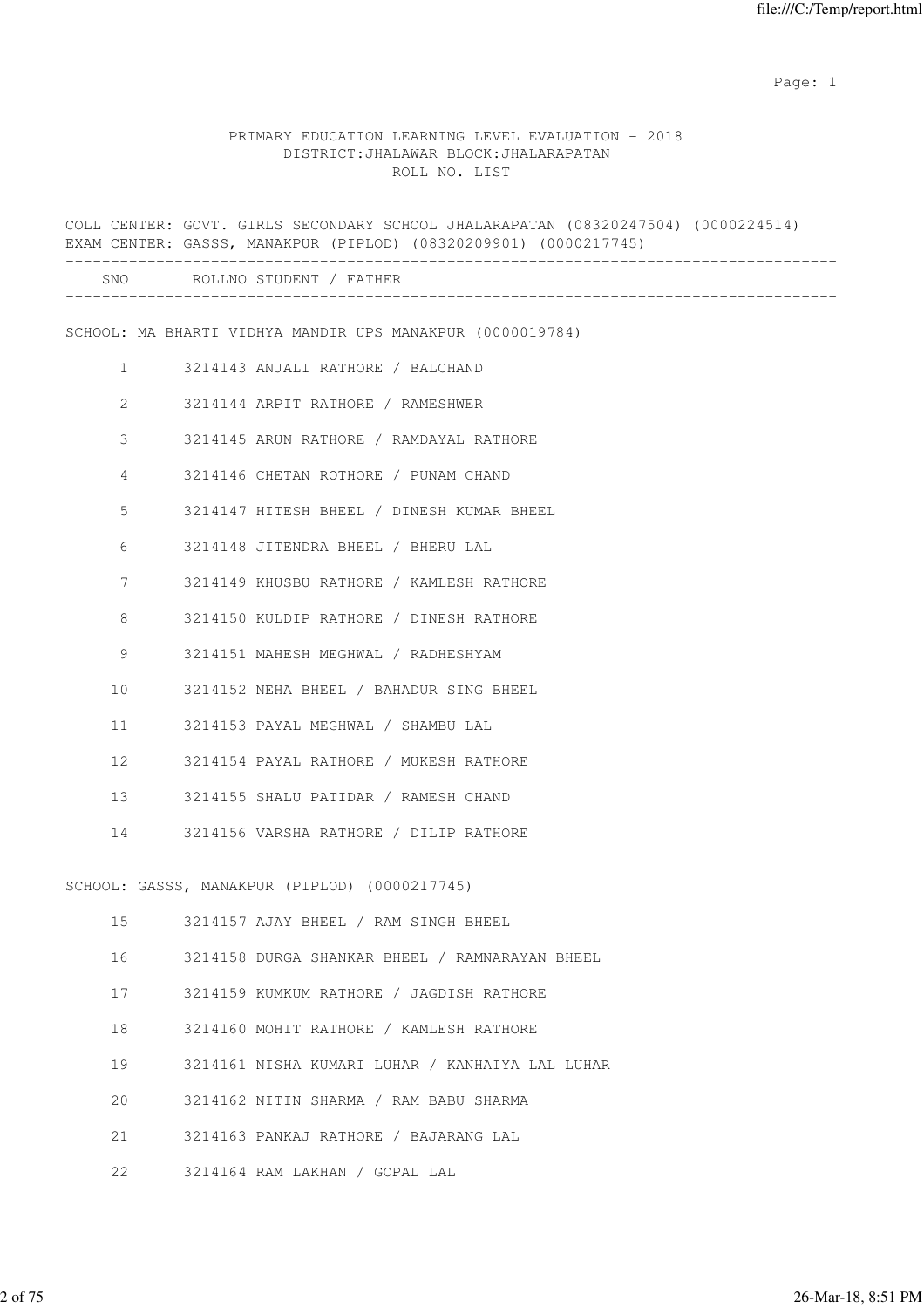|                |                      | COLL CENTER: GOVT. GIRLS SECONDARY SCHOOL JHALARAPATAN (08320247504) (0000224514)<br>EXAM CENTER: GASSS, MANAKPUR (PIPLOD) (08320209901) (0000217745) |
|----------------|----------------------|-------------------------------------------------------------------------------------------------------------------------------------------------------|
|                | -------------------- | SNO ROLLNO STUDENT / FATHER                                                                                                                           |
|                |                      | SCHOOL: MA BHARTI VIDHYA MANDIR UPS MANAKPUR (0000019784)                                                                                             |
| $\mathbf{1}$   |                      | 3214143 ANJALI RATHORE / BALCHAND                                                                                                                     |
| $\overline{2}$ |                      | 3214144 ARPIT RATHORE / RAMESHWER                                                                                                                     |
| 3              |                      | 3214145 ARUN RATHORE / RAMDAYAL RATHORE                                                                                                               |
| 4              |                      | 3214146 CHETAN ROTHORE / PUNAM CHAND                                                                                                                  |
| 5              |                      | 3214147 HITESH BHEEL / DINESH KUMAR BHEEL                                                                                                             |
| 6              |                      | 3214148 JITENDRA BHEEL / BHERU LAL                                                                                                                    |
| 7              |                      | 3214149 KHUSBU RATHORE / KAMLESH RATHORE                                                                                                              |
| 8              |                      | 3214150 KULDIP RATHORE / DINESH RATHORE                                                                                                               |
| 9              |                      | 3214151 MAHESH MEGHWAL / RADHESHYAM                                                                                                                   |
| 10             |                      | 3214152 NEHA BHEEL / BAHADUR SING BHEEL                                                                                                               |
| 11             |                      | 3214153 PAYAL MEGHWAL / SHAMBU LAL                                                                                                                    |
| 12             |                      | 3214154 PAYAL RATHORE / MUKESH RATHORE                                                                                                                |
| 13             |                      | 3214155 SHALU PATIDAR / RAMESH CHAND                                                                                                                  |
| 14             |                      | 3214156 VARSHA RATHORE / DILIP RATHORE                                                                                                                |
|                |                      | SCHOOL: GASSS, MANAKPUR (PIPLOD) (0000217745)                                                                                                         |
| 15             |                      | 3214157 AJAY BHEEL / RAM SINGH BHEEL                                                                                                                  |
| 16             |                      | 3214158 DURGA SHANKAR BHEEL / RAMNARAYAN BHEEL                                                                                                        |
| 17             |                      | 3214159 KUMKUM RATHORE / JAGDISH RATHORE                                                                                                              |
| 18             |                      | 3214160 MOHIT RATHORE / KAMLESH RATHORE                                                                                                               |
| 19             |                      | 3214161 NISHA KUMARI LUHAR / KANHAIYA LAL LUHAR                                                                                                       |
| 20             |                      | 3214162 NITIN SHARMA / RAM BABU SHARMA                                                                                                                |
| 21             |                      | 3214163 PANKAJ RATHORE / BAJARANG LAL                                                                                                                 |
| 22             |                      | 3214164 RAM LAKHAN / GOPAL LAL                                                                                                                        |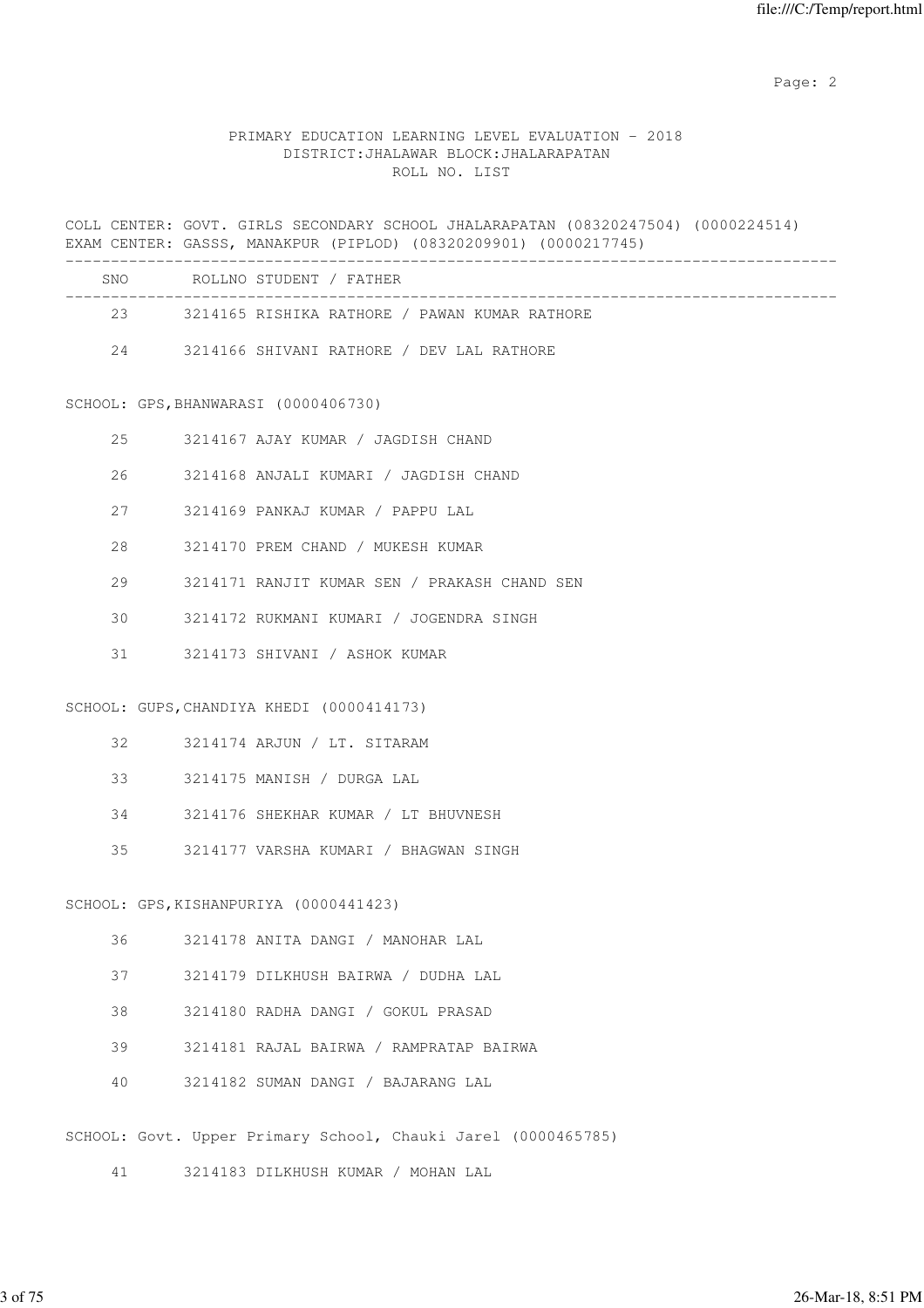### PRIMARY EDUCATION LEARNING LEVEL EVALUATION - 2018 DISTRICT:JHALAWAR BLOCK:JHALARAPATAN ROLL NO. LIST

COLL CENTER: GOVT. GIRLS SECONDARY SCHOOL JHALARAPATAN (08320247504) (0000224514) EXAM CENTER: GASSS, MANAKPUR (PIPLOD) (08320209901) (0000217745) ------------------------------------------------------------------------------------- SNO ROLLNO STUDENT / FATHER -------------------------------------------------------------------------------------

- 23 3214165 RISHIKA RATHORE / PAWAN KUMAR RATHORE
	- 24 3214166 SHIVANI RATHORE / DEV LAL RATHORE

SCHOOL: GPS,BHANWARASI (0000406730)

- 25 3214167 AJAY KUMAR / JAGDISH CHAND
- 26 3214168 ANJALI KUMARI / JAGDISH CHAND
- 27 3214169 PANKAJ KUMAR / PAPPU LAL
- 28 3214170 PREM CHAND / MUKESH KUMAR
- 29 3214171 RANJIT KUMAR SEN / PRAKASH CHAND SEN
- 30 3214172 RUKMANI KUMARI / JOGENDRA SINGH
- 31 3214173 SHIVANI / ASHOK KUMAR

SCHOOL: GUPS,CHANDIYA KHEDI (0000414173)

- 32 3214174 ARJUN / LT. SITARAM
- 33 3214175 MANISH / DURGA LAL
- 34 3214176 SHEKHAR KUMAR / LT BHUVNESH
- 35 3214177 VARSHA KUMARI / BHAGWAN SINGH

SCHOOL: GPS,KISHANPURIYA (0000441423)

- 36 3214178 ANITA DANGI / MANOHAR LAL
- 37 3214179 DILKHUSH BAIRWA / DUDHA LAL
- 38 3214180 RADHA DANGI / GOKUL PRASAD
- 39 3214181 RAJAL BAIRWA / RAMPRATAP BAIRWA
- 40 3214182 SUMAN DANGI / BAJARANG LAL

SCHOOL: Govt. Upper Primary School, Chauki Jarel (0000465785)

41 3214183 DILKHUSH KUMAR / MOHAN LAL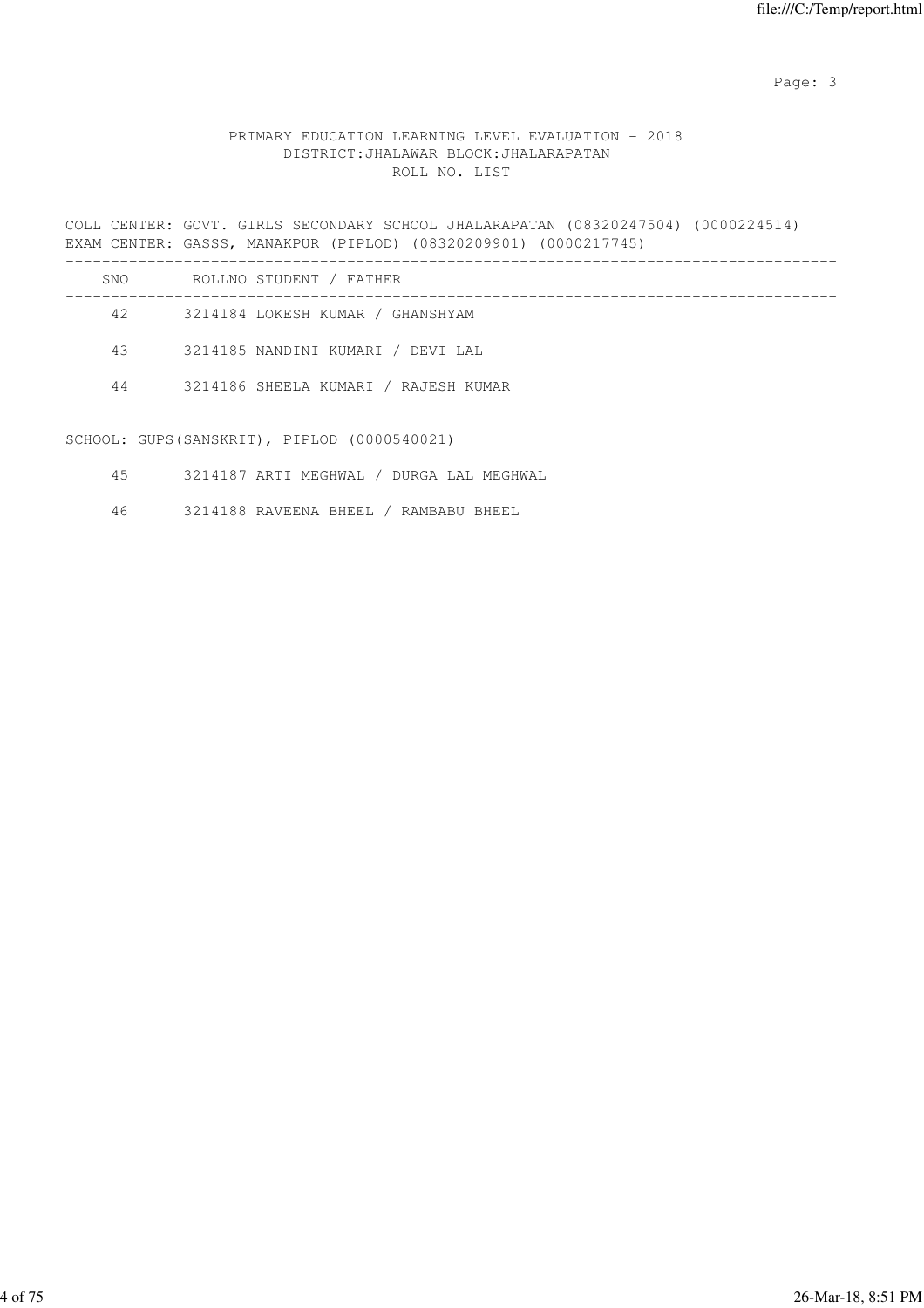Page: 3

### PRIMARY EDUCATION LEARNING LEVEL EVALUATION - 2018 DISTRICT:JHALAWAR BLOCK:JHALARAPATAN ROLL NO. LIST

COLL CENTER: GOVT. GIRLS SECONDARY SCHOOL JHALARAPATAN (08320247504) (0000224514) EXAM CENTER: GASSS, MANAKPUR (PIPLOD) (08320209901) (0000217745) ------------------------------------------------------------------------------------- SNO ROLLNO STUDENT / FATHER ------------------------------------------------------------------------------------- 42 3214184 LOKESH KUMAR / GHANSHYAM 43 3214185 NANDINI KUMARI / DEVI LAL

44 3214186 SHEELA KUMARI / RAJESH KUMAR

SCHOOL: GUPS(SANSKRIT), PIPLOD (0000540021)

- 45 3214187 ARTI MEGHWAL / DURGA LAL MEGHWAL
- 46 3214188 RAVEENA BHEEL / RAMBABU BHEEL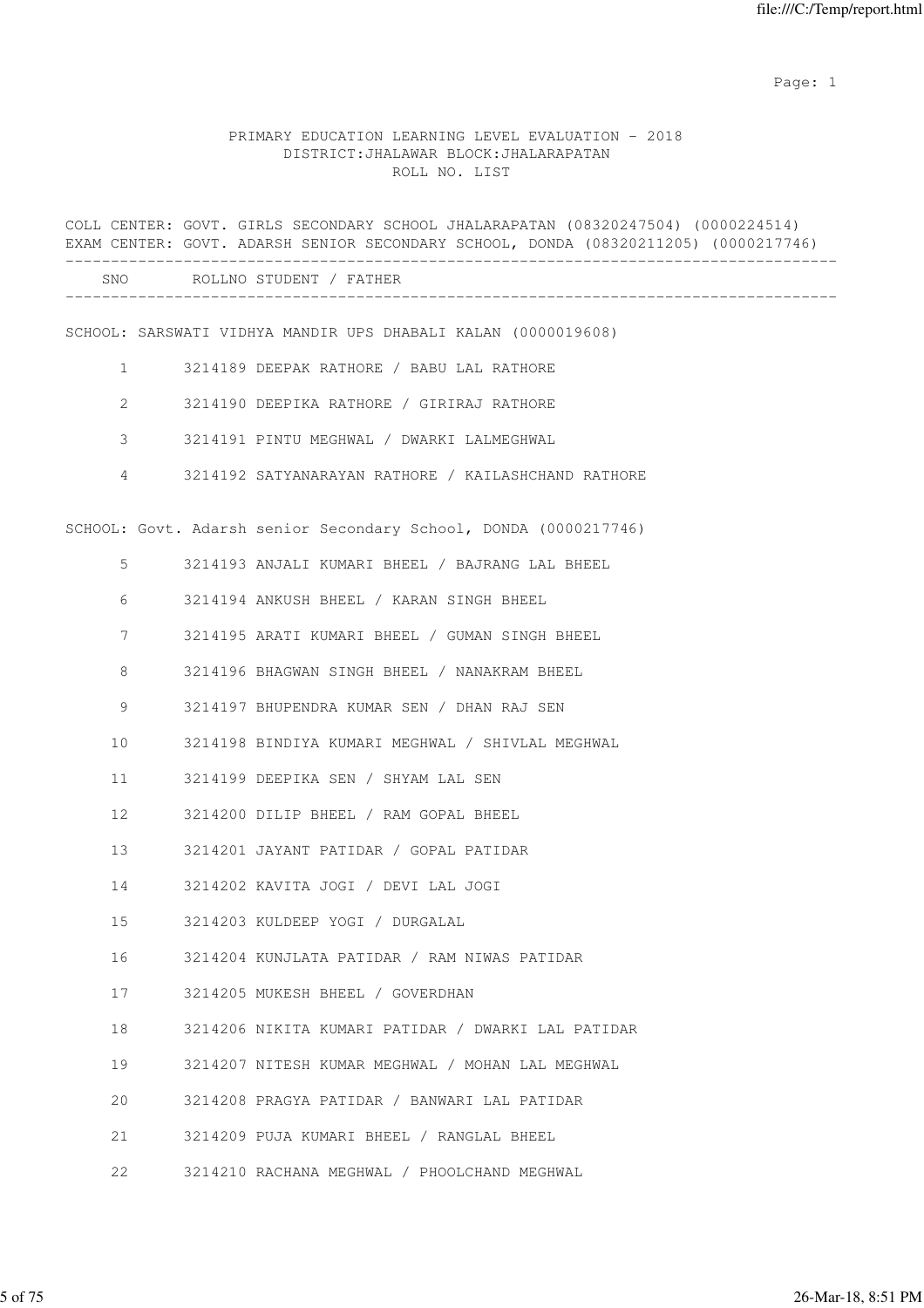|                             |  | COLL CENTER: GOVT. GIRLS SECONDARY SCHOOL JHALARAPATAN (08320247504) (0000224514)<br>EXAM CENTER: GOVT. ADARSH SENIOR SECONDARY SCHOOL, DONDA (08320211205) (0000217746) |  |  |  |
|-----------------------------|--|--------------------------------------------------------------------------------------------------------------------------------------------------------------------------|--|--|--|
| SNO ROLLNO STUDENT / FATHER |  |                                                                                                                                                                          |  |  |  |
|                             |  | SCHOOL: SARSWATI VIDHYA MANDIR UPS DHABALI KALAN (0000019608)                                                                                                            |  |  |  |
| $\mathbf{1}$                |  | 3214189 DEEPAK RATHORE / BABU LAL RATHORE                                                                                                                                |  |  |  |
| 2                           |  | 3214190 DEEPIKA RATHORE / GIRIRAJ RATHORE                                                                                                                                |  |  |  |
| 3                           |  | 3214191 PINTU MEGHWAL / DWARKI LALMEGHWAL                                                                                                                                |  |  |  |
| $\overline{4}$              |  | 3214192 SATYANARAYAN RATHORE / KAILASHCHAND RATHORE                                                                                                                      |  |  |  |
|                             |  | SCHOOL: Govt. Adarsh senior Secondary School, DONDA (0000217746)                                                                                                         |  |  |  |
| 5                           |  | 3214193 ANJALI KUMARI BHEEL / BAJRANG LAL BHEEL                                                                                                                          |  |  |  |
| 6                           |  | 3214194 ANKUSH BHEEL / KARAN SINGH BHEEL                                                                                                                                 |  |  |  |
| 7                           |  | 3214195 ARATI KUMARI BHEEL / GUMAN SINGH BHEEL                                                                                                                           |  |  |  |
| 8                           |  | 3214196 BHAGWAN SINGH BHEEL / NANAKRAM BHEEL                                                                                                                             |  |  |  |
| 9                           |  | 3214197 BHUPENDRA KUMAR SEN / DHAN RAJ SEN                                                                                                                               |  |  |  |
| 10                          |  | 3214198 BINDIYA KUMARI MEGHWAL / SHIVLAL MEGHWAL                                                                                                                         |  |  |  |
| 11                          |  | 3214199 DEEPIKA SEN / SHYAM LAL SEN                                                                                                                                      |  |  |  |
| 12                          |  | 3214200 DILIP BHEEL / RAM GOPAL BHEEL                                                                                                                                    |  |  |  |
| 13                          |  | 3214201 JAYANT PATIDAR / GOPAL PATIDAR                                                                                                                                   |  |  |  |
| 14                          |  | 3214202 KAVITA JOGI / DEVI LAL JOGI                                                                                                                                      |  |  |  |
| 15                          |  | 3214203 KULDEEP YOGI / DURGALAL                                                                                                                                          |  |  |  |
| 16                          |  | 3214204 KUNJLATA PATIDAR / RAM NIWAS PATIDAR                                                                                                                             |  |  |  |
| 17                          |  | 3214205 MUKESH BHEEL / GOVERDHAN                                                                                                                                         |  |  |  |
| 18                          |  | 3214206 NIKITA KUMARI PATIDAR / DWARKI LAL PATIDAR                                                                                                                       |  |  |  |
| 19                          |  | 3214207 NITESH KUMAR MEGHWAL / MOHAN LAL MEGHWAL                                                                                                                         |  |  |  |
| 20                          |  | 3214208 PRAGYA PATIDAR / BANWARI LAL PATIDAR                                                                                                                             |  |  |  |
| 21                          |  | 3214209 PUJA KUMARI BHEEL / RANGLAL BHEEL                                                                                                                                |  |  |  |
| 22                          |  | 3214210 RACHANA MEGHWAL / PHOOLCHAND MEGHWAL                                                                                                                             |  |  |  |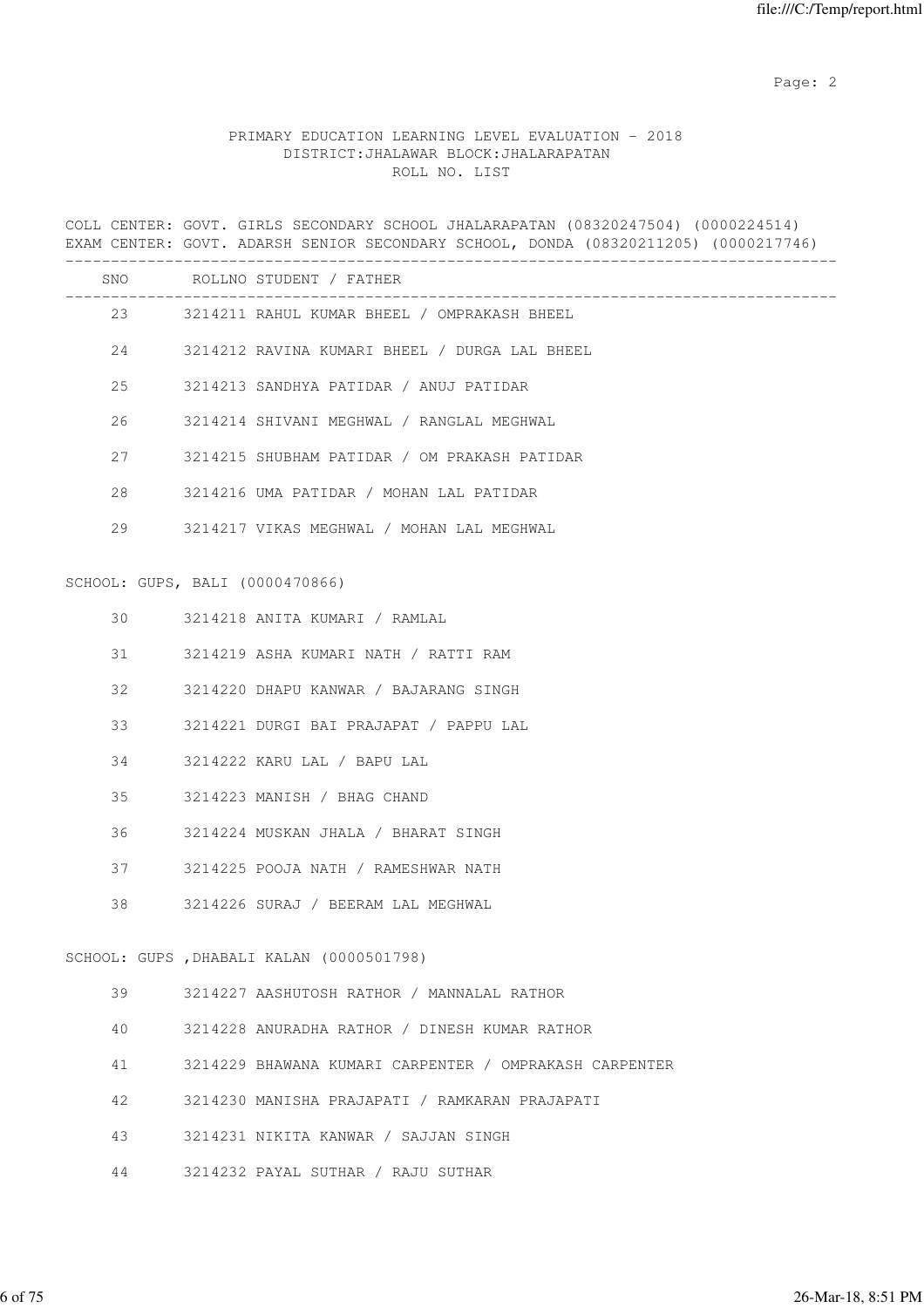### PRIMARY EDUCATION LEARNING LEVEL EVALUATION - 2018 DISTRICT:JHALAWAR BLOCK:JHALARAPATAN ROLL NO. LIST

COLL CENTER: GOVT. GIRLS SECONDARY SCHOOL JHALARAPATAN (08320247504) (0000224514) EXAM CENTER: GOVT. ADARSH SENIOR SECONDARY SCHOOL, DONDA (08320211205) (0000217746)

|    |                                 | SNO ROLLNO STUDENT / FATHER                            |
|----|---------------------------------|--------------------------------------------------------|
|    | 23 and $\sim$                   | 3214211 RAHUL KUMAR BHEEL / OMPRAKASH BHEEL            |
|    | 24                              | 3214212 RAVINA KUMARI BHEEL / DURGA LAL BHEEL          |
| 25 |                                 | 3214213 SANDHYA PATIDAR / ANUJ PATIDAR                 |
| 26 |                                 | 3214214 SHIVANI MEGHWAL / RANGLAL MEGHWAL              |
| 27 |                                 | 3214215 SHUBHAM PATIDAR / OM PRAKASH PATIDAR           |
| 28 |                                 | 3214216 UMA PATIDAR / MOHAN LAL PATIDAR                |
| 29 |                                 | 3214217 VIKAS MEGHWAL / MOHAN LAL MEGHWAL              |
|    | SCHOOL: GUPS, BALI (0000470866) |                                                        |
| 30 |                                 | 3214218 ANITA KUMARI / RAMLAL                          |
| 31 |                                 |                                                        |
|    |                                 | 3214219 ASHA KUMARI NATH / RATTI RAM                   |
| 32 |                                 | 3214220 DHAPU KANWAR / BAJARANG SINGH                  |
| 33 |                                 | 3214221 DURGI BAI PRAJAPAT / PAPPU LAL                 |
| 34 |                                 | 3214222 KARU LAL / BAPU LAL                            |
| 35 |                                 | 3214223 MANISH / BHAG CHAND                            |
| 36 |                                 | 3214224 MUSKAN JHALA / BHARAT SINGH                    |
| 37 |                                 | 3214225 POOJA NATH / RAMESHWAR NATH                    |
| 38 |                                 | 3214226 SURAJ / BEERAM LAL MEGHWAL                     |
|    |                                 | SCHOOL: GUPS , DHABALI KALAN (0000501798)              |
|    |                                 |                                                        |
| 39 |                                 | 3214227 AASHUTOSH RATHOR / MANNALAL RATHOR             |
| 40 |                                 | 3214228 ANURADHA RATHOR / DINESH KUMAR RATHOR          |
| 41 |                                 | 3214229 BHAWANA KUMARI CARPENTER / OMPRAKASH CARPENTER |
| 42 |                                 | 3214230 MANISHA PRAJAPATI / RAMKARAN PRAJAPATI         |
| 43 |                                 | 3214231 NIKITA KANWAR / SAJJAN SINGH                   |

44 3214232 PAYAL SUTHAR / RAJU SUTHAR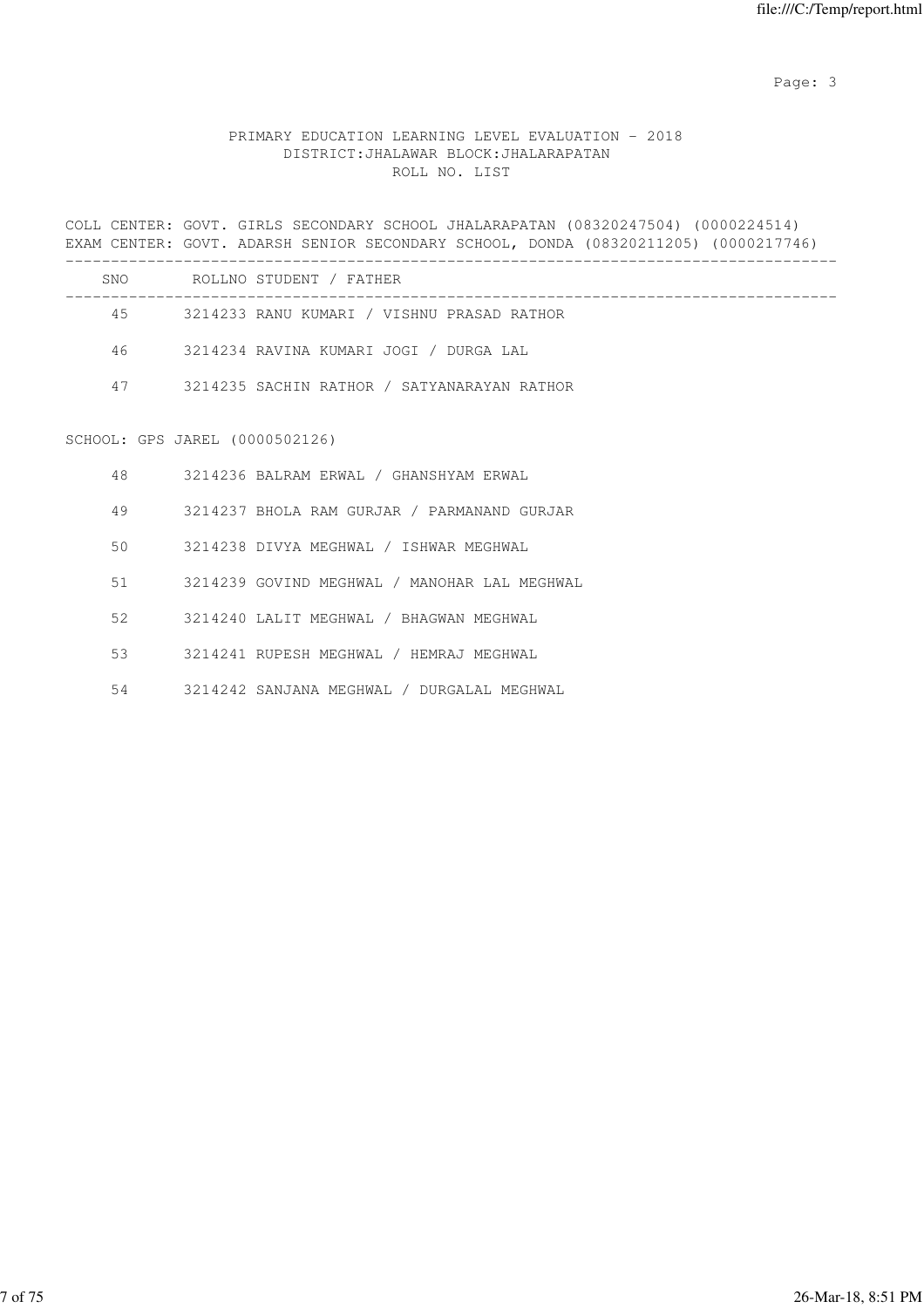Page: 3

### PRIMARY EDUCATION LEARNING LEVEL EVALUATION - 2018 DISTRICT:JHALAWAR BLOCK:JHALARAPATAN ROLL NO. LIST

COLL CENTER: GOVT. GIRLS SECONDARY SCHOOL JHALARAPATAN (08320247504) (0000224514) EXAM CENTER: GOVT. ADARSH SENIOR SECONDARY SCHOOL, DONDA (08320211205) (0000217746) -------------------------------------------------------------------------------------

| SNO | ROLLNO STUDENT / FATHER                     |  |
|-----|---------------------------------------------|--|
| 45  | 3214233 RANU KUMARI / VISHNU PRASAD RATHOR  |  |
| 46  | 3214234 RAVINA KUMARI JOGI / DURGA LAL      |  |
| 47  | 3214235 SACHIN RATHOR / SATYANARAYAN RATHOR |  |
|     |                                             |  |

# SCHOOL: GPS JAREL (0000502126)

| 48 | 3214236 BALRAM ERWAL / GHANSHYAM ERWAL       |
|----|----------------------------------------------|
| 49 | 3214237 BHOLA RAM GURJAR / PARMANAND GURJAR  |
| 50 | 3214238 DIVYA MEGHWAL / ISHWAR MEGHWAL       |
| 51 | 3214239 GOVIND MEGHWAL / MANOHAR LAL MEGHWAL |
| 52 | 3214240 LALIT MEGHWAL / BHAGWAN MEGHWAL      |
| 53 | 3214241 RUPESH MEGHWAL / HEMRAJ MEGHWAL      |
|    |                                              |

54 3214242 SANJANA MEGHWAL / DURGALAL MEGHWAL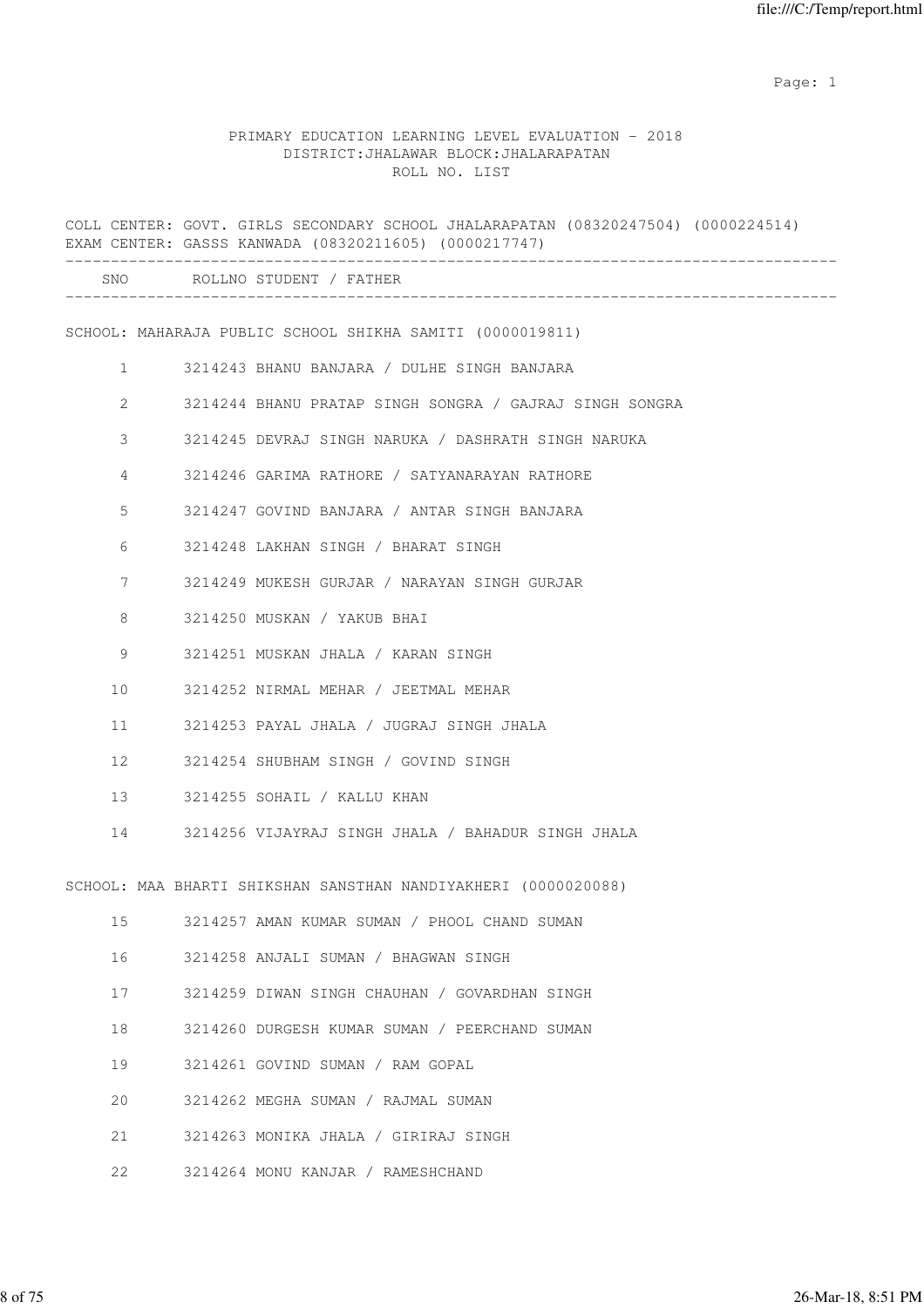|              | COLL CENTER: GOVT. GIRLS SECONDARY SCHOOL JHALARAPATAN (08320247504) (0000224514)<br>EXAM CENTER: GASSS KANWADA (08320211605) (0000217747) |  |
|--------------|--------------------------------------------------------------------------------------------------------------------------------------------|--|
|              | SNO ROLLNO STUDENT / FATHER                                                                                                                |  |
|              | SCHOOL: MAHARAJA PUBLIC SCHOOL SHIKHA SAMITI (0000019811)                                                                                  |  |
| $\mathbf{1}$ | 3214243 BHANU BANJARA / DULHE SINGH BANJARA                                                                                                |  |
| 2            | 3214244 BHANU PRATAP SINGH SONGRA / GAJRAJ SINGH SONGRA                                                                                    |  |
| 3            | 3214245 DEVRAJ SINGH NARUKA / DASHRATH SINGH NARUKA                                                                                        |  |
| 4            | 3214246 GARIMA RATHORE / SATYANARAYAN RATHORE                                                                                              |  |
| 5            | 3214247 GOVIND BANJARA / ANTAR SINGH BANJARA                                                                                               |  |
| 6            | 3214248 LAKHAN SINGH / BHARAT SINGH                                                                                                        |  |
| 7            | 3214249 MUKESH GURJAR / NARAYAN SINGH GURJAR                                                                                               |  |
| 8            | 3214250 MUSKAN / YAKUB BHAI                                                                                                                |  |
| 9            | 3214251 MUSKAN JHALA / KARAN SINGH                                                                                                         |  |
| 10           | 3214252 NIRMAL MEHAR / JEETMAL MEHAR                                                                                                       |  |
| 11           | 3214253 PAYAL JHALA / JUGRAJ SINGH JHALA                                                                                                   |  |
| 12           | 3214254 SHUBHAM SINGH / GOVIND SINGH                                                                                                       |  |
| 13           | 3214255 SOHAIL / KALLU KHAN                                                                                                                |  |
| 14           | 3214256 VIJAYRAJ SINGH JHALA / BAHADUR SINGH JHALA                                                                                         |  |
|              | SCHOOL: MAA BHARTI SHIKSHAN SANSTHAN NANDIYAKHERI (0000020088)                                                                             |  |
| 15           | 3214257 AMAN KUMAR SUMAN / PHOOL CHAND SUMAN                                                                                               |  |
| 16           | 3214258 ANJALI SUMAN / BHAGWAN SINGH                                                                                                       |  |
| 17           | 3214259 DIWAN SINGH CHAUHAN / GOVARDHAN SINGH                                                                                              |  |
| 18           | 3214260 DURGESH KUMAR SUMAN / PEERCHAND SUMAN                                                                                              |  |
| 19           | 3214261 GOVIND SUMAN / RAM GOPAL                                                                                                           |  |
| 20           | 3214262 MEGHA SUMAN / RAJMAL SUMAN                                                                                                         |  |
| 21           | 3214263 MONIKA JHALA / GIRIRAJ SINGH                                                                                                       |  |
| 22           | 3214264 MONU KANJAR / RAMESHCHAND                                                                                                          |  |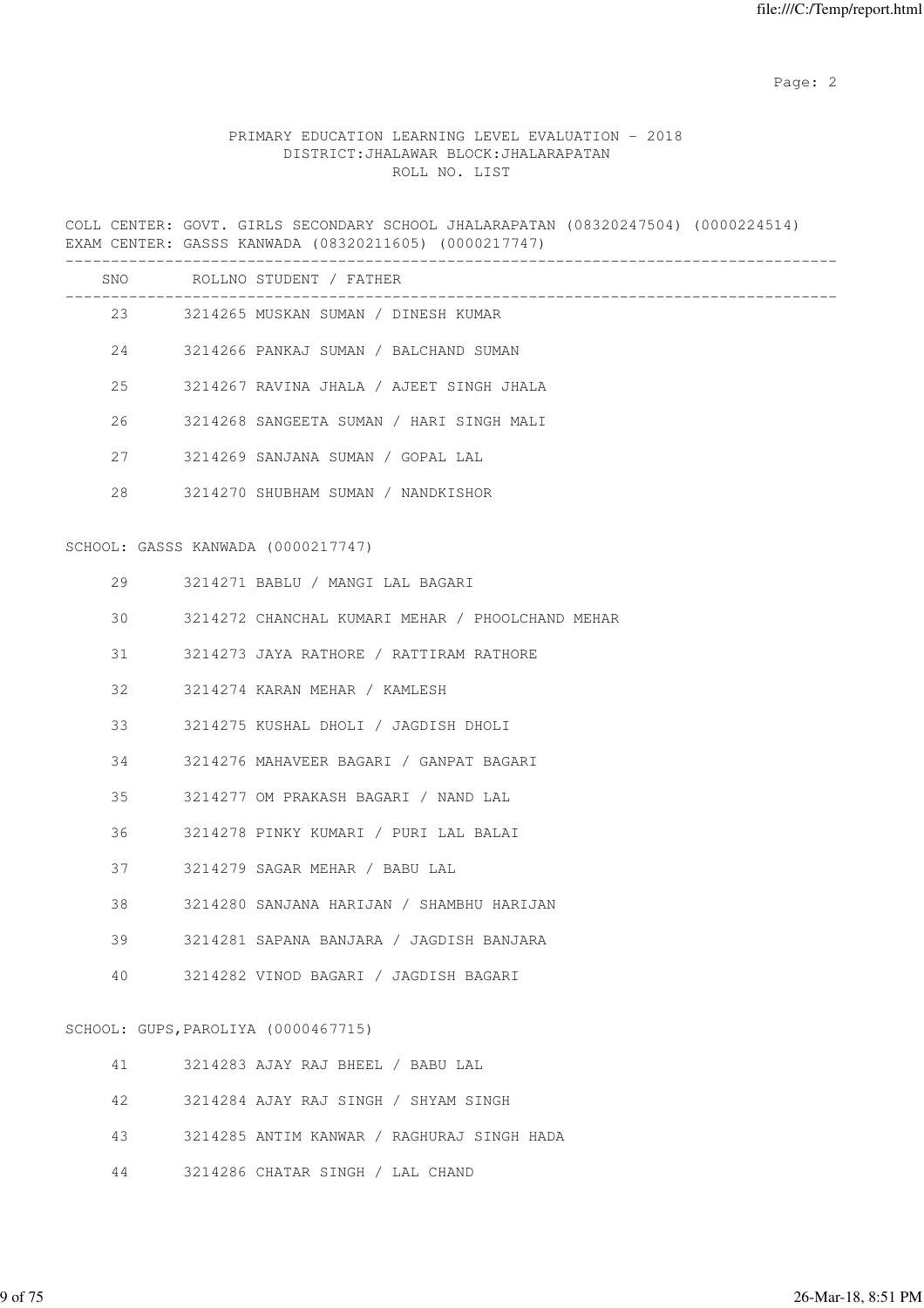### PRIMARY EDUCATION LEARNING LEVEL EVALUATION - 2018 DISTRICT:JHALAWAR BLOCK:JHALARAPATAN ROLL NO. LIST

COLL CENTER: GOVT. GIRLS SECONDARY SCHOOL JHALARAPATAN (08320247504) (0000224514) EXAM CENTER: GASSS KANWADA (08320211605) (0000217747)

|    | SNO ROLLNO STUDENT / FATHER                      |
|----|--------------------------------------------------|
|    | 23 3214265 MUSKAN SUMAN / DINESH KUMAR           |
|    | 24 3214266 PANKAJ SUMAN / BALCHAND SUMAN         |
| 25 | 3214267 RAVINA JHALA / AJEET SINGH JHALA         |
| 26 | 3214268 SANGEETA SUMAN / HARI SINGH MALI         |
| 27 | 3214269 SANJANA SUMAN / GOPAL LAL                |
| 28 | 3214270 SHUBHAM SUMAN / NANDKISHOR               |
|    | SCHOOL: GASSS KANWADA (0000217747)               |
| 29 | 3214271 BABLU / MANGI LAL BAGARI                 |
| 30 | 3214272 CHANCHAL KUMARI MEHAR / PHOOLCHAND MEHAR |
| 31 | 3214273 JAYA RATHORE / RATTIRAM RATHORE          |
| 32 | 3214274 KARAN MEHAR / KAMLESH                    |
| 33 | 3214275 KUSHAL DHOLI / JAGDISH DHOLI             |
| 34 | 3214276 MAHAVEER BAGARI / GANPAT BAGARI          |
| 35 | 3214277 OM PRAKASH BAGARI / NAND LAL             |
| 36 | 3214278 PINKY KUMARI / PURI LAL BALAI            |
| 37 | 3214279 SAGAR MEHAR / BABU LAL                   |
| 38 | 3214280 SANJANA HARIJAN / SHAMBHU HARIJAN        |
| 39 | 3214281 SAPANA BANJARA / JAGDISH BANJARA         |
| 40 | 3214282 VINOD BAGARI / JAGDISH BAGARI            |
|    | SCHOOL: GUPS, PAROLIYA (0000467715)              |
| 41 | 3214283 AJAY RAJ BHEEL / BABU LAL                |
| 42 | 3214284 AJAY RAJ SINGH / SHYAM SINGH             |
| 43 | 3214285 ANTIM KANWAR / RAGHURAJ SINGH HADA       |

44 3214286 CHATAR SINGH / LAL CHAND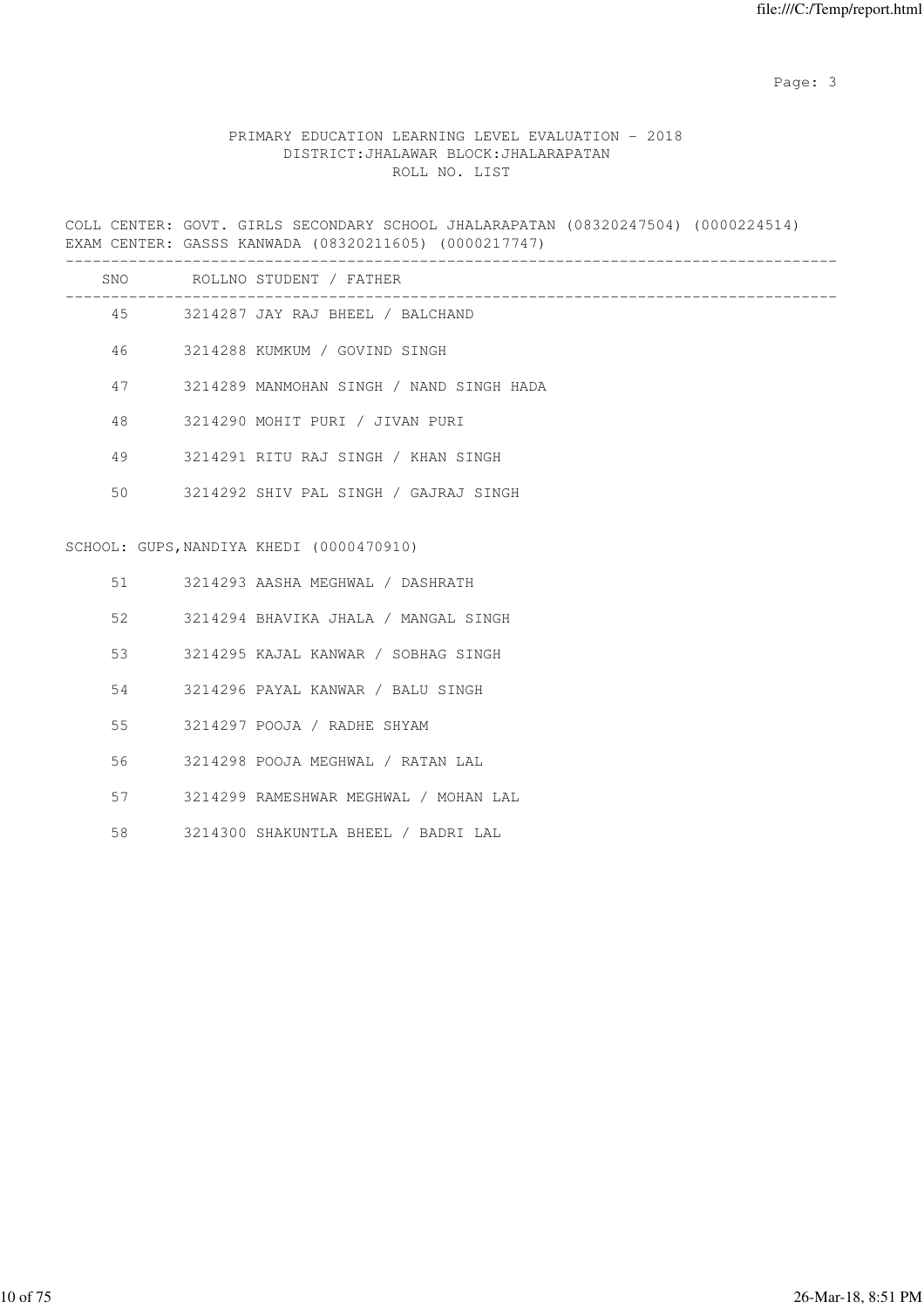Page: 3

### PRIMARY EDUCATION LEARNING LEVEL EVALUATION - 2018 DISTRICT:JHALAWAR BLOCK:JHALARAPATAN ROLL NO. LIST

COLL CENTER: GOVT. GIRLS SECONDARY SCHOOL JHALARAPATAN (08320247504) (0000224514) EXAM CENTER: GASSS KANWADA (08320211605) (0000217747)

|    | SNO ROLLNO STUDENT / FATHER              |
|----|------------------------------------------|
|    | 45 3214287 JAY RAJ BHEEL / BALCHAND      |
| 46 | 3214288 KUMKUM / GOVIND SINGH            |
| 47 | 3214289 MANMOHAN SINGH / NAND SINGH HADA |
| 48 | 3214290 MOHIT PURI / JIVAN PURI          |
| 49 | 3214291 RITU RAJ SINGH / KHAN SINGH      |
| 50 | 3214292 SHIV PAL SINGH / GAJRAJ SINGH    |
|    |                                          |
|    | SCHOOL: GUPS, NANDIYA KHEDI (0000470910) |
| 51 | 3214293 AASHA MEGHWAL / DASHRATH         |
| 52 | 3214294 BHAVIKA JHALA / MANGAL SINGH     |
| 53 | 3214295 KAJAL KANWAR / SOBHAG SINGH      |
| 54 | 3214296 PAYAL KANWAR / BALU SINGH        |
| 55 | 3214297 POOJA / RADHE SHYAM              |
| 56 | 3214298 POOJA MEGHWAL / RATAN LAL        |
| 57 | 3214299 RAMESHWAR MEGHWAL / MOHAN LAL    |
|    |                                          |

58 3214300 SHAKUNTLA BHEEL / BADRI LAL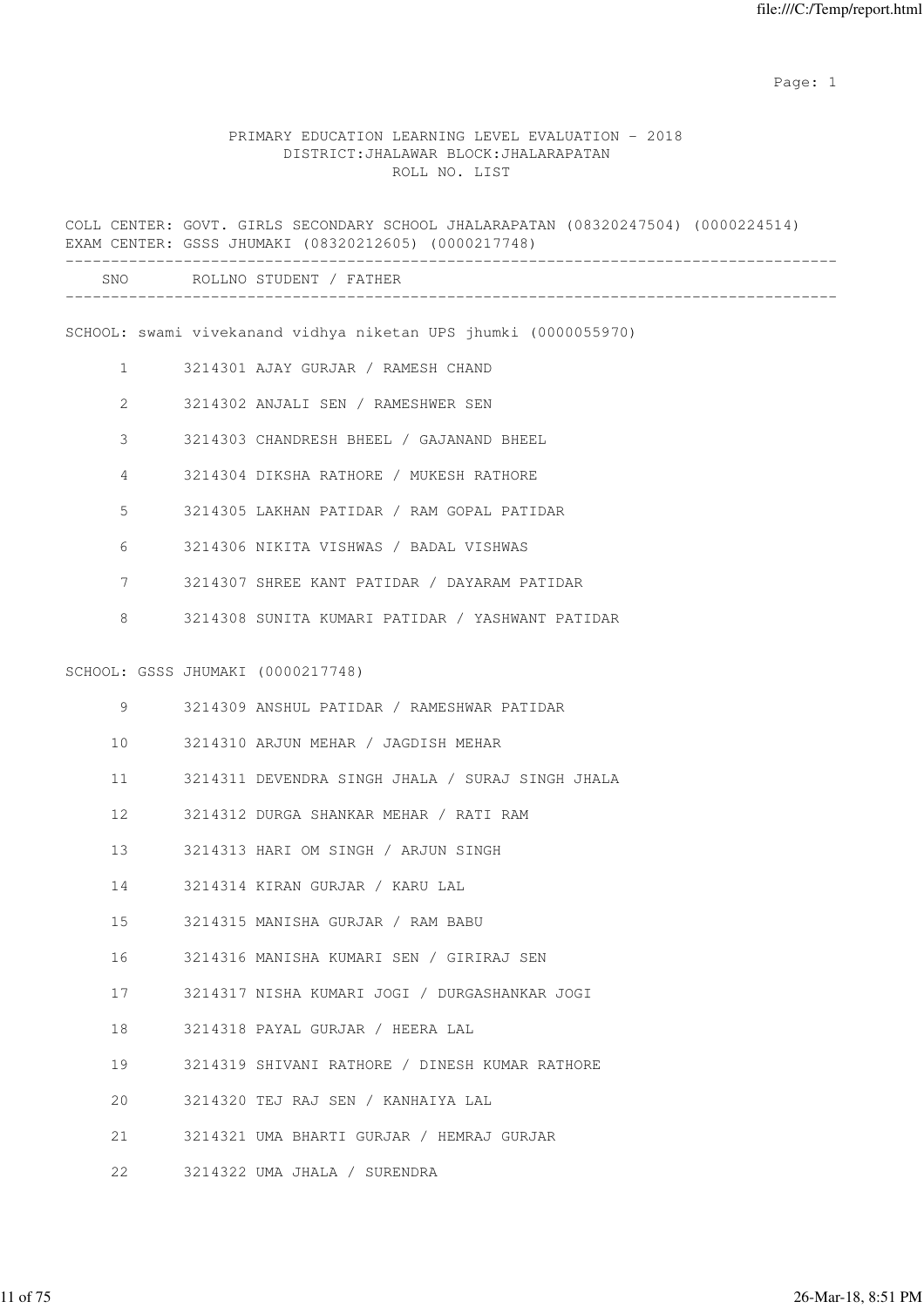|                |                                   | COLL CENTER: GOVT. GIRLS SECONDARY SCHOOL JHALARAPATAN (08320247504) (0000224514)<br>EXAM CENTER: GSSS JHUMAKI (08320212605) (0000217748) |
|----------------|-----------------------------------|-------------------------------------------------------------------------------------------------------------------------------------------|
|                |                                   | SNO ROLLNO STUDENT / FATHER                                                                                                               |
|                |                                   | SCHOOL: swami vivekanand vidhya niketan UPS jhumki (0000055970)                                                                           |
| $\mathbf{1}$   |                                   | 3214301 AJAY GURJAR / RAMESH CHAND                                                                                                        |
| $\overline{2}$ |                                   | 3214302 ANJALI SEN / RAMESHWER SEN                                                                                                        |
| 3              |                                   | 3214303 CHANDRESH BHEEL / GAJANAND BHEEL                                                                                                  |
| 4              |                                   | 3214304 DIKSHA RATHORE / MUKESH RATHORE                                                                                                   |
| 5              |                                   | 3214305 LAKHAN PATIDAR / RAM GOPAL PATIDAR                                                                                                |
| 6              |                                   | 3214306 NIKITA VISHWAS / BADAL VISHWAS                                                                                                    |
| 7              |                                   | 3214307 SHREE KANT PATIDAR / DAYARAM PATIDAR                                                                                              |
| 8              |                                   | 3214308 SUNITA KUMARI PATIDAR / YASHWANT PATIDAR                                                                                          |
|                |                                   |                                                                                                                                           |
|                | SCHOOL: GSSS JHUMAKI (0000217748) |                                                                                                                                           |
| 9              |                                   | 3214309 ANSHUL PATIDAR / RAMESHWAR PATIDAR                                                                                                |
| 10             |                                   | 3214310 ARJUN MEHAR / JAGDISH MEHAR                                                                                                       |
| 11             |                                   | 3214311 DEVENDRA SINGH JHALA / SURAJ SINGH JHALA                                                                                          |
| 12             |                                   | 3214312 DURGA SHANKAR MEHAR / RATI RAM                                                                                                    |
| 13             |                                   | 3214313 HARI OM SINGH / ARJUN SINGH                                                                                                       |
| 14             |                                   | 3214314 KIRAN GURJAR / KARU LAL                                                                                                           |
| 15             |                                   | 3214315 MANISHA GURJAR / RAM BABU                                                                                                         |
| 16             |                                   | 3214316 MANISHA KUMARI SEN / GIRIRAJ SEN                                                                                                  |
| 17             |                                   | 3214317 NISHA KUMARI JOGI / DURGASHANKAR JOGI                                                                                             |
| 18             |                                   | 3214318 PAYAL GURJAR / HEERA LAL                                                                                                          |
| 19             |                                   | 3214319 SHIVANI RATHORE / DINESH KUMAR RATHORE                                                                                            |
| 20             |                                   | 3214320 TEJ RAJ SEN / KANHAIYA LAL                                                                                                        |
| 21             |                                   | 3214321 UMA BHARTI GURJAR / HEMRAJ GURJAR                                                                                                 |
| 22             |                                   | 3214322 UMA JHALA / SURENDRA                                                                                                              |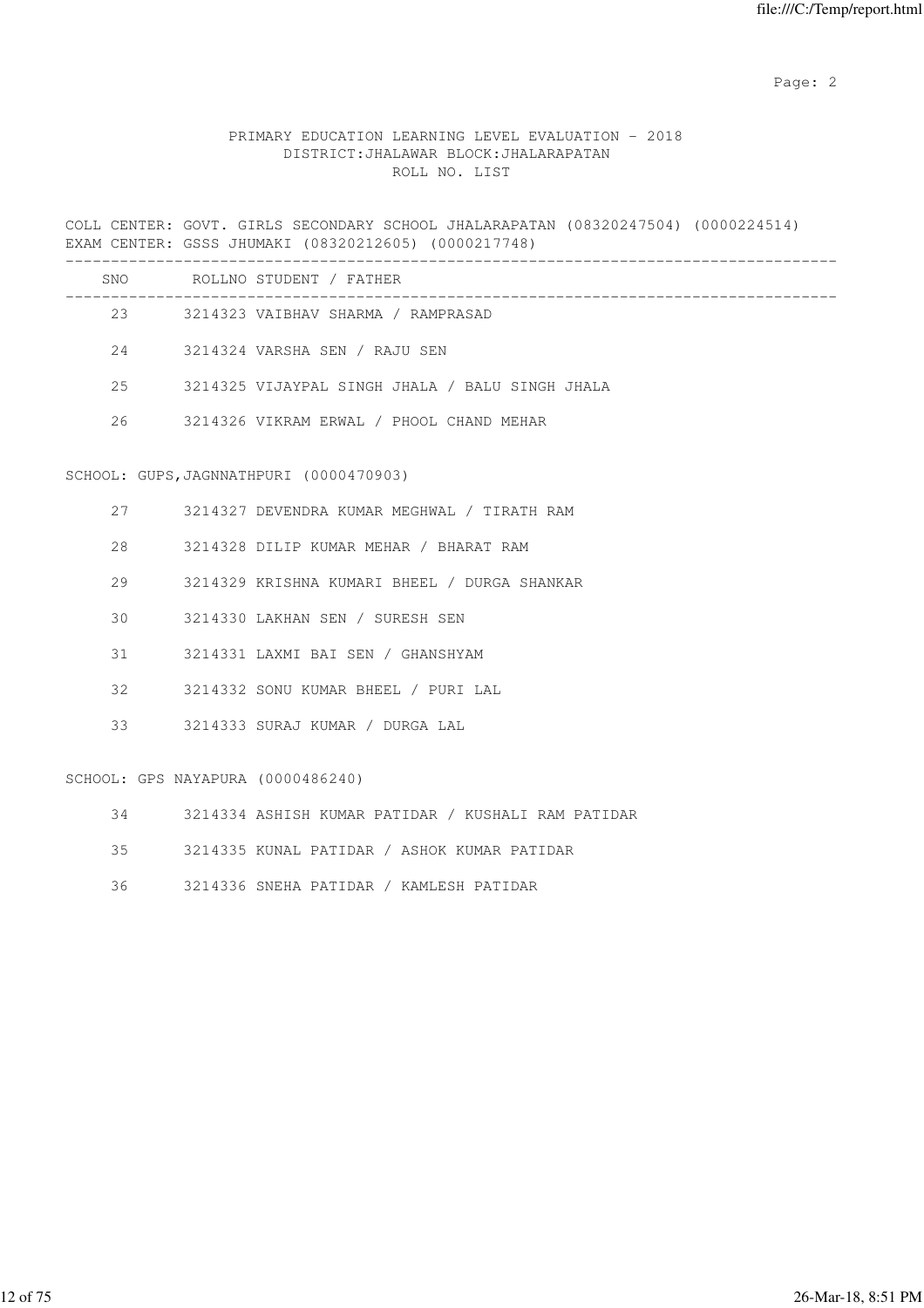### PRIMARY EDUCATION LEARNING LEVEL EVALUATION - 2018 DISTRICT:JHALAWAR BLOCK:JHALARAPATAN ROLL NO. LIST

COLL CENTER: GOVT. GIRLS SECONDARY SCHOOL JHALARAPATAN (08320247504) (0000224514) EXAM CENTER: GSSS JHUMAKI (08320212605) (0000217748)

| SNO | ROLLNO STUDENT / FATHER                         |
|-----|-------------------------------------------------|
| 23  | 3214323 VAIBHAV SHARMA / RAMPRASAD              |
| 2.4 | 3214324 VARSHA SEN / RAJU SEN                   |
| 2.5 | 3214325 VIJAYPAL SINGH JHALA / BALU SINGH JHALA |
| 26  | 3214326 VIKRAM ERWAL / PHOOL CHAND MEHAR        |

#### SCHOOL: GUPS,JAGNNATHPURI (0000470903)

| 27   |                                   | 3214327 DEVENDRA KUMAR MEGHWAL / TIRATH RAM  |
|------|-----------------------------------|----------------------------------------------|
| 28   |                                   | 3214328 DILIP KUMAR MEHAR / BHARAT RAM       |
| 29   |                                   | 3214329 KRISHNA KUMARI BHEEL / DURGA SHANKAR |
| 30 I |                                   | 3214330 LAKHAN SEN / SURESH SEN              |
| 31   |                                   | 3214331 LAXMI BAI SEN / GHANSHYAM            |
| 32   |                                   | 3214332 SONU KUMAR BHEEL / PURI LAL          |
| 33   |                                   | - 3214333 SURAJ KUMAR / DURGA LAL            |
|      | SCHOOL: GPS NAYAPURA (0000486240) |                                              |

34 3214334 ASHISH KUMAR PATIDAR / KUSHALI RAM PATIDAR

35 3214335 KUNAL PATIDAR / ASHOK KUMAR PATIDAR

36 3214336 SNEHA PATIDAR / KAMLESH PATIDAR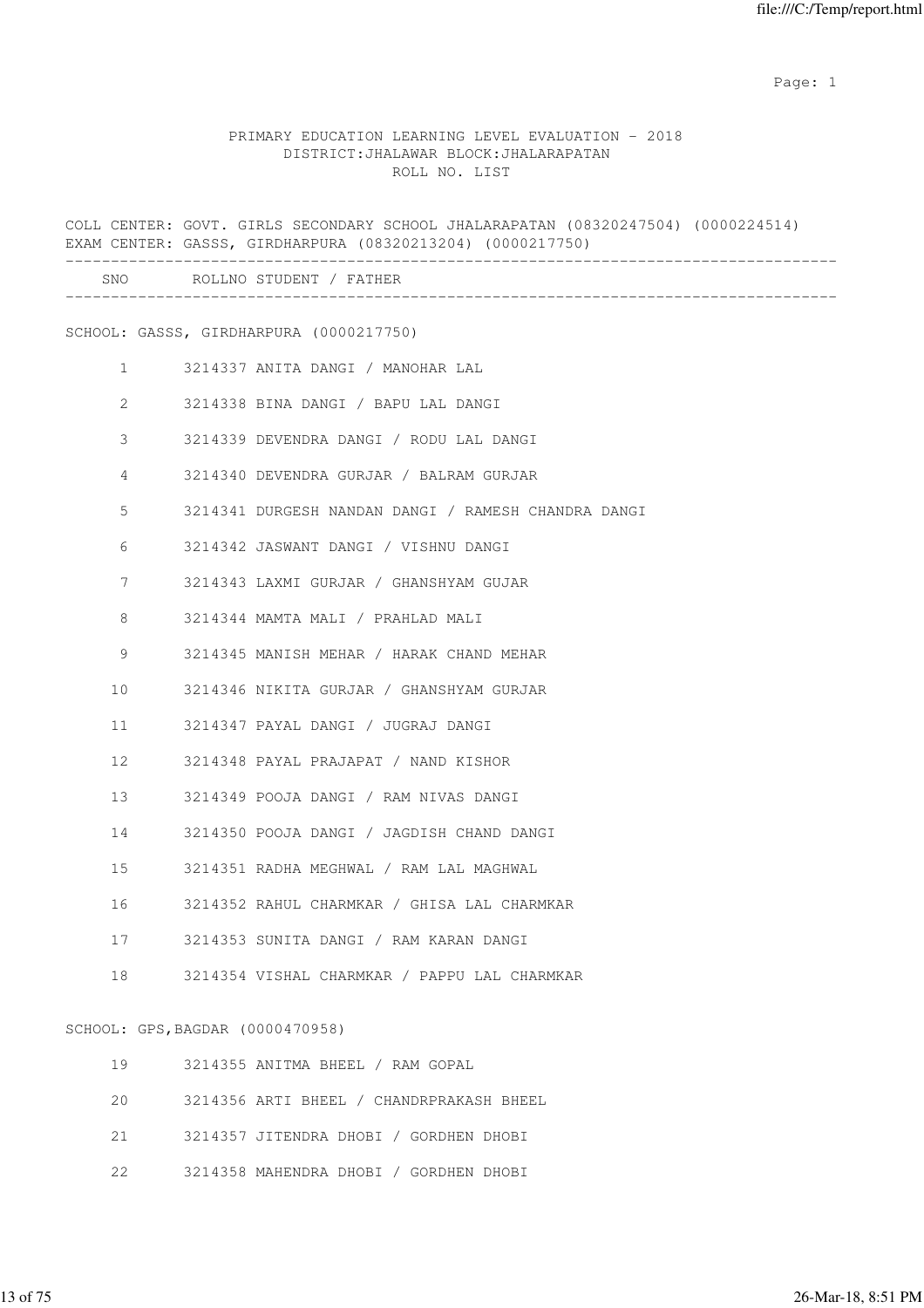|              |                                  | COLL CENTER: GOVT. GIRLS SECONDARY SCHOOL JHALARAPATAN (08320247504) (0000224514)<br>EXAM CENTER: GASSS, GIRDHARPURA (08320213204) (0000217750) |
|--------------|----------------------------------|-------------------------------------------------------------------------------------------------------------------------------------------------|
|              |                                  | SNO ROLLNO STUDENT / FATHER                                                                                                                     |
|              |                                  | SCHOOL: GASSS, GIRDHARPURA (0000217750)                                                                                                         |
| $\mathbf{1}$ |                                  | 3214337 ANITA DANGI / MANOHAR LAL                                                                                                               |
| 2            |                                  | 3214338 BINA DANGI / BAPU LAL DANGI                                                                                                             |
| 3            |                                  | 3214339 DEVENDRA DANGI / RODU LAL DANGI                                                                                                         |
| 4            |                                  | 3214340 DEVENDRA GURJAR / BALRAM GURJAR                                                                                                         |
| 5            |                                  | 3214341 DURGESH NANDAN DANGI / RAMESH CHANDRA DANGI                                                                                             |
| 6            |                                  | 3214342 JASWANT DANGI / VISHNU DANGI                                                                                                            |
| 7            |                                  | 3214343 LAXMI GURJAR / GHANSHYAM GUJAR                                                                                                          |
| 8            |                                  | 3214344 MAMTA MALI / PRAHLAD MALI                                                                                                               |
| 9            |                                  | 3214345 MANISH MEHAR / HARAK CHAND MEHAR                                                                                                        |
| 10           |                                  | 3214346 NIKITA GURJAR / GHANSHYAM GURJAR                                                                                                        |
| 11           |                                  | 3214347 PAYAL DANGI / JUGRAJ DANGI                                                                                                              |
| 12           |                                  | 3214348 PAYAL PRAJAPAT / NAND KISHOR                                                                                                            |
| 13           |                                  | 3214349 POOJA DANGI / RAM NIVAS DANGI                                                                                                           |
| 14           |                                  | 3214350 POOJA DANGI / JAGDISH CHAND DANGI                                                                                                       |
| 15           |                                  | 3214351 RADHA MEGHWAL / RAM LAL MAGHWAL                                                                                                         |
| 16           |                                  | 3214352 RAHUL CHARMKAR / GHISA LAL CHARMKAR                                                                                                     |
| 17           |                                  | 3214353 SUNITA DANGI / RAM KARAN DANGI                                                                                                          |
| 18           |                                  | 3214354 VISHAL CHARMKAR / PAPPU LAL CHARMKAR                                                                                                    |
|              | SCHOOL: GPS, BAGDAR (0000470958) |                                                                                                                                                 |
| 19           |                                  | 3214355 ANITMA BHEEL / RAM GOPAL                                                                                                                |
| 20           |                                  | 3214356 ARTI BHEEL / CHANDRPRAKASH BHEEL                                                                                                        |

- 21 3214357 JITENDRA DHOBI / GORDHEN DHOBI
- 22 3214358 MAHENDRA DHOBI / GORDHEN DHOBI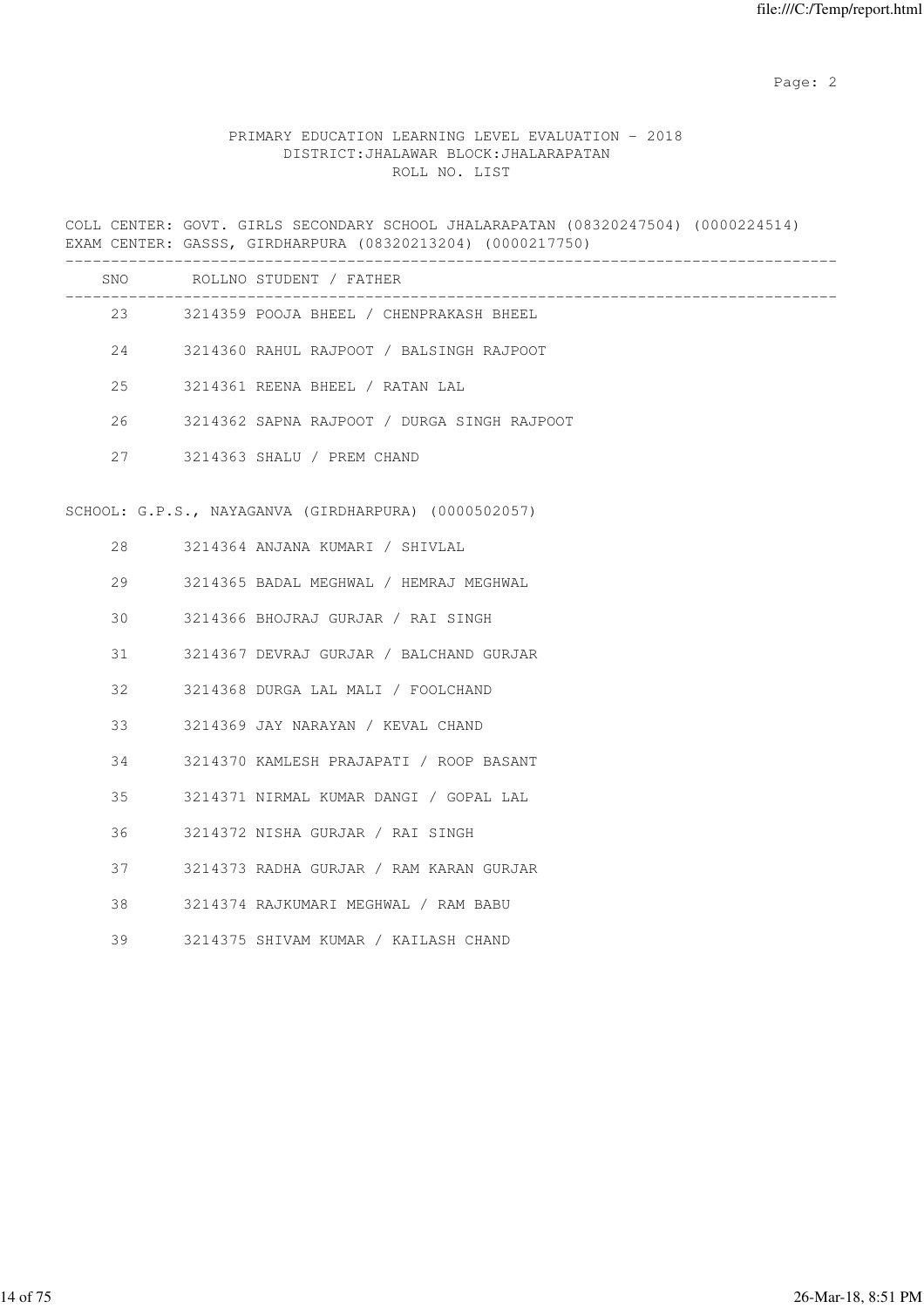### PRIMARY EDUCATION LEARNING LEVEL EVALUATION - 2018 DISTRICT:JHALAWAR BLOCK:JHALARAPATAN ROLL NO. LIST

COLL CENTER: GOVT. GIRLS SECONDARY SCHOOL JHALARAPATAN (08320247504) (0000224514) EXAM CENTER: GASSS, GIRDHARPURA (08320213204) (0000217750) ------------------------------------------------------------------------------------- SNO ROLLNO STUDENT / FATHER ------------------------------------------------------------------------------------- 23 3214359 POOJA BHEEL / CHENPRAKASH BHEEL 24 3214360 RAHUL RAJPOOT / BALSINGH RAJPOOT 25 3214361 REENA BHEEL / RATAN LAL 26 3214362 SAPNA RAJPOOT / DURGA SINGH RAJPOOT 27 3214363 SHALU / PREM CHAND SCHOOL: G.P.S., NAYAGANVA (GIRDHARPURA) (0000502057) 28 3214364 ANJANA KUMARI / SHIVLAL 29 3214365 BADAL MEGHWAL / HEMRAJ MEGHWAL 30 3214366 BHOJRAJ GURJAR / RAI SINGH 31 3214367 DEVRAJ GURJAR / BALCHAND GURJAR 32 3214368 DURGA LAL MALI / FOOLCHAND 33 3214369 JAY NARAYAN / KEVAL CHAND 34 3214370 KAMLESH PRAJAPATI / ROOP BASANT 35 3214371 NIRMAL KUMAR DANGI / GOPAL LAL 36 3214372 NISHA GURJAR / RAI SINGH 37 3214373 RADHA GURJAR / RAM KARAN GURJAR 38 3214374 RAJKUMARI MEGHWAL / RAM BABU 39 3214375 SHIVAM KUMAR / KAILASH CHAND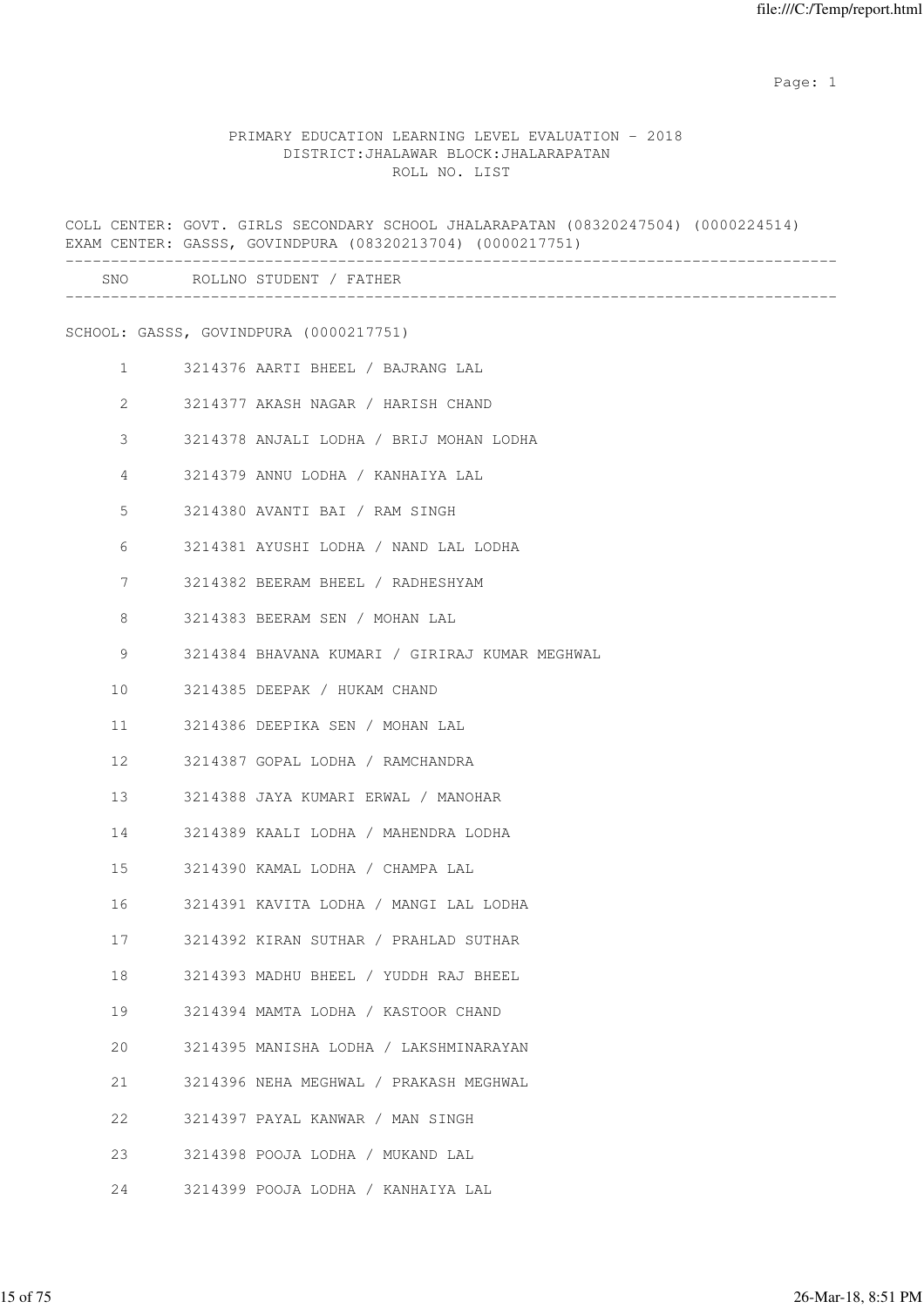|              | COLL CENTER: GOVT. GIRLS SECONDARY SCHOOL JHALARAPATAN (08320247504) (0000224514)<br>EXAM CENTER: GASSS, GOVINDPURA (08320213704) (0000217751) |
|--------------|------------------------------------------------------------------------------------------------------------------------------------------------|
|              | SNO ROLLNO STUDENT / FATHER                                                                                                                    |
|              | SCHOOL: GASSS, GOVINDPURA (0000217751)                                                                                                         |
| $\mathbf{1}$ | 3214376 AARTI BHEEL / BAJRANG LAL                                                                                                              |
| $\mathbf{2}$ | 3214377 AKASH NAGAR / HARISH CHAND                                                                                                             |
| 3            | 3214378 ANJALI LODHA / BRIJ MOHAN LODHA                                                                                                        |
| 4            | 3214379 ANNU LODHA / KANHAIYA LAL                                                                                                              |
| 5            | 3214380 AVANTI BAI / RAM SINGH                                                                                                                 |
| 6            | 3214381 AYUSHI LODHA / NAND LAL LODHA                                                                                                          |
| 7            | 3214382 BEERAM BHEEL / RADHESHYAM                                                                                                              |
| 8            | 3214383 BEERAM SEN / MOHAN LAL                                                                                                                 |
| 9            | 3214384 BHAVANA KUMARI / GIRIRAJ KUMAR MEGHWAL                                                                                                 |
| 10           | 3214385 DEEPAK / HUKAM CHAND                                                                                                                   |
| 11           | 3214386 DEEPIKA SEN / MOHAN LAL                                                                                                                |
| 12           | 3214387 GOPAL LODHA / RAMCHANDRA                                                                                                               |
| 13           | 3214388 JAYA KUMARI ERWAL / MANOHAR                                                                                                            |
| 14           | 3214389 KAALI LODHA / MAHENDRA LODHA                                                                                                           |
| 15           | 3214390 KAMAL LODHA / CHAMPA LAL                                                                                                               |
| 16           | 3214391 KAVITA LODHA / MANGI LAL LODHA                                                                                                         |
| 17           | 3214392 KIRAN SUTHAR / PRAHLAD SUTHAR                                                                                                          |
| 18           | 3214393 MADHU BHEEL / YUDDH RAJ BHEEL                                                                                                          |
| 19           | 3214394 MAMTA LODHA / KASTOOR CHAND                                                                                                            |
| 20           | 3214395 MANISHA LODHA / LAKSHMINARAYAN                                                                                                         |
| 21           | 3214396 NEHA MEGHWAL / PRAKASH MEGHWAL                                                                                                         |
| 22           | 3214397 PAYAL KANWAR / MAN SINGH                                                                                                               |
| 23           | 3214398 POOJA LODHA / MUKAND LAL                                                                                                               |
| 24           | 3214399 POOJA LODHA / KANHAIYA LAL                                                                                                             |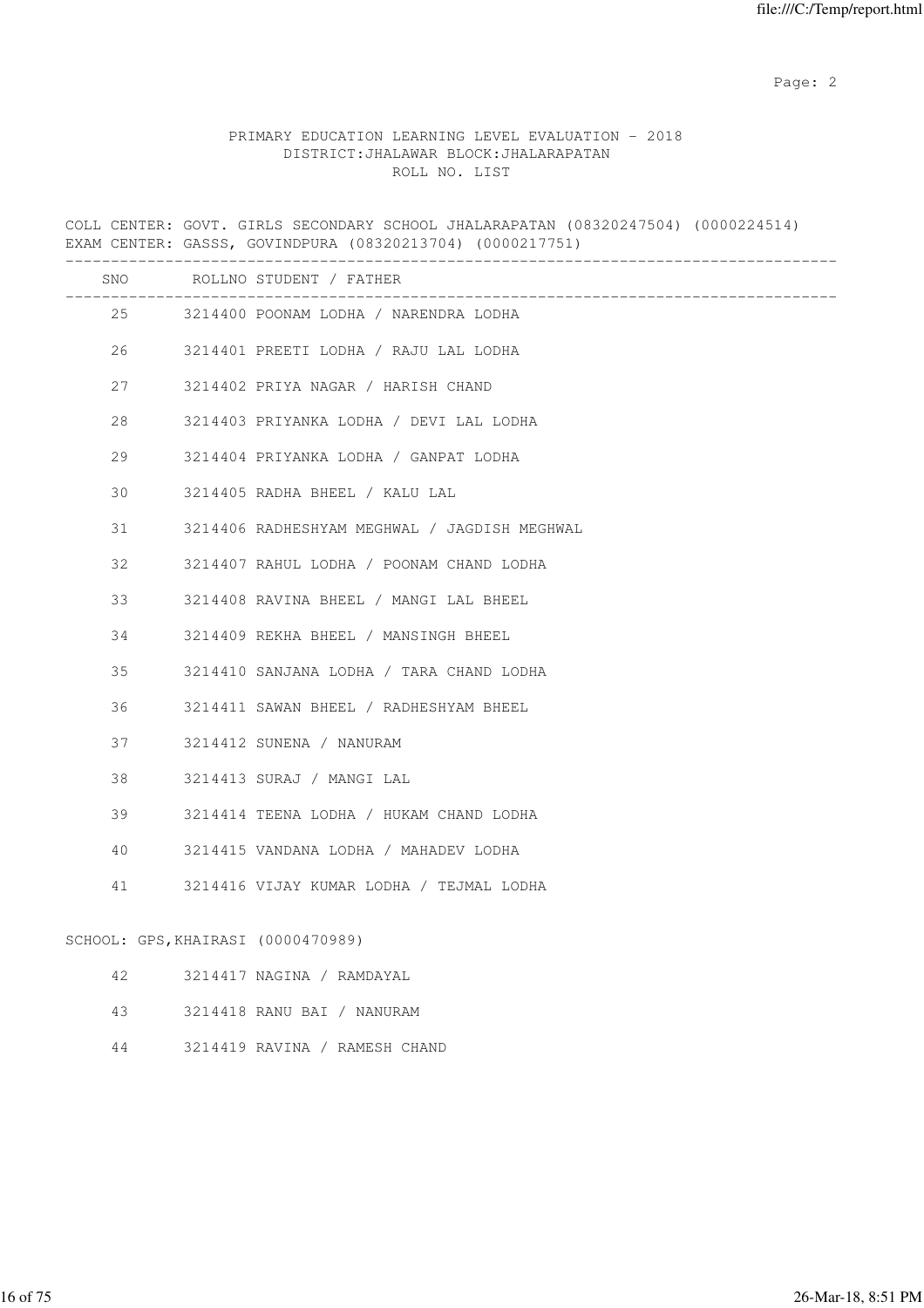### PRIMARY EDUCATION LEARNING LEVEL EVALUATION - 2018 DISTRICT:JHALAWAR BLOCK:JHALARAPATAN ROLL NO. LIST

COLL CENTER: GOVT. GIRLS SECONDARY SCHOOL JHALARAPATAN (08320247504) (0000224514) EXAM CENTER: GASSS, GOVINDPURA (08320213704) (0000217751) ------------------------------------------------------------------------------------- SNO ROLLNO STUDENT / FATHER ------------------------------------------------------------------------------------- 25 3214400 POONAM LODHA / NARENDRA LODHA 26 3214401 PREETI LODHA / RAJU LAL LODHA 27 3214402 PRIYA NAGAR / HARISH CHAND 28 3214403 PRIYANKA LODHA / DEVI LAL LODHA 29 3214404 PRIYANKA LODHA / GANPAT LODHA 30 3214405 RADHA BHEEL / KALU LAL 31 3214406 RADHESHYAM MEGHWAL / JAGDISH MEGHWAL 32 3214407 RAHUL LODHA / POONAM CHAND LODHA 33 3214408 RAVINA BHEEL / MANGI LAL BHEEL 34 3214409 REKHA BHEEL / MANSINGH BHEEL 35 3214410 SANJANA LODHA / TARA CHAND LODHA 36 3214411 SAWAN BHEEL / RADHESHYAM BHEEL 37 3214412 SUNENA / NANURAM 38 3214413 SURAJ / MANGI LAL 39 3214414 TEENA LODHA / HUKAM CHAND LODHA 40 3214415 VANDANA LODHA / MAHADEV LODHA 41 3214416 VIJAY KUMAR LODHA / TEJMAL LODHA SCHOOL: GPS,KHAIRASI (0000470989) 42 3214417 NAGINA / RAMDAYAL 43 3214418 RANU BAI / NANURAM

44 3214419 RAVINA / RAMESH CHAND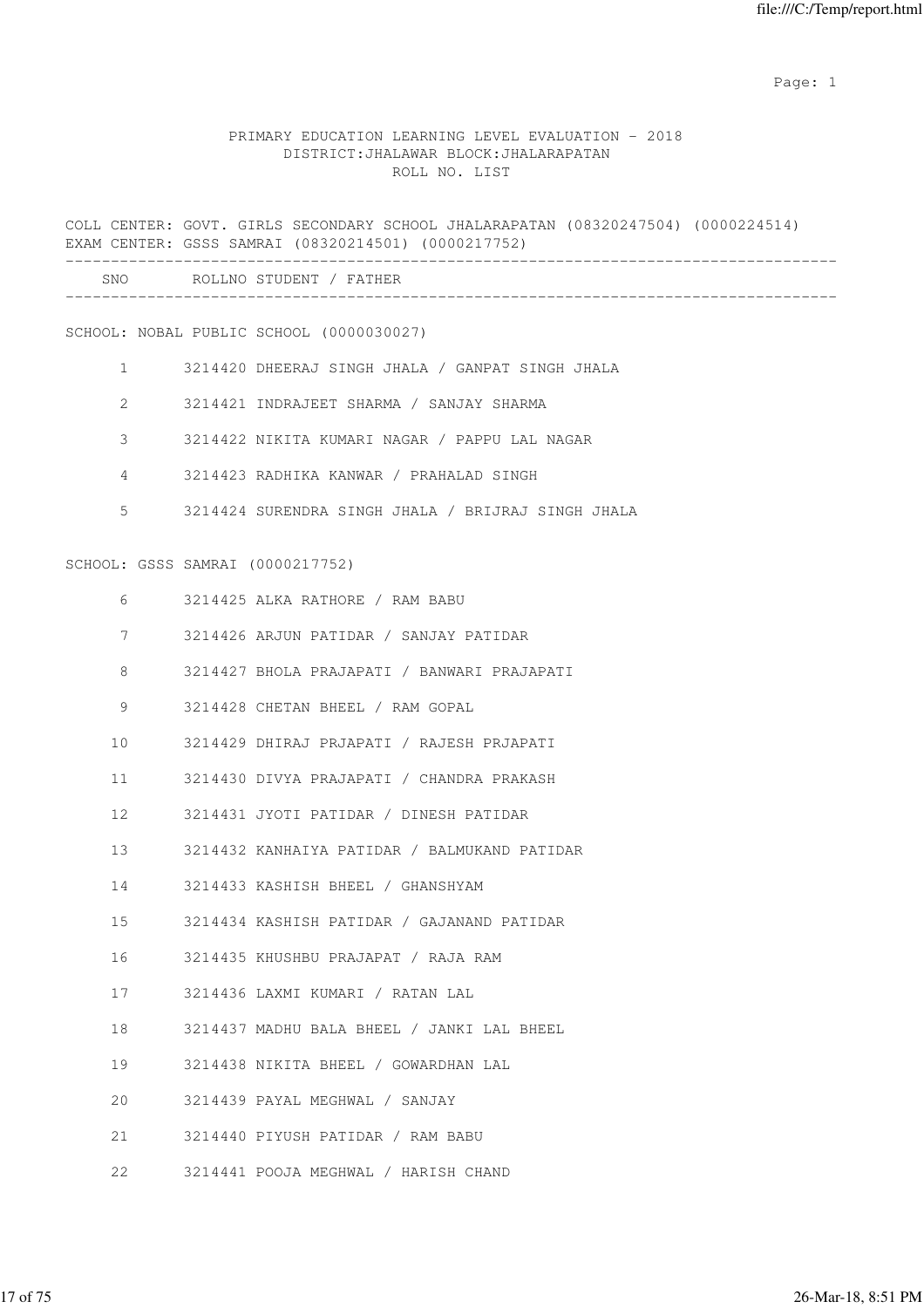|                 | COLL CENTER: GOVT. GIRLS SECONDARY SCHOOL JHALARAPATAN (08320247504) (0000224514)<br>EXAM CENTER: GSSS SAMRAI (08320214501) (0000217752) |
|-----------------|------------------------------------------------------------------------------------------------------------------------------------------|
|                 | SNO ROLLNO STUDENT / FATHER                                                                                                              |
|                 | SCHOOL: NOBAL PUBLIC SCHOOL (0000030027)                                                                                                 |
|                 | 1 3214420 DHEERAJ SINGH JHALA / GANPAT SINGH JHALA                                                                                       |
| $\overline{2}$  | 3214421 INDRAJEET SHARMA / SANJAY SHARMA                                                                                                 |
| 3               | 3214422 NIKITA KUMARI NAGAR / PAPPU LAL NAGAR                                                                                            |
| $4\overline{ }$ | 3214423 RADHIKA KANWAR / PRAHALAD SINGH                                                                                                  |
| 5               | 3214424 SURENDRA SINGH JHALA / BRIJRAJ SINGH JHALA                                                                                       |
|                 | SCHOOL: GSSS SAMRAI (0000217752)                                                                                                         |
|                 | $6 \qquad \qquad$<br>3214425 ALKA RATHORE / RAM BABU                                                                                     |
|                 | 7<br>3214426 ARJUN PATIDAR / SANJAY PATIDAR                                                                                              |
| 8               | 3214427 BHOLA PRAJAPATI / BANWARI PRAJAPATI                                                                                              |
| 9               | 3214428 CHETAN BHEEL / RAM GOPAL                                                                                                         |
| 10              | 3214429 DHIRAJ PRJAPATI / RAJESH PRJAPATI                                                                                                |
| 11              | 3214430 DIVYA PRAJAPATI / CHANDRA PRAKASH                                                                                                |
| 12 <sup>°</sup> | 3214431 JYOTI PATIDAR / DINESH PATIDAR                                                                                                   |
| 13              | 3214432 KANHAIYA PATIDAR / BALMUKAND PATIDAR                                                                                             |
| 14              | 3214433 KASHISH BHEEL / GHANSHYAM                                                                                                        |
| 15              | 3214434 KASHISH PATIDAR / GAJANAND PATIDAR                                                                                               |
| 16              | 3214435 KHUSHBU PRAJAPAT / RAJA RAM                                                                                                      |
| 17              | 3214436 LAXMI KUMARI / RATAN LAL                                                                                                         |
| 18              | 3214437 MADHU BALA BHEEL / JANKI LAL BHEEL                                                                                               |
| 19              | 3214438 NIKITA BHEEL / GOWARDHAN LAL                                                                                                     |
| 20              | 3214439 PAYAL MEGHWAL / SANJAY                                                                                                           |
| 21              | 3214440 PIYUSH PATIDAR / RAM BABU                                                                                                        |
| 22              | 3214441 POOJA MEGHWAL / HARISH CHAND                                                                                                     |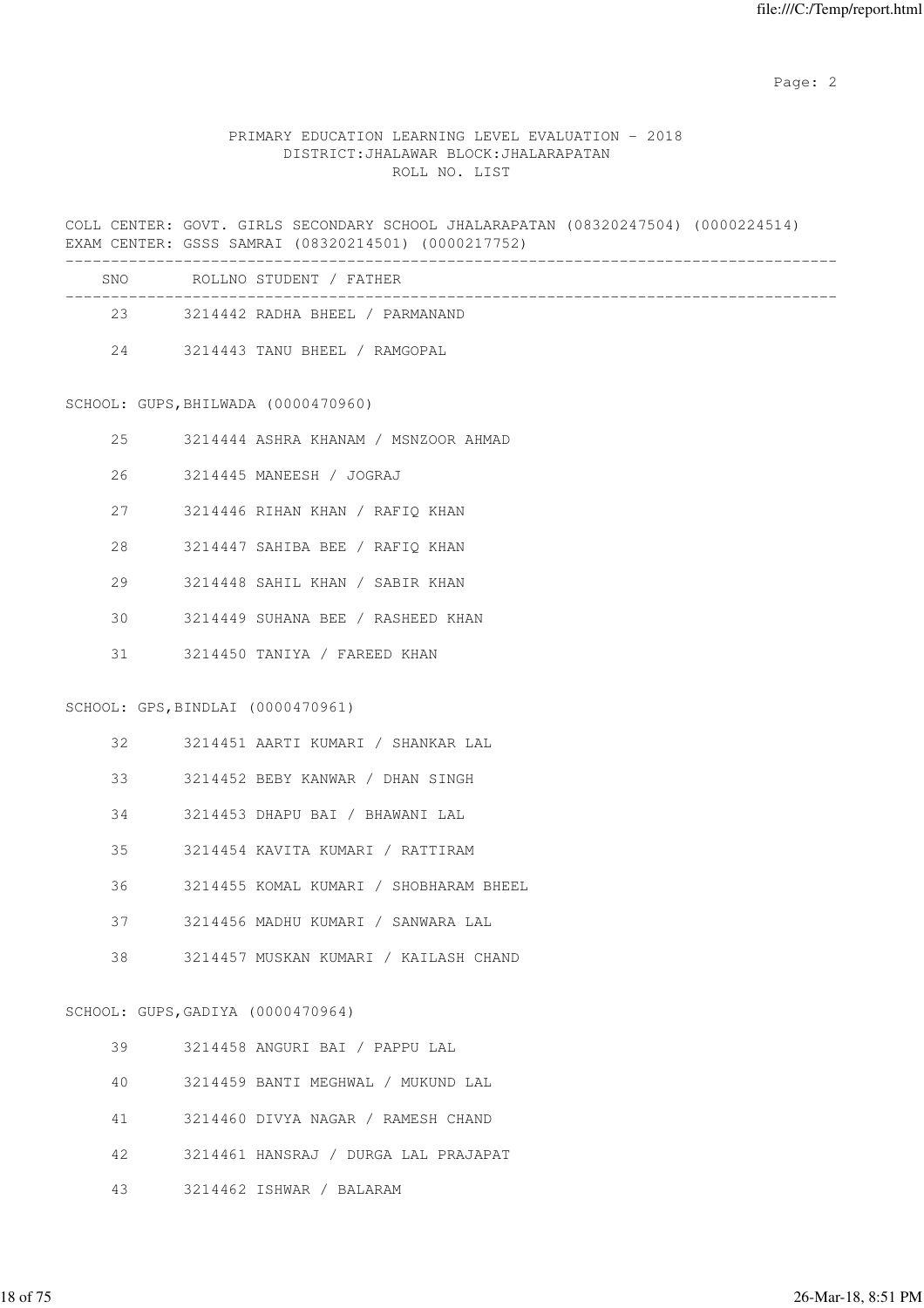### PRIMARY EDUCATION LEARNING LEVEL EVALUATION - 2018 DISTRICT:JHALAWAR BLOCK:JHALARAPATAN ROLL NO. LIST

COLL CENTER: GOVT. GIRLS SECONDARY SCHOOL JHALARAPATAN (08320247504) (0000224514) EXAM CENTER: GSSS SAMRAI (08320214501) (0000217752)

| SNO | ROLLNO STUDENT / FATHER         |
|-----|---------------------------------|
| 23  | 3214442 RADHA BHEEL / PARMANAND |
| 2.4 | 3214443 TANU BHEEL / RAMGOPAL   |

SCHOOL: GUPS, BHILWADA (0000470960)

| 25 |                          |  |  | 3214444 ASHRA KHANAM / MSNZOOR AHMAD |  |
|----|--------------------------|--|--|--------------------------------------|--|
| 26 | 3214445 MANEESH / JOGRAJ |  |  |                                      |  |

27 3214446 RIHAN KHAN / RAFIQ KHAN

28 3214447 SAHIBA BEE / RAFIQ KHAN

29 3214448 SAHIL KHAN / SABIR KHAN

30 3214449 SUHANA BEE / RASHEED KHAN

31 3214450 TANIYA / FAREED KHAN

### SCHOOL: GPS,BINDLAI (0000470961)

| 3214451 AARTI KUMARI<br>SHANKAR | LAL |
|---------------------------------|-----|
|---------------------------------|-----|

33 3214452 BEBY KANWAR / DHAN SINGH

34 3214453 DHAPU BAI / BHAWANI LAL

35 3214454 KAVITA KUMARI / RATTIRAM

36 3214455 KOMAL KUMARI / SHOBHARAM BHEEL

37 3214456 MADHU KUMARI / SANWARA LAL

38 3214457 MUSKAN KUMARI / KAILASH CHAND

#### SCHOOL: GUPS,GADIYA (0000470964)

| 39 | 3214458 ANGURI BAI / PAPPU LAL       |
|----|--------------------------------------|
| 40 | 3214459 BANTI MEGHWAL / MUKUND LAL   |
| 41 | 3214460 DIVYA NAGAR / RAMESH CHAND   |
| 42 | 3214461 HANSRAJ / DURGA LAL PRAJAPAT |
| 43 | 3214462 ISHWAR / BALARAM             |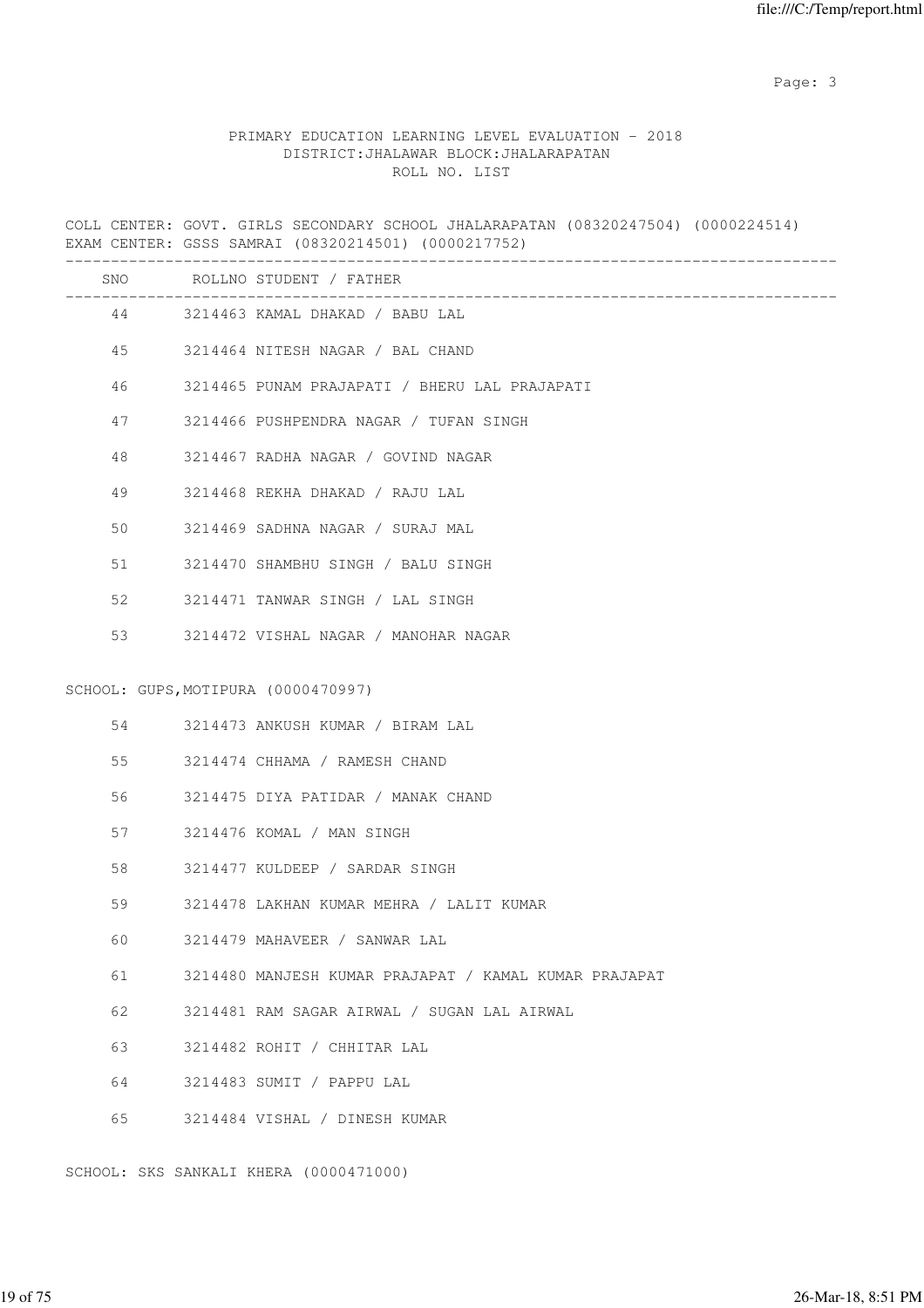Page: 3

### PRIMARY EDUCATION LEARNING LEVEL EVALUATION - 2018 DISTRICT:JHALAWAR BLOCK:JHALARAPATAN ROLL NO. LIST

COLL CENTER: GOVT. GIRLS SECONDARY SCHOOL JHALARAPATAN (08320247504) (0000224514) EXAM CENTER: GSSS SAMRAI (08320214501) (0000217752)

|    |    | SNO ROLLNO STUDENT / FATHER                                      |
|----|----|------------------------------------------------------------------|
|    |    | --------------------------<br>44 3214463 KAMAL DHAKAD / BABU LAL |
|    |    | 45 3214464 NITESH NAGAR / BAL CHAND                              |
| 46 |    | 3214465 PUNAM PRAJAPATI / BHERU LAL PRAJAPATI                    |
|    | 47 | 3214466 PUSHPENDRA NAGAR / TUFAN SINGH                           |
| 48 |    | 3214467 RADHA NAGAR / GOVIND NAGAR                               |
| 49 |    | 3214468 REKHA DHAKAD / RAJU LAL                                  |
| 50 |    | 3214469 SADHNA NAGAR / SURAJ MAL                                 |
| 51 |    | 3214470 SHAMBHU SINGH / BALU SINGH                               |
| 52 |    | 3214471 TANWAR SINGH / LAL SINGH                                 |
| 53 |    | 3214472 VISHAL NAGAR / MANOHAR NAGAR                             |
|    |    | SCHOOL: GUPS, MOTIPURA (0000470997)                              |
|    |    | 54 3214473 ANKUSH KUMAR / BIRAM LAL                              |
| 55 |    | 3214474 CHHAMA / RAMESH CHAND                                    |
|    |    | 3214475 DIYA PATIDAR / MANAK CHAND                               |
| 57 |    | 3214476 KOMAL / MAN SINGH                                        |
| 58 |    | 3214477 KULDEEP / SARDAR SINGH                                   |
| 59 |    | 3214478 LAKHAN KUMAR MEHRA / LALIT KUMAR                         |
| 60 |    | 3214479 MAHAVEER / SANWAR LAL                                    |
| 61 |    | 3214480 MANJESH KUMAR PRAJAPAT / KAMAL KUMAR PRAJAPAT            |
| 62 |    | 3214481 RAM SAGAR AIRWAL / SUGAN LAL AIRWAL                      |
| 63 |    | 3214482 ROHIT / CHHITAR LAL                                      |
| 64 |    | 3214483 SUMIT / PAPPU LAL                                        |
| 65 |    | 3214484 VISHAL / DINESH KUMAR                                    |
|    |    |                                                                  |

SCHOOL: SKS SANKALI KHERA (0000471000)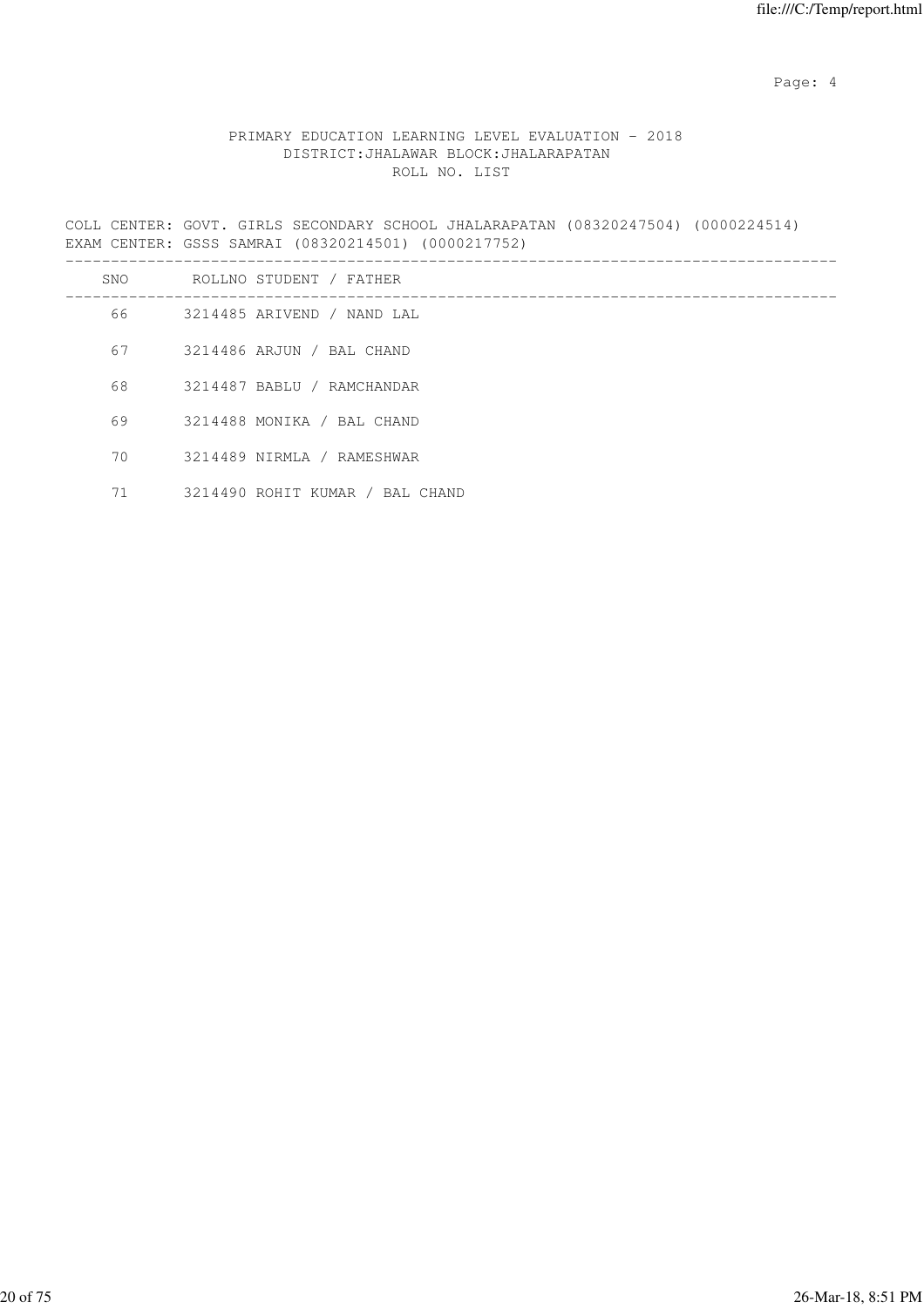Page: 4  $P$ 

### PRIMARY EDUCATION LEARNING LEVEL EVALUATION - 2018 DISTRICT:JHALAWAR BLOCK:JHALARAPATAN ROLL NO. LIST

COLL CENTER: GOVT. GIRLS SECONDARY SCHOOL JHALARAPATAN (08320247504) (0000224514) EXAM CENTER: GSSS SAMRAI (08320214501) (0000217752)

| SNO  | ROLLNO STUDENT / FATHER         |
|------|---------------------------------|
| 66 — | 3214485 ARIVEND / NAND LAL      |
| 67   | 3214486 ARJUN / BAL CHAND       |
| 68   | 3214487 BABLU / RAMCHANDAR      |
| 69   | 3214488 MONIKA / BAL CHAND      |
| 70   | 3214489 NIRMLA / RAMESHWAR      |
| 71   | 3214490 ROHIT KUMAR / BAL CHAND |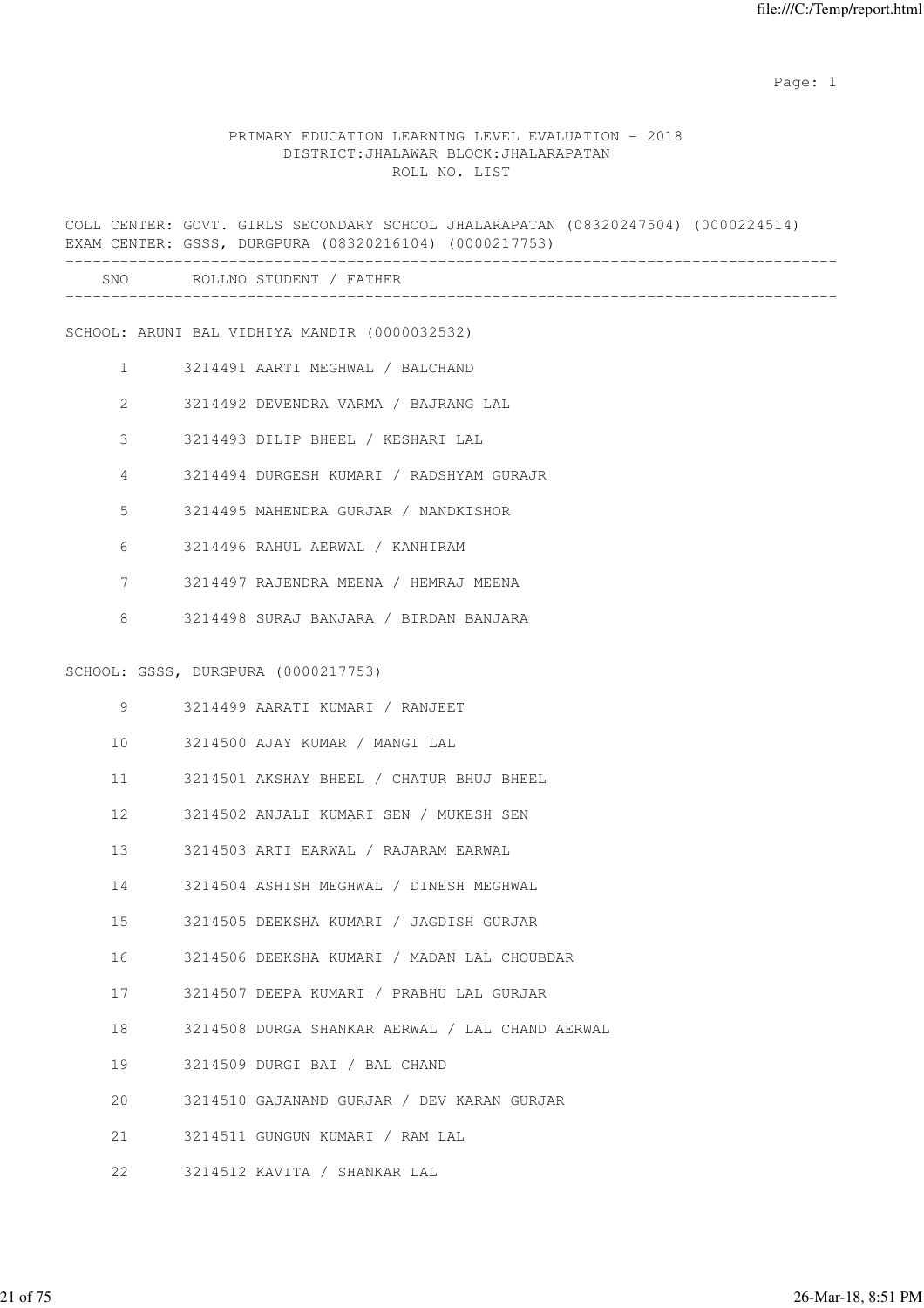### PRIMARY EDUCATION LEARNING LEVEL EVALUATION - 2018 DISTRICT:JHALAWAR BLOCK:JHALARAPATAN ROLL NO. LIST

COLL CENTER: GOVT. GIRLS SECONDARY SCHOOL JHALARAPATAN (08320247504) (0000224514) EXAM CENTER: GSSS, DURGPURA (08320216104) (0000217753) ------------------------------------------------------------------------------------- SNO ROLLNO STUDENT / FATHER ------------------------------------------------------------------------------------- SCHOOL: ARUNI BAL VIDHIYA MANDIR (0000032532) 1 3214491 AARTI MEGHWAL / BALCHAND 2 3214492 DEVENDRA VARMA / BAJRANG LAL 3 3214493 DILIP BHEEL / KESHARI LAL 4 3214494 DURGESH KUMARI / RADSHYAM GURAJR 5 3214495 MAHENDRA GURJAR / NANDKISHOR 6 3214496 RAHUL AERWAL / KANHIRAM 7 3214497 RAJENDRA MEENA / HEMRAJ MEENA 8 3214498 SURAJ BANJARA / BIRDAN BANJARA SCHOOL: GSSS, DURGPURA (0000217753) 9 3214499 AARATI KUMARI / RANJEET 10 3214500 AJAY KUMAR / MANGI LAL 11 3214501 AKSHAY BHEEL / CHATUR BHUJ BHEEL 12 3214502 ANJALI KUMARI SEN / MUKESH SEN 13 3214503 ARTI EARWAL / RAJARAM EARWAL 14 3214504 ASHISH MEGHWAL / DINESH MEGHWAL 15 3214505 DEEKSHA KUMARI / JAGDISH GURJAR 16 3214506 DEEKSHA KUMARI / MADAN LAL CHOUBDAR 17 3214507 DEEPA KUMARI / PRABHU LAL GURJAR 18 3214508 DURGA SHANKAR AERWAL / LAL CHAND AERWAL 19 3214509 DURGI BAI / BAL CHAND 20 3214510 GAJANAND GURJAR / DEV KARAN GURJAR 21 3214511 GUNGUN KUMARI / RAM LAL 22 3214512 KAVITA / SHANKAR LAL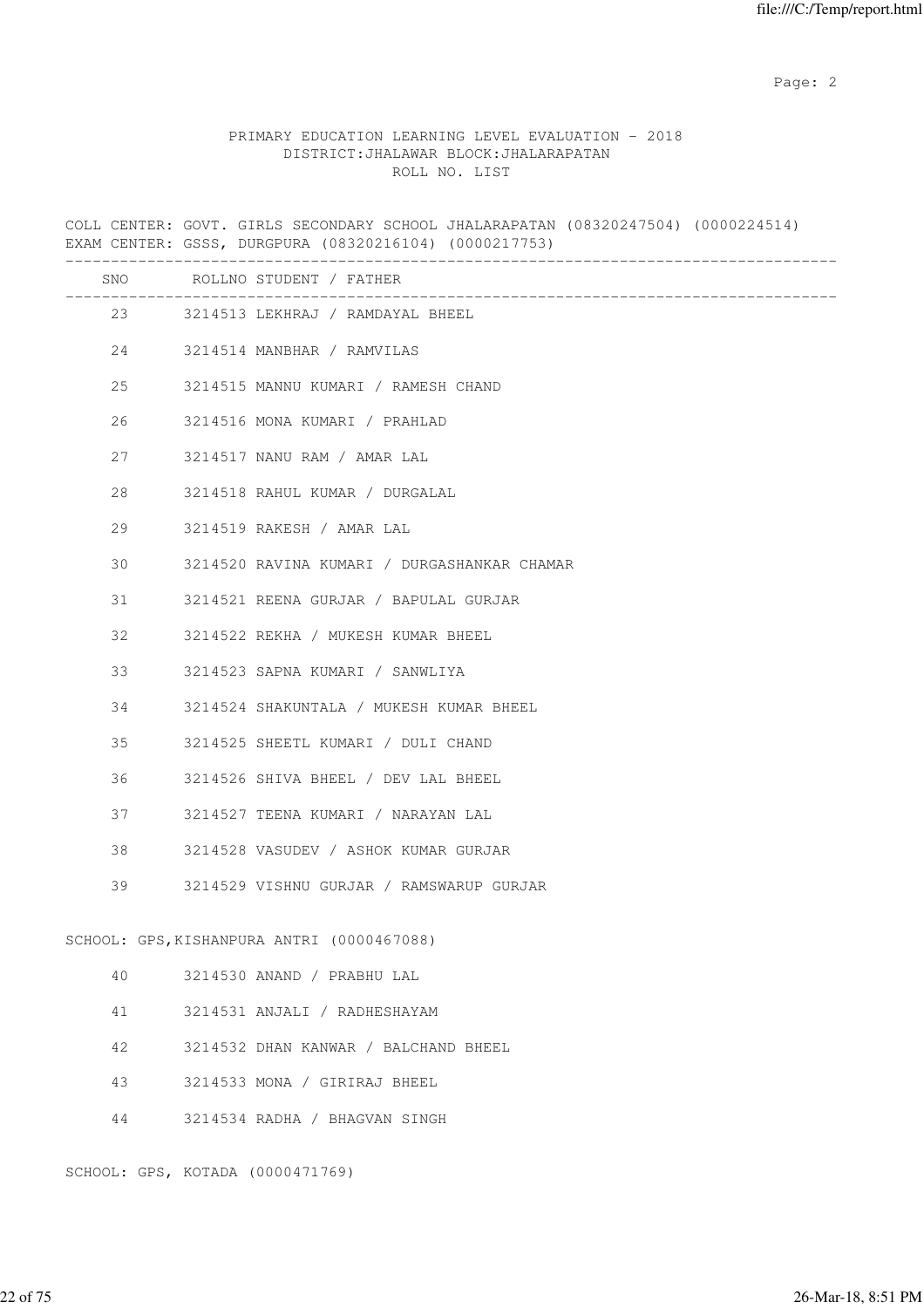### PRIMARY EDUCATION LEARNING LEVEL EVALUATION - 2018 DISTRICT:JHALAWAR BLOCK:JHALARAPATAN ROLL NO. LIST

COLL CENTER: GOVT. GIRLS SECONDARY SCHOOL JHALARAPATAN (08320247504) (0000224514) EXAM CENTER: GSSS, DURGPURA (08320216104) (0000217753) ------------------------------------------------------------------------------------- SNO ROLLNO STUDENT / FATHER ------------------------------------------------------------------------------------- 23 3214513 LEKHRAJ / RAMDAYAL BHEEL 24 3214514 MANBHAR / RAMVILAS 25 3214515 MANNU KUMARI / RAMESH CHAND 26 3214516 MONA KUMARI / PRAHLAD 27 3214517 NANU RAM / AMAR LAL 28 3214518 RAHUL KUMAR / DURGALAL 29 3214519 RAKESH / AMAR LAL 30 3214520 RAVINA KUMARI / DURGASHANKAR CHAMAR 31 3214521 REENA GURJAR / BAPULAL GURJAR 32 3214522 REKHA / MUKESH KUMAR BHEEL 33 3214523 SAPNA KUMARI / SANWLIYA 34 3214524 SHAKUNTALA / MUKESH KUMAR BHEEL 35 3214525 SHEETL KUMARI / DULI CHAND 36 3214526 SHIVA BHEEL / DEV LAL BHEEL 37 3214527 TEENA KUMARI / NARAYAN LAL 38 3214528 VASUDEV / ASHOK KUMAR GURJAR 39 3214529 VISHNU GURJAR / RAMSWARUP GURJAR SCHOOL: GPS,KISHANPURA ANTRI (0000467088) 40 3214530 ANAND / PRABHU LAL 41 3214531 ANJALI / RADHESHAYAM 42 3214532 DHAN KANWAR / BALCHAND BHEEL 43 3214533 MONA / GIRIRAJ BHEEL 44 3214534 RADHA / BHAGVAN SINGH

SCHOOL: GPS, KOTADA (0000471769)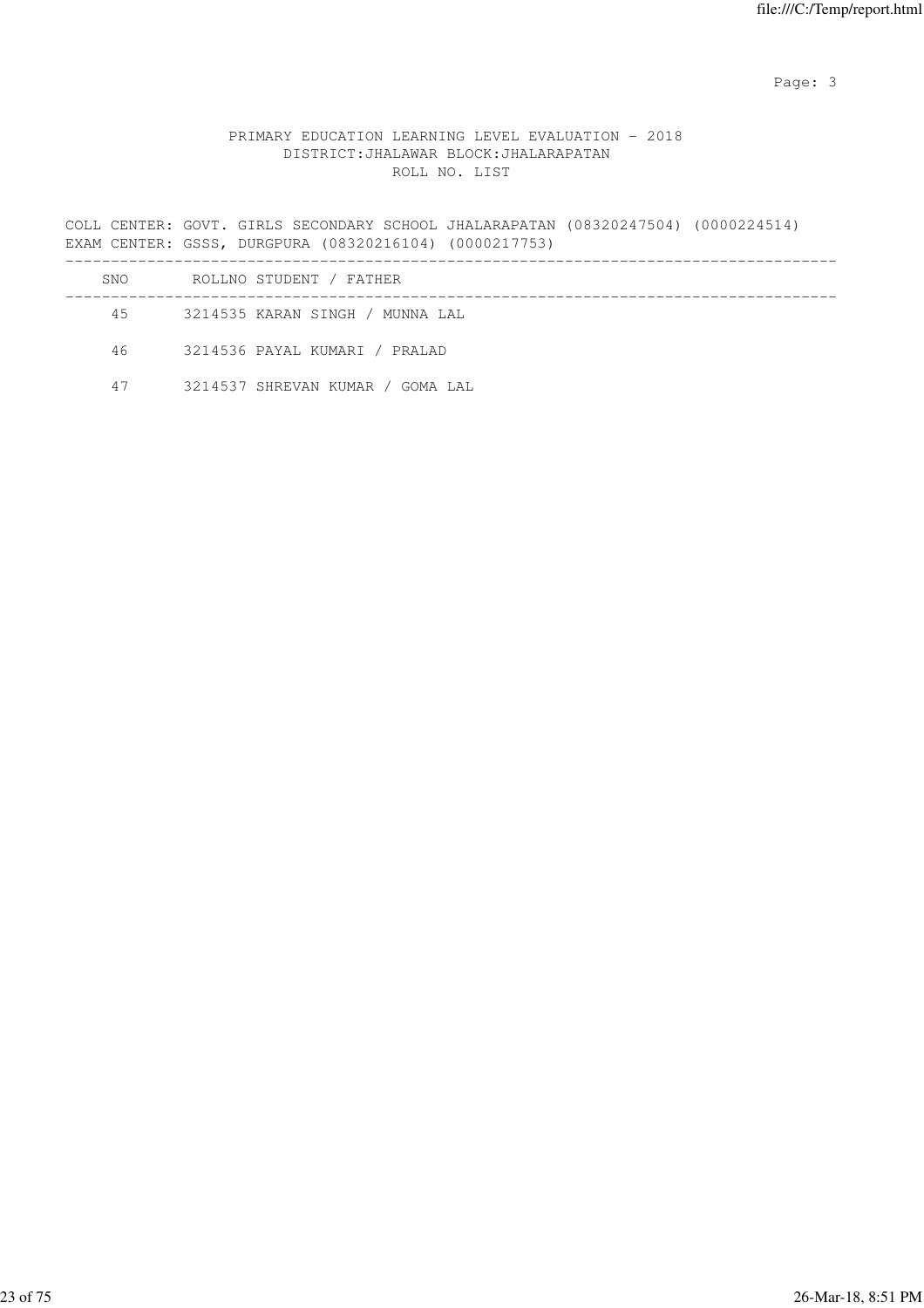Page: 3

### PRIMARY EDUCATION LEARNING LEVEL EVALUATION - 2018 DISTRICT:JHALAWAR BLOCK:JHALARAPATAN ROLL NO. LIST

COLL CENTER: GOVT. GIRLS SECONDARY SCHOOL JHALARAPATAN (08320247504) (0000224514) EXAM CENTER: GSSS, DURGPURA (08320216104) (0000217753) -------------------------------------------------------------------------------------

| SNO  | ROLLNO STUDENT / FATHER          |
|------|----------------------------------|
| 45   | 3214535 KARAN SINGH / MUNNA LAL  |
| 46 — | 3214536 PAYAL KUMARI / PRALAD    |
| 47   | 3214537 SHREVAN KUMAR / GOMA LAL |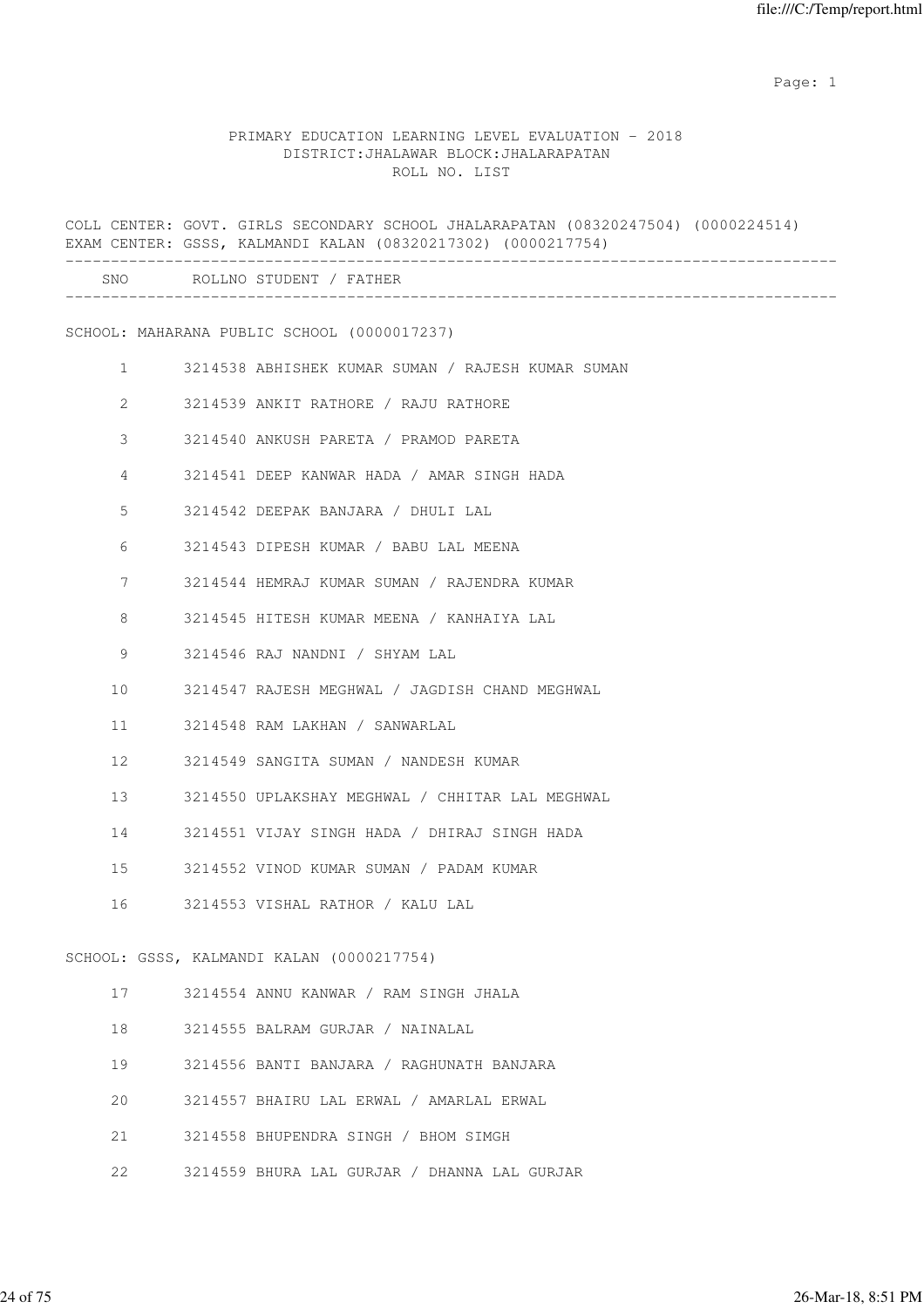|              | COLL CENTER: GOVT. GIRLS SECONDARY SCHOOL JHALARAPATAN (08320247504) (0000224514)<br>EXAM CENTER: GSSS, KALMANDI KALAN (08320217302) (0000217754) |
|--------------|---------------------------------------------------------------------------------------------------------------------------------------------------|
|              | SNO ROLLNO STUDENT / FATHER                                                                                                                       |
|              | SCHOOL: MAHARANA PUBLIC SCHOOL (0000017237)                                                                                                       |
| $\mathbf{1}$ | 3214538 ABHISHEK KUMAR SUMAN / RAJESH KUMAR SUMAN                                                                                                 |
| 2            | 3214539 ANKIT RATHORE / RAJU RATHORE                                                                                                              |
| 3            | 3214540 ANKUSH PARETA / PRAMOD PARETA                                                                                                             |
| 4            | 3214541 DEEP KANWAR HADA / AMAR SINGH HADA                                                                                                        |
| 5            | 3214542 DEEPAK BANJARA / DHULI LAL                                                                                                                |
| 6            | 3214543 DIPESH KUMAR / BABU LAL MEENA                                                                                                             |
| 7            | 3214544 HEMRAJ KUMAR SUMAN / RAJENDRA KUMAR                                                                                                       |
| 8            | 3214545 HITESH KUMAR MEENA / KANHAIYA LAL                                                                                                         |
| 9            | 3214546 RAJ NANDNI / SHYAM LAL                                                                                                                    |
| 10           | 3214547 RAJESH MEGHWAL / JAGDISH CHAND MEGHWAL                                                                                                    |
| 11           | 3214548 RAM LAKHAN / SANWARLAL                                                                                                                    |
| 12           | 3214549 SANGITA SUMAN / NANDESH KUMAR                                                                                                             |
| 13           | 3214550 UPLAKSHAY MEGHWAL / CHHITAR LAL MEGHWAL                                                                                                   |
| 14           | 3214551 VIJAY SINGH HADA / DHIRAJ SINGH HADA                                                                                                      |
| 15           | 3214552 VINOD KUMAR SUMAN / PADAM KUMAR                                                                                                           |
| 16           | 3214553 VISHAL RATHOR / KALU LAL                                                                                                                  |
|              | SCHOOL: GSSS, KALMANDI KALAN (0000217754)                                                                                                         |
| 17           | 3214554 ANNU KANWAR / RAM SINGH JHALA                                                                                                             |
| 18           | 3214555 BALRAM GURJAR / NAINALAL                                                                                                                  |
| 19           | 3214556 BANTI BANJARA / RAGHUNATH BANJARA                                                                                                         |
| 20           | 3214557 BHAIRU LAL ERWAL / AMARLAL ERWAL                                                                                                          |

- 21 3214558 BHUPENDRA SINGH / BHOM SIMGH
- 22 3214559 BHURA LAL GURJAR / DHANNA LAL GURJAR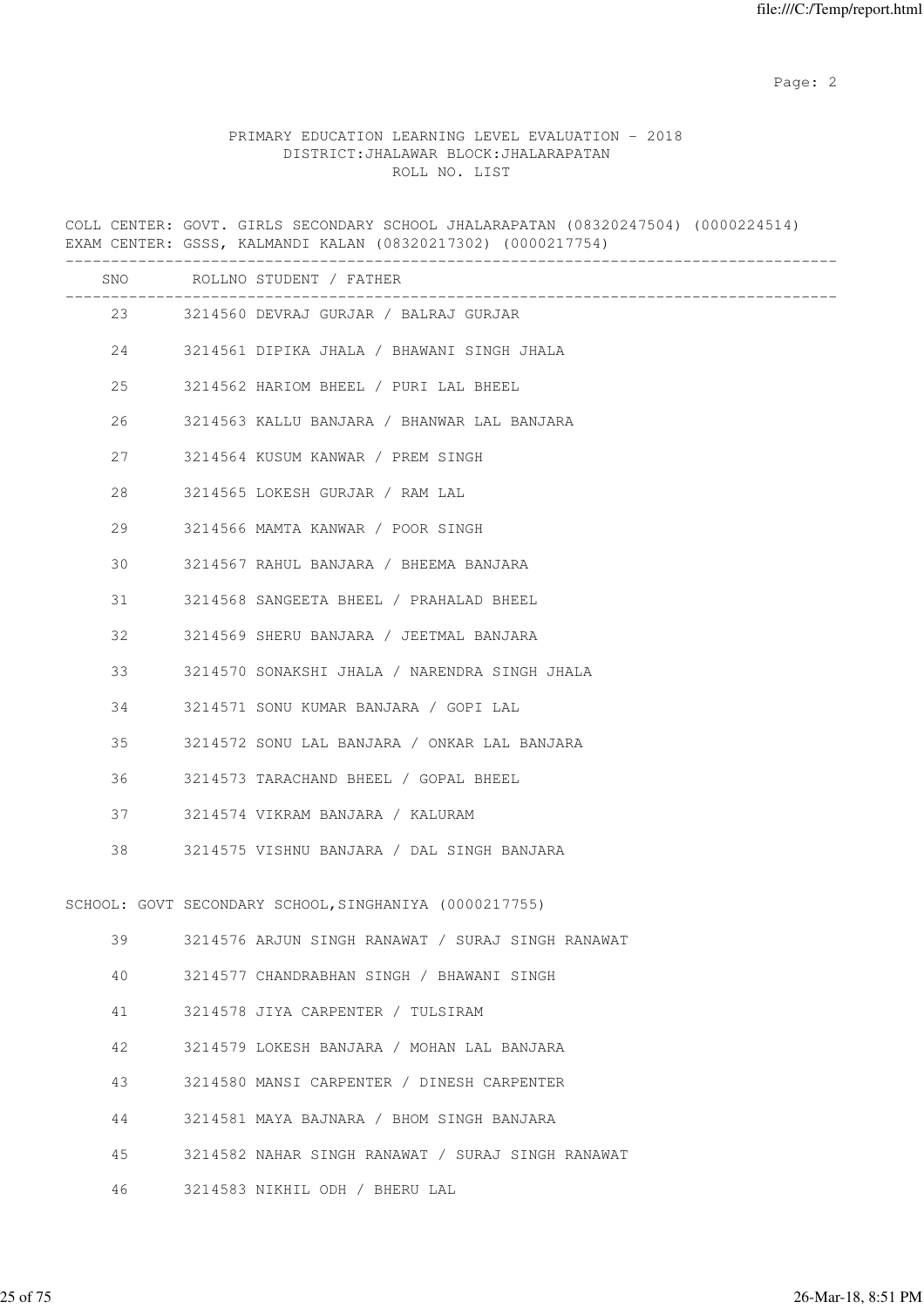|     | COLL CENTER: GOVT. GIRLS SECONDARY SCHOOL JHALARAPATAN (08320247504) (0000224514)<br>EXAM CENTER: GSSS, KALMANDI KALAN (08320217302) (0000217754) |
|-----|---------------------------------------------------------------------------------------------------------------------------------------------------|
| SNO | ROLLNO STUDENT / FATHER                                                                                                                           |
|     | 23 3214560 DEVRAJ GURJAR / BALRAJ GURJAR                                                                                                          |
| 24  | 3214561 DIPIKA JHALA / BHAWANI SINGH JHALA                                                                                                        |
| 25  | 3214562 HARIOM BHEEL / PURI LAL BHEEL                                                                                                             |
| 26  | 3214563 KALLU BANJARA / BHANWAR LAL BANJARA                                                                                                       |
| 27  | 3214564 KUSUM KANWAR / PREM SINGH                                                                                                                 |
| 28  | 3214565 LOKESH GURJAR / RAM LAL                                                                                                                   |
| 29  | 3214566 MAMTA KANWAR / POOR SINGH                                                                                                                 |
| 30  | 3214567 RAHUL BANJARA / BHEEMA BANJARA                                                                                                            |
| 31  | 3214568 SANGEETA BHEEL / PRAHALAD BHEEL                                                                                                           |
| 32  | 3214569 SHERU BANJARA / JEETMAL BANJARA                                                                                                           |
| 33  | 3214570 SONAKSHI JHALA / NARENDRA SINGH JHALA                                                                                                     |
| 34  | 3214571 SONU KUMAR BANJARA / GOPI LAL                                                                                                             |
| 35  | 3214572 SONU LAL BANJARA / ONKAR LAL BANJARA                                                                                                      |
| 36  | 3214573 TARACHAND BHEEL / GOPAL BHEEL                                                                                                             |
| 37  | 3214574 VIKRAM BANJARA / KALURAM                                                                                                                  |
| 38  | 3214575 VISHNU BANJARA / DAL SINGH BANJARA                                                                                                        |
|     | SCHOOL: GOVT SECONDARY SCHOOL, SINGHANIYA (0000217755)                                                                                            |
| 39  | 3214576 ARJUN SINGH RANAWAT / SURAJ SINGH RANAWAT                                                                                                 |
| 40  | 3214577 CHANDRABHAN SINGH / BHAWANI SINGH                                                                                                         |
| 41  | 3214578 JIYA CARPENTER / TULSIRAM                                                                                                                 |
| 42  | 3214579 LOKESH BANJARA / MOHAN LAL BANJARA                                                                                                        |
| 43  | 3214580 MANSI CARPENTER / DINESH CARPENTER                                                                                                        |
| 44  | 3214581 MAYA BAJNARA / BHOM SINGH BANJARA                                                                                                         |
| 45  | 3214582 NAHAR SINGH RANAWAT / SURAJ SINGH RANAWAT                                                                                                 |
| 46  | 3214583 NIKHIL ODH / BHERU LAL                                                                                                                    |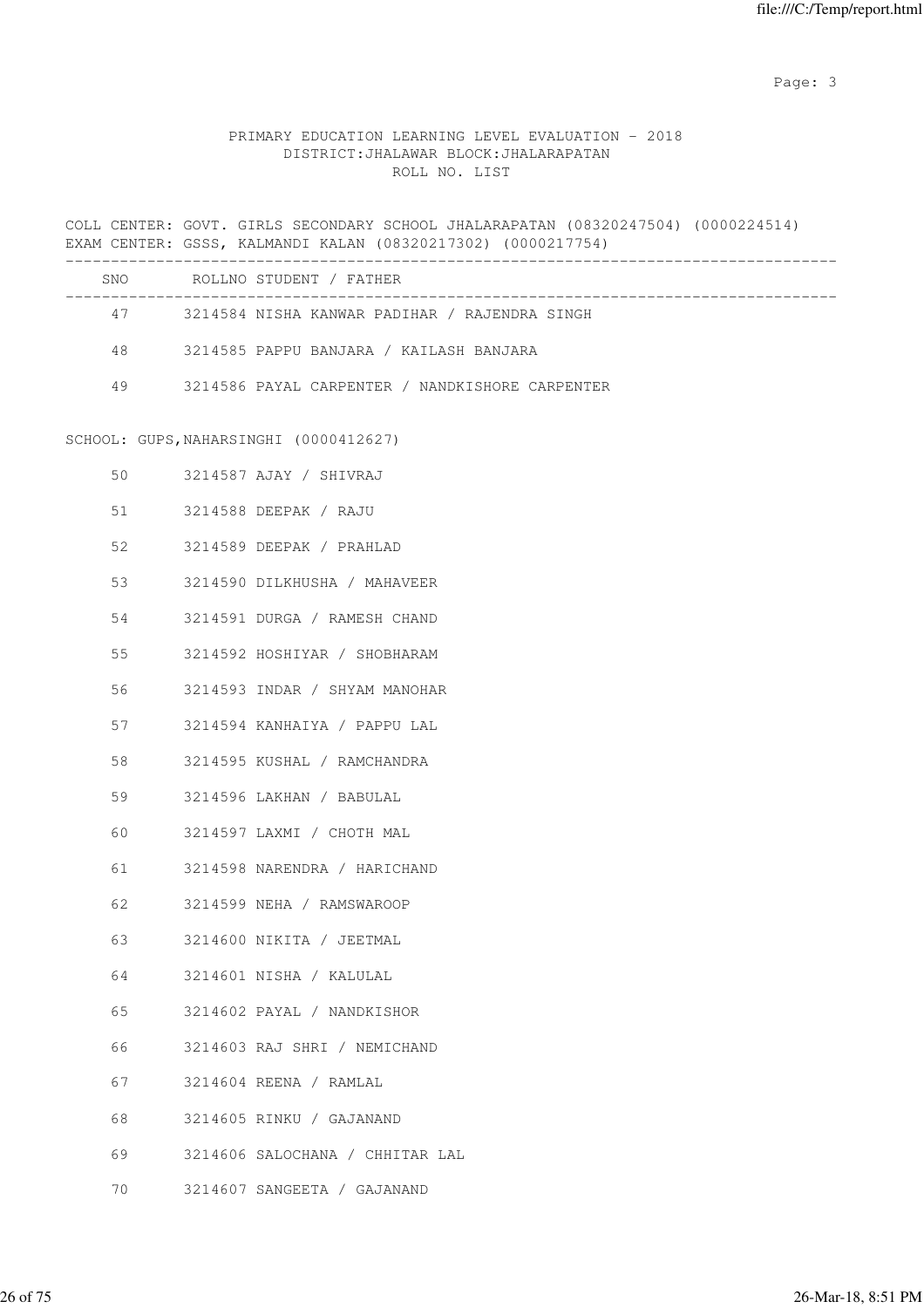Page: 3

|    | COLL CENTER: GOVT. GIRLS SECONDARY SCHOOL JHALARAPATAN (08320247504) (0000224514)<br>EXAM CENTER: GSSS, KALMANDI KALAN (08320217302) (0000217754) |  |
|----|---------------------------------------------------------------------------------------------------------------------------------------------------|--|
|    | SNO ROLLNO STUDENT / FATHER                                                                                                                       |  |
|    | 47 3214584 NISHA KANWAR PADIHAR / RAJENDRA SINGH                                                                                                  |  |
|    | 48 3214585 PAPPU BANJARA / KAILASH BANJARA                                                                                                        |  |
| 49 | 3214586 PAYAL CARPENTER / NANDKISHORE CARPENTER                                                                                                   |  |
|    | SCHOOL: GUPS, NAHARSINGHI (0000412627)                                                                                                            |  |
| 50 | 3214587 AJAY / SHIVRAJ                                                                                                                            |  |
| 51 | 3214588 DEEPAK / RAJU                                                                                                                             |  |
| 52 | 3214589 DEEPAK / PRAHLAD                                                                                                                          |  |
| 53 | 3214590 DILKHUSHA / MAHAVEER                                                                                                                      |  |
| 54 | 3214591 DURGA / RAMESH CHAND                                                                                                                      |  |
| 55 | 3214592 HOSHIYAR / SHOBHARAM                                                                                                                      |  |
| 56 | 3214593 INDAR / SHYAM MANOHAR                                                                                                                     |  |
| 57 | 3214594 KANHAIYA / PAPPU LAL                                                                                                                      |  |
| 58 | 3214595 KUSHAL / RAMCHANDRA                                                                                                                       |  |
| 59 | 3214596 LAKHAN / BABULAL                                                                                                                          |  |
| 60 | 3214597 LAXMI / CHOTH MAL                                                                                                                         |  |
| 61 | 3214598 NARENDRA / HARICHAND                                                                                                                      |  |
| 62 | 3214599 NEHA / RAMSWAROOP                                                                                                                         |  |
| 63 | 3214600 NIKITA / JEETMAL                                                                                                                          |  |
| 64 | 3214601 NISHA / KALULAL                                                                                                                           |  |
| 65 | 3214602 PAYAL / NANDKISHOR                                                                                                                        |  |
| 66 | 3214603 RAJ SHRI / NEMICHAND                                                                                                                      |  |
| 67 | 3214604 REENA / RAMLAL                                                                                                                            |  |
| 68 | 3214605 RINKU / GAJANAND                                                                                                                          |  |
| 69 | 3214606 SALOCHANA / CHHITAR LAL                                                                                                                   |  |
| 70 | 3214607 SANGEETA / GAJANAND                                                                                                                       |  |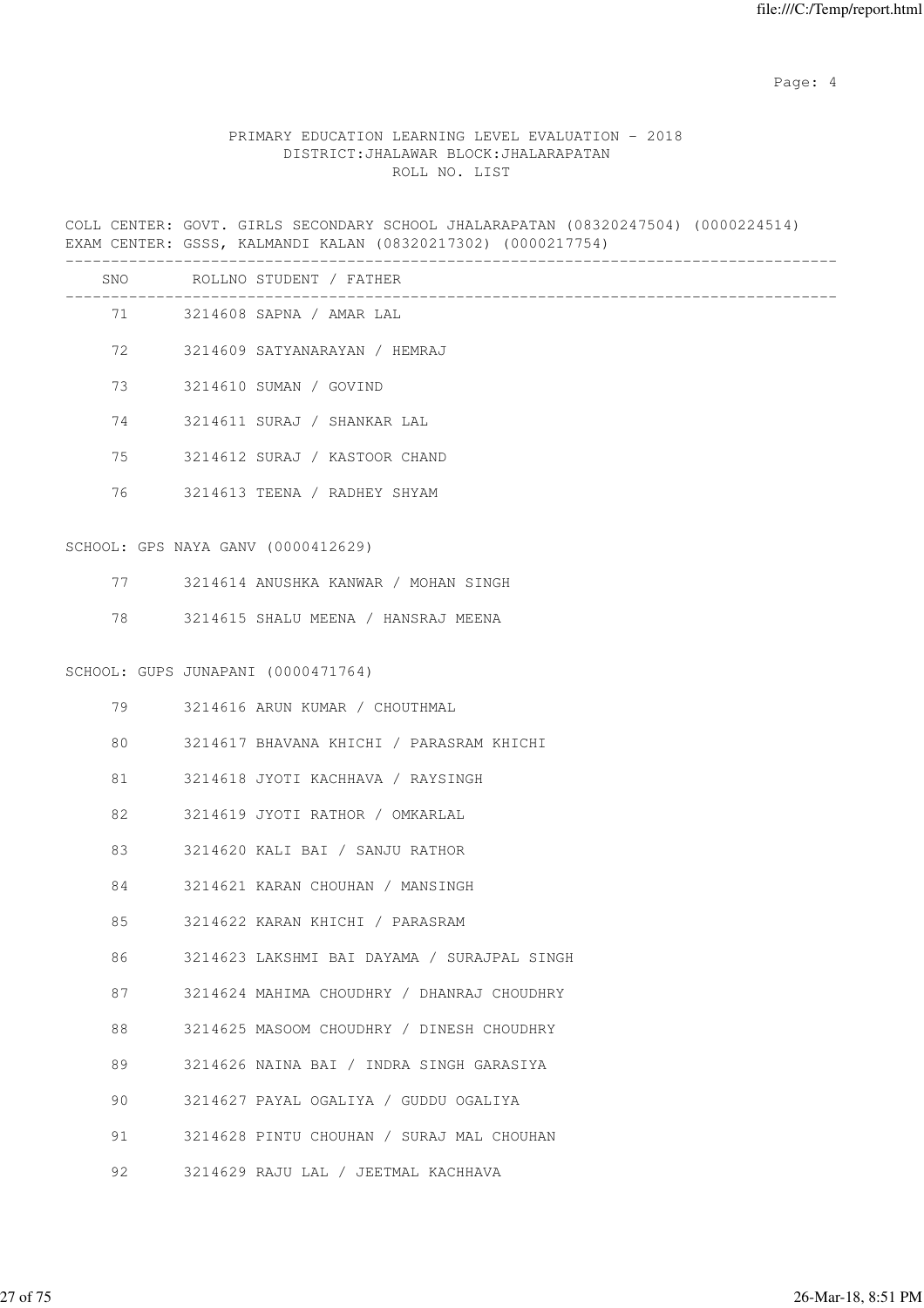Page: 4  $P$ 

### PRIMARY EDUCATION LEARNING LEVEL EVALUATION - 2018 DISTRICT:JHALAWAR BLOCK:JHALARAPATAN ROLL NO. LIST

COLL CENTER: GOVT. GIRLS SECONDARY SCHOOL JHALARAPATAN (08320247504) (0000224514) EXAM CENTER: GSSS, KALMANDI KALAN (08320217302) (0000217754) ------------------------------------------------------------------------------------- SNO ROLLNO STUDENT / FATHER -------------------------------------------------------------------------------------

| 71 |                        | 3214608 SAPNA / AMAR LAL      |
|----|------------------------|-------------------------------|
| 72 |                        | 3214609 SATYANARAYAN / HEMRAJ |
| 73 | 3214610 SUMAN / GOVIND |                               |
| 74 |                        | 3214611 SURAJ / SHANKAR LAL   |
| 75 |                        | 3214612 SURAJ / KASTOOR CHAND |
|    |                        |                               |

76 3214613 TEENA / RADHEY SHYAM

### SCHOOL: GPS NAYA GANV (0000412629)

|  |  | 3214614 ANUSHKA KANWAR |  |  | / MOHAN SINGH |  |  |
|--|--|------------------------|--|--|---------------|--|--|
|--|--|------------------------|--|--|---------------|--|--|

78 3214615 SHALU MEENA / HANSRAJ MEENA

#### SCHOOL: GUPS JUNAPANI (0000471764)

| 79 | 3214616 ARUN KUMAR / CHOUTHMAL                |  |
|----|-----------------------------------------------|--|
|    | 80 3214617 BHAVANA KHICHI / PARASRAM KHICHI   |  |
|    | 81 3214618 JYOTI KACHHAVA / RAYSINGH          |  |
| 82 | 3214619 JYOTI RATHOR / OMKARLAL               |  |
| 83 | 3214620 KALI BAI / SANJU RATHOR               |  |
| 84 | 3214621 KARAN CHOUHAN / MANSINGH              |  |
|    | 85 3214622 KARAN KHICHI / PARASRAM            |  |
| 86 | 3214623 LAKSHMI BAI DAYAMA / SURAJPAL SINGH   |  |
|    | 87 3214624 MAHIMA CHOUDHRY / DHANRAJ CHOUDHRY |  |
|    | 88 3214625 MASOOM CHOUDHRY / DINESH CHOUDHRY  |  |
| 89 | 3214626 NAINA BAI / INDRA SINGH GARASIYA      |  |
| 90 | 3214627 PAYAL OGALIYA / GUDDU OGALIYA         |  |
| 91 | 3214628 PINTU CHOUHAN / SURAJ MAL CHOUHAN     |  |
|    | 92 3214629 RAJU LAL / JEETMAL KACHHAVA        |  |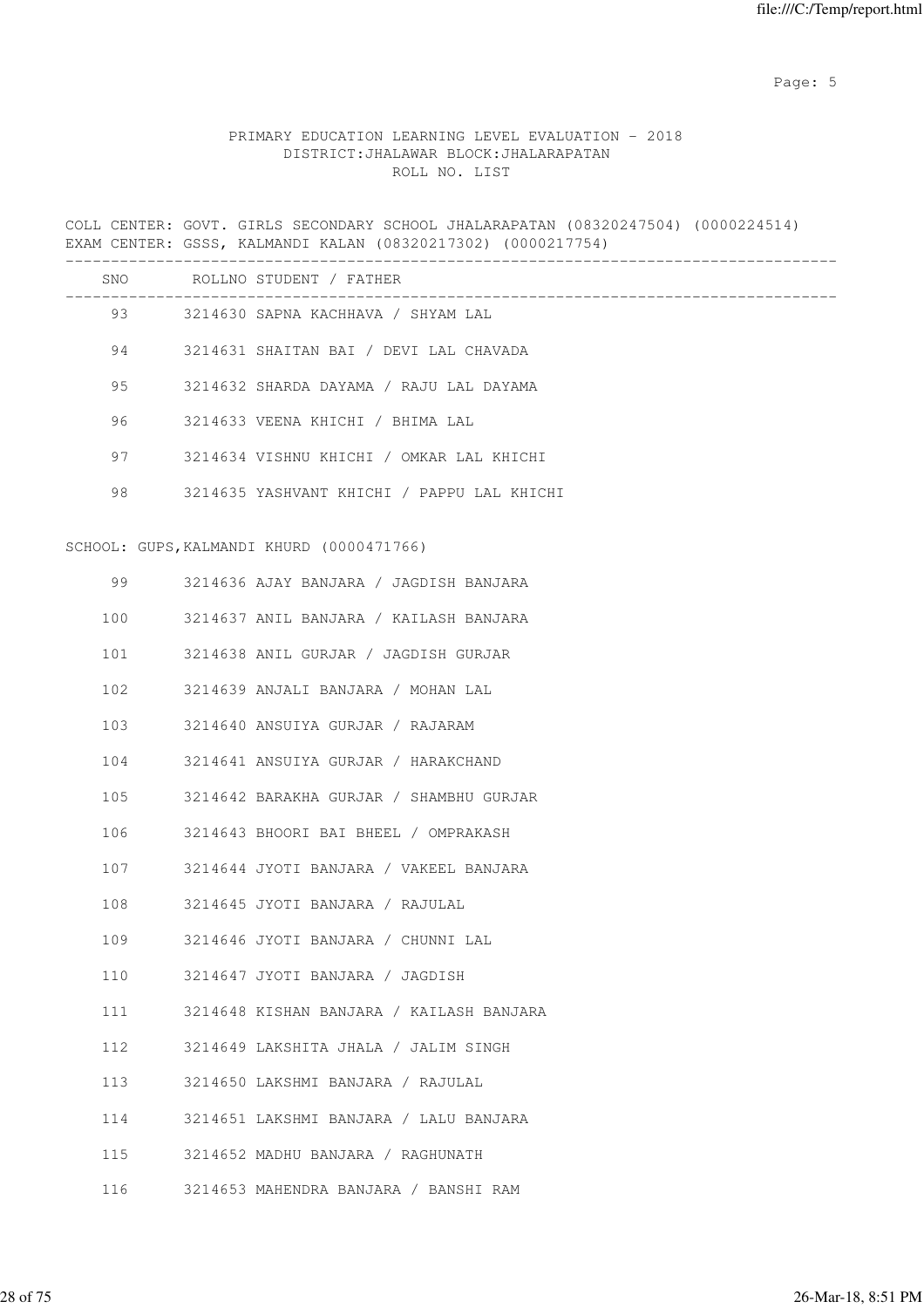Page: 5  $P$  and  $P$  and  $P$  and  $P$  and  $P$  and  $P$  and  $P$  and  $P$  and  $P$  and  $P$  and  $P$  and  $P$  and  $P$  and  $P$  and  $P$  and  $P$  and  $P$  and  $P$  and  $P$  and  $P$  and  $P$  and  $P$  and  $P$  and  $P$  and  $P$  and  $P$  and  $P$  an

### PRIMARY EDUCATION LEARNING LEVEL EVALUATION - 2018 DISTRICT:JHALAWAR BLOCK:JHALARAPATAN ROLL NO. LIST

COLL CENTER: GOVT. GIRLS SECONDARY SCHOOL JHALARAPATAN (08320247504) (0000224514) EXAM CENTER: GSSS, KALMANDI KALAN (08320217302) (0000217754) ------------------------------------------------------------------------------------- SNO ROLLNO STUDENT / FATHER ------------------------------------------------------------------------------------- 93 3214630 SAPNA KACHHAVA / SHYAM LAL 94 3214631 SHAITAN BAI / DEVI LAL CHAVADA 95 3214632 SHARDA DAYAMA / RAJU LAL DAYAMA 96 3214633 VEENA KHICHI / BHIMA LAL 97 3214634 VISHNU KHICHI / OMKAR LAL KHICHI 98 3214635 YASHVANT KHICHI / PAPPU LAL KHICHI SCHOOL: GUPS,KALMANDI KHURD (0000471766) 99 3214636 AJAY BANJARA / JAGDISH BANJARA 100 3214637 ANIL BANJARA / KAILASH BANJARA 101 3214638 ANIL GURJAR / JAGDISH GURJAR 102 3214639 ANJALI BANJARA / MOHAN LAL 103 3214640 ANSUIYA GURJAR / RAJARAM 104 3214641 ANSUIYA GURJAR / HARAKCHAND 105 3214642 BARAKHA GURJAR / SHAMBHU GURJAR 106 3214643 BHOORI BAI BHEEL / OMPRAKASH 107 3214644 JYOTI BANJARA / VAKEEL BANJARA 108 3214645 JYOTI BANJARA / RAJULAL 109 3214646 JYOTI BANJARA / CHUNNI LAL 110 3214647 JYOTI BANJARA / JAGDISH 111 3214648 KISHAN BANJARA / KAILASH BANJARA 112 3214649 LAKSHITA JHALA / JALIM SINGH 113 3214650 LAKSHMI BANJARA / RAJULAL 114 3214651 LAKSHMI BANJARA / LALU BANJARA 115 3214652 MADHU BANJARA / RAGHUNATH 116 3214653 MAHENDRA BANJARA / BANSHI RAM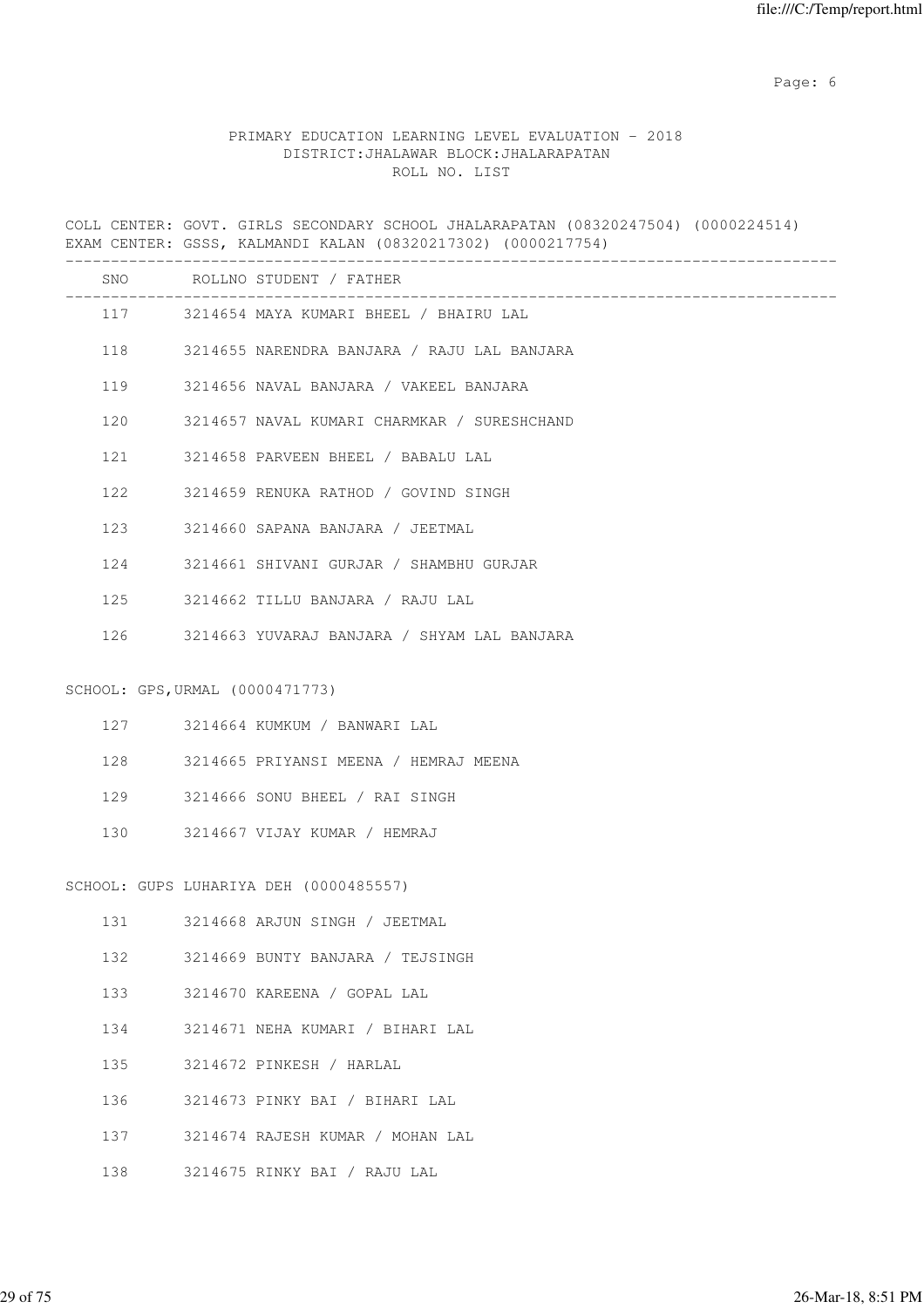Page: 6  $P$  and  $P$  and  $P$  and  $P$  and  $P$  and  $P$  and  $P$  and  $P$  and  $P$  and  $P$  and  $P$  and  $P$  and  $P$  and  $P$  and  $P$  and  $P$  and  $P$  and  $P$  and  $P$  and  $P$  and  $P$  and  $P$  and  $P$  and  $P$  and  $P$  and  $P$  and  $P$  an

### PRIMARY EDUCATION LEARNING LEVEL EVALUATION - 2018 DISTRICT:JHALAWAR BLOCK:JHALARAPATAN ROLL NO. LIST

COLL CENTER: GOVT. GIRLS SECONDARY SCHOOL JHALARAPATAN (08320247504) (0000224514) EXAM CENTER: GSSS, KALMANDI KALAN (08320217302) (0000217754) ------------------------------------------------------------------------------------- SNO ROLLNO STUDENT / FATHER ------------------------------------------------------------------------------------- 117 3214654 MAYA KUMARI BHEEL / BHAIRU LAL 118 3214655 NARENDRA BANJARA / RAJU LAL BANJARA 119 3214656 NAVAL BANJARA / VAKEEL BANJARA 120 3214657 NAVAL KUMARI CHARMKAR / SURESHCHAND 121 3214658 PARVEEN BHEEL / BABALU LAL 122 3214659 RENUKA RATHOD / GOVIND SINGH 123 3214660 SAPANA BANJARA / JEETMAL 124 3214661 SHIVANI GURJAR / SHAMBHU GURJAR 125 3214662 TILLU BANJARA / RAJU LAL 126 3214663 YUVARAJ BANJARA / SHYAM LAL BANJARA SCHOOL: GPS,URMAL (0000471773) 127 3214664 KUMKUM / BANWARI LAL 128 3214665 PRIYANSI MEENA / HEMRAJ MEENA 129 3214666 SONU BHEEL / RAI SINGH 130 3214667 VIJAY KUMAR / HEMRAJ SCHOOL: GUPS LUHARIYA DEH (0000485557) 131 3214668 ARJUN SINGH / JEETMAL 132 3214669 BUNTY BANJARA / TEJSINGH 133 3214670 KAREENA / GOPAL LAL 134 3214671 NEHA KUMARI / BIHARI LAL 135 3214672 PINKESH / HARLAL 136 3214673 PINKY BAI / BIHARI LAL 137 3214674 RAJESH KUMAR / MOHAN LAL

138 3214675 RINKY BAI / RAJU LAL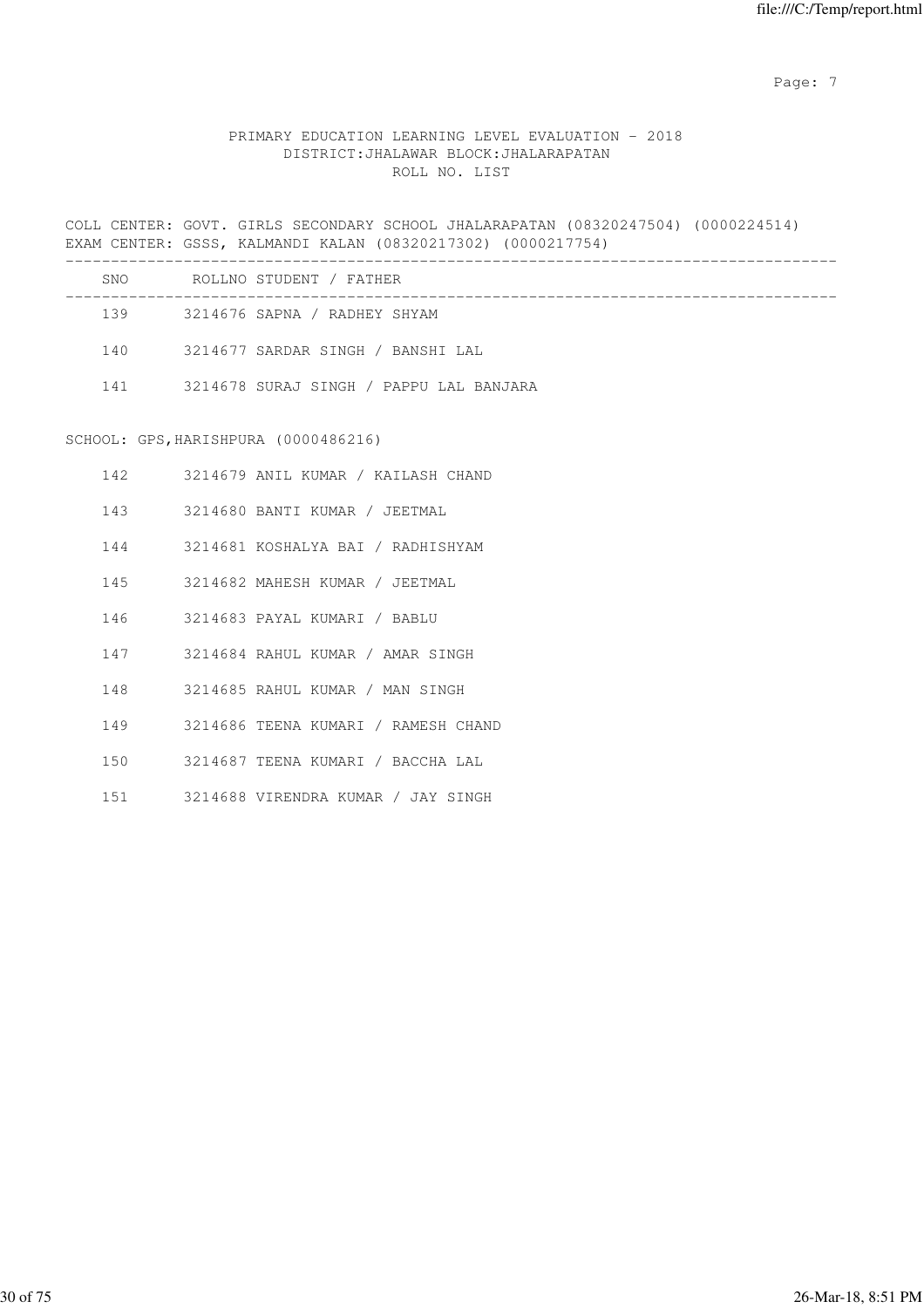Page: 7  $P$  and  $P$  and  $P$  and  $P$  and  $P$  and  $P$  and  $P$  and  $P$  and  $P$  and  $P$  and  $P$  and  $P$  and  $P$  and  $P$  and  $P$  and  $P$  and  $P$  and  $P$  and  $P$  and  $P$  and  $P$  and  $P$  and  $P$  and  $P$  and  $P$  and  $P$  and  $P$  an

### PRIMARY EDUCATION LEARNING LEVEL EVALUATION - 2018 DISTRICT:JHALAWAR BLOCK:JHALARAPATAN ROLL NO. LIST

COLL CENTER: GOVT. GIRLS SECONDARY SCHOOL JHALARAPATAN (08320247504) (0000224514) EXAM CENTER: GSSS, KALMANDI KALAN (08320217302) (0000217754) -------------------------------------------------------------------------------------

| SNO | ROLLNO STUDENT / FATHER                 |
|-----|-----------------------------------------|
| 139 | 3214676 SAPNA / RADHEY SHYAM            |
| 140 | 3214677 SARDAR SINGH / BANSHI LAL       |
| 141 | 3214678 SURAJ SINGH / PAPPU LAL BANJARA |

#### SCHOOL: GPS,HARISHPURA (0000486216)

| 142 | 3214679 ANIL KUMAR / KAILASH CHAND  |
|-----|-------------------------------------|
| 143 | 3214680 BANTI KUMAR / JEETMAL       |
| 144 | 3214681 KOSHALYA BAI / RADHISHYAM   |
| 145 | 3214682 MAHESH KUMAR / JEETMAL      |
| 146 | – 3214683 PAYAL KUMARI / BABLU      |
| 147 | 3214684 RAHUL KUMAR / AMAR SINGH    |
| 148 | 3214685 RAHUL KUMAR / MAN SINGH     |
| 149 | 3214686 TEENA KUMARI / RAMESH CHAND |
| 150 | 3214687 TEENA KUMARI / BACCHA LAL   |

151 3214688 VIRENDRA KUMAR / JAY SINGH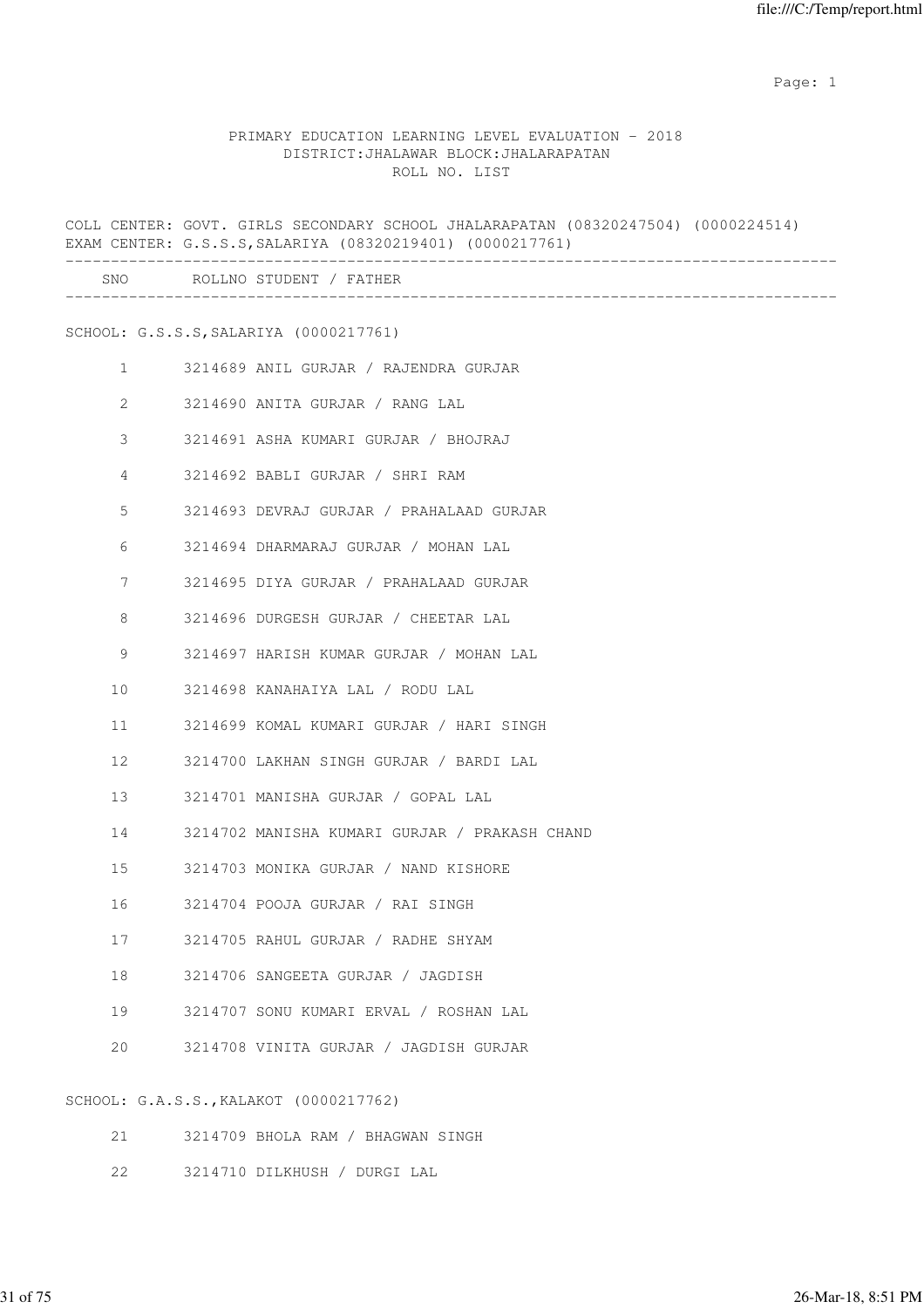#### PRIMARY EDUCATION LEARNING LEVEL EVALUATION - 2018 DISTRICT:JHALAWAR BLOCK:JHALARAPATAN ROLL NO. LIST

COLL CENTER: GOVT. GIRLS SECONDARY SCHOOL JHALARAPATAN (08320247504) (0000224514) EXAM CENTER: G.S.S.S,SALARIYA (08320219401) (0000217761) ------------------------------------------------------------------------------------- SNO ROLLNO STUDENT / FATHER ------------------------------------------------------------------------------------- SCHOOL: G.S.S.S,SALARIYA (0000217761) 1 3214689 ANIL GURJAR / RAJENDRA GURJAR 2 3214690 ANITA GURJAR / RANG LAL 3 3214691 ASHA KUMARI GURJAR / BHOJRAJ 4 3214692 BABLI GURJAR / SHRI RAM 5 3214693 DEVRAJ GURJAR / PRAHALAAD GURJAR 6 3214694 DHARMARAJ GURJAR / MOHAN LAL 7 3214695 DIYA GURJAR / PRAHALAAD GURJAR 8 3214696 DURGESH GURJAR / CHEETAR LAL 9 3214697 HARISH KUMAR GURJAR / MOHAN LAL 10 3214698 KANAHAIYA LAL / RODU LAL 11 3214699 KOMAL KUMARI GURJAR / HARI SINGH 12 3214700 LAKHAN SINGH GURJAR / BARDI LAL 13 3214701 MANISHA GURJAR / GOPAL LAL 14 3214702 MANISHA KUMARI GURJAR / PRAKASH CHAND 15 3214703 MONIKA GURJAR / NAND KISHORE 16 3214704 POOJA GURJAR / RAI SINGH 17 3214705 RAHUL GURJAR / RADHE SHYAM 18 3214706 SANGEETA GURJAR / JAGDISH 19 3214707 SONU KUMARI ERVAL / ROSHAN LAL 20 3214708 VINITA GURJAR / JAGDISH GURJAR SCHOOL: G.A.S.S.,KALAKOT (0000217762)

- 21 3214709 BHOLA RAM / BHAGWAN SINGH
- 22 3214710 DILKHUSH / DURGI LAL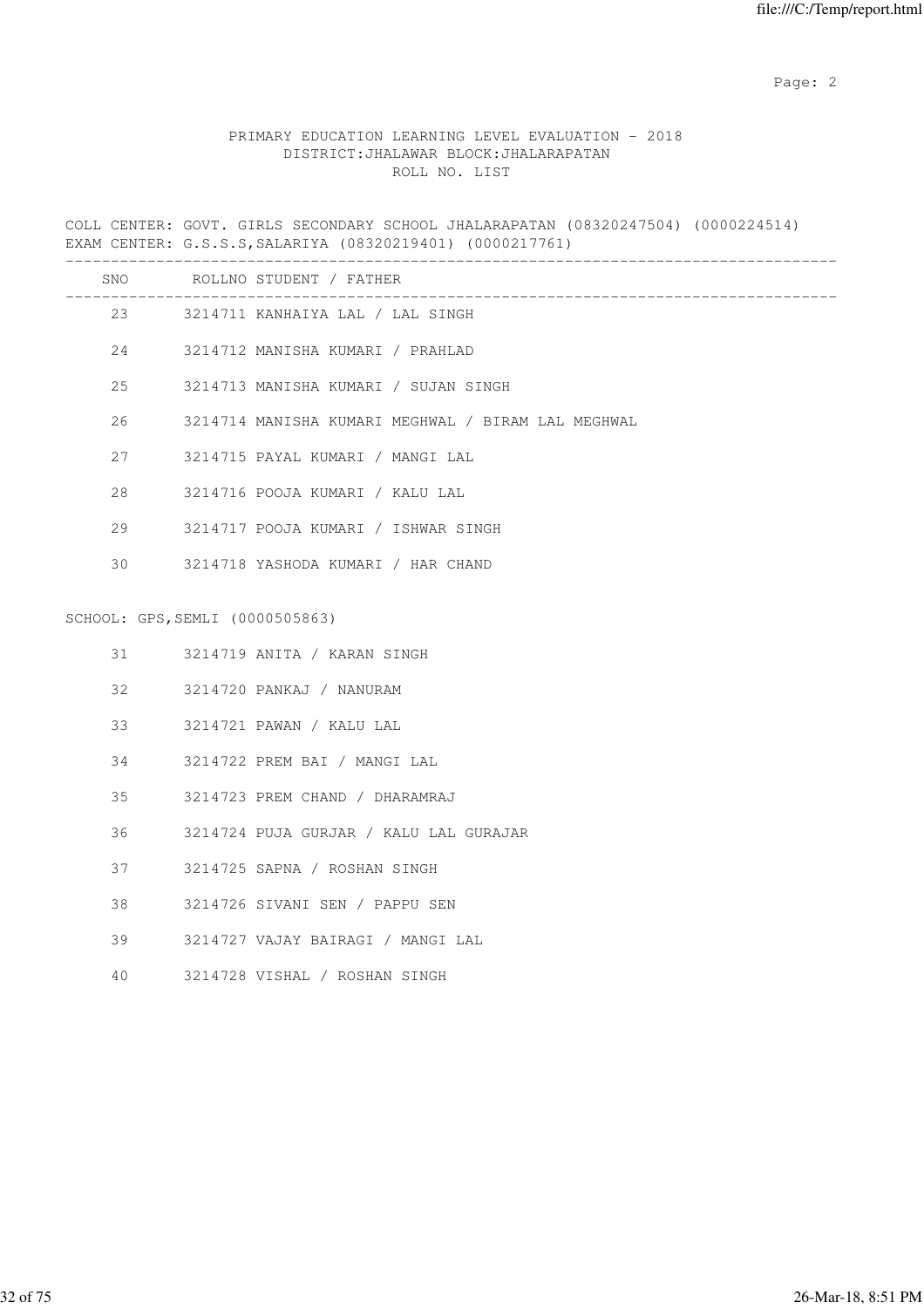### PRIMARY EDUCATION LEARNING LEVEL EVALUATION - 2018 DISTRICT:JHALAWAR BLOCK:JHALARAPATAN ROLL NO. LIST

COLL CENTER: GOVT. GIRLS SECONDARY SCHOOL JHALARAPATAN (08320247504) (0000224514) EXAM CENTER: G.S.S.S,SALARIYA (08320219401) (0000217761)

| SNO |                                 | ROLLNO STUDENT / FATHER<br>_____________________________ |
|-----|---------------------------------|----------------------------------------------------------|
|     |                                 | 23 3214711 KANHAIYA LAL / LAL SINGH                      |
|     |                                 | 3214712 MANISHA KUMARI / PRAHLAD                         |
| 25  |                                 | 3214713 MANISHA KUMARI / SUJAN SINGH                     |
| 26  |                                 | 3214714 MANISHA KUMARI MEGHWAL / BIRAM LAL MEGHWAL       |
| 27  |                                 | 3214715 PAYAL KUMARI / MANGI LAL                         |
| 28  |                                 | 3214716 POOJA KUMARI / KALU LAL                          |
| 29  |                                 | 3214717 POOJA KUMARI / ISHWAR SINGH                      |
| 30  |                                 | 3214718 YASHODA KUMARI / HAR CHAND                       |
|     | SCHOOL: GPS, SEMLI (0000505863) |                                                          |
| 31  |                                 | 3214719 ANITA / KARAN SINGH                              |
| 32  |                                 | 3214720 PANKAJ / NANURAM                                 |
| 33  |                                 | 3214721 PAWAN / KALU LAL                                 |
| 34  |                                 | 3214722 PREM BAI / MANGI LAL                             |
| 35  |                                 | 3214723 PREM CHAND / DHARAMRAJ                           |
| 36  |                                 | 3214724 PUJA GURJAR / KALU LAL GURAJAR                   |
| 37  |                                 | 3214725 SAPNA / ROSHAN SINGH                             |
| 38  |                                 | 3214726 SIVANI SEN / PAPPU SEN                           |
| 39  |                                 | 3214727 VAJAY BAIRAGI / MANGI LAL                        |
| 40  |                                 | 3214728 VISHAL / ROSHAN SINGH                            |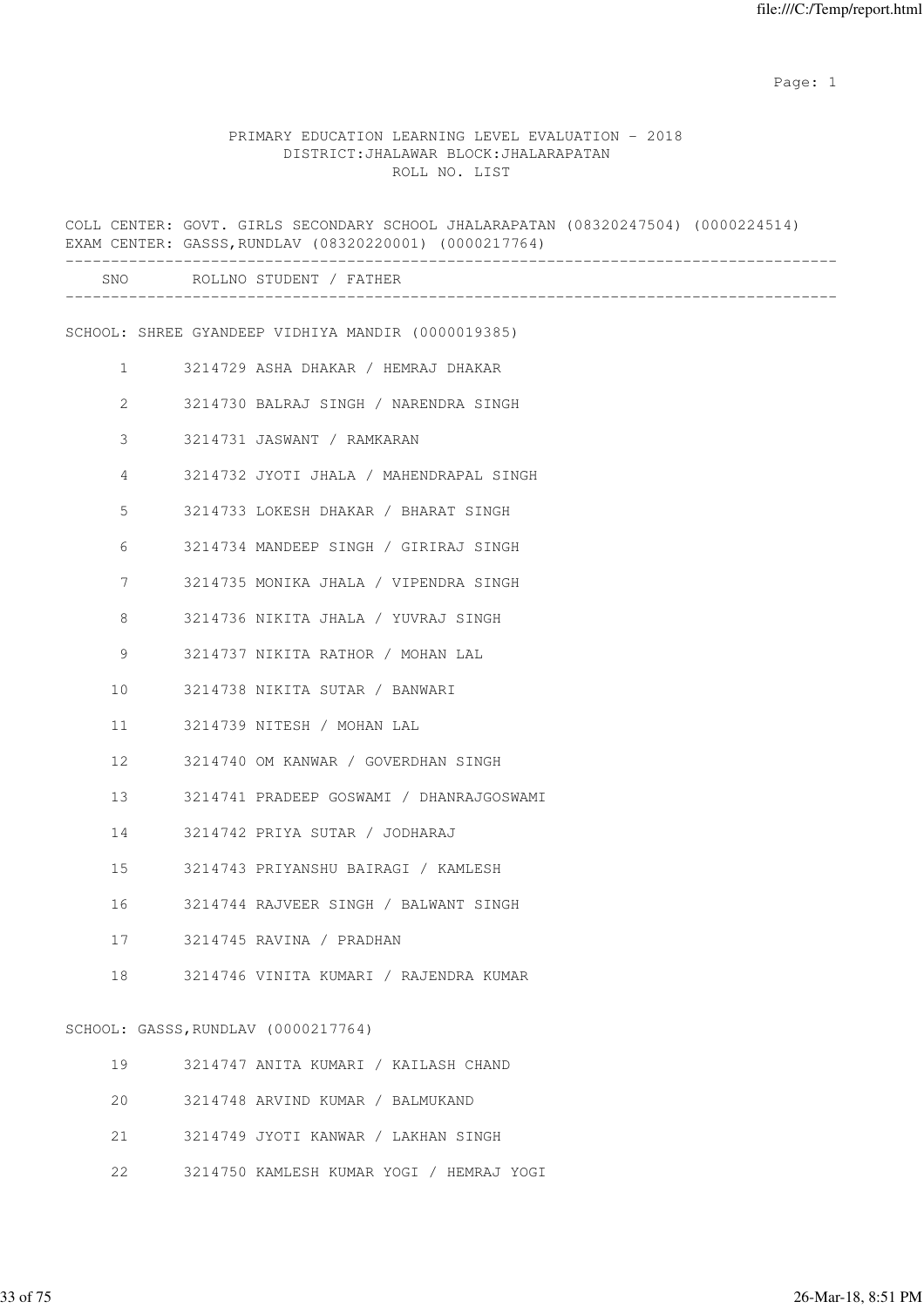|                | COLL CENTER: GOVT. GIRLS SECONDARY SCHOOL JHALARAPATAN (08320247504) (0000224514)<br>EXAM CENTER: GASSS, RUNDLAV (08320220001) (0000217764) |
|----------------|---------------------------------------------------------------------------------------------------------------------------------------------|
|                | SNO ROLLNO STUDENT / FATHER                                                                                                                 |
|                | SCHOOL: SHREE GYANDEEP VIDHIYA MANDIR (0000019385)                                                                                          |
| $\mathbf{1}$   | 3214729 ASHA DHAKAR / HEMRAJ DHAKAR                                                                                                         |
| $\overline{2}$ | 3214730 BALRAJ SINGH / NARENDRA SINGH                                                                                                       |
| 3              | 3214731 JASWANT / RAMKARAN                                                                                                                  |
| 4              | 3214732 JYOTI JHALA / MAHENDRAPAL SINGH                                                                                                     |
| 5              | 3214733 LOKESH DHAKAR / BHARAT SINGH                                                                                                        |
| 6              | 3214734 MANDEEP SINGH / GIRIRAJ SINGH                                                                                                       |
| 7              | 3214735 MONIKA JHALA / VIPENDRA SINGH                                                                                                       |
| 8              | 3214736 NIKITA JHALA / YUVRAJ SINGH                                                                                                         |
| 9              | 3214737 NIKITA RATHOR / MOHAN LAL                                                                                                           |
| 10             | 3214738 NIKITA SUTAR / BANWARI                                                                                                              |
| 11             | 3214739 NITESH / MOHAN LAL                                                                                                                  |
| 12             | 3214740 OM KANWAR / GOVERDHAN SINGH                                                                                                         |
| 13             | 3214741 PRADEEP GOSWAMI / DHANRAJGOSWAMI                                                                                                    |
| 14             | 3214742 PRIYA SUTAR / JODHARAJ                                                                                                              |
| 15             | 3214743 PRIYANSHU BAIRAGI / KAMLESH                                                                                                         |
| 16             | 3214744 RAJVEER SINGH / BALWANT SINGH                                                                                                       |
| 17             | 3214745 RAVINA / PRADHAN                                                                                                                    |
| 18             | 3214746 VINITA KUMARI / RAJENDRA KUMAR                                                                                                      |
|                | SCHOOL: GASSS, RUNDLAV (0000217764)                                                                                                         |
| 19             | 3214747 ANITA KUMARI / KAILASH CHAND                                                                                                        |
| 20             | 3214748 ARVIND KUMAR / BALMUKAND                                                                                                            |
| 21             | 3214749 JYOTI KANWAR / LAKHAN SINGH                                                                                                         |
| 22             | 3214750 KAMLESH KUMAR YOGI / HEMRAJ YOGI                                                                                                    |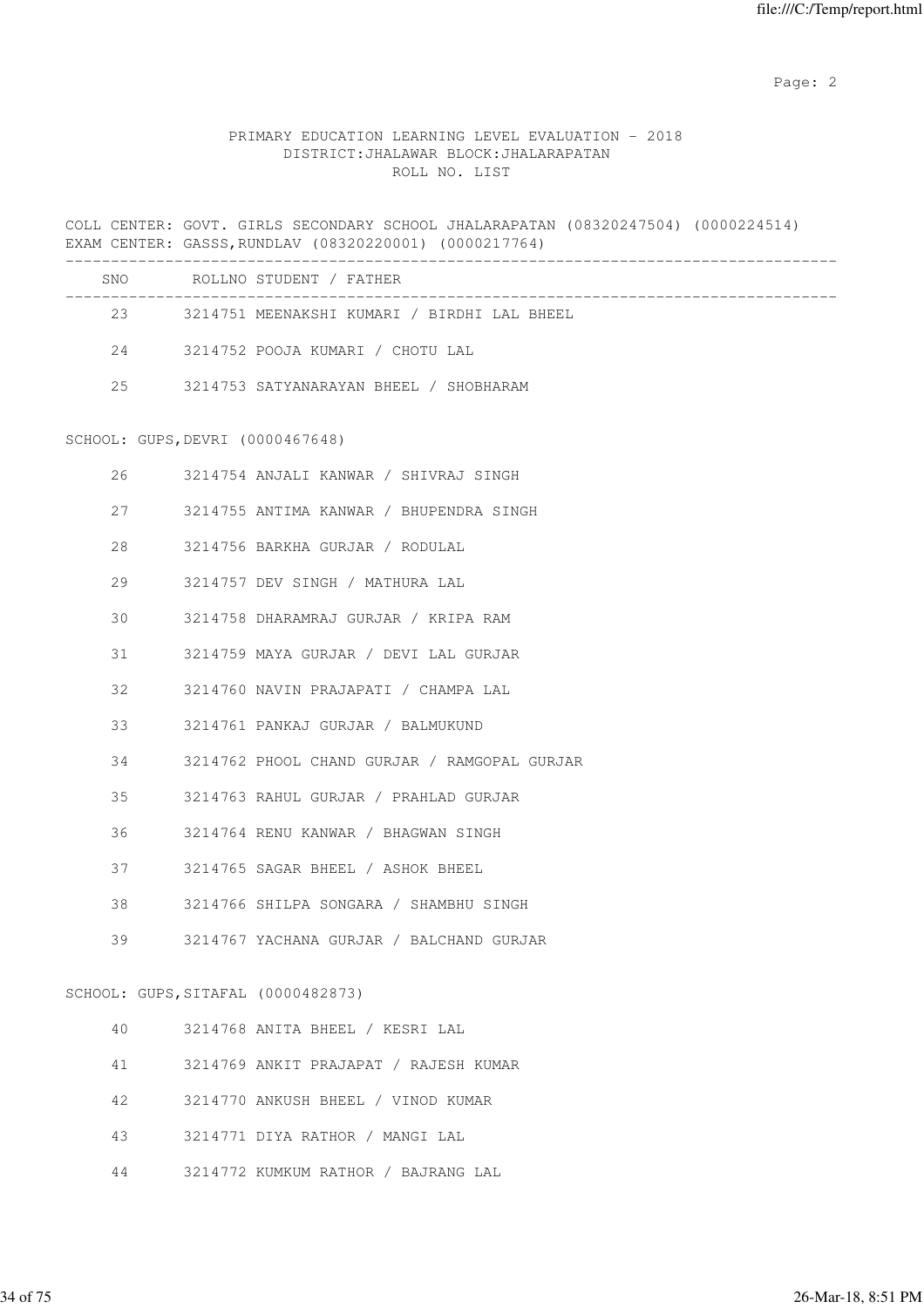### PRIMARY EDUCATION LEARNING LEVEL EVALUATION - 2018 DISTRICT:JHALAWAR BLOCK:JHALARAPATAN ROLL NO. LIST

COLL CENTER: GOVT. GIRLS SECONDARY SCHOOL JHALARAPATAN (08320247504) (0000224514) EXAM CENTER: GASSS,RUNDLAV (08320220001) (0000217764)

| SNO | ROLLNO STUDENT / FATHER                     |
|-----|---------------------------------------------|
| 23  | 3214751 MEENAKSHI KUMARI / BIRDHI LAL BHEEL |
| 2.4 | 3214752 POOJA KUMARI / CHOTU LAL            |
| 2.5 | 3214753 SATYANARAYAN BHEEL / SHOBHARAM      |
|     |                                             |

### SCHOOL: GUPS,DEVRI (0000467648)

| 26              |                                    | 3214754 ANJALI KANWAR / SHIVRAJ SINGH        |
|-----------------|------------------------------------|----------------------------------------------|
|                 |                                    | 27 3214755 ANTIMA KANWAR / BHUPENDRA SINGH   |
| 28              |                                    | 3214756 BARKHA GURJAR / RODULAL              |
| 29              |                                    | 3214757 DEV SINGH / MATHURA LAL              |
| 30 <sup>7</sup> |                                    | 3214758 DHARAMRAJ GURJAR / KRIPA RAM         |
|                 |                                    | 31 3214759 MAYA GURJAR / DEVI LAL GURJAR     |
| 32              |                                    | 3214760 NAVIN PRAJAPATI / CHAMPA LAL         |
|                 |                                    | 33 3214761 PANKAJ GURJAR / BALMUKUND         |
| 34              |                                    | 3214762 PHOOL CHAND GURJAR / RAMGOPAL GURJAR |
| 35              |                                    | 3214763 RAHUL GURJAR / PRAHLAD GURJAR        |
| 36              |                                    | 3214764 RENU KANWAR / BHAGWAN SINGH          |
|                 |                                    | 37 3214765 SAGAR BHEEL / ASHOK BHEEL         |
| 38              |                                    | 3214766 SHILPA SONGARA / SHAMBHU SINGH       |
| 39              |                                    | 3214767 YACHANA GURJAR / BALCHAND GURJAR     |
|                 | SCHOOL: GUPS, SITAFAL (0000482873) |                                              |
|                 |                                    | 40 3214768 ANITA BHEEL / KESRI LAL           |
| 41              |                                    | 3214769 ANKIT PRAJAPAT / RAJESH KUMAR        |
|                 |                                    |                                              |

- 42 3214770 ANKUSH BHEEL / VINOD KUMAR
- 43 3214771 DIYA RATHOR / MANGI LAL
- 44 3214772 KUMKUM RATHOR / BAJRANG LAL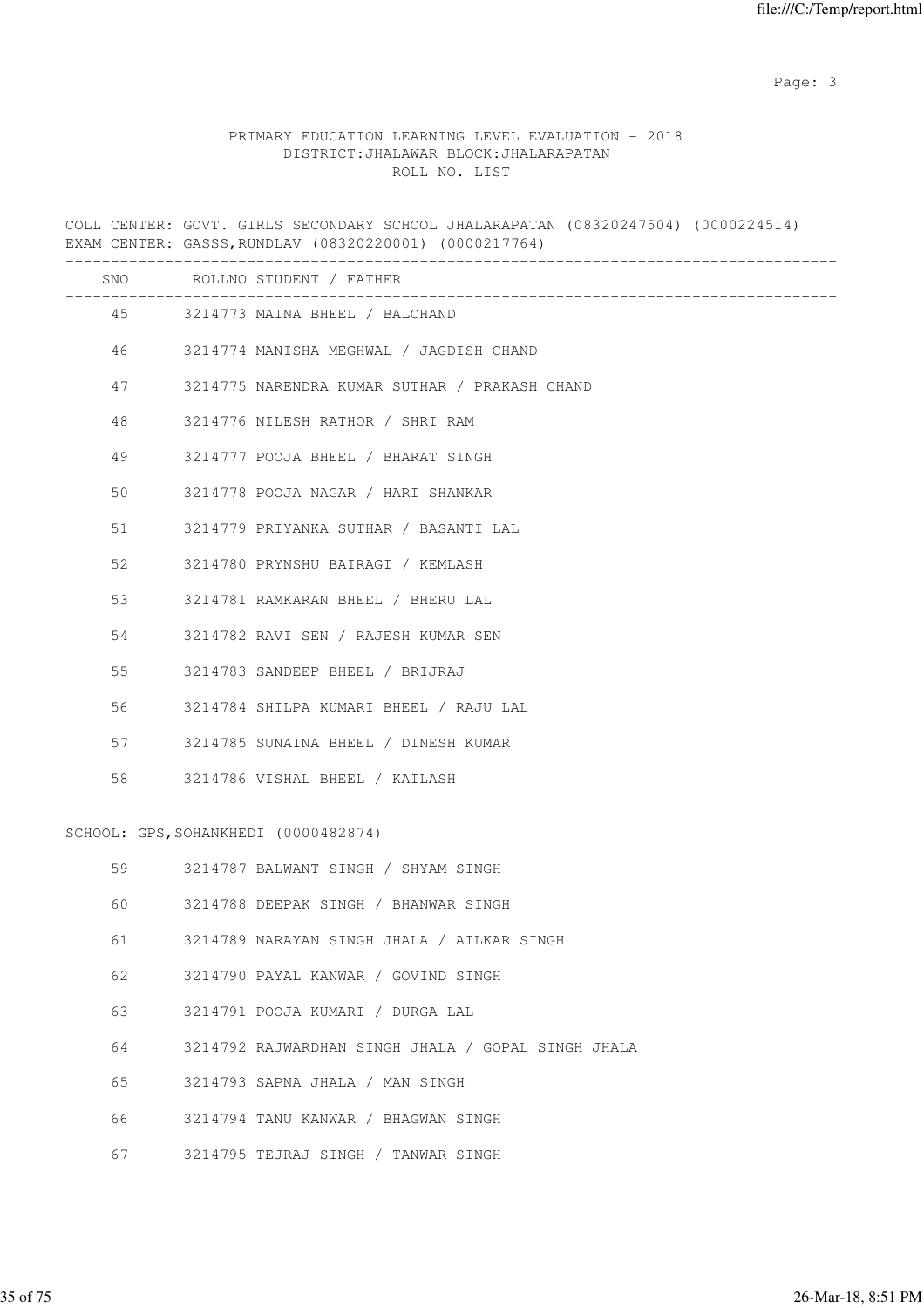Page: 3

### PRIMARY EDUCATION LEARNING LEVEL EVALUATION - 2018 DISTRICT:JHALAWAR BLOCK:JHALARAPATAN ROLL NO. LIST

COLL CENTER: GOVT. GIRLS SECONDARY SCHOOL JHALARAPATAN (08320247504) (0000224514) EXAM CENTER: GASSS,RUNDLAV (08320220001) (0000217764)

|    | SNO ROLLNO STUDENT / FATHER                        |
|----|----------------------------------------------------|
|    | 45 3214773 MAINA BHEEL / BALCHAND                  |
| 46 | 3214774 MANISHA MEGHWAL / JAGDISH CHAND            |
| 47 | 3214775 NARENDRA KUMAR SUTHAR / PRAKASH CHAND      |
| 48 | 3214776 NILESH RATHOR / SHRI RAM                   |
| 49 | 3214777 POOJA BHEEL / BHARAT SINGH                 |
| 50 | 3214778 POOJA NAGAR / HARI SHANKAR                 |
| 51 | 3214779 PRIYANKA SUTHAR / BASANTI LAL              |
| 52 | 3214780 PRYNSHU BAIRAGI / KEMLASH                  |
| 53 | 3214781 RAMKARAN BHEEL / BHERU LAL                 |
| 54 | 3214782 RAVI SEN / RAJESH KUMAR SEN                |
| 55 | 3214783 SANDEEP BHEEL / BRIJRAJ                    |
| 56 | 3214784 SHILPA KUMARI BHEEL / RAJU LAL             |
| 57 | 3214785 SUNAINA BHEEL / DINESH KUMAR               |
| 58 | 3214786 VISHAL BHEEL / KAILASH                     |
|    | SCHOOL: GPS, SOHANKHEDI (0000482874)               |
| 59 | 3214787 BALWANT SINGH / SHYAM SINGH                |
| 60 | 3214788 DEEPAK SINGH / BHANWAR SINGH               |
| 61 | 3214789 NARAYAN SINGH JHALA / AILKAR SINGH         |
| 62 | 3214790 PAYAL KANWAR / GOVIND SINGH                |
| 63 | 3214791 POOJA KUMARI / DURGA LAL                   |
| 64 | 3214792 RAJWARDHAN SINGH JHALA / GOPAL SINGH JHALA |
| 65 | 3214793 SAPNA JHALA / MAN SINGH                    |
| 66 | 3214794 TANU KANWAR / BHAGWAN SINGH                |
| 67 | 3214795 TEJRAJ SINGH / TANWAR SINGH                |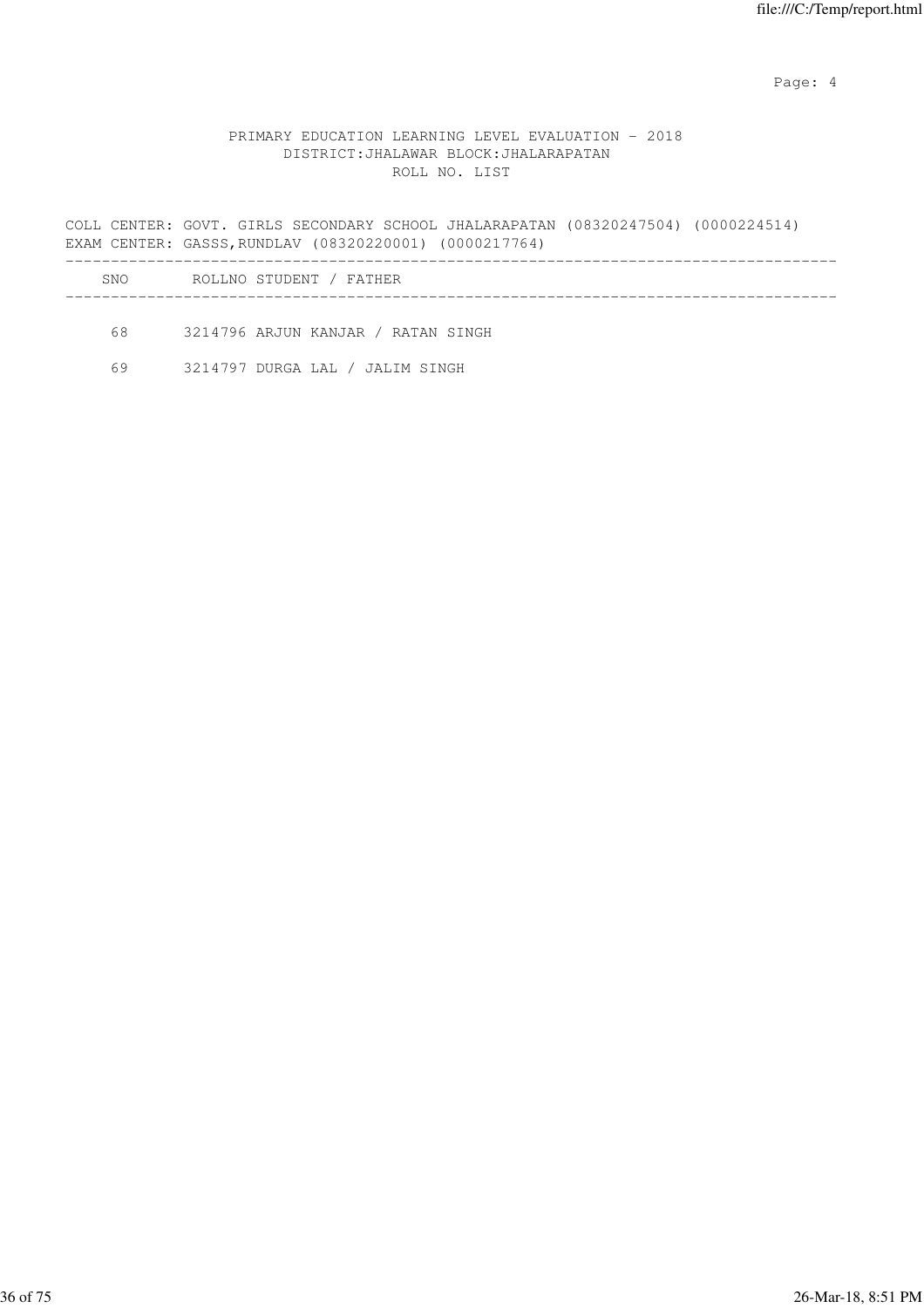Page: 4  $P$ 

### PRIMARY EDUCATION LEARNING LEVEL EVALUATION - 2018 DISTRICT:JHALAWAR BLOCK:JHALARAPATAN ROLL NO. LIST

COLL CENTER: GOVT. GIRLS SECONDARY SCHOOL JHALARAPATAN (08320247504) (0000224514) EXAM CENTER: GASSS,RUNDLAV (08320220001) (0000217764) ------------------------------------------------------------------------------------- SNO ROLLNO STUDENT / FATHER

-------------------------------------------------------------------------------------

68 3214796 ARJUN KANJAR / RATAN SINGH

69 3214797 DURGA LAL / JALIM SINGH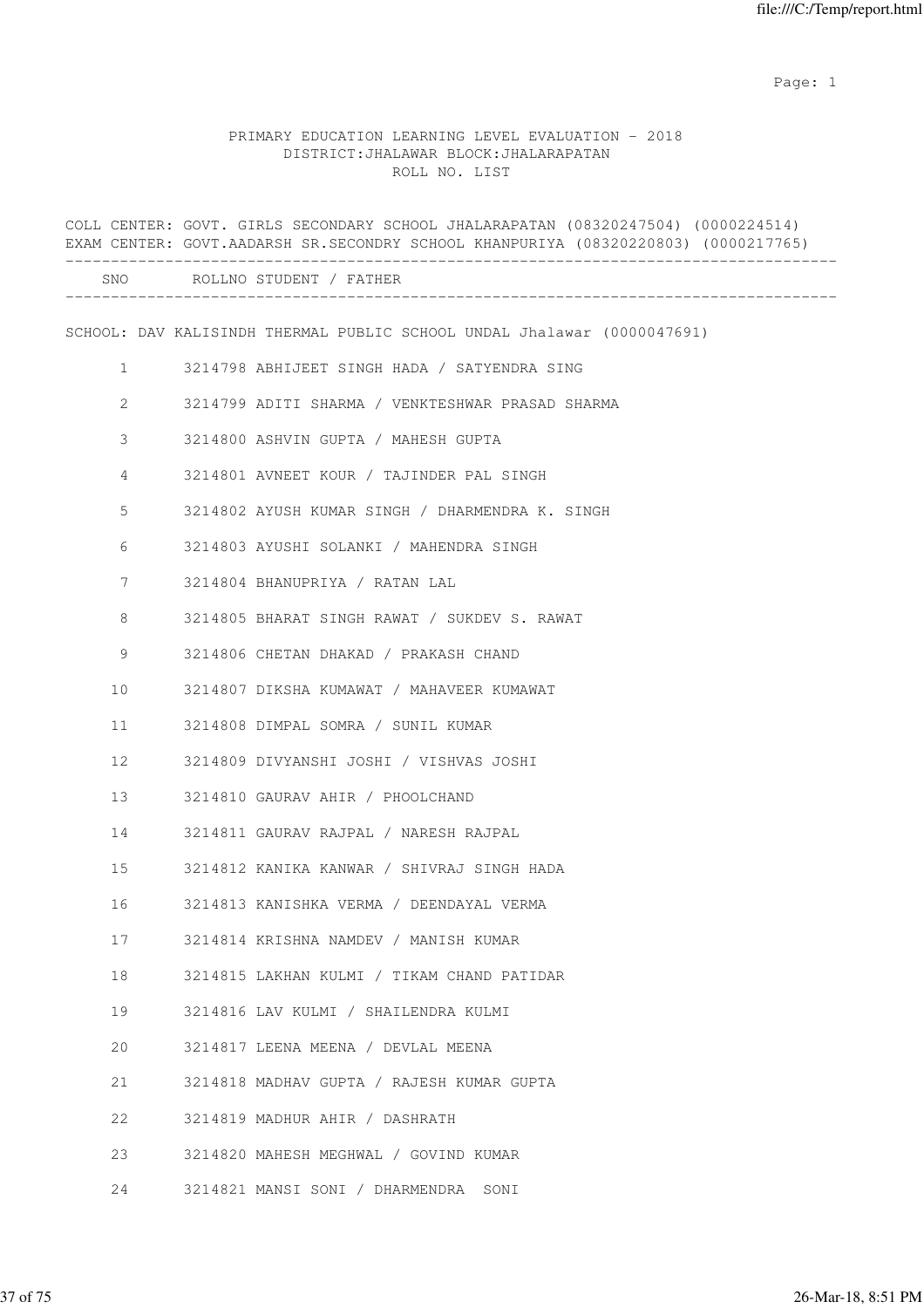# PRIMARY EDUCATION LEARNING LEVEL EVALUATION - 2018 DISTRICT:JHALAWAR BLOCK:JHALARAPATAN ROLL NO. LIST

|              | COLL CENTER: GOVT. GIRLS SECONDARY SCHOOL JHALARAPATAN (08320247504) (0000224514)<br>EXAM CENTER: GOVT.AADARSH SR.SECONDRY SCHOOL KHANPURIYA (08320220803) (0000217765) |
|--------------|-------------------------------------------------------------------------------------------------------------------------------------------------------------------------|
|              | ___________________________<br>SNO ROLLNO STUDENT / FATHER                                                                                                              |
|              | SCHOOL: DAV KALISINDH THERMAL PUBLIC SCHOOL UNDAL Jhalawar (0000047691)                                                                                                 |
| $\mathbf{1}$ | 3214798 ABHIJEET SINGH HADA / SATYENDRA SING                                                                                                                            |
| $\mathbf{2}$ | 3214799 ADITI SHARMA / VENKTESHWAR PRASAD SHARMA                                                                                                                        |
| 3            | 3214800 ASHVIN GUPTA / MAHESH GUPTA                                                                                                                                     |
| 4            | 3214801 AVNEET KOUR / TAJINDER PAL SINGH                                                                                                                                |
| 5            | 3214802 AYUSH KUMAR SINGH / DHARMENDRA K. SINGH                                                                                                                         |
| 6            | 3214803 AYUSHI SOLANKI / MAHENDRA SINGH                                                                                                                                 |
| 7            | 3214804 BHANUPRIYA / RATAN LAL                                                                                                                                          |
| 8            | 3214805 BHARAT SINGH RAWAT / SUKDEV S. RAWAT                                                                                                                            |
| 9            | 3214806 CHETAN DHAKAD / PRAKASH CHAND                                                                                                                                   |
| 10           | 3214807 DIKSHA KUMAWAT / MAHAVEER KUMAWAT                                                                                                                               |
| 11           | 3214808 DIMPAL SOMRA / SUNIL KUMAR                                                                                                                                      |
| 12           | 3214809 DIVYANSHI JOSHI / VISHVAS JOSHI                                                                                                                                 |
| 13           | 3214810 GAURAV AHIR / PHOOLCHAND                                                                                                                                        |
| 14           | 3214811 GAURAV RAJPAL / NARESH RAJPAL                                                                                                                                   |
| 15           | 3214812 KANIKA KANWAR / SHIVRAJ SINGH HADA                                                                                                                              |
| 16           | 3214813 KANISHKA VERMA / DEENDAYAL VERMA                                                                                                                                |
| 17           | 3214814 KRISHNA NAMDEV / MANISH KUMAR                                                                                                                                   |
| 18           | 3214815 LAKHAN KULMI / TIKAM CHAND PATIDAR                                                                                                                              |
| 19           | 3214816 LAV KULMI / SHAILENDRA KULMI                                                                                                                                    |
| 20           | 3214817 LEENA MEENA / DEVLAL MEENA                                                                                                                                      |
| 21           | 3214818 MADHAV GUPTA / RAJESH KUMAR GUPTA                                                                                                                               |
| 22           | 3214819 MADHUR AHIR / DASHRATH                                                                                                                                          |
| 23           | 3214820 MAHESH MEGHWAL / GOVIND KUMAR                                                                                                                                   |
| 24           | 3214821 MANSI SONI / DHARMENDRA SONI                                                                                                                                    |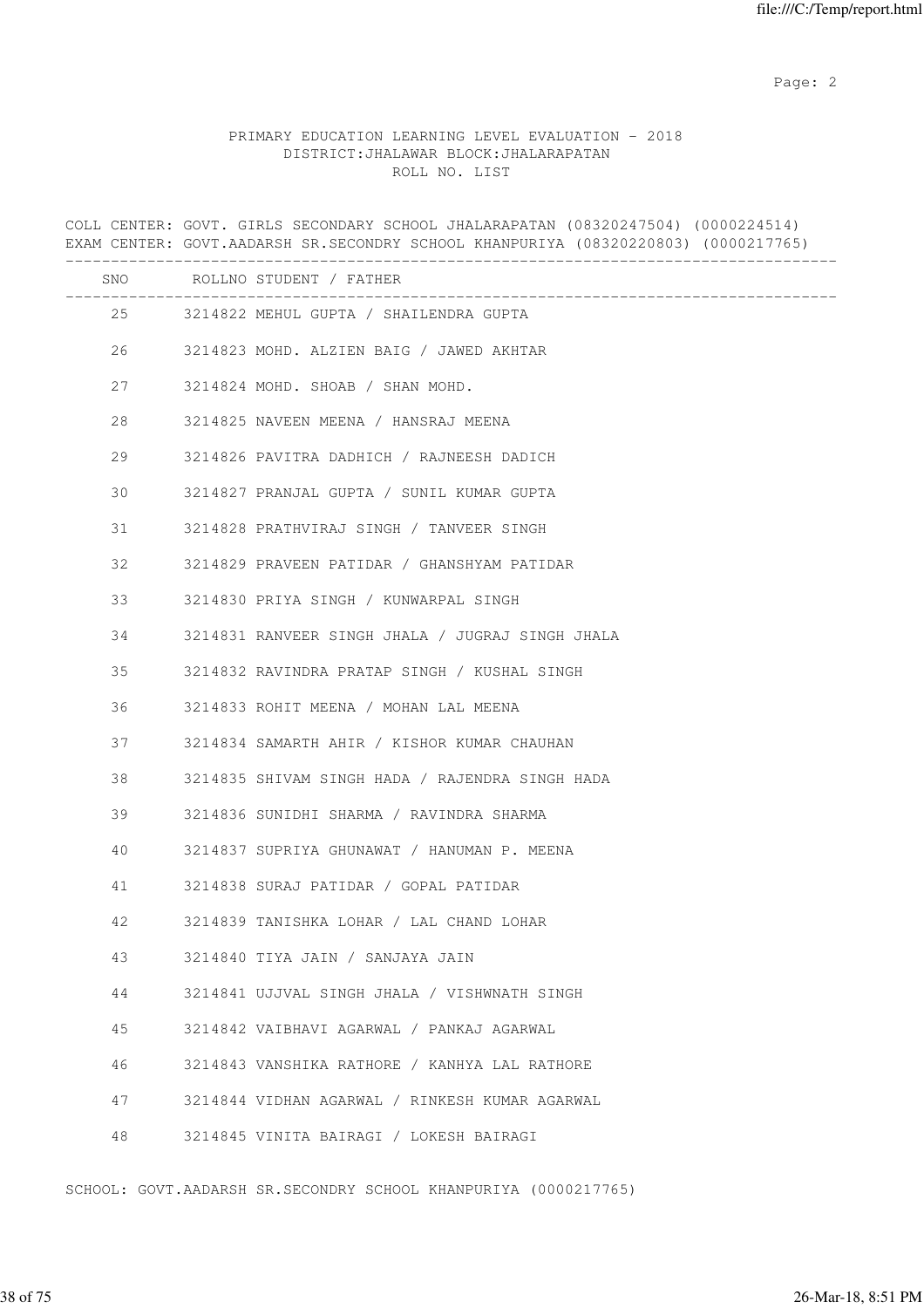## PRIMARY EDUCATION LEARNING LEVEL EVALUATION - 2018 DISTRICT:JHALAWAR BLOCK:JHALARAPATAN ROLL NO. LIST

COLL CENTER: GOVT. GIRLS SECONDARY SCHOOL JHALARAPATAN (08320247504) (0000224514) EXAM CENTER: GOVT.AADARSH SR.SECONDRY SCHOOL KHANPURIYA (08320220803) (0000217765) ------------------------------------------------------------------------------------- SNO ROLLNO STUDENT / FATHER ------------------------------------------------------------------------------------- 25 3214822 MEHUL GUPTA / SHAILENDRA GUPTA 26 3214823 MOHD. ALZIEN BAIG / JAWED AKHTAR 27 3214824 MOHD. SHOAB / SHAN MOHD. 28 3214825 NAVEEN MEENA / HANSRAJ MEENA 29 3214826 PAVITRA DADHICH / RAJNEESH DADICH 30 3214827 PRANJAL GUPTA / SUNIL KUMAR GUPTA 31 3214828 PRATHVIRAJ SINGH / TANVEER SINGH 32 3214829 PRAVEEN PATIDAR / GHANSHYAM PATIDAR 33 3214830 PRIYA SINGH / KUNWARPAL SINGH 34 3214831 RANVEER SINGH JHALA / JUGRAJ SINGH JHALA 35 3214832 RAVINDRA PRATAP SINGH / KUSHAL SINGH 36 3214833 ROHIT MEENA / MOHAN LAL MEENA 37 3214834 SAMARTH AHIR / KISHOR KUMAR CHAUHAN 38 3214835 SHIVAM SINGH HADA / RAJENDRA SINGH HADA 39 3214836 SUNIDHI SHARMA / RAVINDRA SHARMA 40 3214837 SUPRIYA GHUNAWAT / HANUMAN P. MEENA 41 3214838 SURAJ PATIDAR / GOPAL PATIDAR 42 3214839 TANISHKA LOHAR / LAL CHAND LOHAR 43 3214840 TIYA JAIN / SANJAYA JAIN 44 3214841 UJJVAL SINGH JHALA / VISHWNATH SINGH 45 3214842 VAIBHAVI AGARWAL / PANKAJ AGARWAL 46 3214843 VANSHIKA RATHORE / KANHYA LAL RATHORE 47 3214844 VIDHAN AGARWAL / RINKESH KUMAR AGARWAL 48 3214845 VINITA BAIRAGI / LOKESH BAIRAGI

SCHOOL: GOVT.AADARSH SR.SECONDRY SCHOOL KHANPURIYA (0000217765)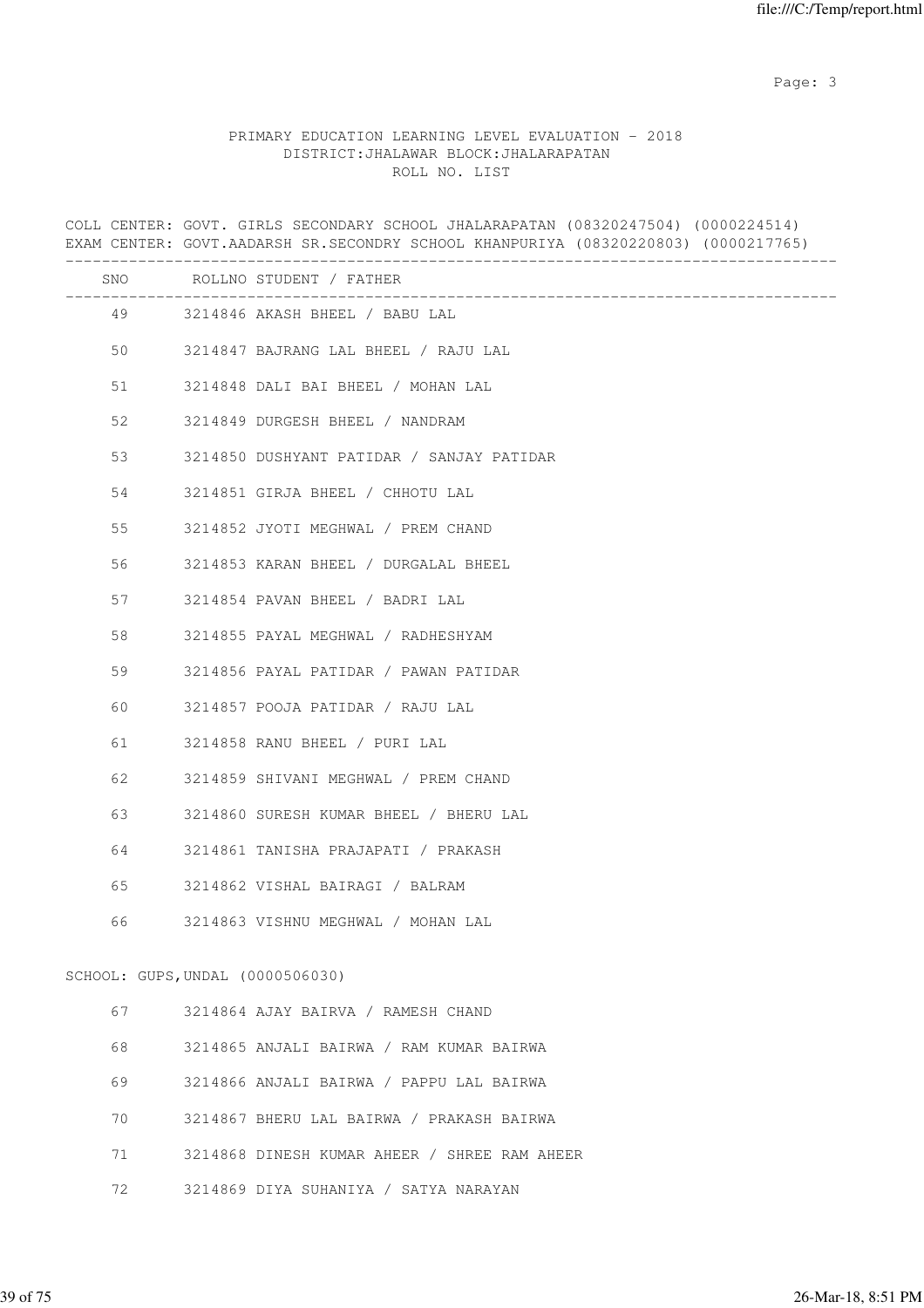Page: 3

# PRIMARY EDUCATION LEARNING LEVEL EVALUATION - 2018 DISTRICT:JHALAWAR BLOCK:JHALARAPATAN ROLL NO. LIST

|         | COLL CENTER: GOVT. GIRLS SECONDARY SCHOOL JHALARAPATAN (08320247504) (0000224514)<br>EXAM CENTER: GOVT.AADARSH SR.SECONDRY SCHOOL KHANPURIYA (08320220803) (0000217765) |
|---------|-------------------------------------------------------------------------------------------------------------------------------------------------------------------------|
|         | SNO ROLLNO STUDENT / FATHER                                                                                                                                             |
|         | 49 3214846 AKASH BHEEL / BABU LAL                                                                                                                                       |
| 50 — 10 | 3214847 BAJRANG LAL BHEEL / RAJU LAL                                                                                                                                    |
| 51      | 3214848 DALI BAI BHEEL / MOHAN LAL                                                                                                                                      |
| 52      | 3214849 DURGESH BHEEL / NANDRAM                                                                                                                                         |
| 53      | 3214850 DUSHYANT PATIDAR / SANJAY PATIDAR                                                                                                                               |
| 54      | 3214851 GIRJA BHEEL / CHHOTU LAL                                                                                                                                        |
| 55      | 3214852 JYOTI MEGHWAL / PREM CHAND                                                                                                                                      |
| 56      | 3214853 KARAN BHEEL / DURGALAL BHEEL                                                                                                                                    |
| 57      | 3214854 PAVAN BHEEL / BADRI LAL                                                                                                                                         |
| 58      | 3214855 PAYAL MEGHWAL / RADHESHYAM                                                                                                                                      |
| 59      | 3214856 PAYAL PATIDAR / PAWAN PATIDAR                                                                                                                                   |
| 60      | 3214857 POOJA PATIDAR / RAJU LAL                                                                                                                                        |
| 61      | 3214858 RANU BHEEL / PURI LAL                                                                                                                                           |
| 62      | 3214859 SHIVANI MEGHWAL / PREM CHAND                                                                                                                                    |
| 63      | 3214860 SURESH KUMAR BHEEL / BHERU LAL                                                                                                                                  |
| 64      | 3214861 TANISHA PRAJAPATI / PRAKASH                                                                                                                                     |
| 65      | 3214862 VISHAL BAIRAGI / BALRAM                                                                                                                                         |
| 66      | 3214863 VISHNU MEGHWAL / MOHAN LAL                                                                                                                                      |
|         | SCHOOL: GUPS, UNDAL (0000506030)                                                                                                                                        |
| 67      | 3214864 AJAY BAIRVA / RAMESH CHAND                                                                                                                                      |
| 68      | 3214865 ANJALI BAIRWA / RAM KUMAR BAIRWA                                                                                                                                |
| 69      | 3214866 ANJALI BAIRWA / PAPPU LAL BAIRWA                                                                                                                                |
| 70      | 3214867 BHERU LAL BAIRWA / PRAKASH BAIRWA                                                                                                                               |
| 71      | 3214868 DINESH KUMAR AHEER / SHREE RAM AHEER                                                                                                                            |
| 72      | 3214869 DIYA SUHANIYA / SATYA NARAYAN                                                                                                                                   |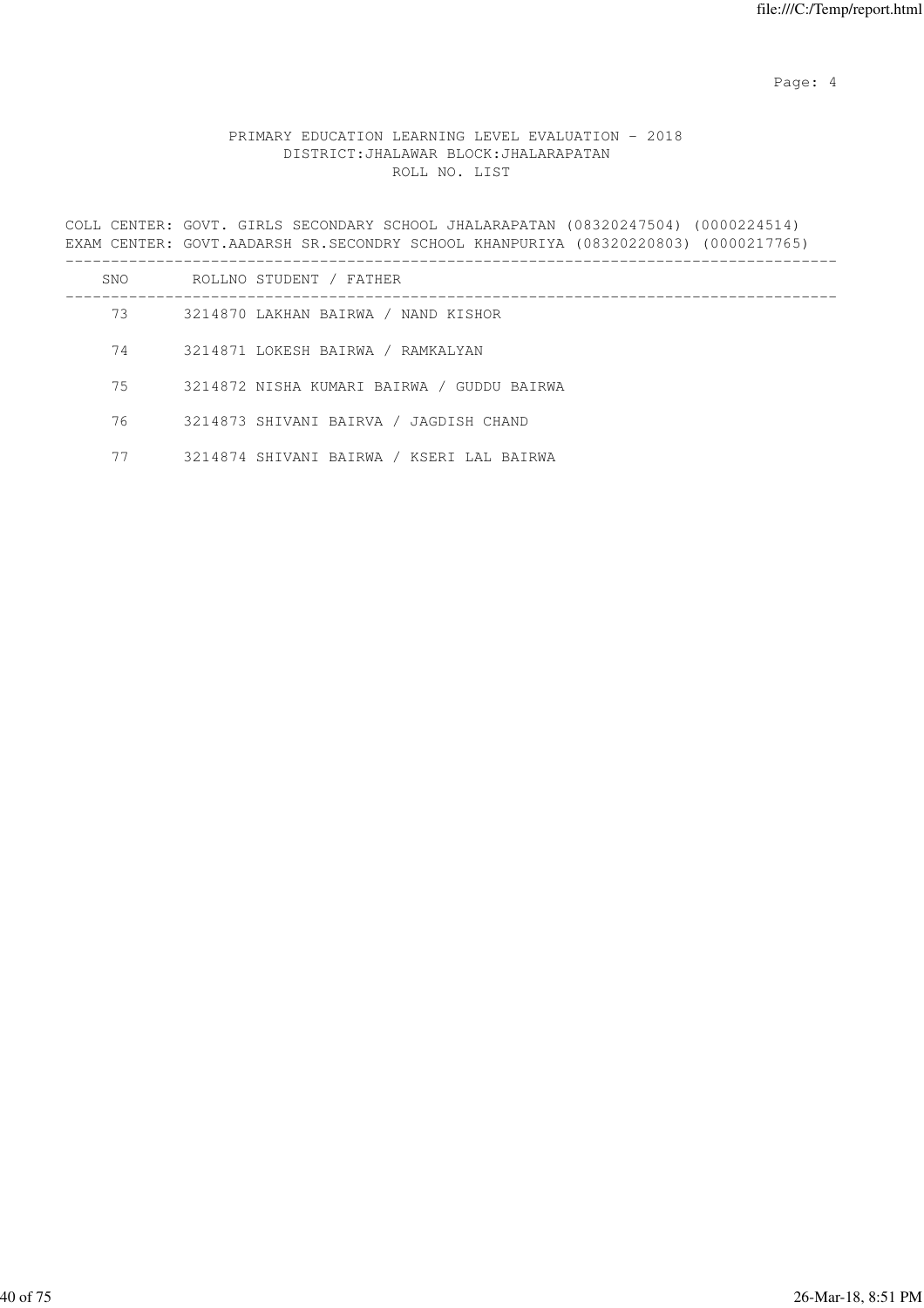Page: 4  $P$ 

# PRIMARY EDUCATION LEARNING LEVEL EVALUATION - 2018 DISTRICT:JHALAWAR BLOCK:JHALARAPATAN ROLL NO. LIST

COLL CENTER: GOVT. GIRLS SECONDARY SCHOOL JHALARAPATAN (08320247504) (0000224514) EXAM CENTER: GOVT.AADARSH SR.SECONDRY SCHOOL KHANPURIYA (08320220803) (0000217765) -------------------------------------------------------------------------------------

| SNO | ROLLNO STUDENT / FATHER                    |
|-----|--------------------------------------------|
| 73  | 3214870 LAKHAN BAIRWA / NAND KISHOR        |
| 74  | 3214871 LOKESH BAIRWA / RAMKALYAN          |
| 75  | 3214872 NISHA KUMARI BAIRWA / GUDDU BAIRWA |
| 76  | 3214873 SHIVANI BAIRVA / JAGDISH CHAND     |
| 77  | 3214874 SHIVANI BAIRWA / KSERI LAL BAIRWA  |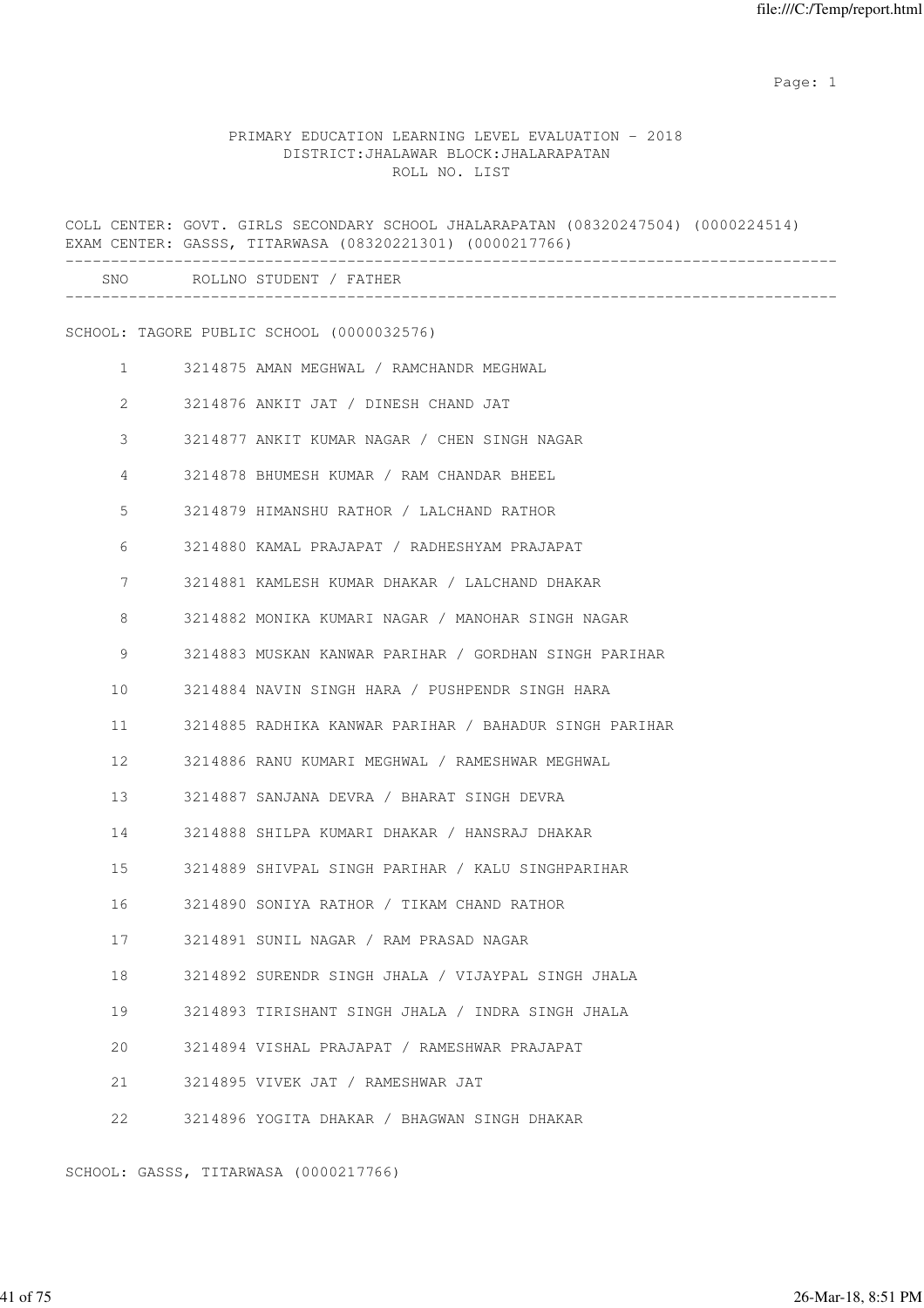# PRIMARY EDUCATION LEARNING LEVEL EVALUATION - 2018 DISTRICT:JHALAWAR BLOCK:JHALARAPATAN ROLL NO. LIST

|              | COLL CENTER: GOVT. GIRLS SECONDARY SCHOOL JHALARAPATAN (08320247504) (0000224514)<br>EXAM CENTER: GASSS, TITARWASA (08320221301) (0000217766) |
|--------------|-----------------------------------------------------------------------------------------------------------------------------------------------|
|              | SNO ROLLNO STUDENT / FATHER                                                                                                                   |
|              | SCHOOL: TAGORE PUBLIC SCHOOL (0000032576)                                                                                                     |
| $\mathbf{1}$ | 3214875 AMAN MEGHWAL / RAMCHANDR MEGHWAL                                                                                                      |
| 2            | 3214876 ANKIT JAT / DINESH CHAND JAT                                                                                                          |
| 3            | 3214877 ANKIT KUMAR NAGAR / CHEN SINGH NAGAR                                                                                                  |
| 4            | 3214878 BHUMESH KUMAR / RAM CHANDAR BHEEL                                                                                                     |
| 5            | 3214879 HIMANSHU RATHOR / LALCHAND RATHOR                                                                                                     |
| 6            | 3214880 KAMAL PRAJAPAT / RADHESHYAM PRAJAPAT                                                                                                  |
| 7            | 3214881 KAMLESH KUMAR DHAKAR / LALCHAND DHAKAR                                                                                                |
| 8            | 3214882 MONIKA KUMARI NAGAR / MANOHAR SINGH NAGAR                                                                                             |
| 9            | 3214883 MUSKAN KANWAR PARIHAR / GORDHAN SINGH PARIHAR                                                                                         |
| 10           | 3214884 NAVIN SINGH HARA / PUSHPENDR SINGH HARA                                                                                               |
| 11           | 3214885 RADHIKA KANWAR PARIHAR / BAHADUR SINGH PARIHAR                                                                                        |
| 12           | 3214886 RANU KUMARI MEGHWAL / RAMESHWAR MEGHWAL                                                                                               |
| 13           | 3214887 SANJANA DEVRA / BHARAT SINGH DEVRA                                                                                                    |
| 14           | 3214888 SHILPA KUMARI DHAKAR / HANSRAJ DHAKAR                                                                                                 |
| 15           | 3214889 SHIVPAL SINGH PARIHAR / KALU SINGHPARIHAR                                                                                             |
| 16           | 3214890 SONIYA RATHOR / TIKAM CHAND RATHOR                                                                                                    |
| 17           | 3214891 SUNIL NAGAR / RAM PRASAD NAGAR                                                                                                        |
| 18           | 3214892 SURENDR SINGH JHALA / VIJAYPAL SINGH JHALA                                                                                            |
| 19           | 3214893 TIRISHANT SINGH JHALA / INDRA SINGH JHALA                                                                                             |
| 20           | 3214894 VISHAL PRAJAPAT / RAMESHWAR PRAJAPAT                                                                                                  |
| 21           | 3214895 VIVEK JAT / RAMESHWAR JAT                                                                                                             |
| 22           | 3214896 YOGITA DHAKAR / BHAGWAN SINGH DHAKAR                                                                                                  |

SCHOOL: GASSS, TITARWASA (0000217766)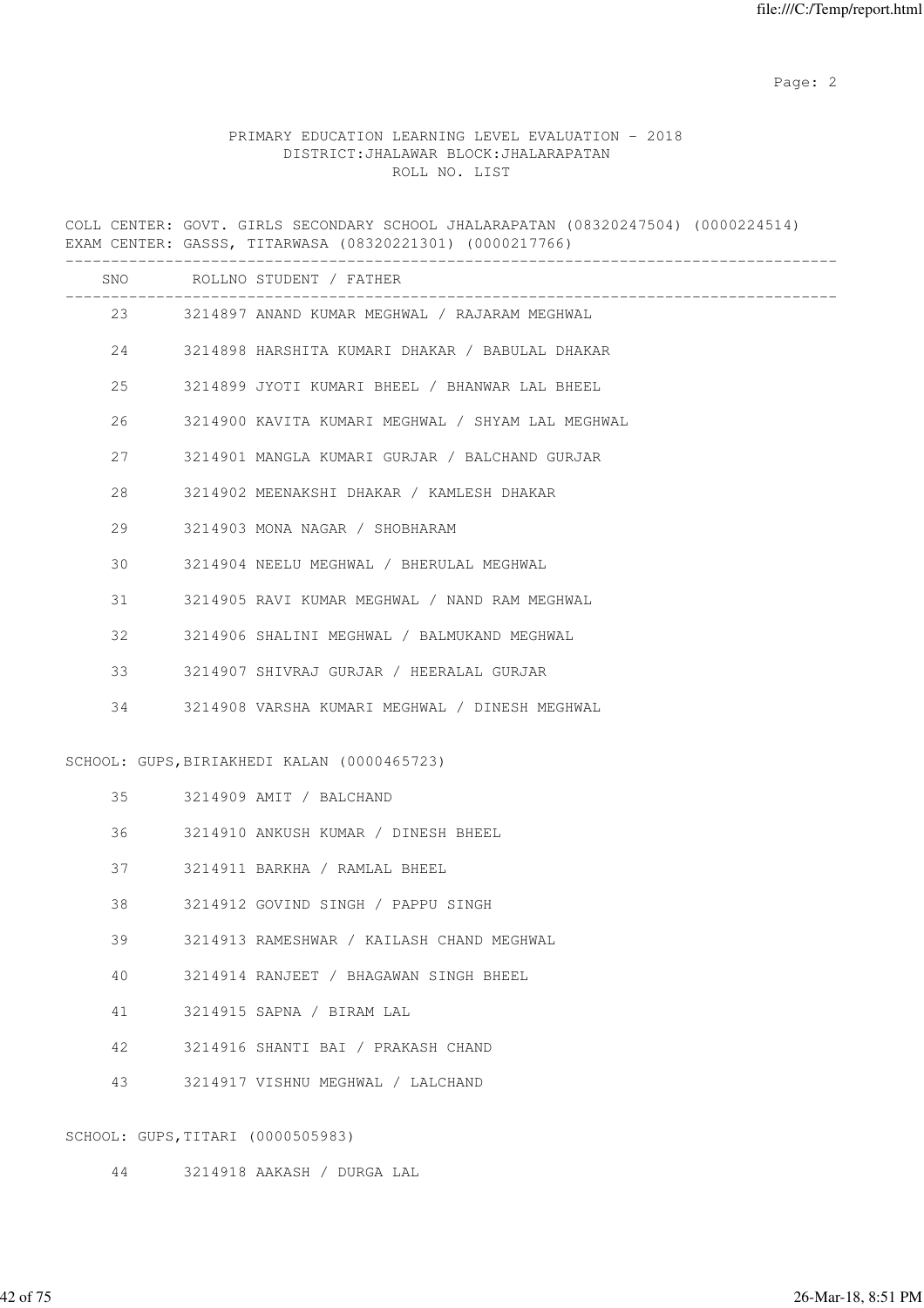# PRIMARY EDUCATION LEARNING LEVEL EVALUATION - 2018 DISTRICT:JHALAWAR BLOCK:JHALARAPATAN ROLL NO. LIST

COLL CENTER: GOVT. GIRLS SECONDARY SCHOOL JHALARAPATAN (08320247504) (0000224514) EXAM CENTER: GASSS, TITARWASA (08320221301) (0000217766) ------------------------------------------------------------------------------------- SNO ROLLNO STUDENT / FATHER ------------------------------------------------------------------------------------- 23 3214897 ANAND KUMAR MEGHWAL / RAJARAM MEGHWAL 24 3214898 HARSHITA KUMARI DHAKAR / BABULAL DHAKAR 25 3214899 JYOTI KUMARI BHEEL / BHANWAR LAL BHEEL 26 3214900 KAVITA KUMARI MEGHWAL / SHYAM LAL MEGHWAL 27 3214901 MANGLA KUMARI GURJAR / BALCHAND GURJAR 28 3214902 MEENAKSHI DHAKAR / KAMLESH DHAKAR 29 3214903 MONA NAGAR / SHOBHARAM 30 3214904 NEELU MEGHWAL / BHERULAL MEGHWAL 31 3214905 RAVI KUMAR MEGHWAL / NAND RAM MEGHWAL 32 3214906 SHALINI MEGHWAL / BALMUKAND MEGHWAL 33 3214907 SHIVRAJ GURJAR / HEERALAL GURJAR 34 3214908 VARSHA KUMARI MEGHWAL / DINESH MEGHWAL SCHOOL: GUPS,BIRIAKHEDI KALAN (0000465723) 35 3214909 AMIT / BALCHAND 36 3214910 ANKUSH KUMAR / DINESH BHEEL 37 3214911 BARKHA / RAMLAL BHEEL 38 3214912 GOVIND SINGH / PAPPU SINGH 39 3214913 RAMESHWAR / KAILASH CHAND MEGHWAL 40 3214914 RANJEET / BHAGAWAN SINGH BHEEL 41 3214915 SAPNA / BIRAM LAL 42 3214916 SHANTI BAI / PRAKASH CHAND 43 3214917 VISHNU MEGHWAL / LALCHAND SCHOOL: GUPS,TITARI (0000505983)

44 3214918 AAKASH / DURGA LAL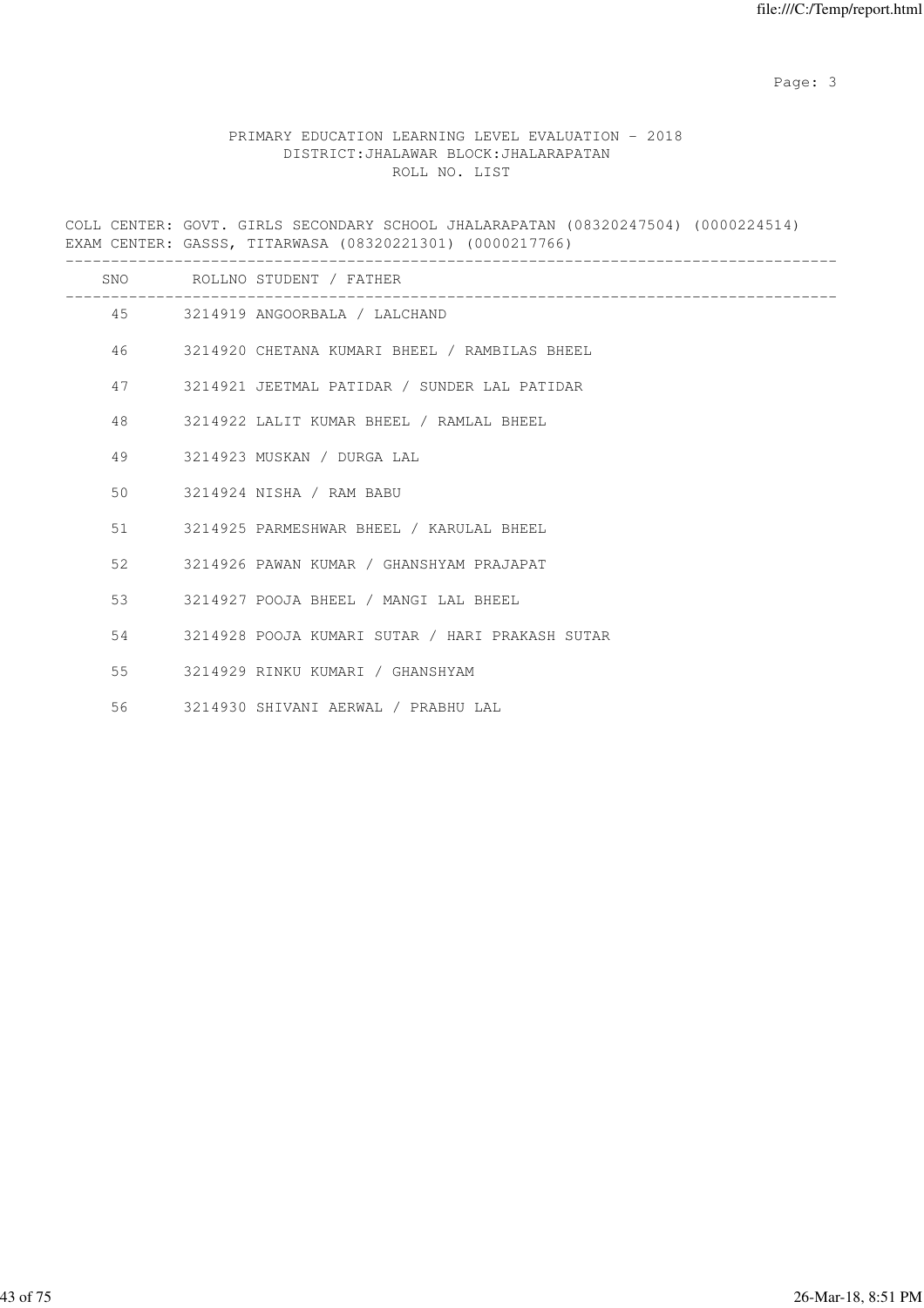Page: 3

# PRIMARY EDUCATION LEARNING LEVEL EVALUATION - 2018 DISTRICT:JHALAWAR BLOCK:JHALARAPATAN ROLL NO. LIST

COLL CENTER: GOVT. GIRLS SECONDARY SCHOOL JHALARAPATAN (08320247504) (0000224514) EXAM CENTER: GASSS, TITARWASA (08320221301) (0000217766)

|                 | SNO ROLLNO STUDENT / FATHER                     |
|-----------------|-------------------------------------------------|
|                 | 45 3214919 ANGOORBALA / LALCHAND                |
| 46              | 3214920 CHETANA KUMARI BHEEL / RAMBILAS BHEEL   |
| 47              | 3214921 JEETMAL PATIDAR / SUNDER LAL PATIDAR    |
| 48              | 3214922 LALIT KUMAR BHEEL / RAMLAL BHEEL        |
| 49              | 3214923 MUSKAN / DURGA LAL                      |
| 50 <sup>°</sup> | 3214924 NISHA / RAM BABU                        |
| 51              | 3214925 PARMESHWAR BHEEL / KARULAL BHEEL        |
| 52              | 3214926 PAWAN KUMAR / GHANSHYAM PRAJAPAT        |
| 53              | 3214927 POOJA BHEEL / MANGI LAL BHEEL           |
| 54              | 3214928 POOJA KUMARI SUTAR / HARI PRAKASH SUTAR |
| 55              | 3214929 RINKU KUMARI / GHANSHYAM                |
| 56              | 3214930 SHIVANI AERWAL / PRABHU LAL             |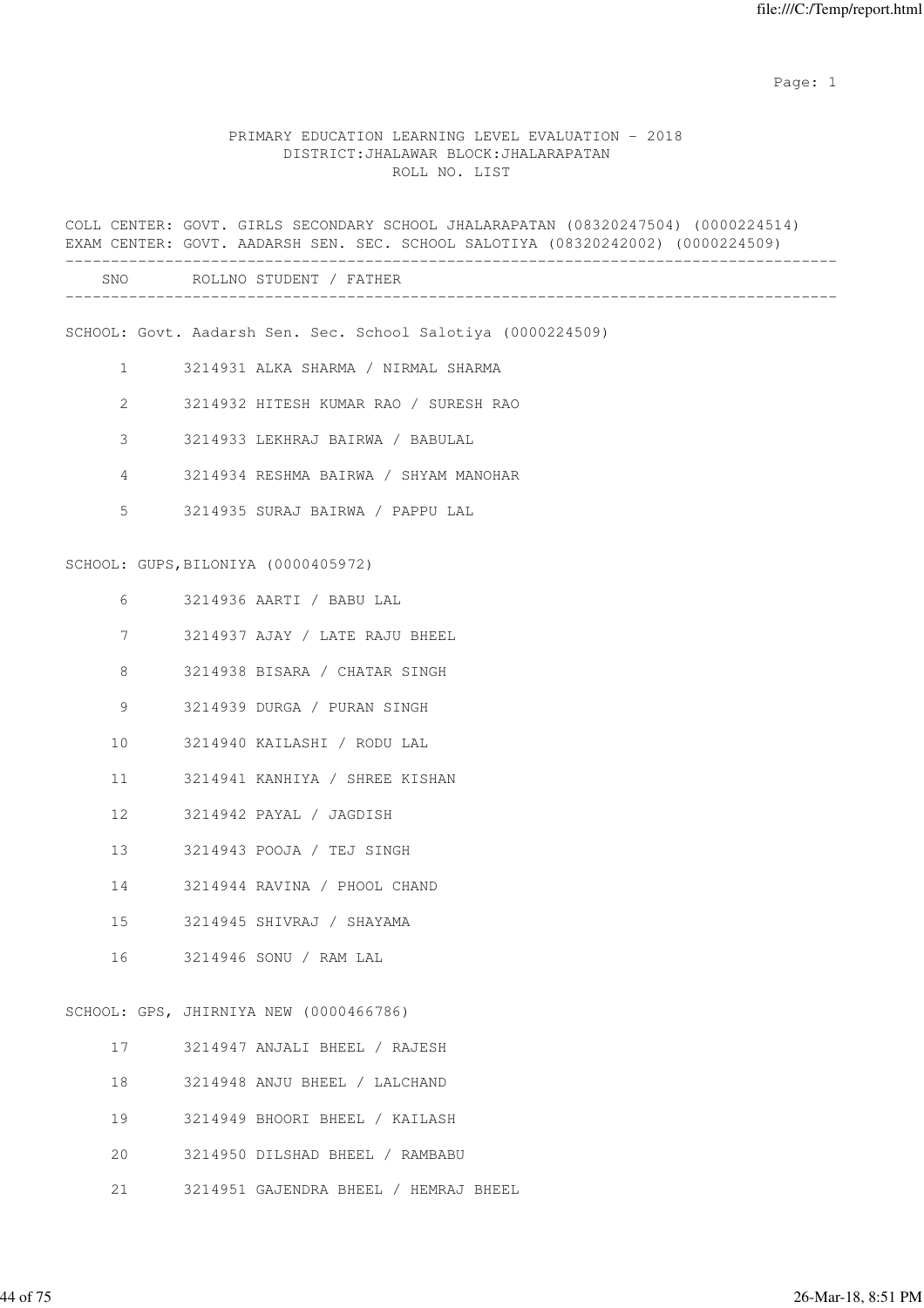## PRIMARY EDUCATION LEARNING LEVEL EVALUATION - 2018 DISTRICT:JHALAWAR BLOCK:JHALARAPATAN ROLL NO. LIST

|                 | COLL CENTER: GOVT. GIRLS SECONDARY SCHOOL JHALARAPATAN (08320247504) (0000224514)<br>EXAM CENTER: GOVT. AADARSH SEN. SEC. SCHOOL SALOTIYA (08320242002) (0000224509) |
|-----------------|----------------------------------------------------------------------------------------------------------------------------------------------------------------------|
|                 | SNO ROLLNO STUDENT / FATHER                                                                                                                                          |
|                 | SCHOOL: Govt. Aadarsh Sen. Sec. School Salotiya (0000224509)                                                                                                         |
| $\mathbf{1}$    | 3214931 ALKA SHARMA / NIRMAL SHARMA                                                                                                                                  |
| 2               | 3214932 HITESH KUMAR RAO / SURESH RAO                                                                                                                                |
| 3               | 3214933 LEKHRAJ BAIRWA / BABULAL                                                                                                                                     |
| 4               | 3214934 RESHMA BAIRWA / SHYAM MANOHAR                                                                                                                                |
| 5               | 3214935 SURAJ BAIRWA / PAPPU LAL                                                                                                                                     |
|                 | SCHOOL: GUPS, BILONIYA (0000405972)                                                                                                                                  |
| 6               | 3214936 AARTI / BABU LAL                                                                                                                                             |
| 7               | 3214937 AJAY / LATE RAJU BHEEL                                                                                                                                       |
| 8               | 3214938 BISARA / CHATAR SINGH                                                                                                                                        |
| 9               | 3214939 DURGA / PURAN SINGH                                                                                                                                          |
| 10              | 3214940 KAILASHI / RODU LAL                                                                                                                                          |
| 11              | 3214941 KANHIYA / SHREE KISHAN                                                                                                                                       |
| 12 <sup>°</sup> | 3214942 PAYAL / JAGDISH                                                                                                                                              |
| 13              | 3214943 POOJA / TEJ SINGH                                                                                                                                            |
| 14              | 3214944 RAVINA / PHOOL CHAND                                                                                                                                         |
| 15              | 3214945 SHIVRAJ / SHAYAMA                                                                                                                                            |
| 16              | 3214946 SONU / RAM LAL                                                                                                                                               |
|                 | SCHOOL: GPS, JHIRNIYA NEW (0000466786)                                                                                                                               |
| 17              | 3214947 ANJALI BHEEL / RAJESH                                                                                                                                        |
| 18              | 3214948 ANJU BHEEL / LALCHAND                                                                                                                                        |
| 19              | 3214949 BHOORI BHEEL / KAILASH                                                                                                                                       |

- 20 3214950 DILSHAD BHEEL / RAMBABU
- 21 3214951 GAJENDRA BHEEL / HEMRAJ BHEEL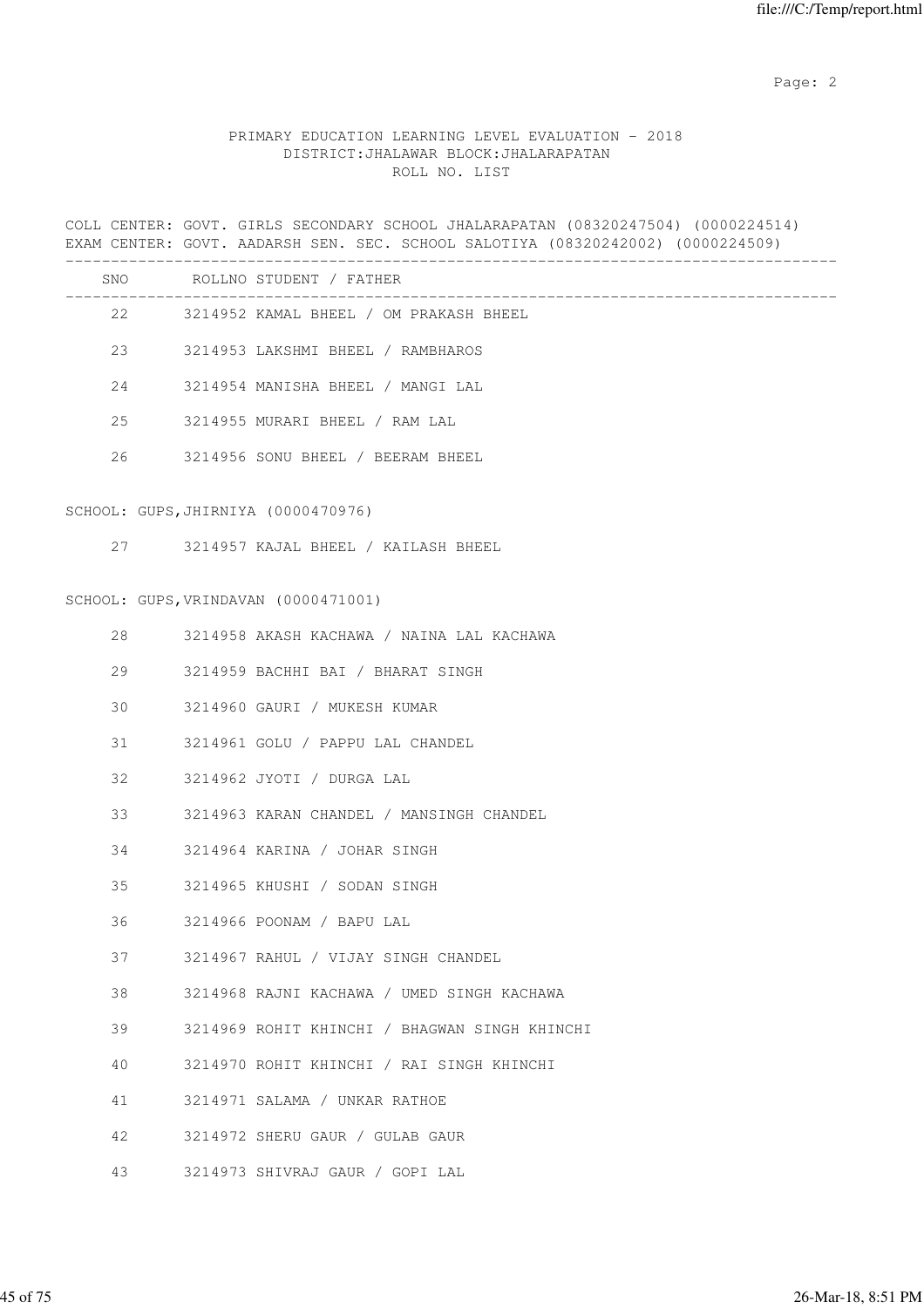# PRIMARY EDUCATION LEARNING LEVEL EVALUATION - 2018 DISTRICT:JHALAWAR BLOCK:JHALARAPATAN ROLL NO. LIST

COLL CENTER: GOVT. GIRLS SECONDARY SCHOOL JHALARAPATAN (08320247504) (0000224514) EXAM CENTER: GOVT. AADARSH SEN. SEC. SCHOOL SALOTIYA (08320242002) (0000224509) -------------------------------------------------------------------------------------

| SNO | ROLLNO STUDENT / FATHER |                                               |
|-----|-------------------------|-----------------------------------------------|
|     | 22                      | 3214952 KAMAL BHEEL / OM PRAKASH BHEEL        |
|     | 23                      | 3214953 LAKSHMI BHEEL / RAMBHAROS             |
| 24  |                         | 3214954 MANISHA BHEEL / MANGI LAL             |
| 25  |                         | 3214955 MURARI BHEEL / RAM LAL                |
| 26  |                         | 3214956 SONU BHEEL / BEERAM BHEEL             |
|     |                         | SCHOOL: GUPS, JHIRNIYA (0000470976)           |
|     | 27                      | 3214957 KAJAL BHEEL / KAILASH BHEEL           |
|     |                         | SCHOOL: GUPS, VRINDAVAN (0000471001)          |
| 28  |                         | 3214958 AKASH KACHAWA / NAINA LAL KACHAWA     |
| 29  |                         | 3214959 BACHHI BAI / BHARAT SINGH             |
| 30  |                         | 3214960 GAURI / MUKESH KUMAR                  |
| 31  |                         | 3214961 GOLU / PAPPU LAL CHANDEL              |
| 32  |                         | 3214962 JYOTI / DURGA LAL                     |
| 33  |                         | 3214963 KARAN CHANDEL / MANSINGH CHANDEL      |
| 34  |                         | 3214964 KARINA / JOHAR SINGH                  |
| 35  |                         | 3214965 KHUSHI / SODAN SINGH                  |
| 36  |                         | 3214966 POONAM / BAPU LAL                     |
| 37  |                         | 3214967 RAHUL / VIJAY SINGH CHANDEL           |
| 38  |                         | 3214968 RAJNI KACHAWA / UMED SINGH KACHAWA    |
| 39  |                         | 3214969 ROHIT KHINCHI / BHAGWAN SINGH KHINCHI |
| 40  |                         | 3214970 ROHIT KHINCHI / RAI SINGH KHINCHI     |
| 41  |                         | 3214971 SALAMA / UNKAR RATHOE                 |
| 42  |                         | 3214972 SHERU GAUR / GULAB GAUR               |

43 3214973 SHIVRAJ GAUR / GOPI LAL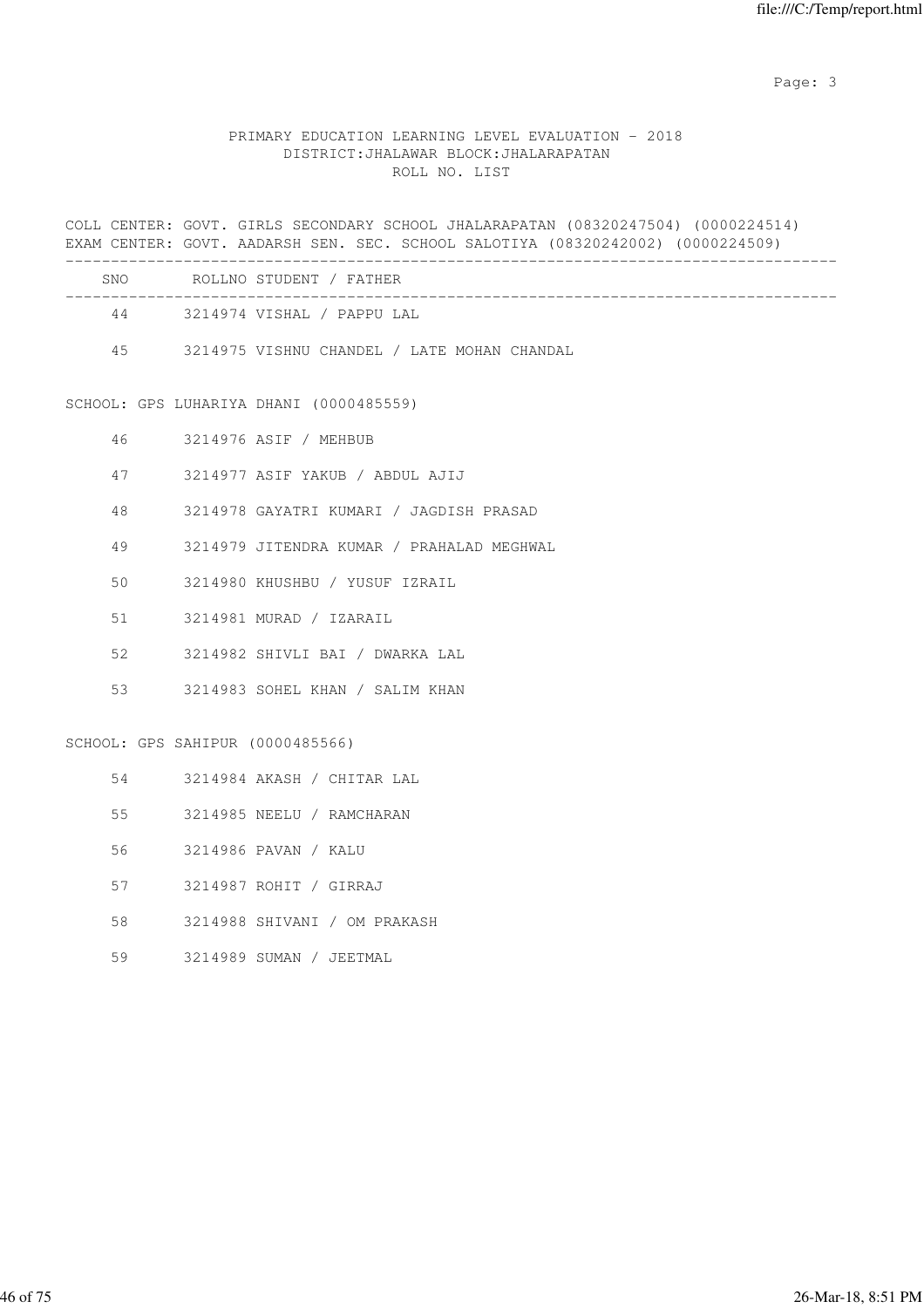Page: 3

# PRIMARY EDUCATION LEARNING LEVEL EVALUATION - 2018 DISTRICT:JHALAWAR BLOCK:JHALARAPATAN ROLL NO. LIST

|        | COLL CENTER: GOVT. GIRLS SECONDARY SCHOOL JHALARAPATAN (08320247504) (0000224514)<br>EXAM CENTER: GOVT. AADARSH SEN. SEC. SCHOOL SALOTIYA (08320242002) (0000224509) |
|--------|----------------------------------------------------------------------------------------------------------------------------------------------------------------------|
|        | SNO ROLLNO STUDENT / FATHER                                                                                                                                          |
|        | 44 3214974 VISHAL / PAPPU LAL                                                                                                                                        |
|        | 45 3214975 VISHNU CHANDEL / LATE MOHAN CHANDAL                                                                                                                       |
|        | SCHOOL: GPS LUHARIYA DHANI (0000485559)                                                                                                                              |
| 46     | 3214976 ASIF / MEHBUB                                                                                                                                                |
| 47     | 3214977 ASIF YAKUB / ABDUL AJIJ                                                                                                                                      |
| 48     | 3214978 GAYATRI KUMARI / JAGDISH PRASAD                                                                                                                              |
| 49     | 3214979 JITENDRA KUMAR / PRAHALAD MEGHWAL                                                                                                                            |
| 50     | 3214980 KHUSHBU / YUSUF IZRAIL                                                                                                                                       |
| 51     | 3214981 MURAD / IZARAIL                                                                                                                                              |
| 52     | 3214982 SHIVLI BAI / DWARKA LAL                                                                                                                                      |
| 53     | 3214983 SOHEL KHAN / SALIM KHAN                                                                                                                                      |
|        | SCHOOL: GPS SAHIPUR (0000485566)                                                                                                                                     |
| 54     | 3214984 AKASH / CHITAR LAL                                                                                                                                           |
| $55 -$ | 3214985 NEELU / RAMCHARAN                                                                                                                                            |
| 56     | 3214986 PAVAN / KALU                                                                                                                                                 |
| 57     | 3214987 ROHIT / GIRRAJ                                                                                                                                               |
| 58     | 3214988 SHIVANI / OM PRAKASH                                                                                                                                         |
| 59     | 3214989 SUMAN / JEETMAL                                                                                                                                              |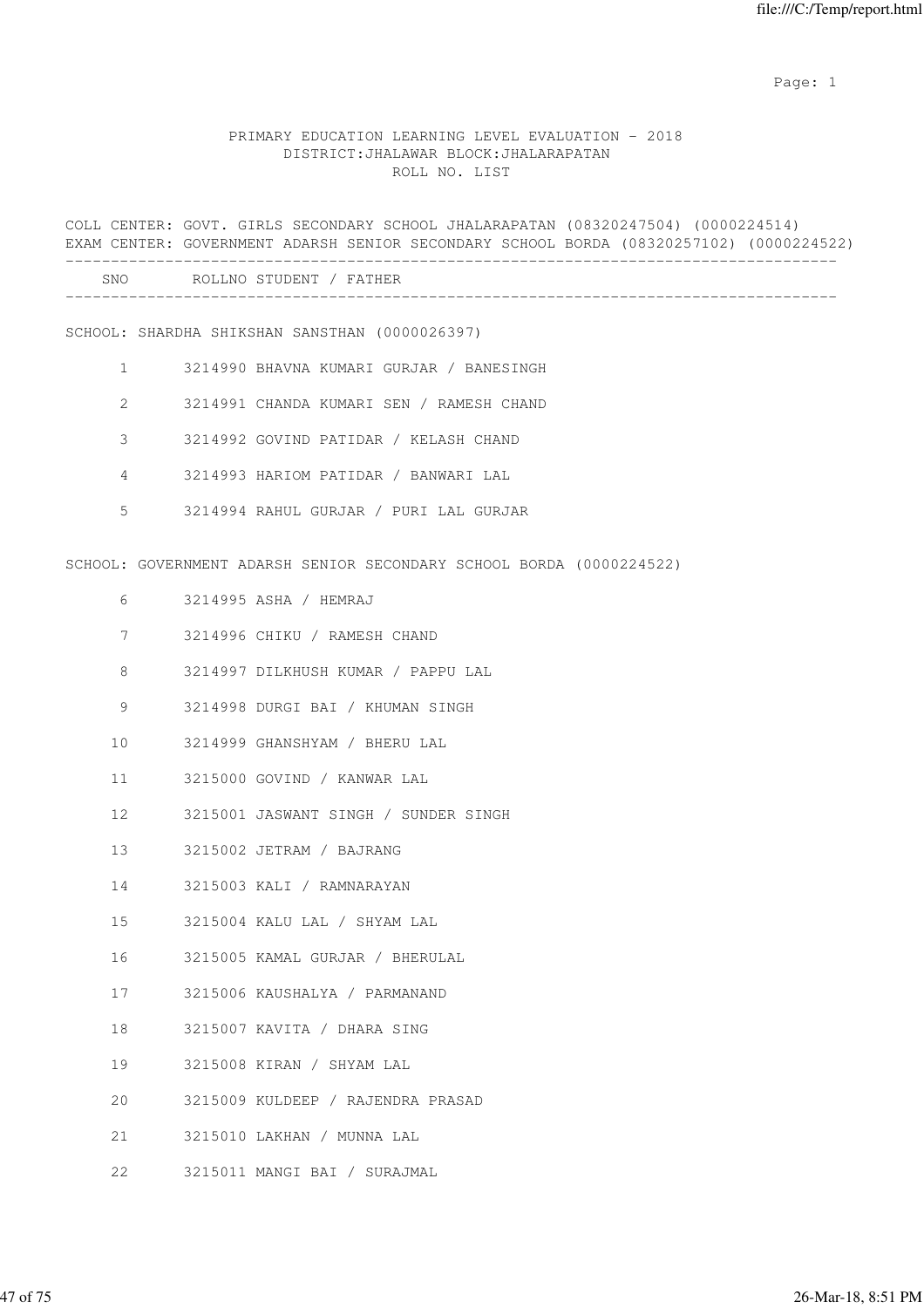#### PRIMARY EDUCATION LEARNING LEVEL EVALUATION - 2018 DISTRICT:JHALAWAR BLOCK:JHALARAPATAN ROLL NO. LIST

COLL CENTER: GOVT. GIRLS SECONDARY SCHOOL JHALARAPATAN (08320247504) (0000224514) EXAM CENTER: GOVERNMENT ADARSH SENIOR SECONDARY SCHOOL BORDA (08320257102) (0000224522) ------------------------------------------------------------------------------------- SNO ROLLNO STUDENT / FATHER ------------------------------------------------------------------------------------- SCHOOL: SHARDHA SHIKSHAN SANSTHAN (0000026397) 1 3214990 BHAVNA KUMARI GURJAR / BANESINGH 2 3214991 CHANDA KUMARI SEN / RAMESH CHAND 3 3214992 GOVIND PATIDAR / KELASH CHAND 4 3214993 HARIOM PATIDAR / BANWARI LAL 5 3214994 RAHUL GURJAR / PURI LAL GURJAR SCHOOL: GOVERNMENT ADARSH SENIOR SECONDARY SCHOOL BORDA (0000224522) 6 3214995 ASHA / HEMRAJ 7 3214996 CHIKU / RAMESH CHAND 8 3214997 DILKHUSH KUMAR / PAPPU LAL 9 3214998 DURGI BAI / KHUMAN SINGH 10 3214999 GHANSHYAM / BHERU LAL 11 3215000 GOVIND / KANWAR LAL 12 3215001 JASWANT SINGH / SUNDER SINGH 13 3215002 JETRAM / BAJRANG 14 3215003 KALI / RAMNARAYAN 15 3215004 KALU LAL / SHYAM LAL 16 3215005 KAMAL GURJAR / BHERULAL 17 3215006 KAUSHALYA / PARMANAND 18 3215007 KAVITA / DHARA SING 19 3215008 KIRAN / SHYAM LAL 20 3215009 KULDEEP / RAJENDRA PRASAD 21 3215010 LAKHAN / MUNNA LAL 22 3215011 MANGI BAI / SURAJMAL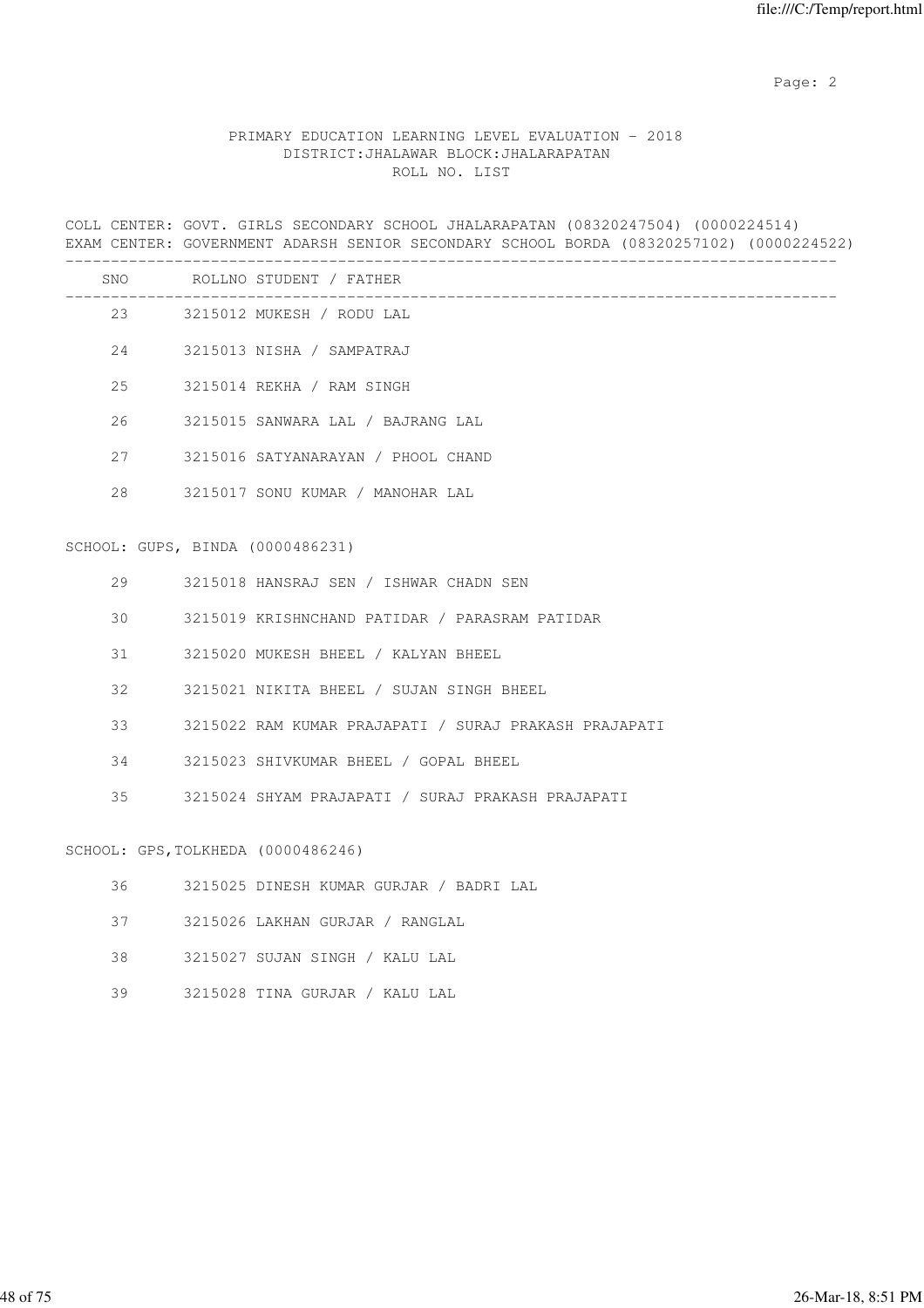# PRIMARY EDUCATION LEARNING LEVEL EVALUATION - 2018 DISTRICT:JHALAWAR BLOCK:JHALARAPATAN ROLL NO. LIST

COLL CENTER: GOVT. GIRLS SECONDARY SCHOOL JHALARAPATAN (08320247504) (0000224514) EXAM CENTER: GOVERNMENT ADARSH SENIOR SECONDARY SCHOOL BORDA (08320257102) (0000224522)

|    |                                    | SNO ROLLNO STUDENT / FATHER                           |
|----|------------------------------------|-------------------------------------------------------|
|    |                                    | 23 3215012 MUKESH / RODU LAL                          |
|    |                                    | 24 3215013 NISHA / SAMPATRAJ                          |
| 25 |                                    | 3215014 REKHA / RAM SINGH                             |
| 26 |                                    | 3215015 SANWARA LAL / BAJRANG LAL                     |
| 27 |                                    | 3215016 SATYANARAYAN / PHOOL CHAND                    |
| 28 |                                    | 3215017 SONU KUMAR / MANOHAR LAL                      |
|    | SCHOOL: GUPS, BINDA (0000486231)   |                                                       |
| 29 |                                    | 3215018 HANSRAJ SEN / ISHWAR CHADN SEN                |
| 30 |                                    | 3215019 KRISHNCHAND PATIDAR / PARASRAM PATIDAR        |
| 31 |                                    | 3215020 MUKESH BHEEL / KALYAN BHEEL                   |
| 32 |                                    | 3215021 NIKITA BHEEL / SUJAN SINGH BHEEL              |
| 33 |                                    | 3215022 RAM KUMAR PRAJAPATI / SURAJ PRAKASH PRAJAPATI |
| 34 |                                    | 3215023 SHIVKUMAR BHEEL / GOPAL BHEEL                 |
| 35 |                                    | 3215024 SHYAM PRAJAPATI / SURAJ PRAKASH PRAJAPATI     |
|    | SCHOOL: GPS, TOLKHEDA (0000486246) |                                                       |
| 36 |                                    | 3215025 DINESH KUMAR GURJAR / BADRI LAL               |
| 37 |                                    | 3215026 LAKHAN GURJAR / RANGLAL                       |
| 38 |                                    | 3215027 SUJAN SINGH / KALU LAL                        |

39 3215028 TINA GURJAR / KALU LAL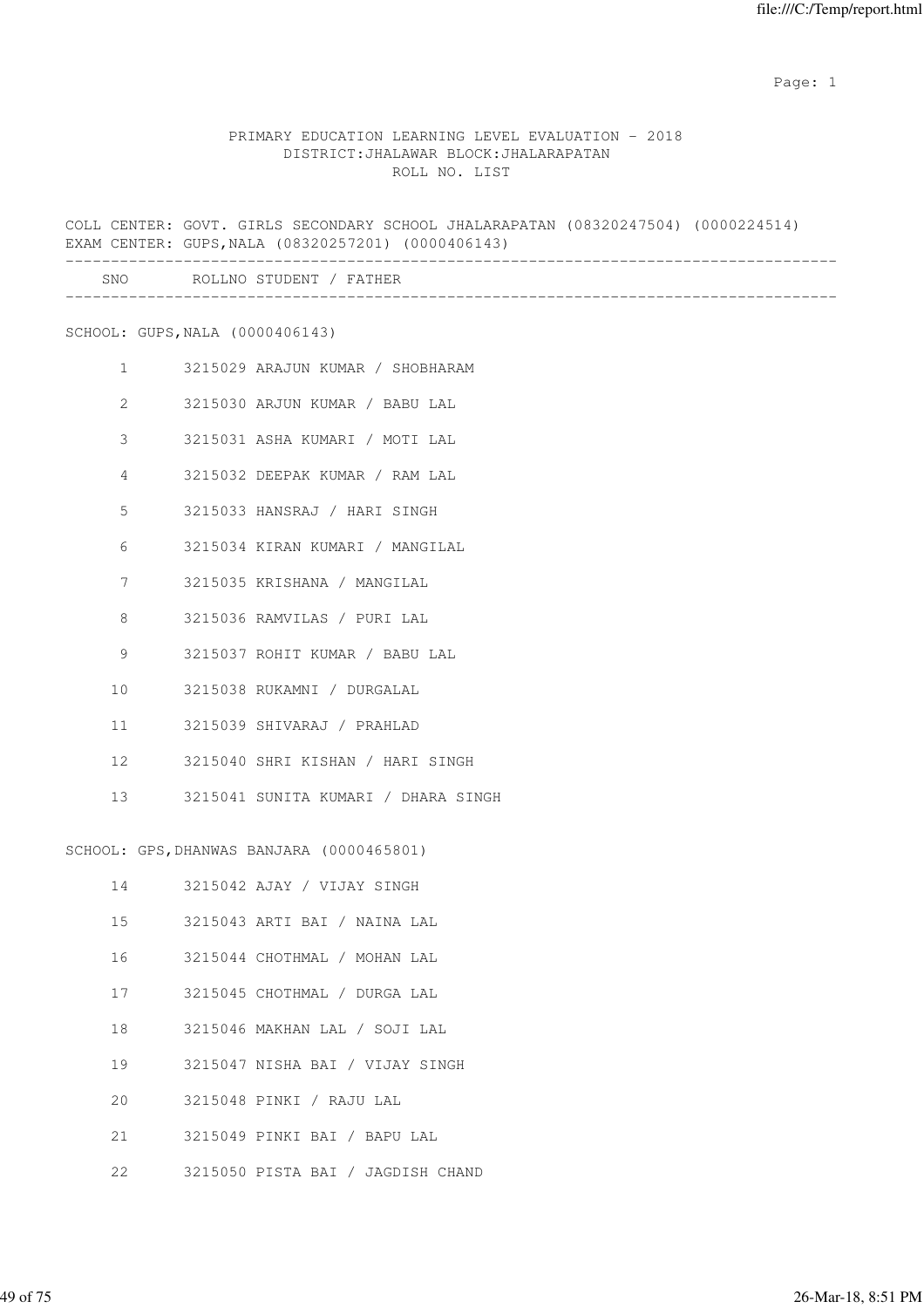# PRIMARY EDUCATION LEARNING LEVEL EVALUATION - 2018 DISTRICT:JHALAWAR BLOCK:JHALARAPATAN ROLL NO. LIST

COLL CENTER: GOVT. GIRLS SECONDARY SCHOOL JHALARAPATAN (08320247504) (0000224514) EXAM CENTER: GUPS,NALA (08320257201) (0000406143) ------------------------------------------------------------------------------------- SNO ROLLNO STUDENT / FATHER

-------------------------------------------------------------------------------------

SCHOOL: GUPS,NALA (0000406143)

| $1 \quad$       | 3215029 ARAJUN KUMAR / SHOBHARAM       |
|-----------------|----------------------------------------|
|                 | 2 3215030 ARJUN KUMAR / BABU LAL       |
| $\mathcal{S}$   | 3215031 ASHA KUMARI / MOTI LAL         |
| $\overline{4}$  | 3215032 DEEPAK KUMAR / RAM LAL         |
| $5 -$           | 3215033 HANSRAJ / HARI SINGH           |
| 6               | 3215034 KIRAN KUMARI / MANGILAL        |
| 7               | 3215035 KRISHANA / MANGILAL            |
| 8               | 3215036 RAMVILAS / PURI LAL            |
| 9               | 3215037 ROHIT KUMAR / BABU LAL         |
| 10 <sup>1</sup> | 3215038 RUKAMNI / DURGALAL             |
| 11              | 3215039 SHIVARAJ / PRAHLAD             |
|                 | 12 3215040 SHRI KISHAN / HARI SINGH    |
|                 | 13 3215041 SUNITA KUMARI / DHARA SINGH |

SCHOOL: GPS,DHANWAS BANJARA (0000465801)

| 14              | 3215042 AJAY / VIJAY SINGH        |
|-----------------|-----------------------------------|
| 15 <sub>1</sub> | 3215043 ARTI BAI / NAINA LAL      |
| 16              | 3215044 CHOTHMAL / MOHAN LAL      |
| 17              | 3215045 CHOTHMAL / DURGA LAL      |
| 18              | 3215046 MAKHAN LAL / SOJI LAL     |
| 19              | 3215047 NISHA BAI / VIJAY SINGH   |
| 20              | 3215048 PINKI / RAJU LAL          |
| $21 -$          | 3215049 PINKI BAI / BAPU LAL      |
| 22              | 3215050 PISTA BAI / JAGDISH CHAND |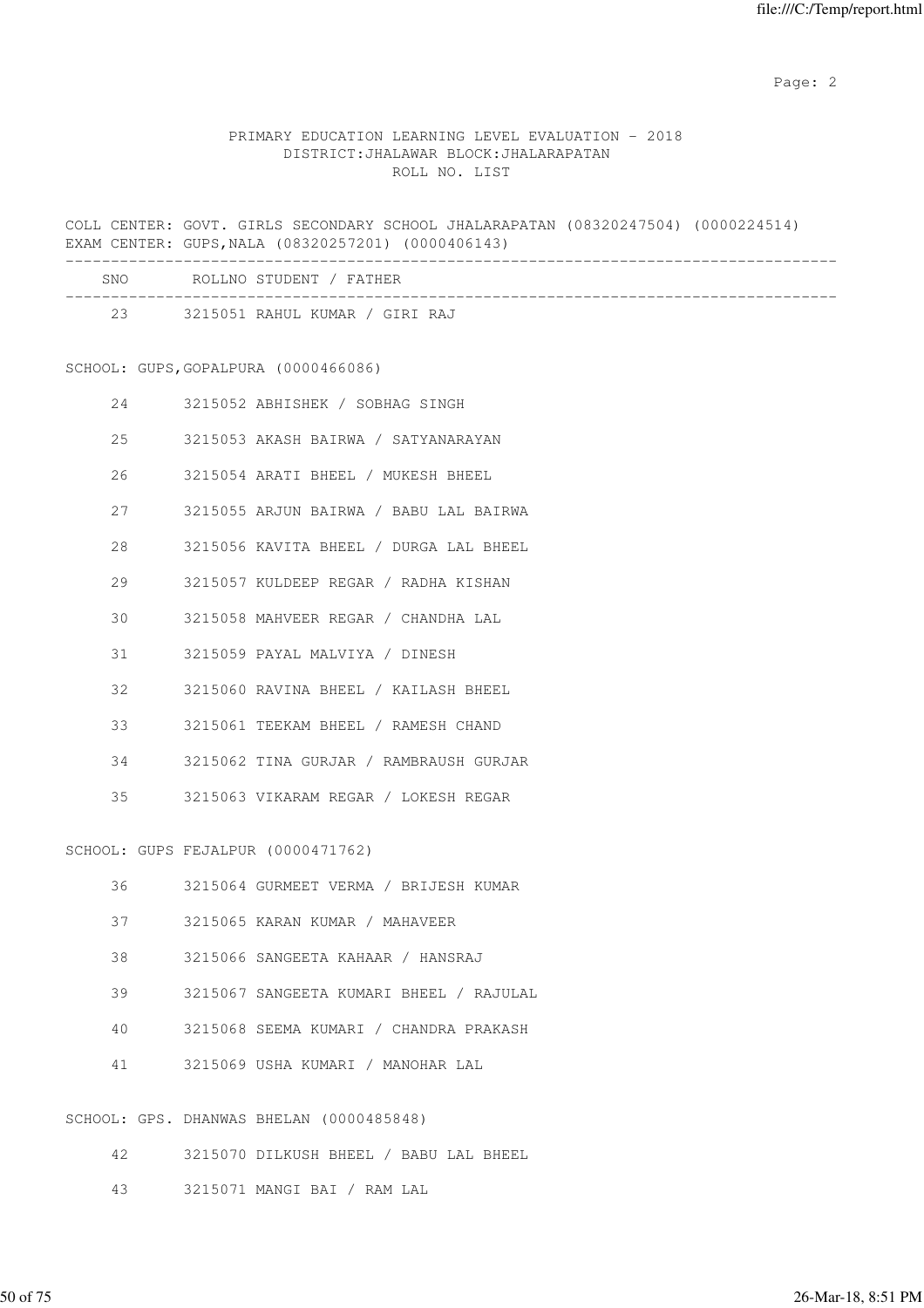# PRIMARY EDUCATION LEARNING LEVEL EVALUATION - 2018 DISTRICT:JHALAWAR BLOCK:JHALARAPATAN ROLL NO. LIST

COLL CENTER: GOVT. GIRLS SECONDARY SCHOOL JHALARAPATAN (08320247504) (0000224514) EXAM CENTER: GUPS,NALA (08320257201) (0000406143)

| <b>SNO</b> | ROLLNO STUDENT / FATHER        |
|------------|--------------------------------|
| 23         | 3215051 RAHUL KUMAR / GIRI RAJ |

# SCHOOL: GUPS,GOPALPURA (0000466086)

| 2.4 | 3215052 ABHISHEK / SOBHAG SINGH         |
|-----|-----------------------------------------|
| 25  | 3215053 AKASH BAIRWA / SATYANARAYAN     |
| 26  | 3215054 ARATI BHEEL / MUKESH BHEEL      |
| 27  | 3215055 ARJUN BAIRWA / BABU LAL BAIRWA  |
| 2.8 | 3215056 KAVITA BHEEL / DURGA LAL BHEEL  |
| 29  | 3215057 KULDEEP REGAR / RADHA KISHAN    |
| 30  | 3215058 MAHVEER REGAR / CHANDHA LAL     |
| 31  | 3215059 PAYAL MALVIYA / DINESH          |
| 32  | 3215060 RAVINA BHEEL / KAILASH BHEEL    |
| 33  | 3215061 TEEKAM BHEEL / RAMESH CHAND     |
| 34  | 3215062 TINA GURJAR / RAMBRAUSH GURJAR  |
|     | 35 3215063 VIKARAM REGAR / LOKESH REGAR |

SCHOOL: GUPS FEJALPUR (0000471762)

| 36 | 3215064 GURMEET VERMA / BRIJESH KUMAR    |
|----|------------------------------------------|
| 37 | 3215065 KARAN KUMAR / MAHAVEER           |
| 38 | 3215066 SANGEETA KAHAAR / HANSRAJ        |
| 39 | 3215067 SANGEETA KUMARI BHEEL / RAJULAL  |
| 40 | 3215068 SEEMA KUMARI / CHANDRA PRAKASH   |
| 41 | 3215069 USHA KUMARI / MANOHAR LAL        |
|    | SCHOOL: GPS. DHANWAS BHELAN (0000485848) |

- 42 3215070 DILKUSH BHEEL / BABU LAL BHEEL
- 43 3215071 MANGI BAI / RAM LAL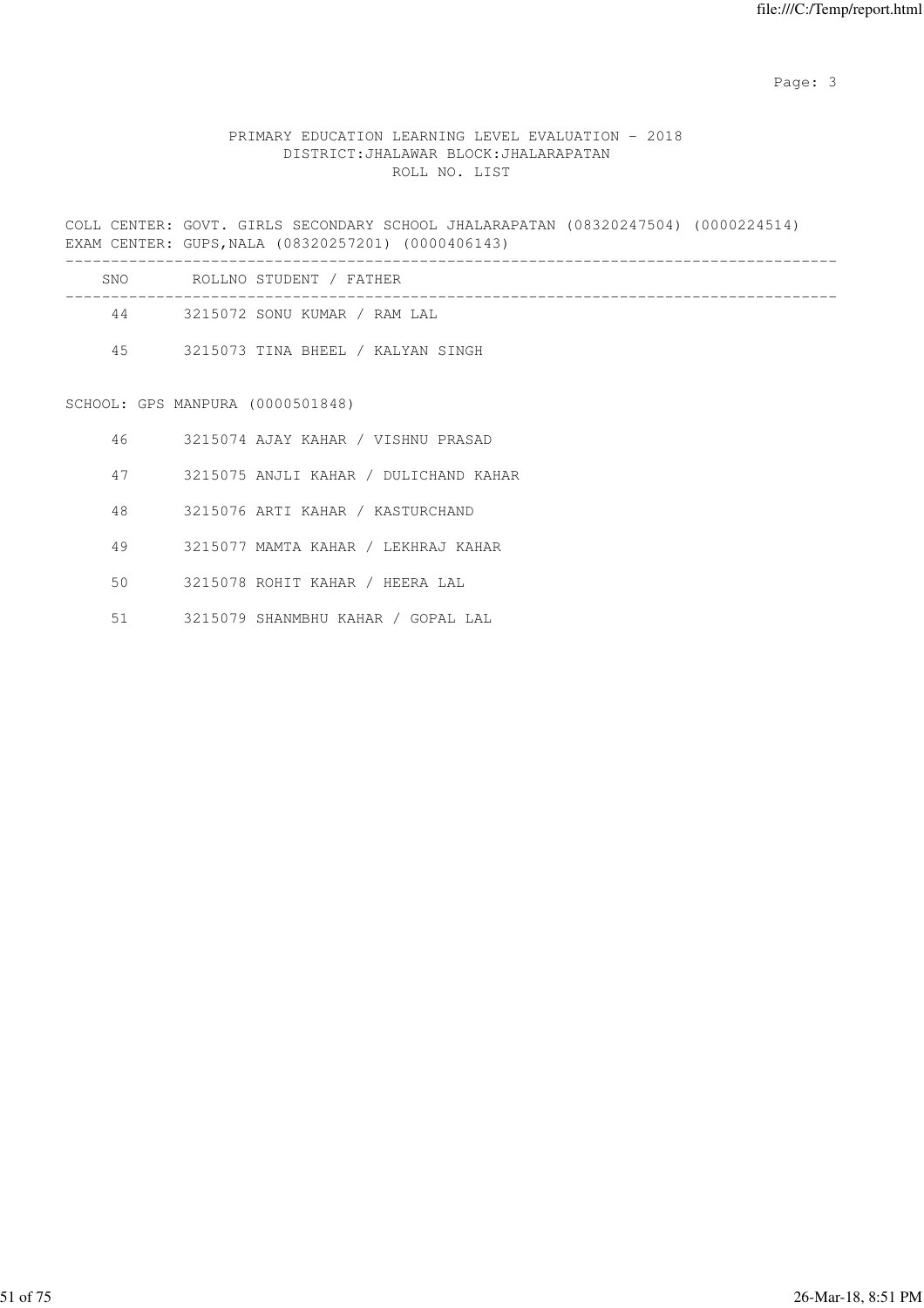Page: 3

# PRIMARY EDUCATION LEARNING LEVEL EVALUATION - 2018 DISTRICT:JHALAWAR BLOCK:JHALARAPATAN ROLL NO. LIST

COLL CENTER: GOVT. GIRLS SECONDARY SCHOOL JHALARAPATAN (08320247504) (0000224514) EXAM CENTER: GUPS,NALA (08320257201) (0000406143)

|    |                                  | SNO ROLLNO STUDENT / FATHER           |
|----|----------------------------------|---------------------------------------|
|    |                                  | 44 3215072 SONU KUMAR / RAM LAL       |
|    |                                  | 45 3215073 TINA BHEEL / KALYAN SINGH  |
|    |                                  |                                       |
|    | SCHOOL: GPS MANPURA (0000501848) |                                       |
|    |                                  | 46 3215074 AJAY KAHAR / VISHNU PRASAD |
| 47 |                                  | 3215075 ANJLI KAHAR / DULICHAND KAHAR |
| 48 |                                  | 3215076 ARTI KAHAR / KASTURCHAND      |
| 49 |                                  | 3215077 MAMTA KAHAR / LEKHRAJ KAHAR   |
| 50 |                                  | 3215078 ROHIT KAHAR / HEERA LAL       |

51 3215079 SHANMBHU KAHAR / GOPAL LAL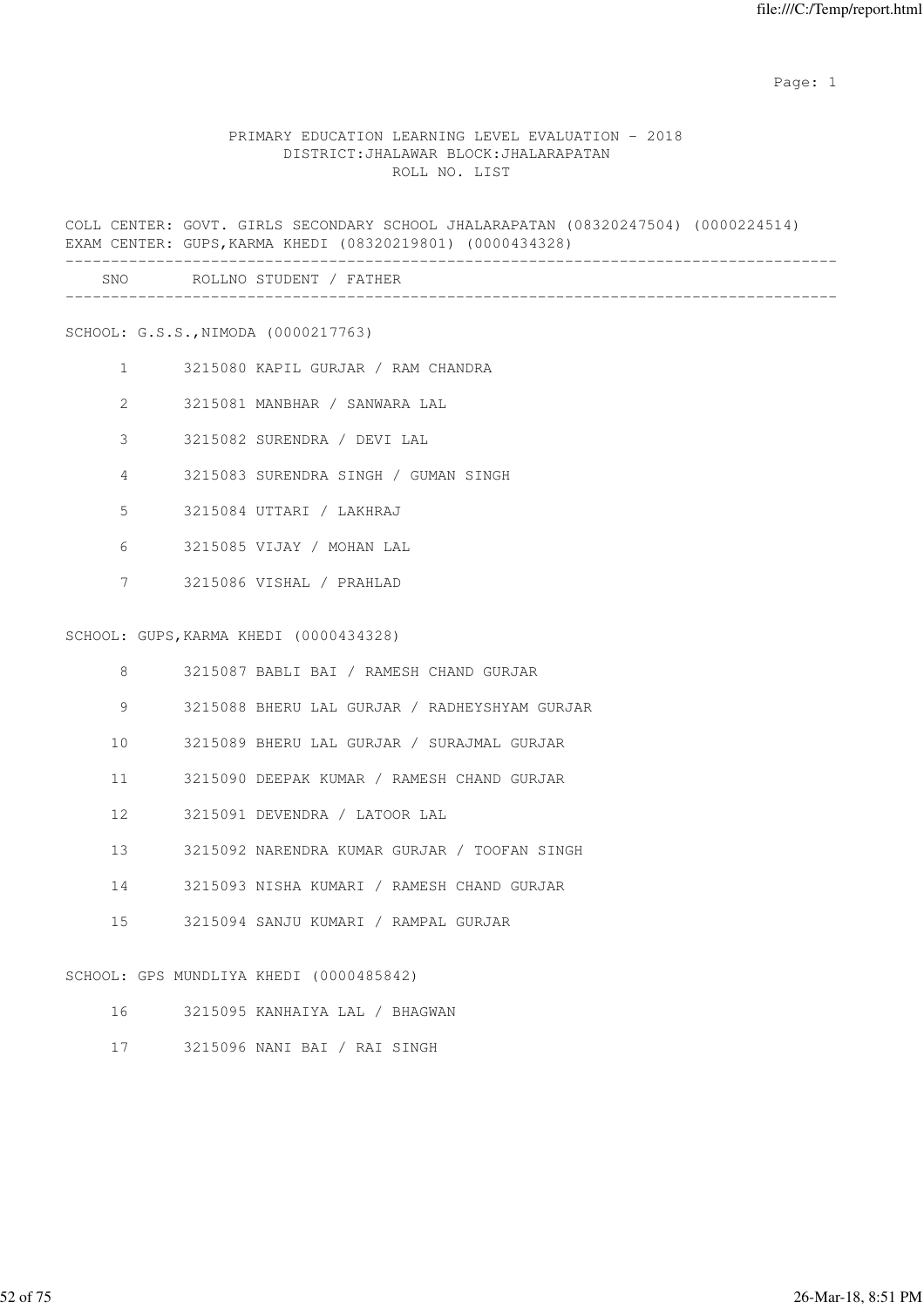#### PRIMARY EDUCATION LEARNING LEVEL EVALUATION - 2018 DISTRICT:JHALAWAR BLOCK:JHALARAPATAN ROLL NO. LIST

COLL CENTER: GOVT. GIRLS SECONDARY SCHOOL JHALARAPATAN (08320247504) (0000224514) EXAM CENTER: GUPS,KARMA KHEDI (08320219801) (0000434328) ------------------------------------------------------------------------------------- SNO ROLLNO STUDENT / FATHER

#### SCHOOL: G.S.S.,NIMODA (0000217763)

- 1 3215080 KAPIL GURJAR / RAM CHANDRA
- 2 3215081 MANBHAR / SANWARA LAL
- 3 3215082 SURENDRA / DEVI LAL
- 4 3215083 SURENDRA SINGH / GUMAN SINGH
- 5 3215084 UTTARI / LAKHRAJ
- 6 3215085 VIJAY / MOHAN LAL
- 7 3215086 VISHAL / PRAHLAD

#### SCHOOL: GUPS,KARMA KHEDI (0000434328)

- 8 3215087 BABLI BAI / RAMESH CHAND GURJAR
- 9 3215088 BHERU LAL GURJAR / RADHEYSHYAM GURJAR
- 10 3215089 BHERU LAL GURJAR / SURAJMAL GURJAR
- 11 3215090 DEEPAK KUMAR / RAMESH CHAND GURJAR
- 12 3215091 DEVENDRA / LATOOR LAL
- 13 3215092 NARENDRA KUMAR GURJAR / TOOFAN SINGH
- 14 3215093 NISHA KUMARI / RAMESH CHAND GURJAR
- 15 3215094 SANJU KUMARI / RAMPAL GURJAR

#### SCHOOL: GPS MUNDLIYA KHEDI (0000485842)

- 16 3215095 KANHAIYA LAL / BHAGWAN
- 17 3215096 NANI BAI / RAI SINGH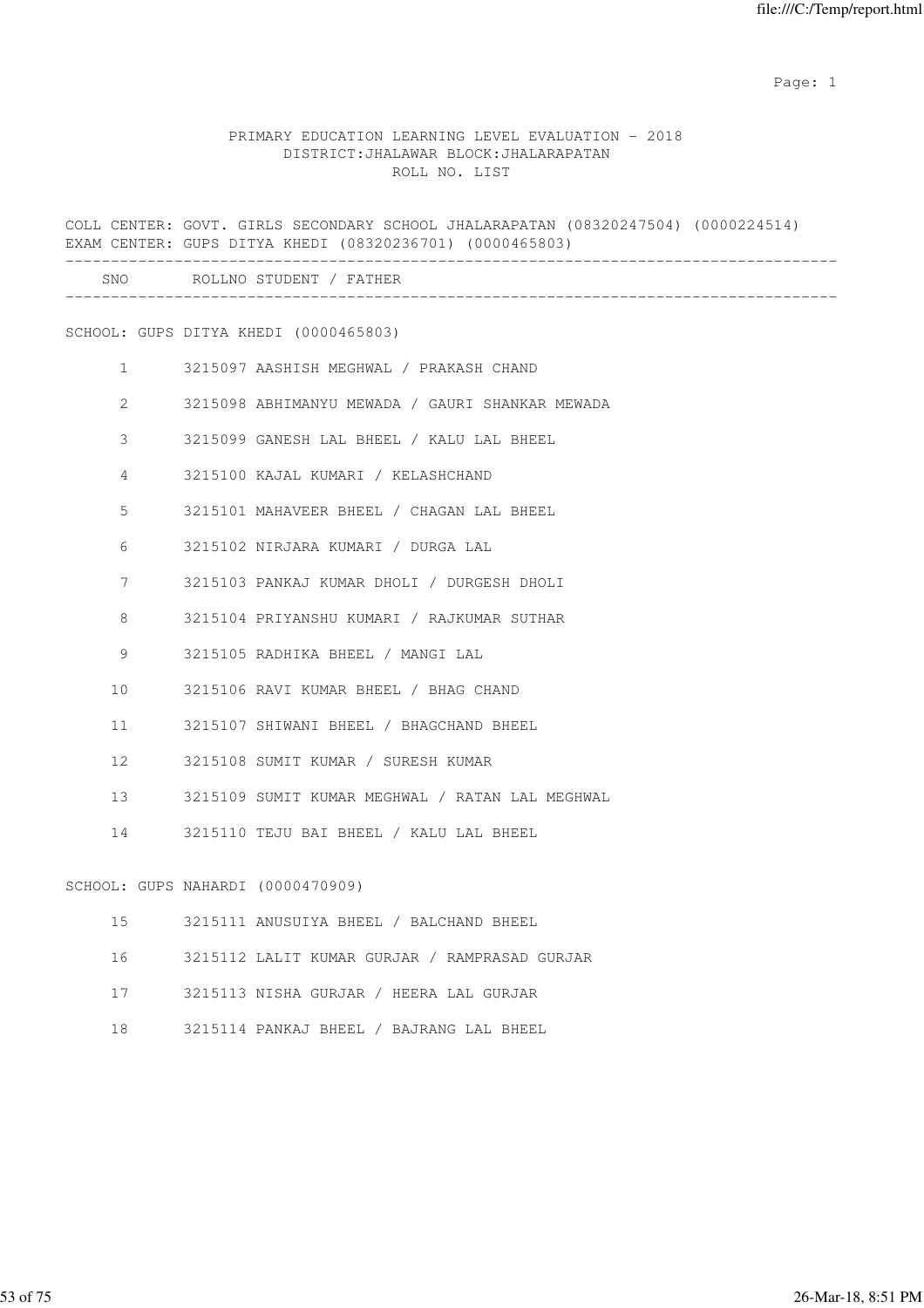#### PRIMARY EDUCATION LEARNING LEVEL EVALUATION - 2018 DISTRICT:JHALAWAR BLOCK:JHALARAPATAN ROLL NO. LIST

COLL CENTER: GOVT. GIRLS SECONDARY SCHOOL JHALARAPATAN (08320247504) (0000224514) EXAM CENTER: GUPS DITYA KHEDI (08320236701) (0000465803) ------------------------------------------------------------------------------------- SNO ROLLNO STUDENT / FATHER ------------------------------------------------------------------------------------- SCHOOL: GUPS DITYA KHEDI (0000465803) 1 3215097 AASHISH MEGHWAL / PRAKASH CHAND 2 3215098 ABHIMANYU MEWADA / GAURI SHANKAR MEWADA 3 3215099 GANESH LAL BHEEL / KALU LAL BHEEL 4 3215100 KAJAL KUMARI / KELASHCHAND 5 3215101 MAHAVEER BHEEL / CHAGAN LAL BHEEL 6 3215102 NIRJARA KUMARI / DURGA LAL 7 3215103 PANKAJ KUMAR DHOLI / DURGESH DHOLI 8 3215104 PRIYANSHU KUMARI / RAJKUMAR SUTHAR 9 3215105 RADHIKA BHEEL / MANGI LAL 10 3215106 RAVI KUMAR BHEEL / BHAG CHAND 11 3215107 SHIWANI BHEEL / BHAGCHAND BHEEL 12 3215108 SUMIT KUMAR / SURESH KUMAR 13 3215109 SUMIT KUMAR MEGHWAL / RATAN LAL MEGHWAL 14 3215110 TEJU BAI BHEEL / KALU LAL BHEEL SCHOOL: GUPS NAHARDI (0000470909) 15 3215111 ANUSUIYA BHEEL / BALCHAND BHEEL 16 3215112 LALIT KUMAR GURJAR / RAMPRASAD GURJAR 17 3215113 NISHA GURJAR / HEERA LAL GURJAR

18 3215114 PANKAJ BHEEL / BAJRANG LAL BHEEL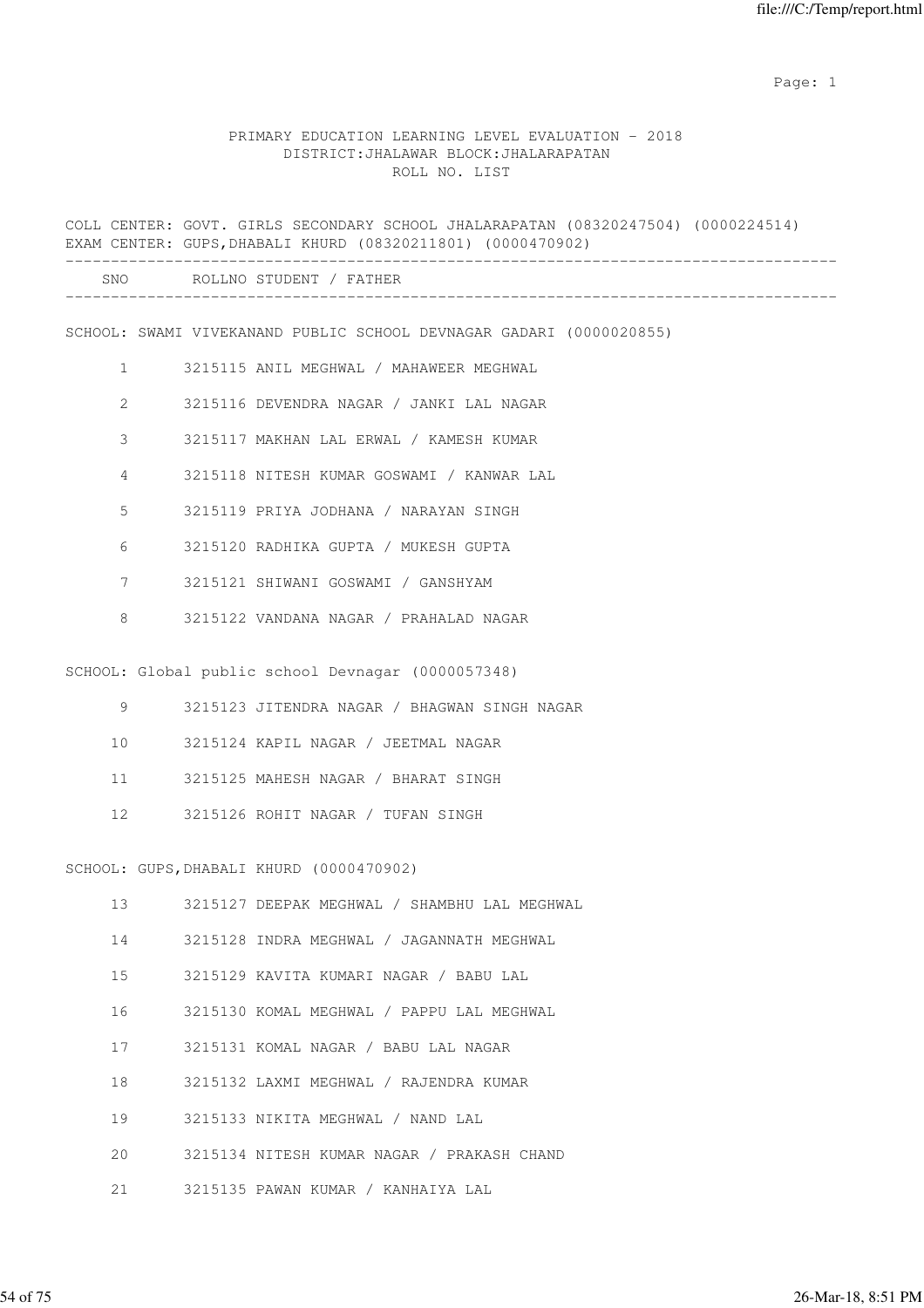# PRIMARY EDUCATION LEARNING LEVEL EVALUATION - 2018 DISTRICT:JHALAWAR BLOCK:JHALARAPATAN ROLL NO. LIST

|                | COLL CENTER: GOVT. GIRLS SECONDARY SCHOOL JHALARAPATAN (08320247504) (0000224514)<br>EXAM CENTER: GUPS, DHABALI KHURD (08320211801) (0000470902) |
|----------------|--------------------------------------------------------------------------------------------------------------------------------------------------|
|                | SNO ROLLNO STUDENT / FATHER                                                                                                                      |
|                | SCHOOL: SWAMI VIVEKANAND PUBLIC SCHOOL DEVNAGAR GADARI (0000020855)                                                                              |
| $\mathbf{1}$   | 3215115 ANIL MEGHWAL / MAHAWEER MEGHWAL                                                                                                          |
| $\overline{2}$ | 3215116 DEVENDRA NAGAR / JANKI LAL NAGAR                                                                                                         |
| 3              | 3215117 MAKHAN LAL ERWAL / KAMESH KUMAR                                                                                                          |
| 4              | 3215118 NITESH KUMAR GOSWAMI / KANWAR LAL                                                                                                        |
| 5              | 3215119 PRIYA JODHANA / NARAYAN SINGH                                                                                                            |
| 6              | 3215120 RADHIKA GUPTA / MUKESH GUPTA                                                                                                             |
| 7              | 3215121 SHIWANI GOSWAMI / GANSHYAM                                                                                                               |
| 8              | 3215122 VANDANA NAGAR / PRAHALAD NAGAR                                                                                                           |
|                | SCHOOL: Global public school Devnagar (0000057348)                                                                                               |
| 9              | 3215123 JITENDRA NAGAR / BHAGWAN SINGH NAGAR                                                                                                     |
| 10             | 3215124 KAPIL NAGAR / JEETMAL NAGAR                                                                                                              |
| 11             | 3215125 MAHESH NAGAR / BHARAT SINGH                                                                                                              |
| 12             | 3215126 ROHIT NAGAR / TUFAN SINGH                                                                                                                |
|                | SCHOOL: GUPS, DHABALI KHURD (0000470902)                                                                                                         |
| 13             | 3215127 DEEPAK MEGHWAL / SHAMBHU LAL MEGHWAL                                                                                                     |
| 14             | 3215128 INDRA MEGHWAL / JAGANNATH MEGHWAL                                                                                                        |
| 15             | 3215129 KAVITA KUMARI NAGAR / BABU LAL                                                                                                           |
| 16             | 3215130 KOMAL MEGHWAL / PAPPU LAL MEGHWAL                                                                                                        |
| 17             | 3215131 KOMAL NAGAR / BABU LAL NAGAR                                                                                                             |
| 18             | 3215132 LAXMI MEGHWAL / RAJENDRA KUMAR                                                                                                           |
| 19             | 3215133 NIKITA MEGHWAL / NAND LAL                                                                                                                |
| 20             | 3215134 NITESH KUMAR NAGAR / PRAKASH CHAND                                                                                                       |
| 21             | 3215135 PAWAN KUMAR / KANHAIYA LAL                                                                                                               |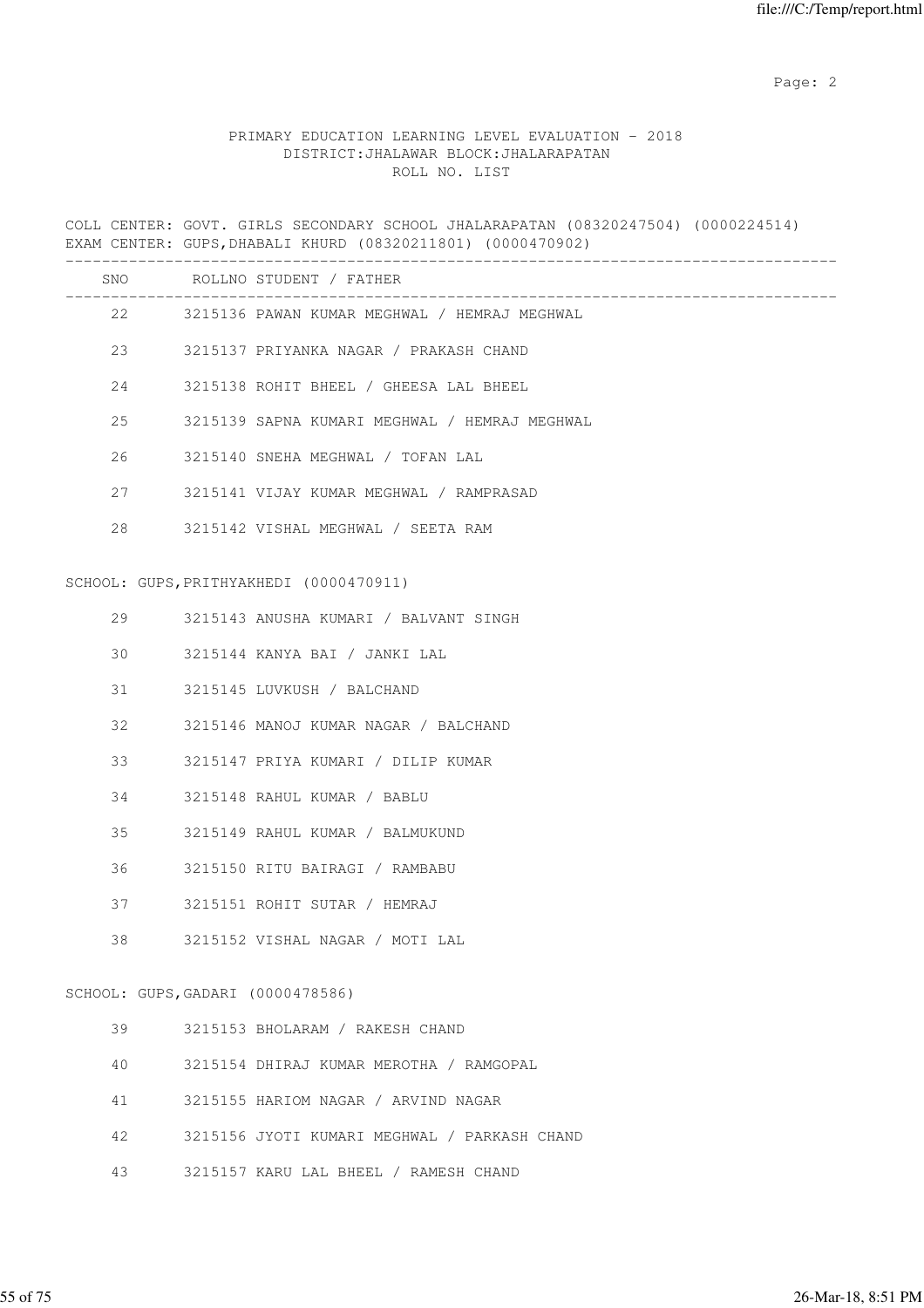# PRIMARY EDUCATION LEARNING LEVEL EVALUATION - 2018 DISTRICT:JHALAWAR BLOCK:JHALARAPATAN ROLL NO. LIST

COLL CENTER: GOVT. GIRLS SECONDARY SCHOOL JHALARAPATAN (08320247504) (0000224514) EXAM CENTER: GUPS,DHABALI KHURD (08320211801) (0000470902)

|    |                                   | SNO ROLLNO STUDENT / FATHER                   |
|----|-----------------------------------|-----------------------------------------------|
|    | 22 and $\sim$                     | 3215136 PAWAN KUMAR MEGHWAL / HEMRAJ MEGHWAL  |
|    |                                   | 23 3215137 PRIYANKA NAGAR / PRAKASH CHAND     |
|    | 24                                | 3215138 ROHIT BHEEL / GHEESA LAL BHEEL        |
| 25 |                                   | 3215139 SAPNA KUMARI MEGHWAL / HEMRAJ MEGHWAL |
| 26 |                                   | 3215140 SNEHA MEGHWAL / TOFAN LAL             |
| 27 |                                   | 3215141 VIJAY KUMAR MEGHWAL / RAMPRASAD       |
| 28 |                                   | 3215142 VISHAL MEGHWAL / SEETA RAM            |
|    |                                   | SCHOOL: GUPS, PRITHYAKHEDI (0000470911)       |
| 29 |                                   | 3215143 ANUSHA KUMARI / BALVANT SINGH         |
| 30 |                                   | 3215144 KANYA BAI / JANKI LAL                 |
| 31 |                                   | 3215145 LUVKUSH / BALCHAND                    |
| 32 |                                   | 3215146 MANOJ KUMAR NAGAR / BALCHAND          |
| 33 |                                   | 3215147 PRIYA KUMARI / DILIP KUMAR            |
| 34 |                                   | 3215148 RAHUL KUMAR / BABLU                   |
| 35 |                                   | 3215149 RAHUL KUMAR / BALMUKUND               |
| 36 |                                   | 3215150 RITU BAIRAGI / RAMBABU                |
| 37 |                                   | 3215151 ROHIT SUTAR / HEMRAJ                  |
| 38 |                                   | 3215152 VISHAL NAGAR / MOTI LAL               |
|    | SCHOOL: GUPS, GADARI (0000478586) |                                               |
| 39 |                                   | 3215153 BHOLARAM / RAKESH CHAND               |
| 40 |                                   | 3215154 DHIRAJ KUMAR MEROTHA / RAMGOPAL       |
| 41 |                                   | 3215155 HARIOM NAGAR / ARVIND NAGAR           |
| 42 |                                   | 3215156 JYOTI KUMARI MEGHWAL / PARKASH CHAND  |
| 43 |                                   | 3215157 KARU LAL BHEEL / RAMESH CHAND         |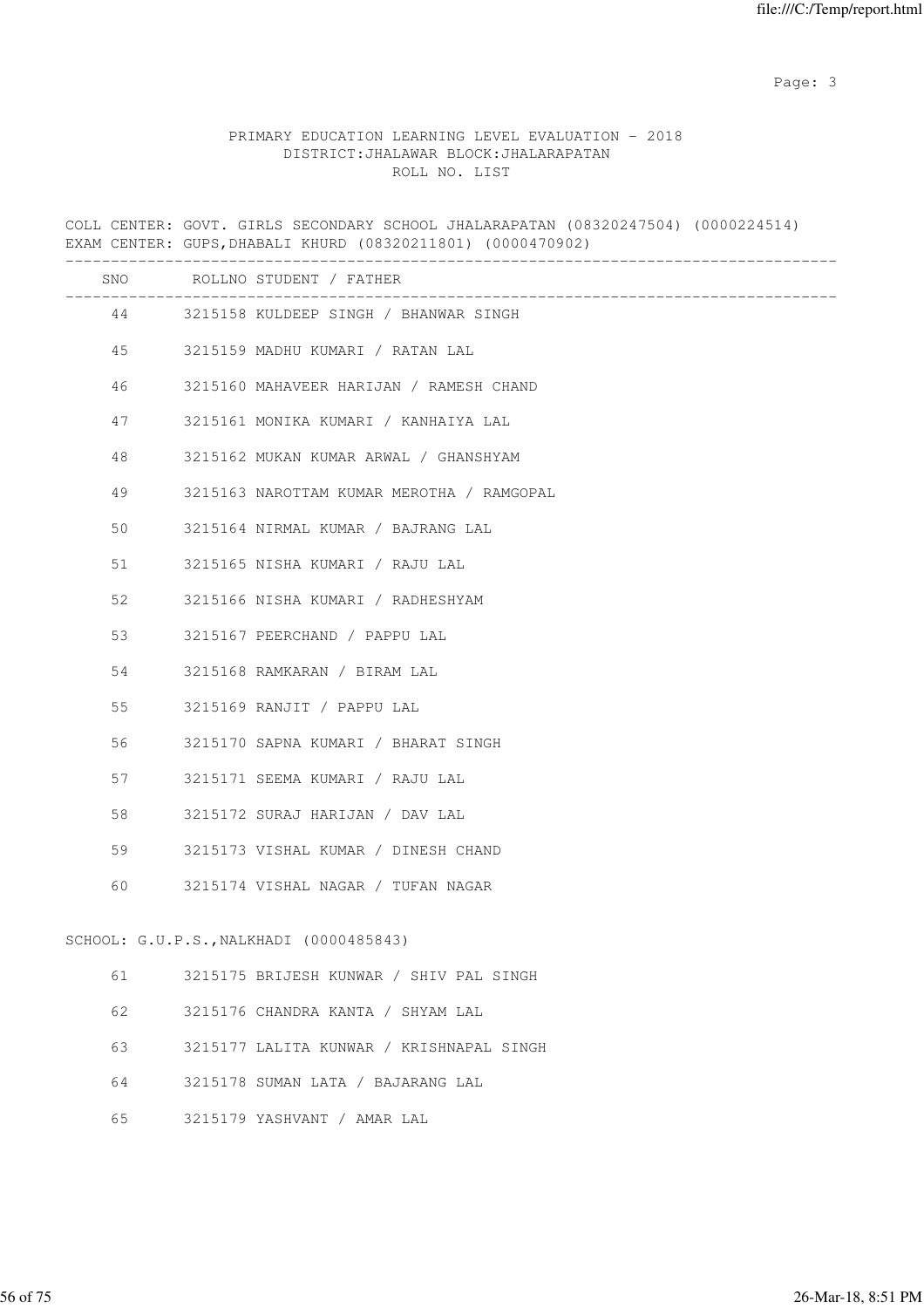Page: 3

## PRIMARY EDUCATION LEARNING LEVEL EVALUATION - 2018 DISTRICT:JHALAWAR BLOCK:JHALARAPATAN ROLL NO. LIST

COLL CENTER: GOVT. GIRLS SECONDARY SCHOOL JHALARAPATAN (08320247504) (0000224514) EXAM CENTER: GUPS,DHABALI KHURD (08320211801) (0000470902) ------------------------------------------------------------------------------------- SNO ROLLNO STUDENT / FATHER ------------------------------------------------------------------------------------- 44 3215158 KULDEEP SINGH / BHANWAR SINGH 45 3215159 MADHU KUMARI / RATAN LAL 46 3215160 MAHAVEER HARIJAN / RAMESH CHAND 47 3215161 MONIKA KUMARI / KANHAIYA LAL 48 3215162 MUKAN KUMAR ARWAL / GHANSHYAM 49 3215163 NAROTTAM KUMAR MEROTHA / RAMGOPAL 50 3215164 NIRMAL KUMAR / BAJRANG LAL 51 3215165 NISHA KUMARI / RAJU LAL 52 3215166 NISHA KUMARI / RADHESHYAM 53 3215167 PEERCHAND / PAPPU LAL 54 3215168 RAMKARAN / BIRAM LAL 55 3215169 RANJIT / PAPPU LAL 56 3215170 SAPNA KUMARI / BHARAT SINGH 57 3215171 SEEMA KUMARI / RAJU LAL 58 3215172 SURAJ HARIJAN / DAV LAL 59 3215173 VISHAL KUMAR / DINESH CHAND 60 3215174 VISHAL NAGAR / TUFAN NAGAR SCHOOL: G.U.P.S.,NALKHADI (0000485843) 61 3215175 BRIJESH KUNWAR / SHIV PAL SINGH 62 3215176 CHANDRA KANTA / SHYAM LAL 63 3215177 LALITA KUNWAR / KRISHNAPAL SINGH 64 3215178 SUMAN LATA / BAJARANG LAL

65 3215179 YASHVANT / AMAR LAL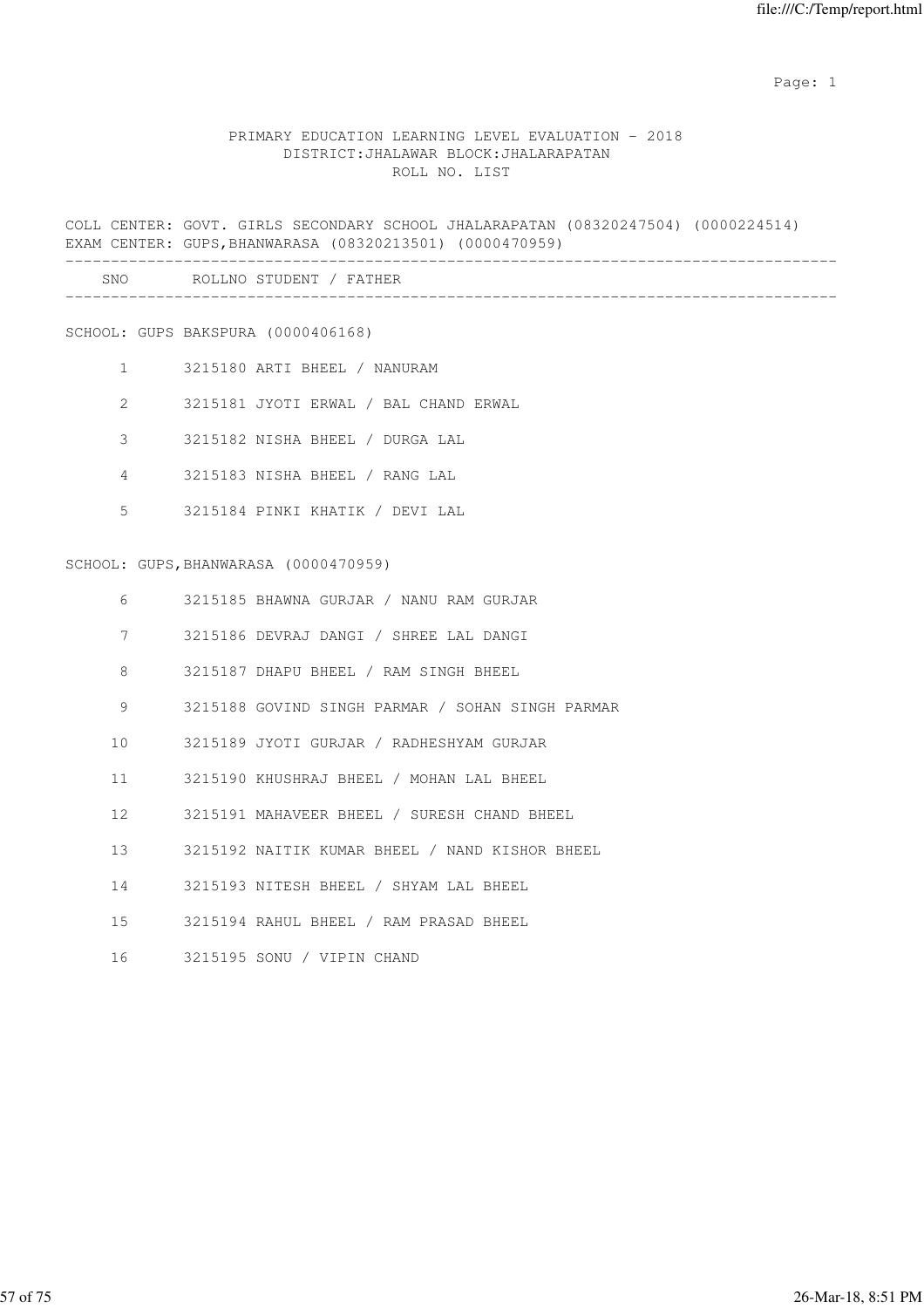# PRIMARY EDUCATION LEARNING LEVEL EVALUATION - 2018 DISTRICT:JHALAWAR BLOCK:JHALARAPATAN ROLL NO. LIST

COLL CENTER: GOVT. GIRLS SECONDARY SCHOOL JHALARAPATAN (08320247504) (0000224514) EXAM CENTER: GUPS,BHANWARASA (08320213501) (0000470959) -------------------------------------------------------------------------------------

| SNO<br>$\sim$ | .NO<br>. н.<br>℩ы<br>.<br>$\mathbf{N}$ |  |
|---------------|----------------------------------------|--|
|               |                                        |  |

SCHOOL: GUPS BAKSPURA (0000406168)

- 1 3215180 ARTI BHEEL / NANURAM
- 2 3215181 JYOTI ERWAL / BAL CHAND ERWAL
- 3 3215182 NISHA BHEEL / DURGA LAL
- 4 3215183 NISHA BHEEL / RANG LAL
- 5 3215184 PINKI KHATIK / DEVI LAL

## SCHOOL: GUPS,BHANWARASA (0000470959)

| 6               | 3215185 BHAWNA GURJAR / NANU RAM GURJAR          |
|-----------------|--------------------------------------------------|
| 7               | 3215186 DEVRAJ DANGI / SHREE LAL DANGI           |
| 8               | 3215187 DHAPU BHEEL / RAM SINGH BHEEL            |
| 9               | 3215188 GOVIND SINGH PARMAR / SOHAN SINGH PARMAR |
| 10 <sup>1</sup> | 3215189 JYOTI GURJAR / RADHESHYAM GURJAR         |
| 11              | 3215190 KHUSHRAJ BHEEL / MOHAN LAL BHEEL         |
| 12              | 3215191 MAHAVEER BHEEL / SURESH CHAND BHEEL      |
| 13 <sup>7</sup> | 3215192 NAITIK KUMAR BHEEL / NAND KISHOR BHEEL   |
| 14              | 3215193 NITESH BHEEL / SHYAM LAL BHEEL           |
| $15 -$          | 3215194 RAHUL BHEEL / RAM PRASAD BHEEL           |
| 16              | 3215195 SONU / VIPIN CHAND                       |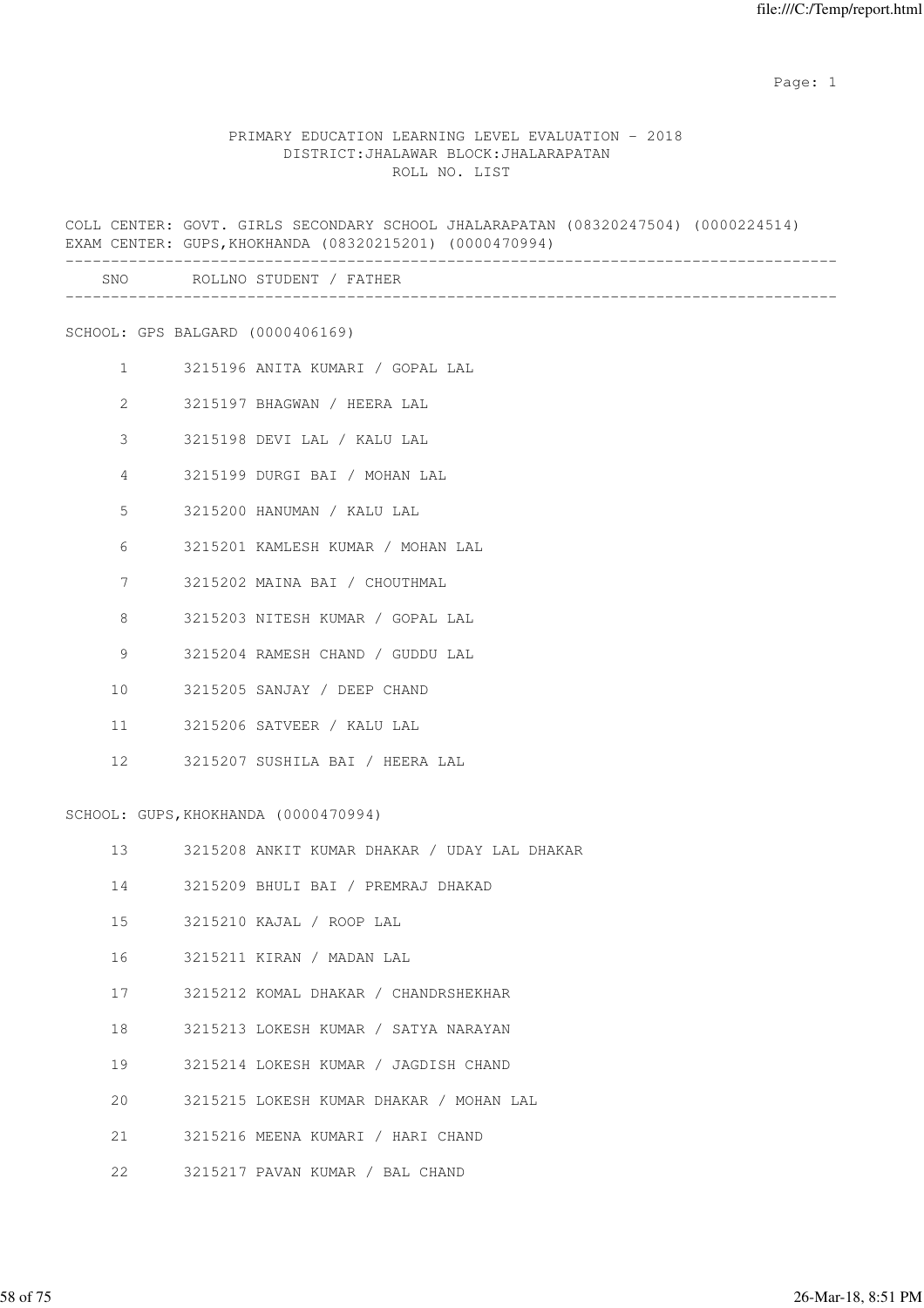#### PRIMARY EDUCATION LEARNING LEVEL EVALUATION - 2018 DISTRICT:JHALAWAR BLOCK:JHALARAPATAN ROLL NO. LIST

COLL CENTER: GOVT. GIRLS SECONDARY SCHOOL JHALARAPATAN (08320247504) (0000224514) EXAM CENTER: GUPS,KHOKHANDA (08320215201) (0000470994) ------------------------------------------------------------------------------------- SNO ROLLNO STUDENT / FATHER ------------------------------------------------------------------------------------- SCHOOL: GPS BALGARD (0000406169) 1 3215196 ANITA KUMARI / GOPAL LAL 2 3215197 BHAGWAN / HEERA LAL 3 3215198 DEVI LAL / KALU LAL 4 3215199 DURGI BAI / MOHAN LAL 5 3215200 HANUMAN / KALU LAL 6 3215201 KAMLESH KUMAR / MOHAN LAL 7 3215202 MAINA BAI / CHOUTHMAL 8 3215203 NITESH KUMAR / GOPAL LAL 9 3215204 RAMESH CHAND / GUDDU LAL 10 3215205 SANJAY / DEEP CHAND 11 3215206 SATVEER / KALU LAL 12 3215207 SUSHILA BAI / HEERA LAL SCHOOL: GUPS, KHOKHANDA (0000470994) 13 3215208 ANKIT KUMAR DHAKAR / UDAY LAL DHAKAR 14 3215209 BHULI BAI / PREMRAJ DHAKAD 15 3215210 KAJAL / ROOP LAL 16 3215211 KIRAN / MADAN LAL 17 3215212 KOMAL DHAKAR / CHANDRSHEKHAR 18 3215213 LOKESH KUMAR / SATYA NARAYAN 19 3215214 LOKESH KUMAR / JAGDISH CHAND 20 3215215 LOKESH KUMAR DHAKAR / MOHAN LAL 21 3215216 MEENA KUMARI / HARI CHAND 22 3215217 PAVAN KUMAR / BAL CHAND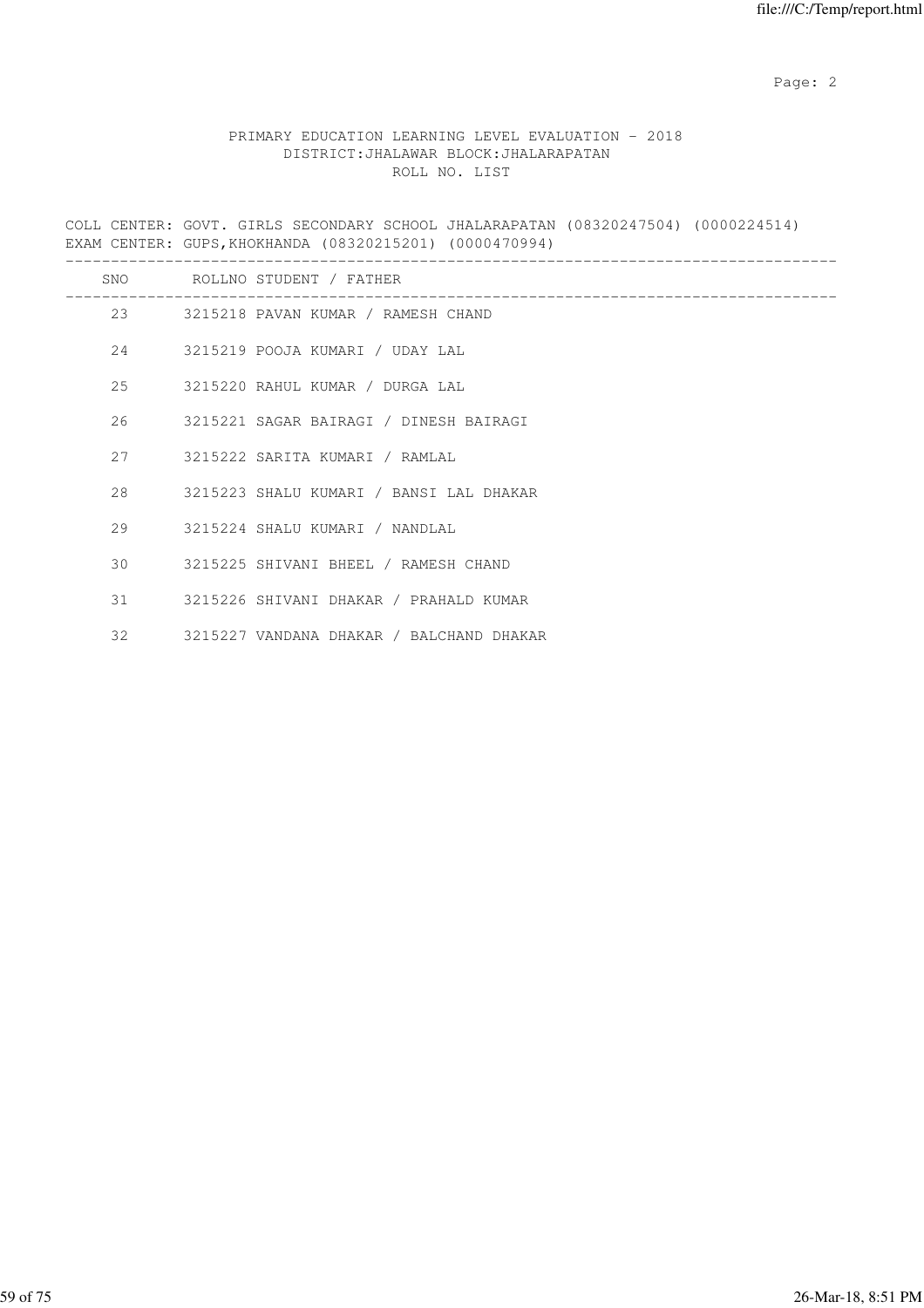# PRIMARY EDUCATION LEARNING LEVEL EVALUATION - 2018 DISTRICT:JHALAWAR BLOCK:JHALARAPATAN ROLL NO. LIST

COLL CENTER: GOVT. GIRLS SECONDARY SCHOOL JHALARAPATAN (08320247504) (0000224514) EXAM CENTER: GUPS,KHOKHANDA (08320215201) (0000470994)

|               | SNO ROLLNO STUDENT / FATHER               |
|---------------|-------------------------------------------|
|               | 23 3215218 PAVAN KUMAR / RAMESH CHAND     |
|               | 24 3215219 POOJA KUMARI / UDAY LAL        |
|               | 25 3215220 RAHUL KUMAR / DURGA LAL        |
|               | 26 3215221 SAGAR BAIRAGI / DINESH BAIRAGI |
| 27            | 3215222 SARITA KUMARI / RAMLAL            |
| 28 and $\sim$ | 3215223 SHALU KUMARI / BANSI LAL DHAKAR   |
| 29            | 3215224 SHALU KUMARI / NANDLAL            |
| 30            | 3215225 SHIVANI BHEEL / RAMESH CHAND      |
|               | 31 3215226 SHIVANI DHAKAR / PRAHALD KUMAR |
| 32            | 3215227 VANDANA DHAKAR / BALCHAND DHAKAR  |
|               |                                           |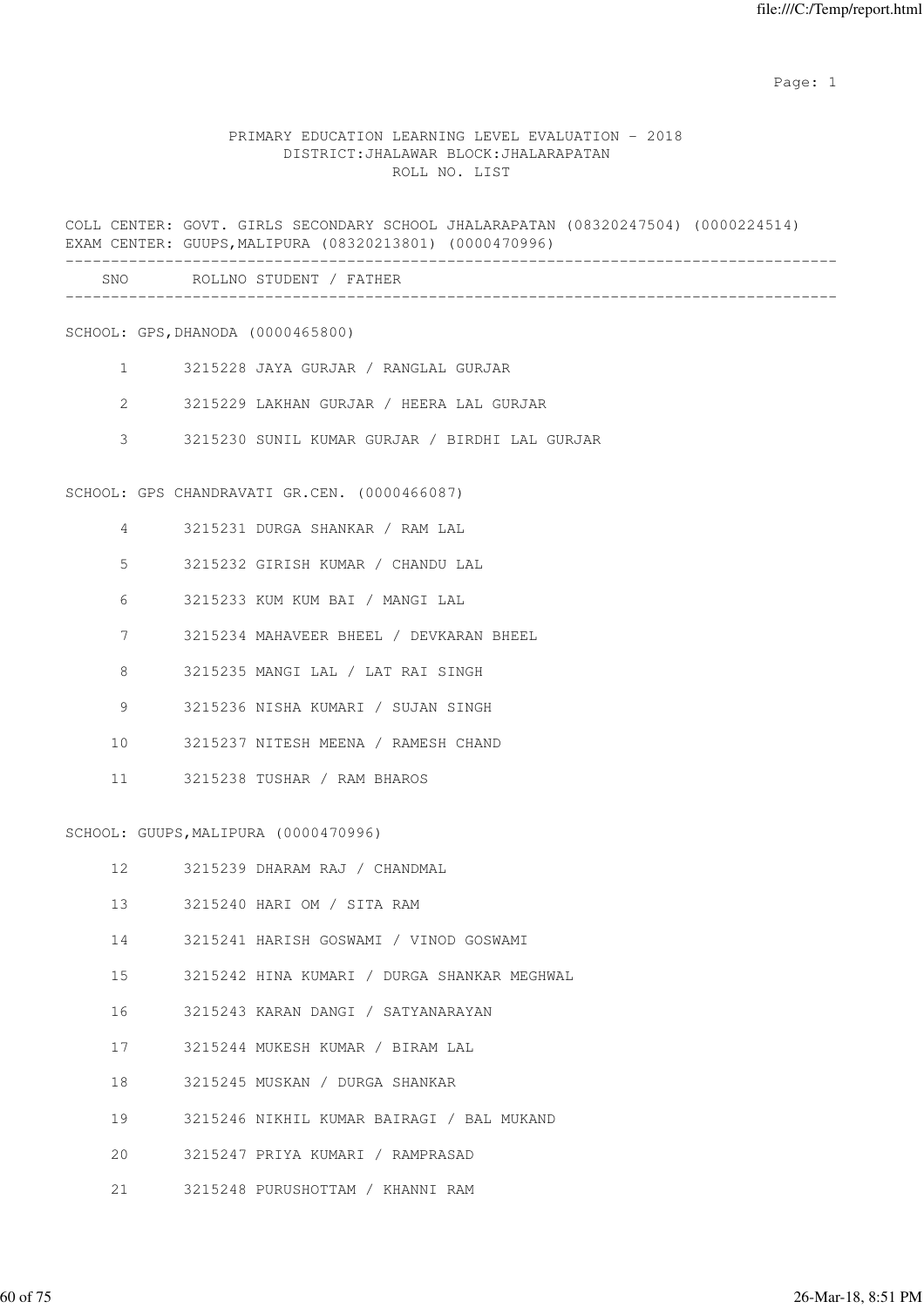#### PRIMARY EDUCATION LEARNING LEVEL EVALUATION - 2018 DISTRICT:JHALAWAR BLOCK:JHALARAPATAN ROLL NO. LIST

COLL CENTER: GOVT. GIRLS SECONDARY SCHOOL JHALARAPATAN (08320247504) (0000224514) EXAM CENTER: GUUPS,MALIPURA (08320213801) (0000470996) -------------------------------------------------------------------------------------

| SNO<br>___ |  |
|------------|--|
|            |  |

SCHOOL: GPS,DHANODA (0000465800)

- 1 3215228 JAYA GURJAR / RANGLAL GURJAR
- 2 3215229 LAKHAN GURJAR / HEERA LAL GURJAR
- 3 3215230 SUNIL KUMAR GURJAR / BIRDHI LAL GURJAR

SCHOOL: GPS CHANDRAVATI GR.CEN. (0000466087)

- 4 3215231 DURGA SHANKAR / RAM LAL
- 5 3215232 GIRISH KUMAR / CHANDU LAL
- 6 3215233 KUM KUM BAI / MANGI LAL
- 7 3215234 MAHAVEER BHEEL / DEVKARAN BHEEL
- 8 3215235 MANGI LAL / LAT RAI SINGH
- 9 3215236 NISHA KUMARI / SUJAN SINGH
- 10 3215237 NITESH MEENA / RAMESH CHAND
- 11 3215238 TUSHAR / RAM BHAROS

SCHOOL: GUUPS,MALIPURA (0000470996)

- 12 3215239 DHARAM RAJ / CHANDMAL
- 13 3215240 HARI OM / SITA RAM
- 14 3215241 HARISH GOSWAMI / VINOD GOSWAMI
- 15 3215242 HINA KUMARI / DURGA SHANKAR MEGHWAL
- 16 3215243 KARAN DANGI / SATYANARAYAN
- 17 3215244 MUKESH KUMAR / BIRAM LAL
- 18 3215245 MUSKAN / DURGA SHANKAR
- 19 3215246 NIKHIL KUMAR BAIRAGI / BAL MUKAND
- 20 3215247 PRIYA KUMARI / RAMPRASAD
- 21 3215248 PURUSHOTTAM / KHANNI RAM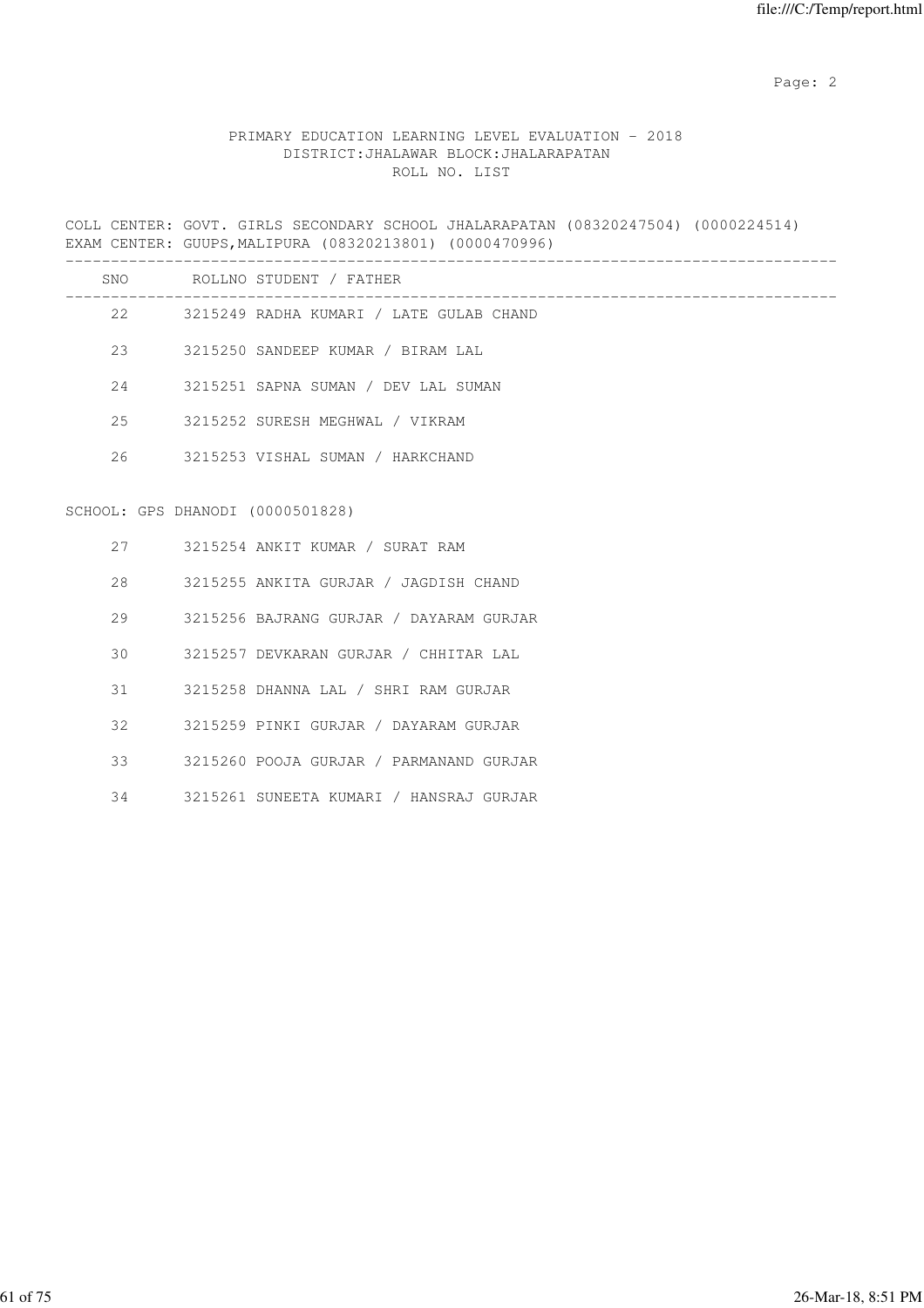# PRIMARY EDUCATION LEARNING LEVEL EVALUATION - 2018 DISTRICT:JHALAWAR BLOCK:JHALARAPATAN ROLL NO. LIST

COLL CENTER: GOVT. GIRLS SECONDARY SCHOOL JHALARAPATAN (08320247504) (0000224514) EXAM CENTER: GUUPS,MALIPURA (08320213801) (0000470996)

|    |                                  | SNO ROLLNO STUDENT / FATHER                |
|----|----------------------------------|--------------------------------------------|
|    |                                  | 22 3215249 RADHA KUMARI / LATE GULAB CHAND |
| 23 |                                  | 3215250 SANDEEP KUMAR / BIRAM LAL          |
|    |                                  | 3215251 SAPNA SUMAN / DEV LAL SUMAN        |
| 25 |                                  | 3215252 SURESH MEGHWAL / VIKRAM            |
| 26 |                                  | 3215253 VISHAL SUMAN / HARKCHAND           |
|    | SCHOOL: GPS DHANODI (0000501828) |                                            |
|    |                                  | 27 3215254 ANKIT KUMAR / SURAT RAM         |
|    | $28 - 7$                         | 3215255 ANKITA GURJAR / JAGDISH CHAND      |
| 29 |                                  | 3215256 BAJRANG GURJAR / DAYARAM GURJAR    |
| 30 |                                  | 3215257 DEVKARAN GURJAR / CHHITAR LAL      |
| 31 |                                  | 3215258 DHANNA LAL / SHRI RAM GURJAR       |
| 32 |                                  | 3215259 PINKI GURJAR / DAYARAM GURJAR      |
| 33 |                                  | 3215260 POOJA GURJAR / PARMANAND GURJAR    |
| 34 |                                  | 3215261 SUNEETA KUMARI / HANSRAJ GURJAR    |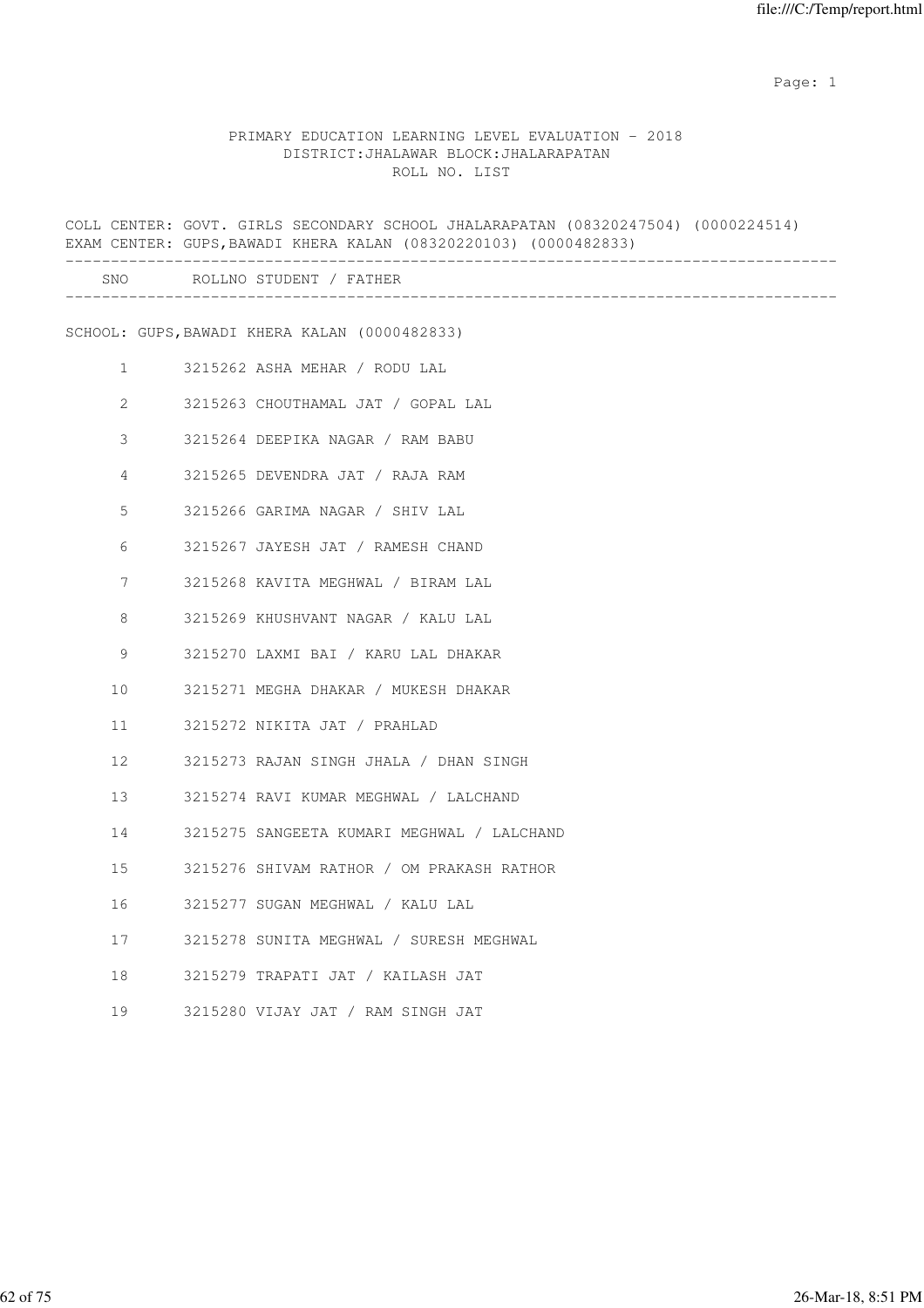#### PRIMARY EDUCATION LEARNING LEVEL EVALUATION - 2018 DISTRICT:JHALAWAR BLOCK:JHALARAPATAN ROLL NO. LIST

COLL CENTER: GOVT. GIRLS SECONDARY SCHOOL JHALARAPATAN (08320247504) (0000224514) EXAM CENTER: GUPS,BAWADI KHERA KALAN (08320220103) (0000482833) ------------------------------------------------------------------------------------- SNO ROLLNO STUDENT / FATHER ------------------------------------------------------------------------------------- SCHOOL: GUPS,BAWADI KHERA KALAN (0000482833) 1 3215262 ASHA MEHAR / RODU LAL 2 3215263 CHOUTHAMAL JAT / GOPAL LAL 3 3215264 DEEPIKA NAGAR / RAM BABU 4 3215265 DEVENDRA JAT / RAJA RAM 5 3215266 GARIMA NAGAR / SHIV LAL 6 3215267 JAYESH JAT / RAMESH CHAND 7 3215268 KAVITA MEGHWAL / BIRAM LAL 8 3215269 KHUSHVANT NAGAR / KALU LAL 9 3215270 LAXMI BAI / KARU LAL DHAKAR 10 3215271 MEGHA DHAKAR / MUKESH DHAKAR 11 3215272 NIKITA JAT / PRAHLAD 12 3215273 RAJAN SINGH JHALA / DHAN SINGH 13 3215274 RAVI KUMAR MEGHWAL / LALCHAND 14 3215275 SANGEETA KUMARI MEGHWAL / LALCHAND 15 3215276 SHIVAM RATHOR / OM PRAKASH RATHOR 16 3215277 SUGAN MEGHWAL / KALU LAL 17 3215278 SUNITA MEGHWAL / SURESH MEGHWAL 18 3215279 TRAPATI JAT / KAILASH JAT 19 3215280 VIJAY JAT / RAM SINGH JAT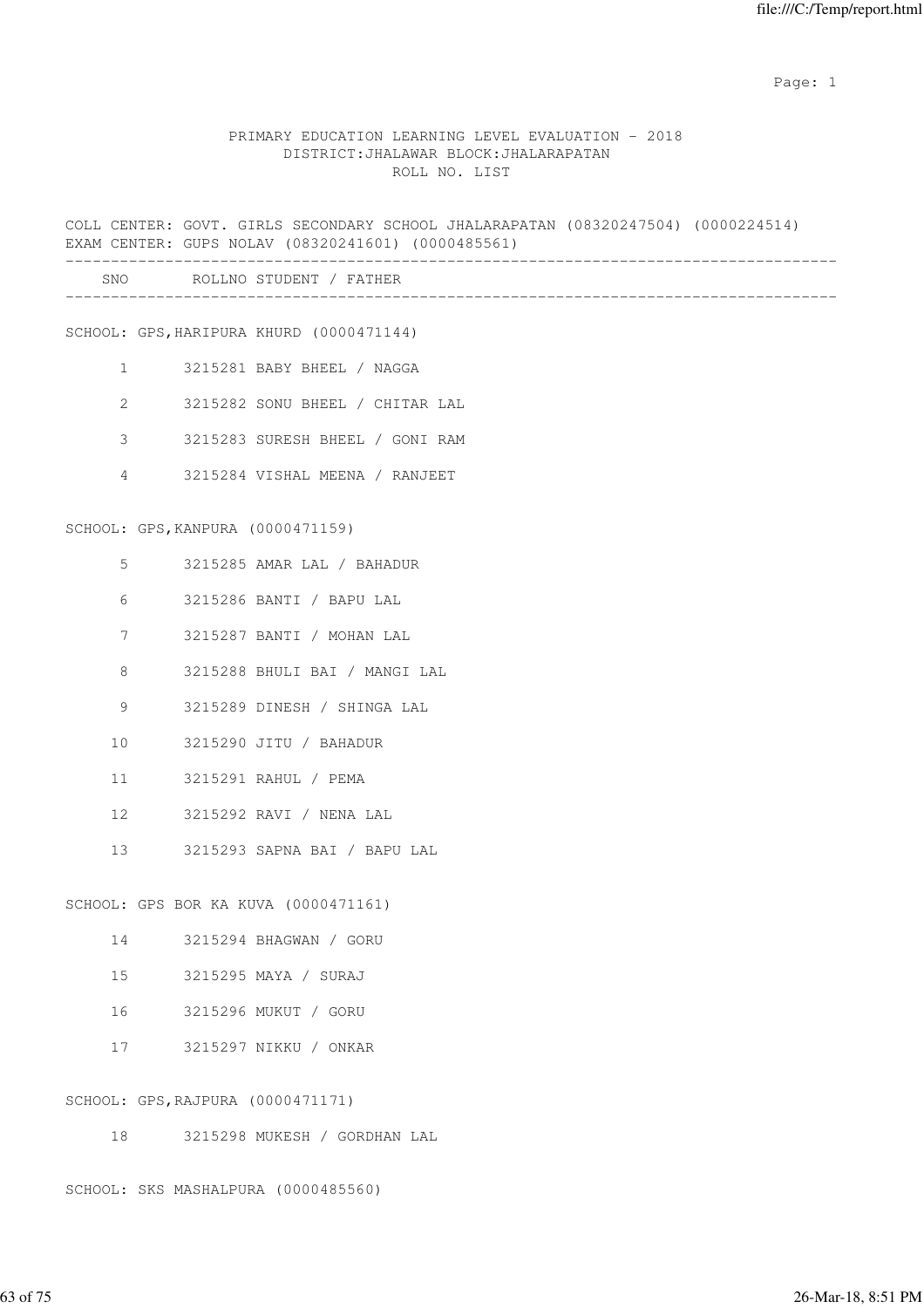## PRIMARY EDUCATION LEARNING LEVEL EVALUATION - 2018 DISTRICT:JHALAWAR BLOCK:JHALARAPATAN ROLL NO. LIST

|                       |                                   | COLL CENTER: GOVT. GIRLS SECONDARY SCHOOL JHALARAPATAN (08320247504) (0000224514)<br>EXAM CENTER: GUPS NOLAV (08320241601) (0000485561) |
|-----------------------|-----------------------------------|-----------------------------------------------------------------------------------------------------------------------------------------|
|                       |                                   | SNO ROLLNO STUDENT / FATHER                                                                                                             |
|                       |                                   | SCHOOL: GPS, HARIPURA KHURD (0000471144)                                                                                                |
| $\mathbf{1}$          |                                   | 3215281 BABY BHEEL / NAGGA                                                                                                              |
| $\mathbf{2}^{\prime}$ |                                   | 3215282 SONU BHEEL / CHITAR LAL                                                                                                         |
| 3                     |                                   | 3215283 SURESH BHEEL / GONI RAM                                                                                                         |
| 4                     |                                   | 3215284 VISHAL MEENA / RANJEET                                                                                                          |
|                       | SCHOOL: GPS, KANPURA (0000471159) |                                                                                                                                         |
| 5                     |                                   | 3215285 AMAR LAL / BAHADUR                                                                                                              |
| 6                     |                                   | 3215286 BANTI / BAPU LAL                                                                                                                |
| 7                     |                                   | 3215287 BANTI / MOHAN LAL                                                                                                               |
| 8                     |                                   | 3215288 BHULI BAI / MANGI LAL                                                                                                           |
| 9                     |                                   | 3215289 DINESH / SHINGA LAL                                                                                                             |
| 10                    |                                   | 3215290 JITU / BAHADUR                                                                                                                  |
| 11                    |                                   | 3215291 RAHUL / PEMA                                                                                                                    |
| 12                    |                                   | 3215292 RAVI / NENA LAL                                                                                                                 |
| 13                    |                                   | 3215293 SAPNA BAI / BAPU LAL                                                                                                            |
|                       |                                   | SCHOOL: GPS BOR KA KUVA (0000471161)                                                                                                    |
| 14                    |                                   | 3215294 BHAGWAN / GORU                                                                                                                  |
| 15                    |                                   | 3215295 MAYA / SURAJ                                                                                                                    |
| 16                    |                                   | 3215296 MUKUT / GORU                                                                                                                    |
| 17                    |                                   | 3215297 NIKKU / ONKAR                                                                                                                   |
|                       | SCHOOL: GPS, RAJPURA (0000471171) |                                                                                                                                         |

18 3215298 MUKESH / GORDHAN LAL

SCHOOL: SKS MASHALPURA (0000485560)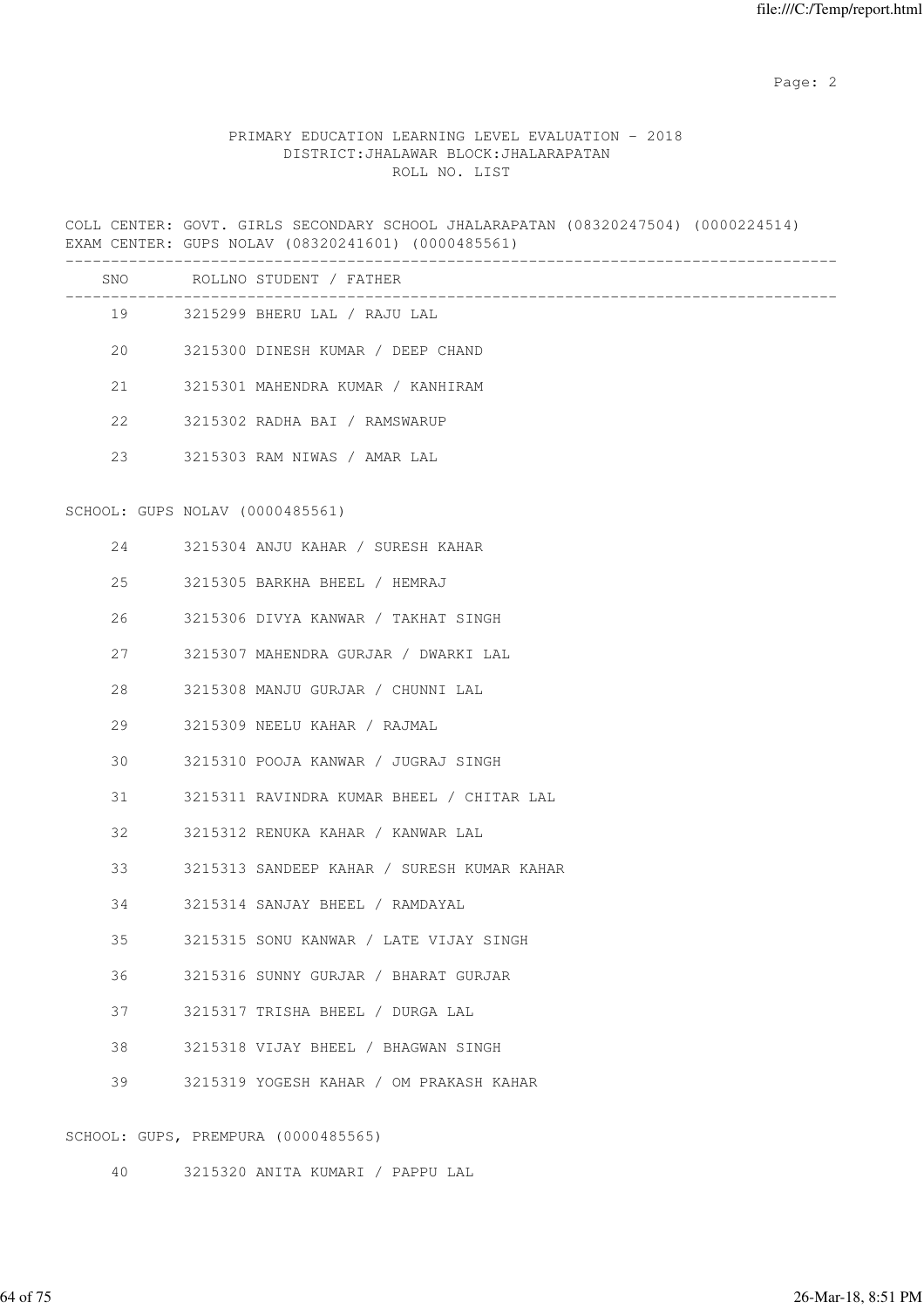# PRIMARY EDUCATION LEARNING LEVEL EVALUATION - 2018 DISTRICT:JHALAWAR BLOCK:JHALARAPATAN ROLL NO. LIST

COLL CENTER: GOVT. GIRLS SECONDARY SCHOOL JHALARAPATAN (08320247504) (0000224514) EXAM CENTER: GUPS NOLAV (08320241601) (0000485561)

|    |                                 | SNO ROLLNO STUDENT / FATHER                |
|----|---------------------------------|--------------------------------------------|
|    |                                 | 19 3215299 BHERU LAL / RAJU LAL            |
| 20 |                                 | 3215300 DINESH KUMAR / DEEP CHAND          |
| 21 |                                 | 3215301 MAHENDRA KUMAR / KANHIRAM          |
| 22 |                                 | 3215302 RADHA BAI / RAMSWARUP              |
| 23 |                                 | 3215303 RAM NIWAS / AMAR LAL               |
|    | SCHOOL: GUPS NOLAV (0000485561) |                                            |
| 24 |                                 | 3215304 ANJU KAHAR / SURESH KAHAR          |
| 25 |                                 | 3215305 BARKHA BHEEL / HEMRAJ              |
| 26 |                                 | 3215306 DIVYA KANWAR / TAKHAT SINGH        |
| 27 |                                 | 3215307 MAHENDRA GURJAR / DWARKI LAL       |
| 28 |                                 | 3215308 MANJU GURJAR / CHUNNI LAL          |
| 29 |                                 | 3215309 NEELU KAHAR / RAJMAL               |
| 30 |                                 | 3215310 POOJA KANWAR / JUGRAJ SINGH        |
| 31 |                                 | 3215311 RAVINDRA KUMAR BHEEL / CHITAR LAL  |
| 32 |                                 | 3215312 RENUKA KAHAR / KANWAR LAL          |
| 33 |                                 | 3215313 SANDEEP KAHAR / SURESH KUMAR KAHAR |
| 34 |                                 | 3215314 SANJAY BHEEL / RAMDAYAL            |
| 35 |                                 | 3215315 SONU KANWAR / LATE VIJAY SINGH     |
| 36 |                                 | 3215316 SUNNY GURJAR / BHARAT GURJAR       |
| 37 |                                 | 3215317 TRISHA BHEEL / DURGA LAL           |
| 38 |                                 | 3215318 VIJAY BHEEL / BHAGWAN SINGH        |
| 39 |                                 | 3215319 YOGESH KAHAR / OM PRAKASH KAHAR    |
|    |                                 | SCHOOL: GUPS, PREMPURA (0000485565)        |

40 3215320 ANITA KUMARI / PAPPU LAL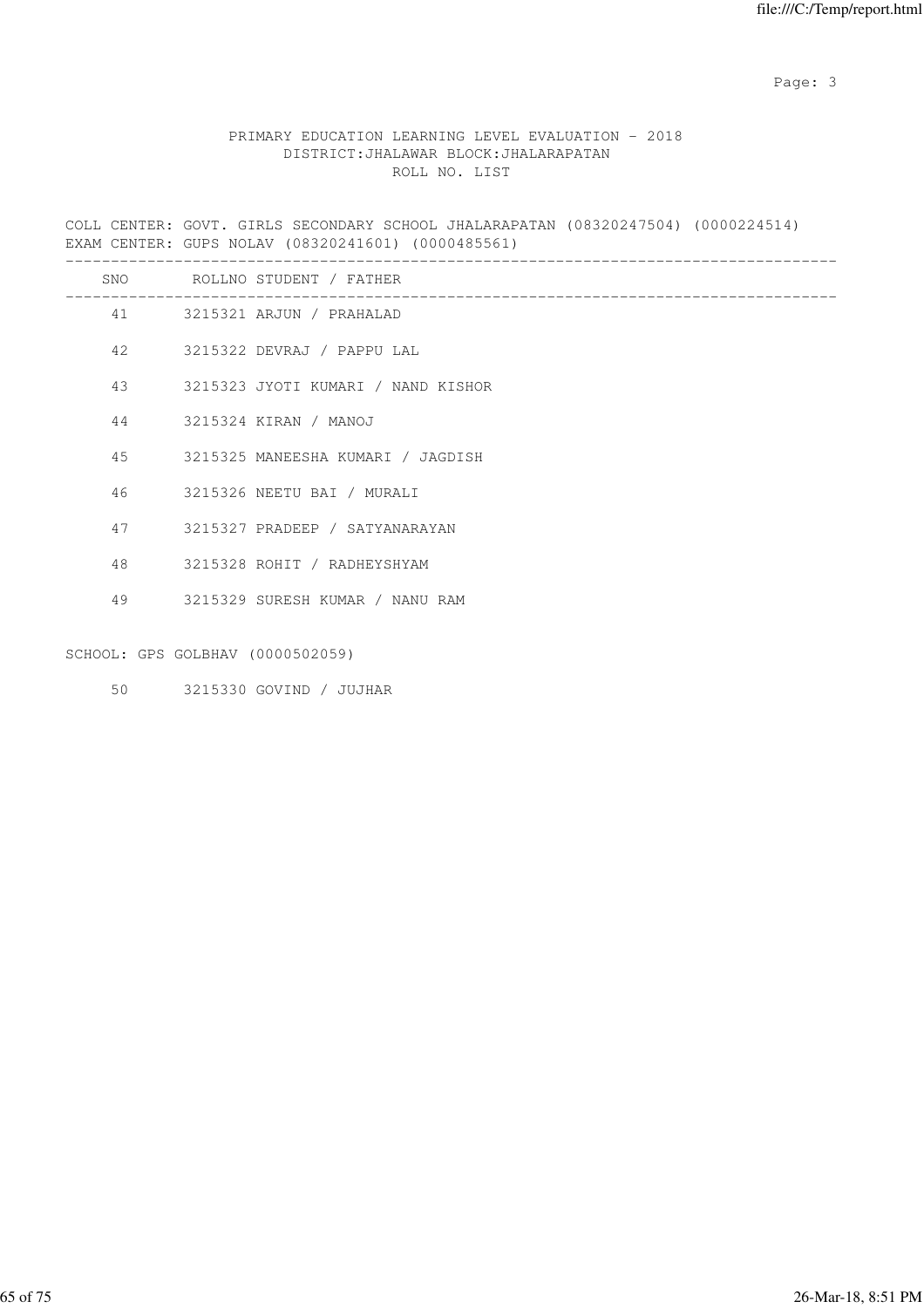Page: 3

# PRIMARY EDUCATION LEARNING LEVEL EVALUATION - 2018 DISTRICT:JHALAWAR BLOCK:JHALARAPATAN ROLL NO. LIST

COLL CENTER: GOVT. GIRLS SECONDARY SCHOOL JHALARAPATAN (08320247504) (0000224514) EXAM CENTER: GUPS NOLAV (08320241601) (0000485561)

|    |                                  | SNO ROLLNO STUDENT / FATHER        |
|----|----------------------------------|------------------------------------|
|    |                                  | 41 3215321 ARJUN / PRAHALAD        |
| 42 |                                  | 3215322 DEVRAJ / PAPPU LAL         |
| 43 |                                  | 3215323 JYOTI KUMARI / NAND KISHOR |
| 44 |                                  | 3215324 KIRAN / MANOJ              |
| 45 |                                  | 3215325 MANEESHA KUMARI / JAGDISH  |
| 46 |                                  | 3215326 NEETU BAI / MURALI         |
| 47 |                                  | 3215327 PRADEEP / SATYANARAYAN     |
| 48 |                                  | 3215328 ROHIT / RADHEYSHYAM        |
|    |                                  | 49 3215329 SURESH KUMAR / NANU RAM |
|    |                                  |                                    |
|    | SCHOOL: GPS GOLBHAV (0000502059) |                                    |
| 50 |                                  | 3215330 GOVIND / JUJHAR            |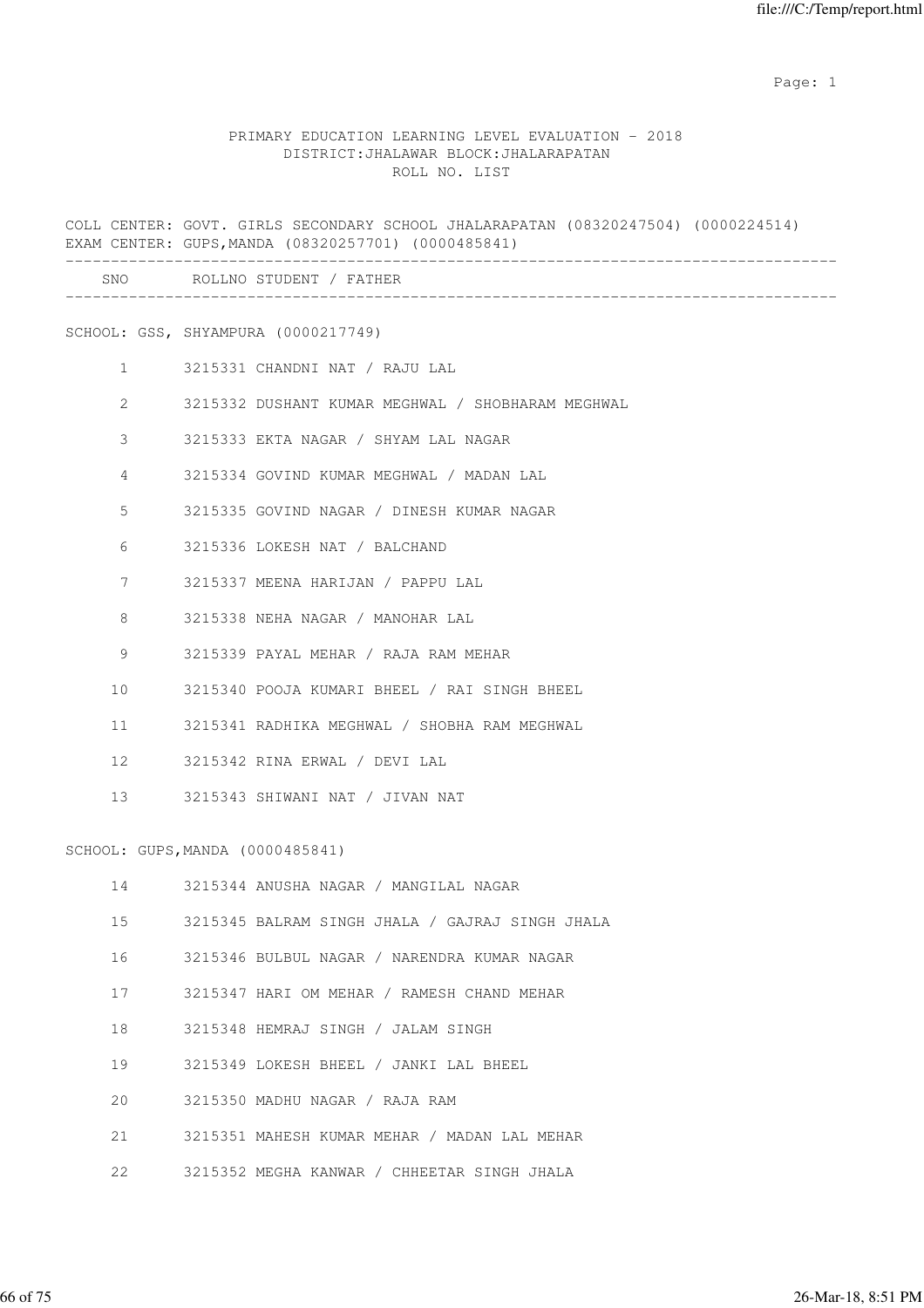#### PRIMARY EDUCATION LEARNING LEVEL EVALUATION - 2018 DISTRICT:JHALAWAR BLOCK:JHALARAPATAN ROLL NO. LIST

COLL CENTER: GOVT. GIRLS SECONDARY SCHOOL JHALARAPATAN (08320247504) (0000224514) EXAM CENTER: GUPS,MANDA (08320257701) (0000485841) ------------------------------------------------------------------------------------- SNO ROLLNO STUDENT / FATHER ------------------------------------------------------------------------------------- SCHOOL: GSS, SHYAMPURA (0000217749) 1 3215331 CHANDNI NAT / RAJU LAL 2 3215332 DUSHANT KUMAR MEGHWAL / SHOBHARAM MEGHWAL 3 3215333 EKTA NAGAR / SHYAM LAL NAGAR 4 3215334 GOVIND KUMAR MEGHWAL / MADAN LAL 5 3215335 GOVIND NAGAR / DINESH KUMAR NAGAR 6 3215336 LOKESH NAT / BALCHAND 7 3215337 MEENA HARIJAN / PAPPU LAL 8 3215338 NEHA NAGAR / MANOHAR LAL 9 3215339 PAYAL MEHAR / RAJA RAM MEHAR 10 3215340 POOJA KUMARI BHEEL / RAI SINGH BHEEL 11 3215341 RADHIKA MEGHWAL / SHOBHA RAM MEGHWAL 12 3215342 RINA ERWAL / DEVI LAL 13 3215343 SHIWANI NAT / JIVAN NAT SCHOOL: GUPS,MANDA (0000485841) 14 3215344 ANUSHA NAGAR / MANGILAL NAGAR 15 3215345 BALRAM SINGH JHALA / GAJRAJ SINGH JHALA 16 3215346 BULBUL NAGAR / NARENDRA KUMAR NAGAR 17 3215347 HARI OM MEHAR / RAMESH CHAND MEHAR 18 3215348 HEMRAJ SINGH / JALAM SINGH 19 3215349 LOKESH BHEEL / JANKI LAL BHEEL 20 3215350 MADHU NAGAR / RAJA RAM 21 3215351 MAHESH KUMAR MEHAR / MADAN LAL MEHAR 22 3215352 MEGHA KANWAR / CHHEETAR SINGH JHALA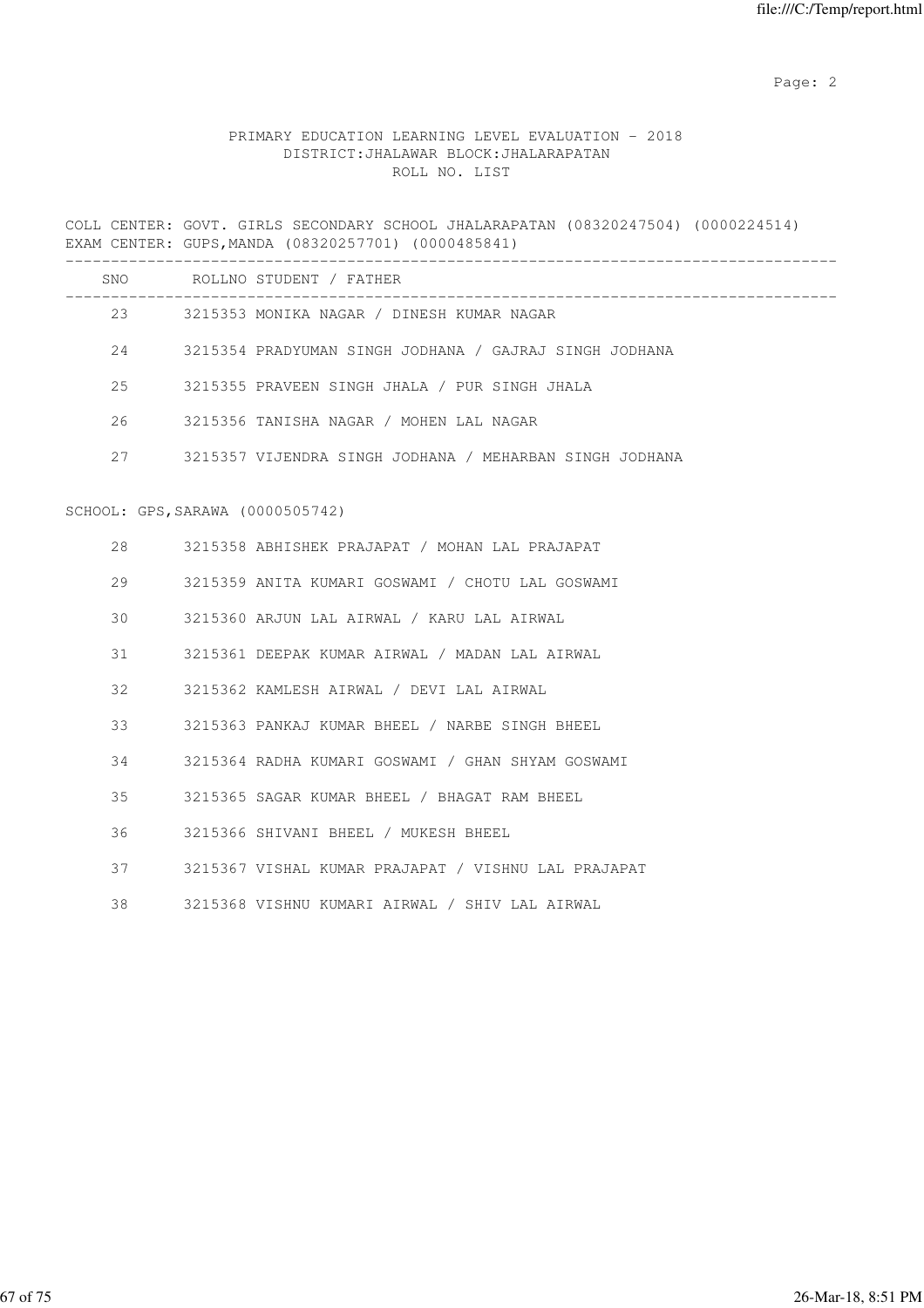# PRIMARY EDUCATION LEARNING LEVEL EVALUATION - 2018 DISTRICT:JHALAWAR BLOCK:JHALARAPATAN ROLL NO. LIST

COLL CENTER: GOVT. GIRLS SECONDARY SCHOOL JHALARAPATAN (08320247504) (0000224514) EXAM CENTER: GUPS,MANDA (08320257701) (0000485841)

|    |                                  | SNO ROLLNO STUDENT / FATHER                             |
|----|----------------------------------|---------------------------------------------------------|
|    |                                  | 23 3215353 MONIKA NAGAR / DINESH KUMAR NAGAR            |
| 24 |                                  | 3215354 PRADYUMAN SINGH JODHANA / GAJRAJ SINGH JODHANA  |
| 25 |                                  | 3215355 PRAVEEN SINGH JHALA / PUR SINGH JHALA           |
| 26 |                                  | 3215356 TANISHA NAGAR / MOHEN LAL NAGAR                 |
| 27 |                                  | 3215357 VIJENDRA SINGH JODHANA / MEHARBAN SINGH JODHANA |
|    |                                  |                                                         |
|    | SCHOOL: GPS, SARAWA (0000505742) |                                                         |
| 28 |                                  | 3215358 ABHISHEK PRAJAPAT / MOHAN LAL PRAJAPAT          |
| 29 |                                  | 3215359 ANITA KUMARI GOSWAMI / CHOTU LAL GOSWAMI        |
| 30 |                                  | 3215360 ARJUN LAL AIRWAL / KARU LAL AIRWAL              |
| 31 |                                  | 3215361 DEEPAK KUMAR AIRWAL / MADAN LAL AIRWAL          |
| 32 |                                  | 3215362 KAMLESH AIRWAL / DEVI LAL AIRWAL                |
| 33 |                                  | 3215363 PANKAJ KUMAR BHEEL / NARBE SINGH BHEEL          |
| 34 |                                  | 3215364 RADHA KUMARI GOSWAMI / GHAN SHYAM GOSWAMI       |
| 35 |                                  | 3215365 SAGAR KUMAR BHEEL / BHAGAT RAM BHEEL            |
| 36 |                                  | 3215366 SHIVANI BHEEL / MUKESH BHEEL                    |
| 37 |                                  | 3215367 VISHAL KUMAR PRAJAPAT / VISHNU LAL PRAJAPAT     |
| 38 |                                  | 3215368 VISHNU KUMARI AIRWAL / SHIV LAL AIRWAL          |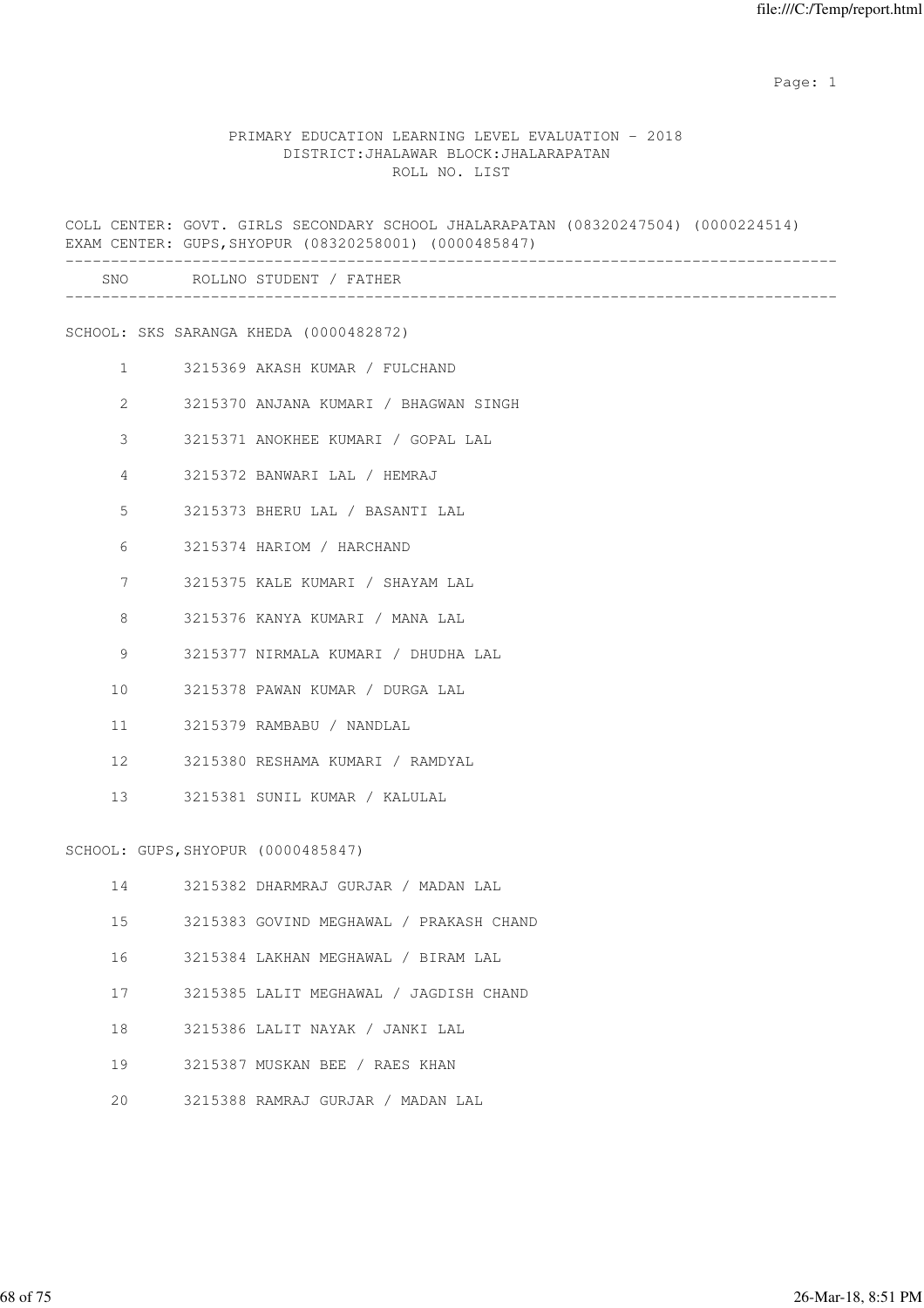#### PRIMARY EDUCATION LEARNING LEVEL EVALUATION - 2018 DISTRICT:JHALAWAR BLOCK:JHALARAPATAN ROLL NO. LIST

COLL CENTER: GOVT. GIRLS SECONDARY SCHOOL JHALARAPATAN (08320247504) (0000224514) EXAM CENTER: GUPS,SHYOPUR (08320258001) (0000485847) ------------------------------------------------------------------------------------- SNO ROLLNO STUDENT / FATHER ------------------------------------------------------------------------------------- SCHOOL: SKS SARANGA KHEDA (0000482872) 1 3215369 AKASH KUMAR / FULCHAND 2 3215370 ANJANA KUMARI / BHAGWAN SINGH 3 3215371 ANOKHEE KUMARI / GOPAL LAL 4 3215372 BANWARI LAL / HEMRAJ 5 3215373 BHERU LAL / BASANTI LAL 6 3215374 HARIOM / HARCHAND 7 3215375 KALE KUMARI / SHAYAM LAL 8 3215376 KANYA KUMARI / MANA LAL 9 3215377 NIRMALA KUMARI / DHUDHA LAL 10 3215378 PAWAN KUMAR / DURGA LAL 11 3215379 RAMBABU / NANDLAL 12 3215380 RESHAMA KUMARI / RAMDYAL 13 3215381 SUNIL KUMAR / KALULAL SCHOOL: GUPS,SHYOPUR (0000485847) 14 3215382 DHARMRAJ GURJAR / MADAN LAL 15 3215383 GOVIND MEGHAWAL / PRAKASH CHAND 16 3215384 LAKHAN MEGHAWAL / BIRAM LAL 17 3215385 LALIT MEGHAWAL / JAGDISH CHAND 18 3215386 LALIT NAYAK / JANKI LAL 19 3215387 MUSKAN BEE / RAES KHAN 20 3215388 RAMRAJ GURJAR / MADAN LAL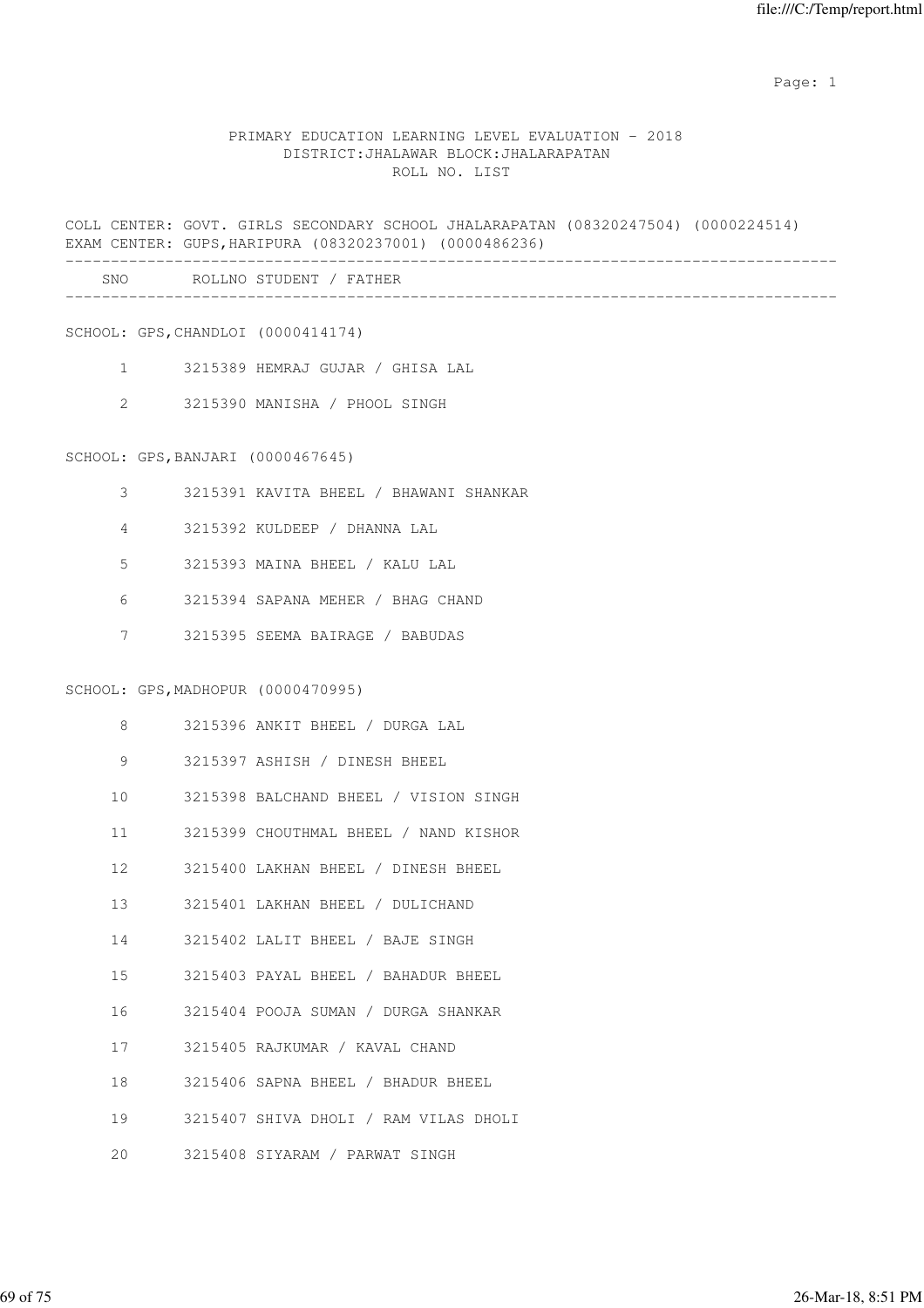# PRIMARY EDUCATION LEARNING LEVEL EVALUATION - 2018 DISTRICT:JHALAWAR BLOCK:JHALARAPATAN ROLL NO. LIST

COLL CENTER: GOVT. GIRLS SECONDARY SCHOOL JHALARAPATAN (08320247504) (0000224514) EXAM CENTER: GUPS,HARIPURA (08320237001) (0000486236) -------------------------------------------------------------------------------------

| SNC<br>__ | NI (<br>$\cdots$ |  |
|-----------|------------------|--|
|           |                  |  |

SCHOOL: GPS,CHANDLOI (0000414174)

- 1 3215389 HEMRAJ GUJAR / GHISA LAL
- 2 3215390 MANISHA / PHOOL SINGH

#### SCHOOL: GPS,BANJARI (0000467645)

- 3 3215391 KAVITA BHEEL / BHAWANI SHANKAR
- 4 3215392 KULDEEP / DHANNA LAL
- 5 3215393 MAINA BHEEL / KALU LAL
- 6 3215394 SAPANA MEHER / BHAG CHAND
- 7 3215395 SEEMA BAIRAGE / BABUDAS

#### SCHOOL: GPS,MADHOPUR (0000470995)

| 8               | 3215396 ANKIT BHEEL / DURGA LAL       |
|-----------------|---------------------------------------|
| 9               | 3215397 ASHISH / DINESH BHEEL         |
| 10 <sup>1</sup> | 3215398 BALCHAND BHEEL / VISION SINGH |
| 11              | 3215399 CHOUTHMAL BHEEL / NAND KISHOR |
| 12              | 3215400 LAKHAN BHEEL / DINESH BHEEL   |
| $13 -$          | 3215401 LAKHAN BHEEL / DULICHAND      |
| 14              | 3215402 LALIT BHEEL / BAJE SINGH      |
| 15              | 3215403 PAYAL BHEEL / BAHADUR BHEEL   |
| 16              | 3215404 POOJA SUMAN / DURGA SHANKAR   |
| 17              | 3215405 RAJKUMAR / KAVAL CHAND        |
| 18              | 3215406 SAPNA BHEEL / BHADUR BHEEL    |
| 19              | 3215407 SHIVA DHOLI / RAM VILAS DHOLI |
| 20              | 3215408 SIYARAM / PARWAT SINGH        |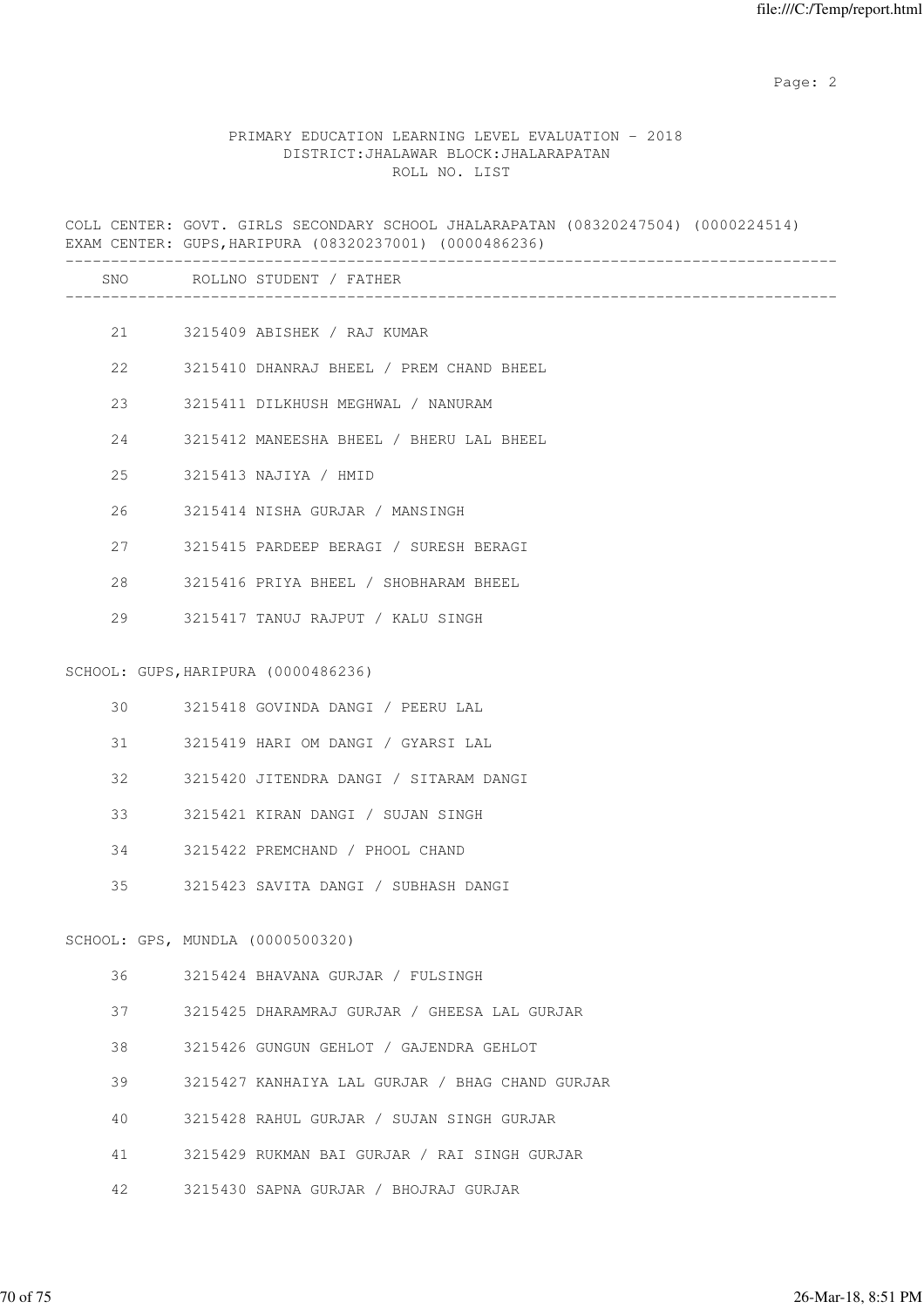## PRIMARY EDUCATION LEARNING LEVEL EVALUATION - 2018 DISTRICT:JHALAWAR BLOCK:JHALARAPATAN ROLL NO. LIST

COLL CENTER: GOVT. GIRLS SECONDARY SCHOOL JHALARAPATAN (08320247504) (0000224514) EXAM CENTER: GUPS,HARIPURA (08320237001) (0000486236) ------------------------------------------------------------------------------------- SNO ROLLNO STUDENT / FATHER ------------------------------------------------------------------------------------- 21 3215409 ABISHEK / RAJ KUMAR 22 3215410 DHANRAJ BHEEL / PREM CHAND BHEEL 23 3215411 DILKHUSH MEGHWAL / NANURAM 24 3215412 MANEESHA BHEEL / BHERU LAL BHEEL 25 3215413 NAJIYA / HMID 26 3215414 NISHA GURJAR / MANSINGH 27 3215415 PARDEEP BERAGI / SURESH BERAGI 28 3215416 PRIYA BHEEL / SHOBHARAM BHEEL 29 3215417 TANUJ RAJPUT / KALU SINGH SCHOOL: GUPS,HARIPURA (0000486236) 30 3215418 GOVINDA DANGI / PEERU LAL 31 3215419 HARI OM DANGI / GYARSI LAL 32 3215420 JITENDRA DANGI / SITARAM DANGI 33 3215421 KIRAN DANGI / SUJAN SINGH 34 3215422 PREMCHAND / PHOOL CHAND 35 3215423 SAVITA DANGI / SUBHASH DANGI SCHOOL: GPS, MUNDLA (0000500320) 36 3215424 BHAVANA GURJAR / FULSINGH 37 3215425 DHARAMRAJ GURJAR / GHEESA LAL GURJAR 38 3215426 GUNGUN GEHLOT / GAJENDRA GEHLOT 39 3215427 KANHAIYA LAL GURJAR / BHAG CHAND GURJAR 40 3215428 RAHUL GURJAR / SUJAN SINGH GURJAR 41 3215429 RUKMAN BAI GURJAR / RAI SINGH GURJAR 42 3215430 SAPNA GURJAR / BHOJRAJ GURJAR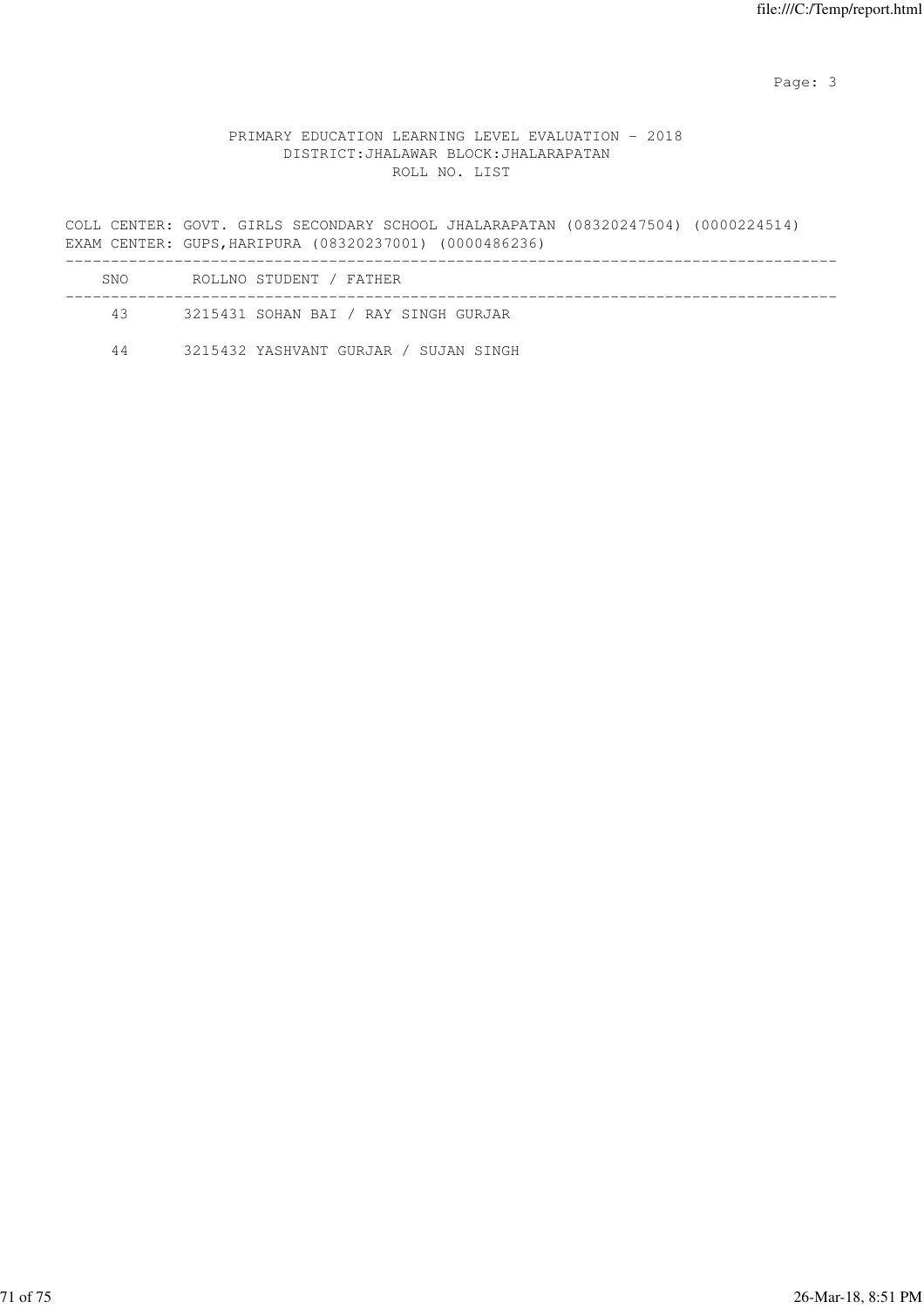Page: 3

# PRIMARY EDUCATION LEARNING LEVEL EVALUATION - 2018 DISTRICT:JHALAWAR BLOCK:JHALARAPATAN ROLL NO. LIST

COLL CENTER: GOVT. GIRLS SECONDARY SCHOOL JHALARAPATAN (08320247504) (0000224514) EXAM CENTER: GUPS,HARIPURA (08320237001) (0000486236)

| SNO. | ROLLNO STUDENT / FATHER               |  |
|------|---------------------------------------|--|
| 43   | 3215431 SOHAN BAI / RAY SINGH GURJAR  |  |
| 44   | 3215432 YASHVANT GURJAR / SUJAN SINGH |  |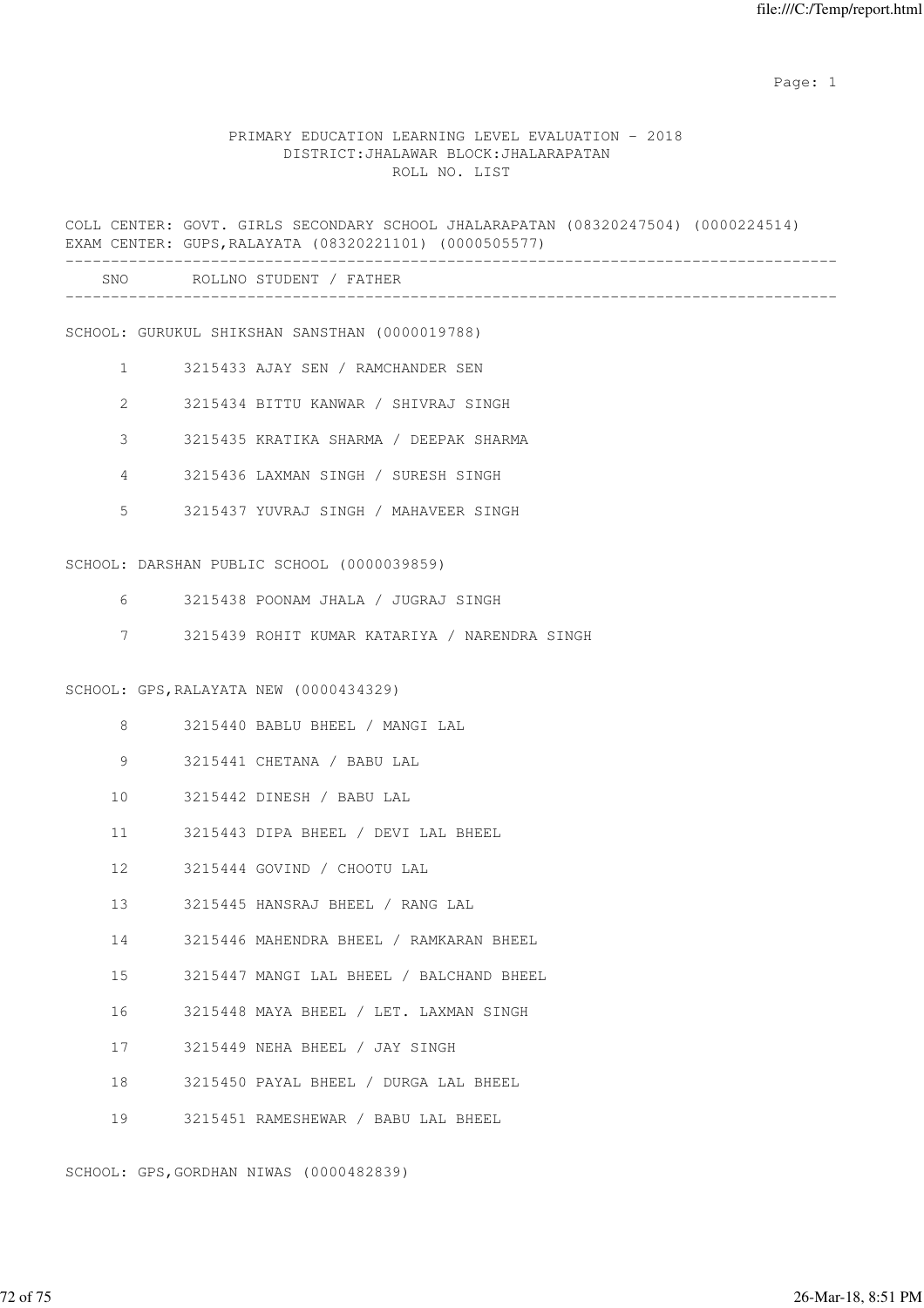#### PRIMARY EDUCATION LEARNING LEVEL EVALUATION - 2018 DISTRICT:JHALAWAR BLOCK:JHALARAPATAN ROLL NO. LIST

COLL CENTER: GOVT. GIRLS SECONDARY SCHOOL JHALARAPATAN (08320247504) (0000224514) EXAM CENTER: GUPS,RALAYATA (08320221101) (0000505577) ------------------------------------------------------------------------------------- SNO ROLLNO STUDENT / FATHER ------------------------------------------------------------------------------------- SCHOOL: GURUKUL SHIKSHAN SANSTHAN (0000019788) 1 3215433 AJAY SEN / RAMCHANDER SEN 2 3215434 BITTU KANWAR / SHIVRAJ SINGH 3 3215435 KRATIKA SHARMA / DEEPAK SHARMA 4 3215436 LAXMAN SINGH / SURESH SINGH 5 3215437 YUVRAJ SINGH / MAHAVEER SINGH SCHOOL: DARSHAN PUBLIC SCHOOL (0000039859) 6 3215438 POONAM JHALA / JUGRAJ SINGH 7 3215439 ROHIT KUMAR KATARIYA / NARENDRA SINGH SCHOOL: GPS,RALAYATA NEW (0000434329) 8 3215440 BABLU BHEEL / MANGI LAL 9 3215441 CHETANA / BABU LAL 10 3215442 DINESH / BABU LAL 11 3215443 DIPA BHEEL / DEVI LAL BHEEL 12 3215444 GOVIND / CHOOTU LAL 13 3215445 HANSRAJ BHEEL / RANG LAL 14 3215446 MAHENDRA BHEEL / RAMKARAN BHEEL 15 3215447 MANGI LAL BHEEL / BALCHAND BHEEL 16 3215448 MAYA BHEEL / LET. LAXMAN SINGH 17 3215449 NEHA BHEEL / JAY SINGH 18 3215450 PAYAL BHEEL / DURGA LAL BHEEL 19 3215451 RAMESHEWAR / BABU LAL BHEEL

SCHOOL: GPS,GORDHAN NIWAS (0000482839)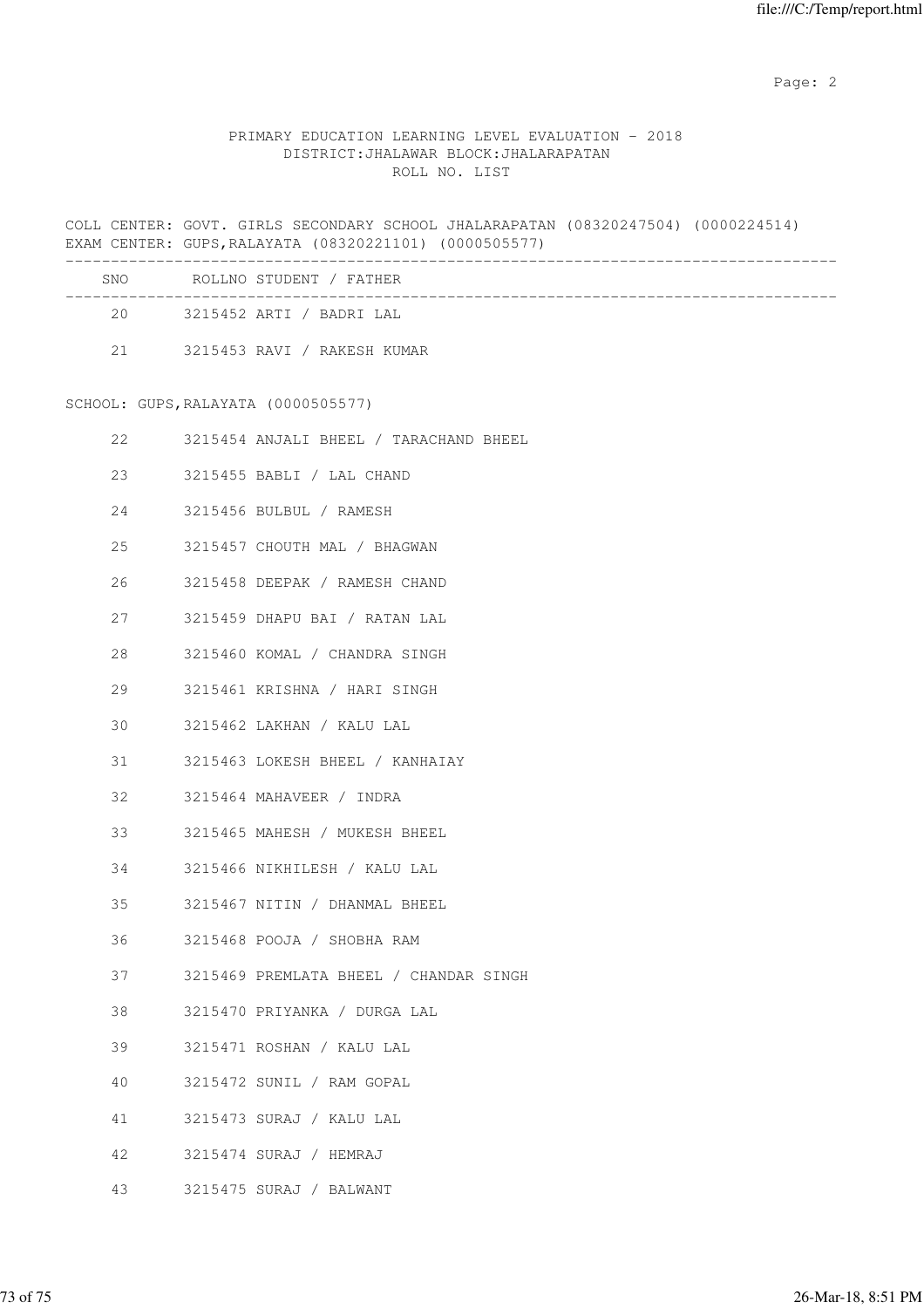Page: 2  $P$  and 2  $P$  and 2  $P$  and 2  $P$  and 2  $P$  and 2  $P$  and 2  $P$  and 2  $P$  and 2  $P$  and 2  $P$  and 2  $P$  and 2  $P$  and 2  $P$  and 2  $P$  and 2  $P$  and 2  $P$  and 2  $P$  and 2  $P$  and 2  $P$  and 2  $P$  and 2  $P$  and 2  $P$ 

## PRIMARY EDUCATION LEARNING LEVEL EVALUATION - 2018 DISTRICT:JHALAWAR BLOCK:JHALARAPATAN ROLL NO. LIST

COLL CENTER: GOVT. GIRLS SECONDARY SCHOOL JHALARAPATAN (08320247504) (0000224514) EXAM CENTER: GUPS,RALAYATA (08320221101) (0000505577)

| <b>SNO</b> | ROLLNO STUDENT / FATHER     |  |
|------------|-----------------------------|--|
|            |                             |  |
| 20         | 3215452 ARTI / BADRI LAL    |  |
| 21         | 3215453 RAVI / RAKESH KUMAR |  |

SCHOOL: GUPS,RALAYATA (0000505577)

| 22     | 3215454 ANJALI BHEEL / TARACHAND BHEEL |
|--------|----------------------------------------|
| 23     | 3215455 BABLI / LAL CHAND              |
| 24     | 3215456 BULBUL / RAMESH                |
| 25     | 3215457 CHOUTH MAL / BHAGWAN           |
| 26     | 3215458 DEEPAK / RAMESH CHAND          |
| 27     | 3215459 DHAPU BAI / RATAN LAL          |
| 28 — 1 | 3215460 KOMAL / CHANDRA SINGH          |
| 29     | 3215461 KRISHNA / HARI SINGH           |
| 30     | 3215462 LAKHAN / KALU LAL              |
| 31     | 3215463 LOKESH BHEEL / KANHAIAY        |
| 32     | 3215464 MAHAVEER / INDRA               |
| 33     | 3215465 MAHESH / MUKESH BHEEL          |
| 34     | 3215466 NIKHILESH / KALU LAL           |
| 35     | 3215467 NITIN / DHANMAL BHEEL          |
| 36     | 3215468 POOJA / SHOBHA RAM             |
| 37 — 1 | 3215469 PREMLATA BHEEL / CHANDAR SINGH |
| 38     | 3215470 PRIYANKA / DURGA LAL           |
| 39     | 3215471 ROSHAN / KALU LAL              |
| 40     | 3215472 SUNIL / RAM GOPAL              |
| 41 — 1 | 3215473 SURAJ / KALU LAL               |
| 42     | 3215474 SURAJ / HEMRAJ                 |
| 43     | 3215475 SURAJ / BALWANT                |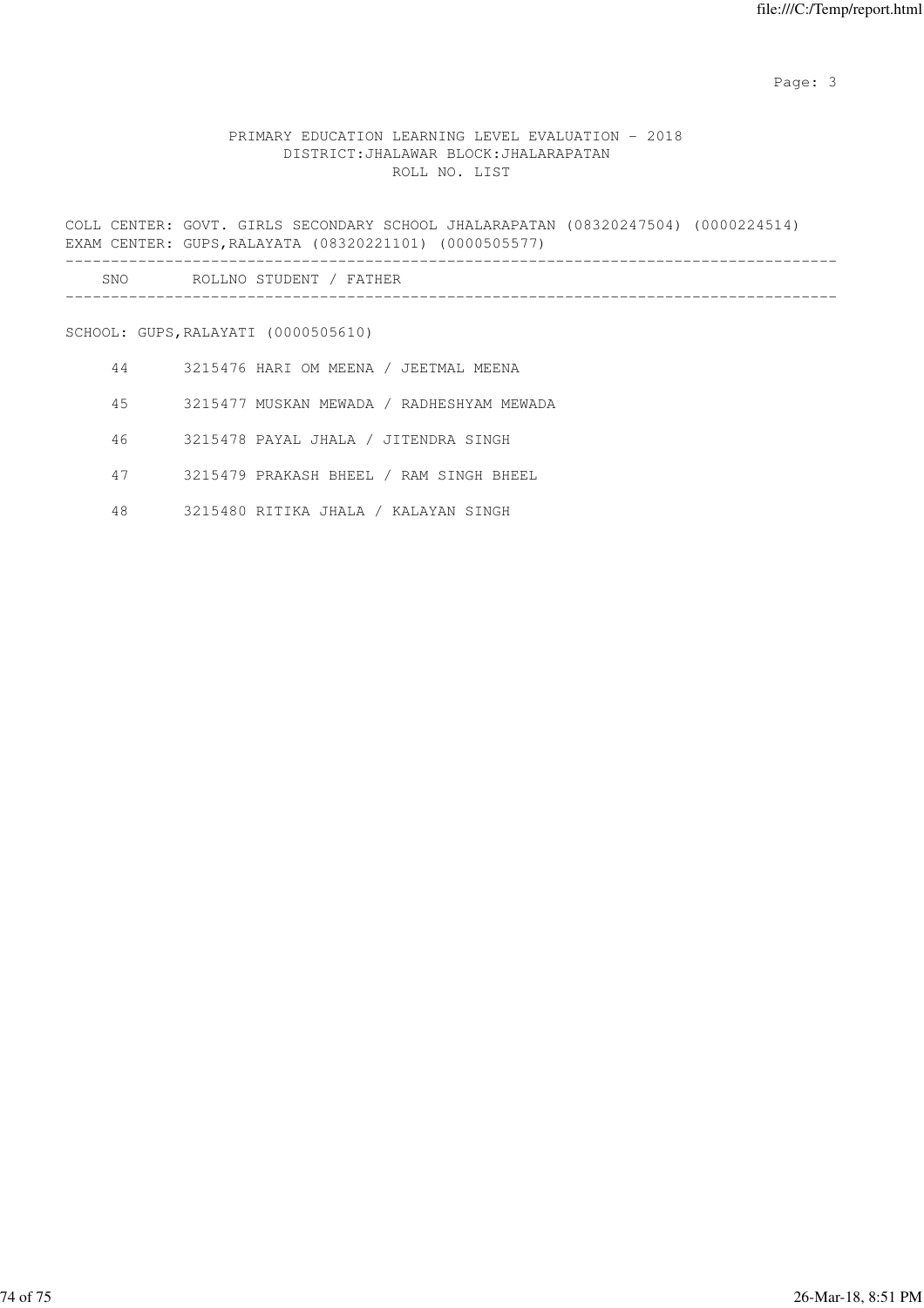Page: 3

## PRIMARY EDUCATION LEARNING LEVEL EVALUATION - 2018 DISTRICT:JHALAWAR BLOCK:JHALARAPATAN ROLL NO. LIST

COLL CENTER: GOVT. GIRLS SECONDARY SCHOOL JHALARAPATAN (08320247504) (0000224514) EXAM CENTER: GUPS,RALAYATA (08320221101) (0000505577) ------------------------------------------------------------------------------------- SNO ROLLNO STUDENT / FATHER

-------------------------------------------------------------------------------------

SCHOOL: GUPS,RALAYATI (0000505610)

- 44 3215476 HARI OM MEENA / JEETMAL MEENA
- 45 3215477 MUSKAN MEWADA / RADHESHYAM MEWADA
- 46 3215478 PAYAL JHALA / JITENDRA SINGH
- 47 3215479 PRAKASH BHEEL / RAM SINGH BHEEL
- 48 3215480 RITIKA JHALA / KALAYAN SINGH